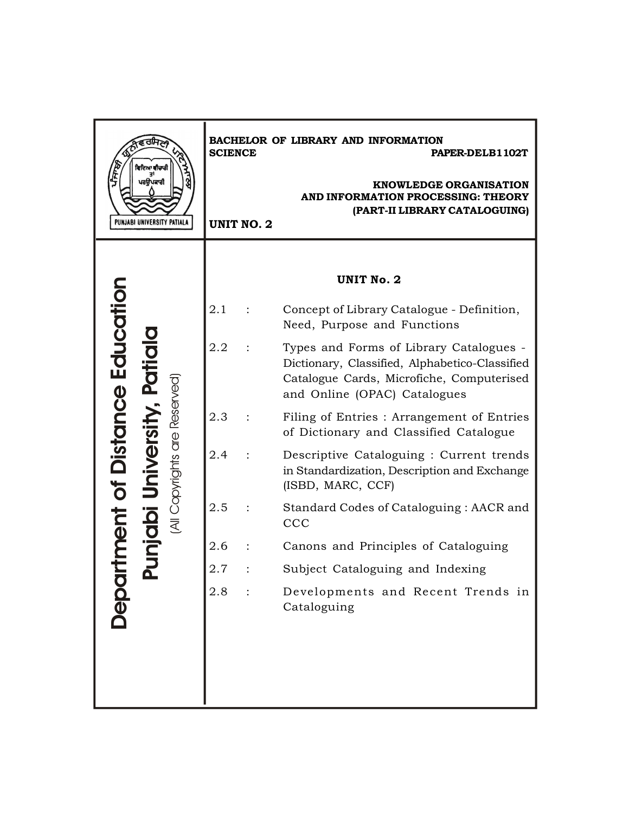| ਵਿਦਿਆ ਵੀਚਾਰੀ<br>ਪਰਉਪਕਾਰੀ<br>PUNJABI UNIVERSITY PATIALA | <b>SCIENCE</b><br><b>UNIT NO. 2</b> | BACHELOR OF LIBRARY AND INFORMATION<br>PAPER-DELB1102T<br><b>KNOWLEDGE ORGANISATION</b><br><b>AND INFORMATION PROCESSING: THEORY</b><br>(PART-II LIBRARY CATALOGUING)  |
|--------------------------------------------------------|-------------------------------------|------------------------------------------------------------------------------------------------------------------------------------------------------------------------|
|                                                        |                                     |                                                                                                                                                                        |
|                                                        |                                     | <b>UNIT No. 2</b>                                                                                                                                                      |
|                                                        | 2.1                                 | Concept of Library Catalogue - Definition,<br>Need, Purpose and Functions                                                                                              |
| of Distance Education                                  | 2.2                                 | Types and Forms of Library Catalogues -<br>Dictionary, Classified, Alphabetico-Classified<br>Catalogue Cards, Microfiche, Computerised<br>and Online (OPAC) Catalogues |
|                                                        | 2.3                                 | Filing of Entries : Arrangement of Entries<br>of Dictionary and Classified Catalogue                                                                                   |
| All Copyrights are Reserved                            | 2.4                                 | Descriptive Cataloguing : Current trends<br>in Standardization, Description and Exchange<br>(ISBD, MARC, CCF)                                                          |
| nent                                                   | 2.5                                 | Standard Codes of Cataloguing: AACR and<br>CCC                                                                                                                         |
|                                                        | 2.6                                 | Canons and Principles of Cataloguing                                                                                                                                   |
|                                                        | 2.7                                 | Subject Cataloguing and Indexing                                                                                                                                       |
| <b>DOPC</b>                                            | 2.8                                 | Developments and Recent Trends in<br>Cataloguing                                                                                                                       |
|                                                        |                                     |                                                                                                                                                                        |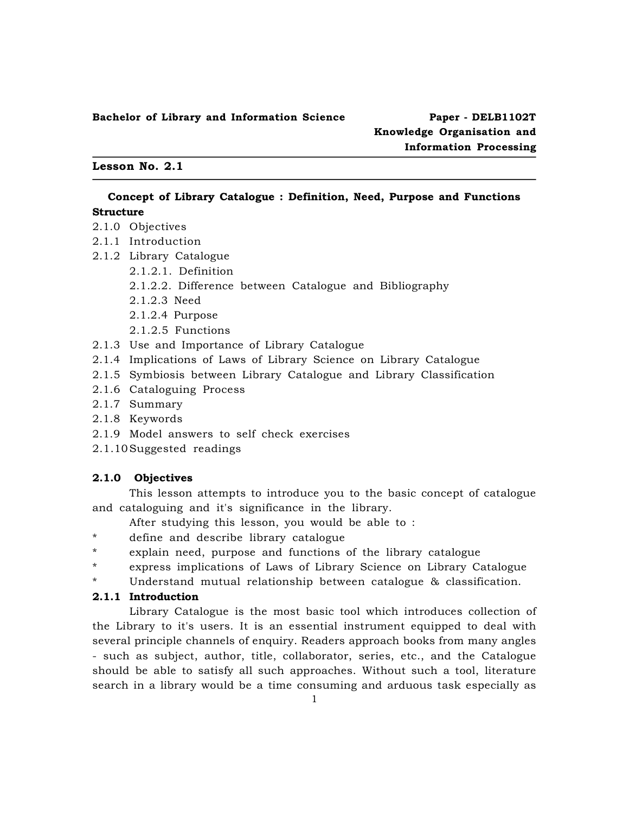#### **Lesson No. 2.1**

# **Concept of Library Catalogue : Definition, Need, Purpose and Functions Structure**

- 2.1.0 Objectives
- 2.1.1 Introduction
- 2.1.2 Library Catalogue
	- 2.1.2.1. Definition
	- 2.1.2.2. Difference between Catalogue and Bibliography
	- 2.1.2.3 Need
	- 2.1.2.4 Purpose
	- 2.1.2.5 Functions
- 2.1.3 Use and Importance of Library Catalogue
- 2.1.4 Implications of Laws of Library Science on Library Catalogue
- 2.1.5 Symbiosis between Library Catalogue and Library Classification
- 2.1.6 Cataloguing Process
- 2.1.7 Summary
- 2.1.8 Keywords
- 2.1.9 Model answers to self check exercises
- 2.1.10Suggested readings

#### **2.1.0 Objectives**

This lesson attempts to introduce you to the basic concept of catalogue and cataloguing and it's significance in the library.

- After studying this lesson, you would be able to :
- \* define and describe library catalogue
- \* explain need, purpose and functions of the library catalogue
- \* express implications of Laws of Library Science on Library Catalogue
- Understand mutual relationship between catalogue & classification.

# **2.1.1 Introduction**

Library Catalogue is the most basic tool which introduces collection of the Library to it's users. It is an essential instrument equipped to deal with several principle channels of enquiry. Readers approach books from many angles - such as subject, author, title, collaborator, series, etc., and the Catalogue should be able to satisfy all such approaches. Without such a tool, literature search in a library would be a time consuming and arduous task especially as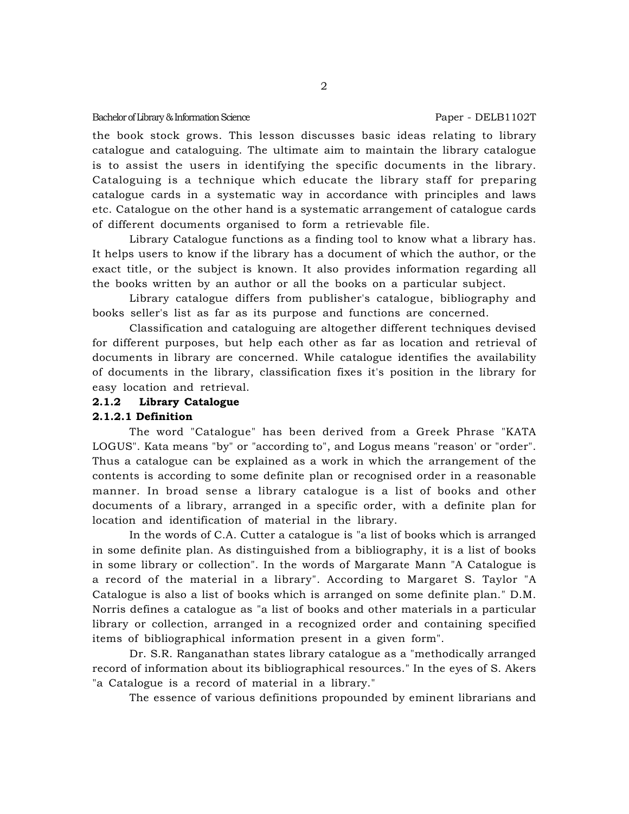the book stock grows. This lesson discusses basic ideas relating to library catalogue and cataloguing. The ultimate aim to maintain the library catalogue is to assist the users in identifying the specific documents in the library. Cataloguing is a technique which educate the library staff for preparing catalogue cards in a systematic way in accordance with principles and laws etc. Catalogue on the other hand is a systematic arrangement of catalogue cards of different documents organised to form a retrievable file.

Library Catalogue functions as a finding tool to know what a library has. It helps users to know if the library has a document of which the author, or the exact title, or the subject is known. It also provides information regarding all the books written by an author or all the books on a particular subject.

Library catalogue differs from publisher's catalogue, bibliography and books seller's list as far as its purpose and functions are concerned.

Classification and cataloguing are altogether different techniques devised for different purposes, but help each other as far as location and retrieval of documents in library are concerned. While catalogue identifies the availability of documents in the library, classification fixes it's position in the library for easy location and retrieval.

#### **2.1.2 Library Catalogue**

#### **2.1.2.1 Definition**

The word "Catalogue" has been derived from a Greek Phrase "KATA LOGUS". Kata means "by" or "according to", and Logus means "reason' or "order". Thus a catalogue can be explained as a work in which the arrangement of the contents is according to some definite plan or recognised order in a reasonable manner. In broad sense a library catalogue is a list of books and other documents of a library, arranged in a specific order, with a definite plan for location and identification of material in the library.

In the words of C.A. Cutter a catalogue is "a list of books which is arranged in some definite plan. As distinguished from a bibliography, it is a list of books in some library or collection". In the words of Margarate Mann "A Catalogue is a record of the material in a library". According to Margaret S. Taylor "A Catalogue is also a list of books which is arranged on some definite plan." D.M. Norris defines a catalogue as "a list of books and other materials in a particular library or collection, arranged in a recognized order and containing specified items of bibliographical information present in a given form".

Dr. S.R. Ranganathan states library catalogue as a "methodically arranged record of information about its bibliographical resources." In the eyes of S. Akers "a Catalogue is a record of material in a library."

The essence of various definitions propounded by eminent librarians and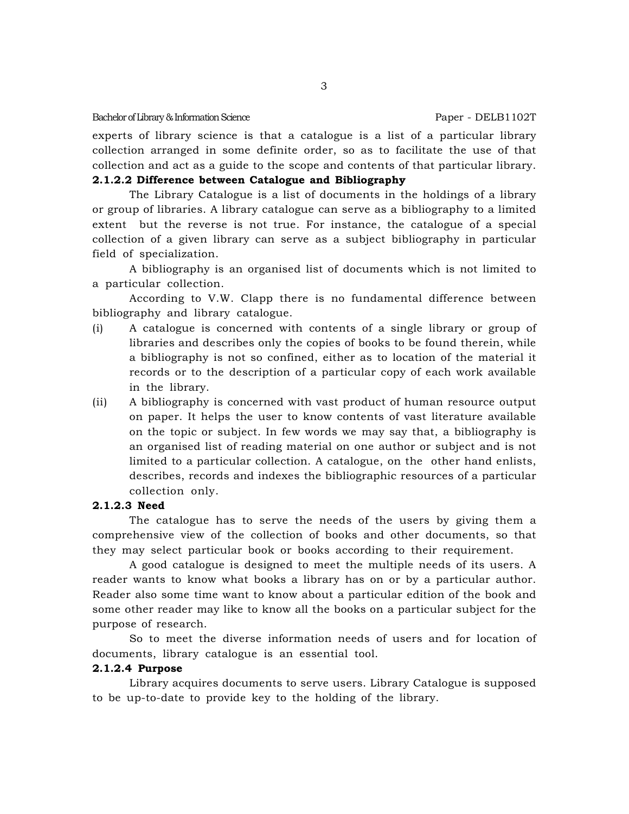experts of library science is that a catalogue is a list of a particular library collection arranged in some definite order, so as to facilitate the use of that collection and act as a guide to the scope and contents of that particular library.

# **2.1.2.2 Difference between Catalogue and Bibliography**

The Library Catalogue is a list of documents in the holdings of a library or group of libraries. A library catalogue can serve as a bibliography to a limited extent but the reverse is not true. For instance, the catalogue of a special collection of a given library can serve as a subject bibliography in particular field of specialization.

A bibliography is an organised list of documents which is not limited to a particular collection.

According to V.W. Clapp there is no fundamental difference between bibliography and library catalogue.

- (i) A catalogue is concerned with contents of a single library or group of libraries and describes only the copies of books to be found therein, while a bibliography is not so confined, either as to location of the material it records or to the description of a particular copy of each work available in the library.
- (ii) A bibliography is concerned with vast product of human resource output on paper. It helps the user to know contents of vast literature available on the topic or subject. In few words we may say that, a bibliography is an organised list of reading material on one author or subject and is not limited to a particular collection. A catalogue, on the other hand enlists, describes, records and indexes the bibliographic resources of a particular collection only.

# **2.1.2.3 Need**

The catalogue has to serve the needs of the users by giving them a comprehensive view of the collection of books and other documents, so that they may select particular book or books according to their requirement.

A good catalogue is designed to meet the multiple needs of its users. A reader wants to know what books a library has on or by a particular author. Reader also some time want to know about a particular edition of the book and some other reader may like to know all the books on a particular subject for the purpose of research.

So to meet the diverse information needs of users and for location of documents, library catalogue is an essential tool.

#### **2.1.2.4 Purpose**

Library acquires documents to serve users. Library Catalogue is supposed to be up-to-date to provide key to the holding of the library.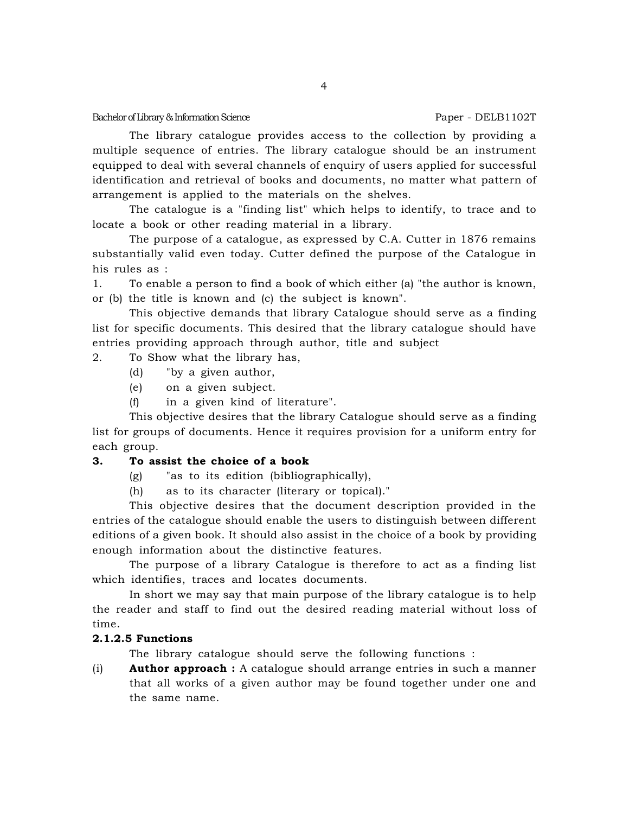The library catalogue provides access to the collection by providing a multiple sequence of entries. The library catalogue should be an instrument equipped to deal with several channels of enquiry of users applied for successful identification and retrieval of books and documents, no matter what pattern of arrangement is applied to the materials on the shelves.

The catalogue is a "finding list" which helps to identify, to trace and to locate a book or other reading material in a library.

The purpose of a catalogue, as expressed by C.A. Cutter in 1876 remains substantially valid even today. Cutter defined the purpose of the Catalogue in his rules as :

1. To enable a person to find a book of which either (a) "the author is known, or (b) the title is known and (c) the subject is known".

This objective demands that library Catalogue should serve as a finding list for specific documents. This desired that the library catalogue should have entries providing approach through author, title and subject

# 2. To Show what the library has,

- (d) "by a given author,
- (e) on a given subject.
- (f) in a given kind of literature".

This objective desires that the library Catalogue should serve as a finding list for groups of documents. Hence it requires provision for a uniform entry for each group.

#### **3. To assist the choice of a book**

- (g) "as to its edition (bibliographically),
- (h) as to its character (literary or topical)."

This objective desires that the document description provided in the entries of the catalogue should enable the users to distinguish between different editions of a given book. It should also assist in the choice of a book by providing enough information about the distinctive features.

The purpose of a library Catalogue is therefore to act as a finding list which identifies, traces and locates documents.

In short we may say that main purpose of the library catalogue is to help the reader and staff to find out the desired reading material without loss of time.

### **2.1.2.5 Functions**

The library catalogue should serve the following functions :

(i) **Author approach :** A catalogue should arrange entries in such a manner that all works of a given author may be found together under one and the same name.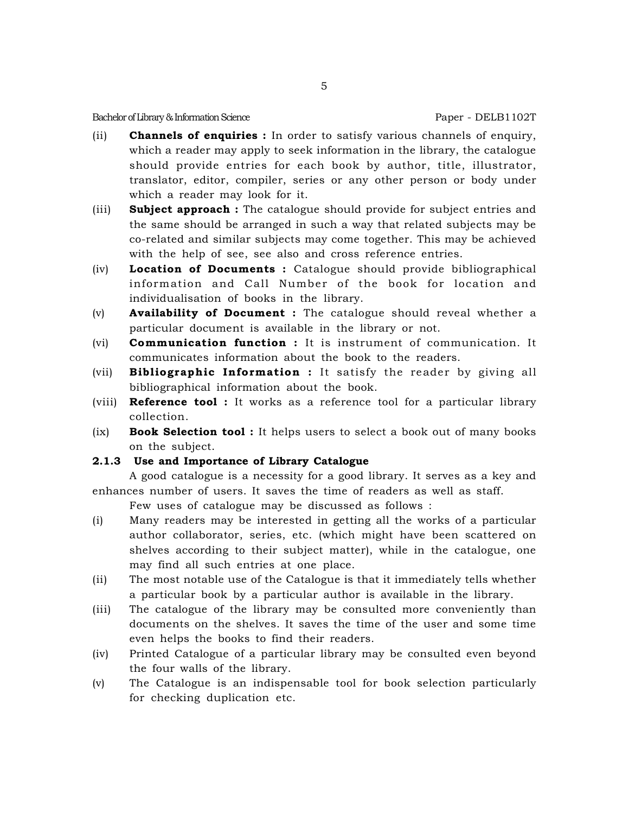- (ii) **Channels of enquiries :** In order to satisfy various channels of enquiry, which a reader may apply to seek information in the library, the catalogue should provide entries for each book by author, title, illustrator, translator, editor, compiler, series or any other person or body under which a reader may look for it.
- (iii) **Subject approach :** The catalogue should provide for subject entries and the same should be arranged in such a way that related subjects may be co-related and similar subjects may come together. This may be achieved with the help of see, see also and cross reference entries.
- (iv) **Location of Documents :** Catalogue should provide bibliographical information and Call Number of the book for location and individualisation of books in the library.
- (v) **Availability of Document :** The catalogue should reveal whether a particular document is available in the library or not.
- (vi) **Communication function :** It is instrument of communication. It communicates information about the book to the readers.
- (vii) **Bibliographic Information :** It satisfy the reader by giving all bibliographical information about the book.
- (viii) **Reference tool :** It works as a reference tool for a particular library collection.
- (ix) **Book Selection tool :** It helps users to select a book out of many books on the subject.

# **2.1.3 Use and Importance of Library Catalogue**

A good catalogue is a necessity for a good library. It serves as a key and enhances number of users. It saves the time of readers as well as staff.

Few uses of catalogue may be discussed as follows :

- (i) Many readers may be interested in getting all the works of a particular author collaborator, series, etc. (which might have been scattered on shelves according to their subject matter), while in the catalogue, one may find all such entries at one place.
- (ii) The most notable use of the Catalogue is that it immediately tells whether a particular book by a particular author is available in the library.
- (iii) The catalogue of the library may be consulted more conveniently than documents on the shelves. It saves the time of the user and some time even helps the books to find their readers.
- (iv) Printed Catalogue of a particular library may be consulted even beyond the four walls of the library.
- (v) The Catalogue is an indispensable tool for book selection particularly for checking duplication etc.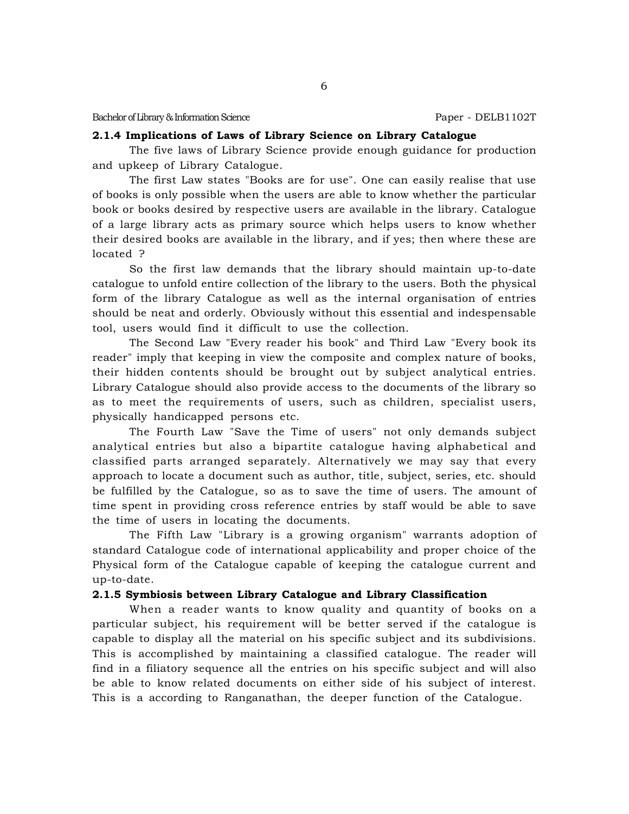# **2.1.4 Implications of Laws of Library Science on Library Catalogue**

The five laws of Library Science provide enough guidance for production and upkeep of Library Catalogue.

The first Law states "Books are for use". One can easily realise that use of books is only possible when the users are able to know whether the particular book or books desired by respective users are available in the library. Catalogue of a large library acts as primary source which helps users to know whether their desired books are available in the library, and if yes; then where these are located ?

So the first law demands that the library should maintain up-to-date catalogue to unfold entire collection of the library to the users. Both the physical form of the library Catalogue as well as the internal organisation of entries should be neat and orderly. Obviously without this essential and indespensable tool, users would find it difficult to use the collection.

The Second Law "Every reader his book" and Third Law "Every book its reader" imply that keeping in view the composite and complex nature of books, their hidden contents should be brought out by subject analytical entries. Library Catalogue should also provide access to the documents of the library so as to meet the requirements of users, such as children, specialist users, physically handicapped persons etc.

The Fourth Law "Save the Time of users" not only demands subject analytical entries but also a bipartite catalogue having alphabetical and classified parts arranged separately. Alternatively we may say that every approach to locate a document such as author, title, subject, series, etc. should be fulfilled by the Catalogue, so as to save the time of users. The amount of time spent in providing cross reference entries by staff would be able to save the time of users in locating the documents.

The Fifth Law "Library is a growing organism" warrants adoption of standard Catalogue code of international applicability and proper choice of the Physical form of the Catalogue capable of keeping the catalogue current and up-to-date.

#### **2.1.5 Symbiosis between Library Catalogue and Library Classification**

When a reader wants to know quality and quantity of books on a particular subject, his requirement will be better served if the catalogue is capable to display all the material on his specific subject and its subdivisions. This is accomplished by maintaining a classified catalogue. The reader will find in a filiatory sequence all the entries on his specific subject and will also be able to know related documents on either side of his subject of interest. This is a according to Ranganathan, the deeper function of the Catalogue.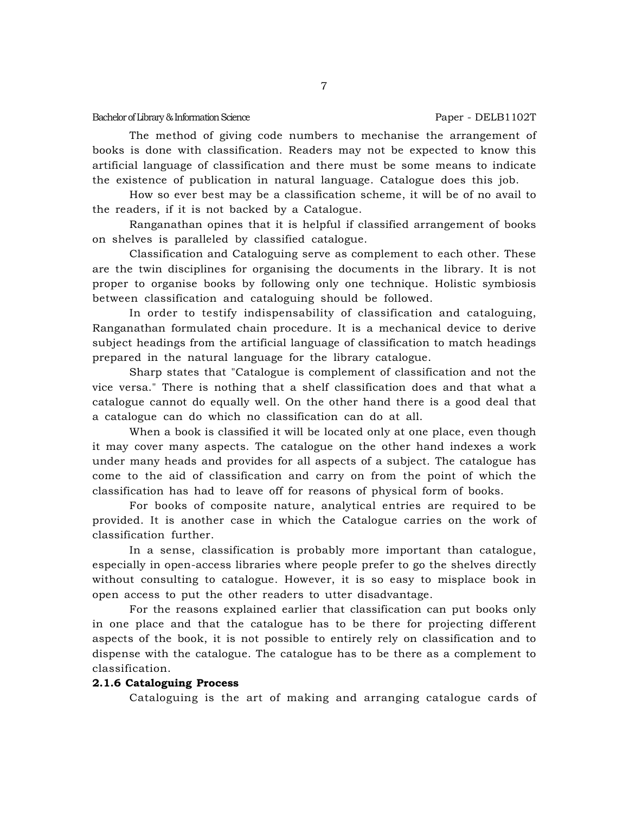The method of giving code numbers to mechanise the arrangement of books is done with classification. Readers may not be expected to know this artificial language of classification and there must be some means to indicate the existence of publication in natural language. Catalogue does this job.

How so ever best may be a classification scheme, it will be of no avail to the readers, if it is not backed by a Catalogue.

Ranganathan opines that it is helpful if classified arrangement of books on shelves is paralleled by classified catalogue.

Classification and Cataloguing serve as complement to each other. These are the twin disciplines for organising the documents in the library. It is not proper to organise books by following only one technique. Holistic symbiosis between classification and cataloguing should be followed.

In order to testify indispensability of classification and cataloguing, Ranganathan formulated chain procedure. It is a mechanical device to derive subject headings from the artificial language of classification to match headings prepared in the natural language for the library catalogue.

Sharp states that "Catalogue is complement of classification and not the vice versa." There is nothing that a shelf classification does and that what a catalogue cannot do equally well. On the other hand there is a good deal that a catalogue can do which no classification can do at all.

When a book is classified it will be located only at one place, even though it may cover many aspects. The catalogue on the other hand indexes a work under many heads and provides for all aspects of a subject. The catalogue has come to the aid of classification and carry on from the point of which the classification has had to leave off for reasons of physical form of books.

For books of composite nature, analytical entries are required to be provided. It is another case in which the Catalogue carries on the work of classification further.

In a sense, classification is probably more important than catalogue, especially in open-access libraries where people prefer to go the shelves directly without consulting to catalogue. However, it is so easy to misplace book in open access to put the other readers to utter disadvantage.

For the reasons explained earlier that classification can put books only in one place and that the catalogue has to be there for projecting different aspects of the book, it is not possible to entirely rely on classification and to dispense with the catalogue. The catalogue has to be there as a complement to classification.

#### **2.1.6 Cataloguing Process**

Cataloguing is the art of making and arranging catalogue cards of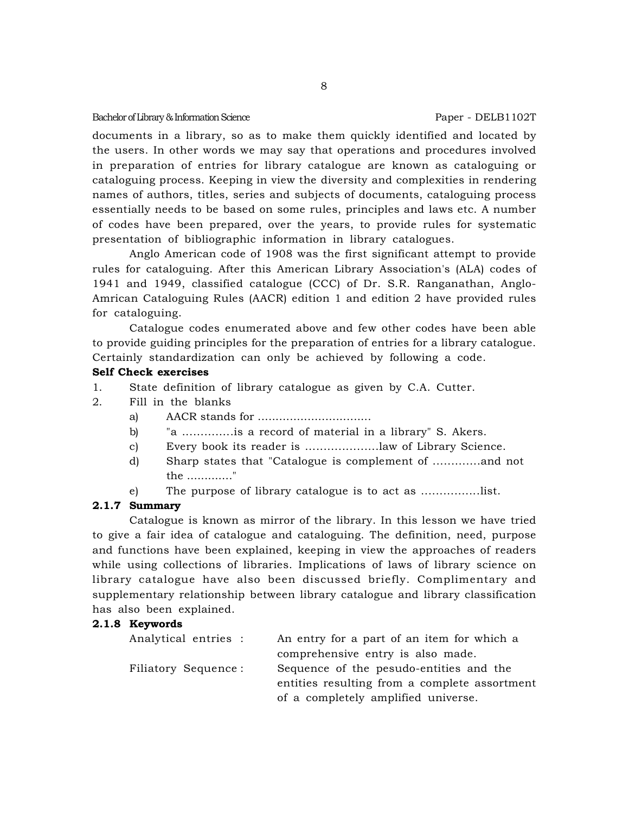documents in a library, so as to make them quickly identified and located by the users. In other words we may say that operations and procedures involved in preparation of entries for library catalogue are known as cataloguing or cataloguing process. Keeping in view the diversity and complexities in rendering names of authors, titles, series and subjects of documents, cataloguing process essentially needs to be based on some rules, principles and laws etc. A number of codes have been prepared, over the years, to provide rules for systematic presentation of bibliographic information in library catalogues.

Anglo American code of 1908 was the first significant attempt to provide rules for cataloguing. After this American Library Association's (ALA) codes of 1941 and 1949, classified catalogue (CCC) of Dr. S.R. Ranganathan, Anglo-Amrican Cataloguing Rules (AACR) edition 1 and edition 2 have provided rules for cataloguing.

Catalogue codes enumerated above and few other codes have been able to provide guiding principles for the preparation of entries for a library catalogue. Certainly standardization can only be achieved by following a code.

# **Self Check exercises**

- 1. State definition of library catalogue as given by C.A. Cutter.
- 2. Fill in the blanks
	- a) AACR stands for ................................
	- b) "a ..............is a record of material in a library" S. Akers.
	- c) Every book its reader is ....................law of Library Science.
	- d) Sharp states that "Catalogue is complement of .............and not the ............."
	- e) The purpose of library catalogue is to act as ................list.

# **2.1.7 Summary**

Catalogue is known as mirror of the library. In this lesson we have tried to give a fair idea of catalogue and cataloguing. The definition, need, purpose and functions have been explained, keeping in view the approaches of readers while using collections of libraries. Implications of laws of library science on library catalogue have also been discussed briefly. Complimentary and supplementary relationship between library catalogue and library classification has also been explained.

# **2.1.8 Keywords**

| Analytical entries : | An entry for a part of an item for which a    |
|----------------------|-----------------------------------------------|
|                      | comprehensive entry is also made.             |
| Filiatory Sequence:  | Sequence of the pesudo-entities and the       |
|                      | entities resulting from a complete assortment |
|                      | of a completely amplified universe.           |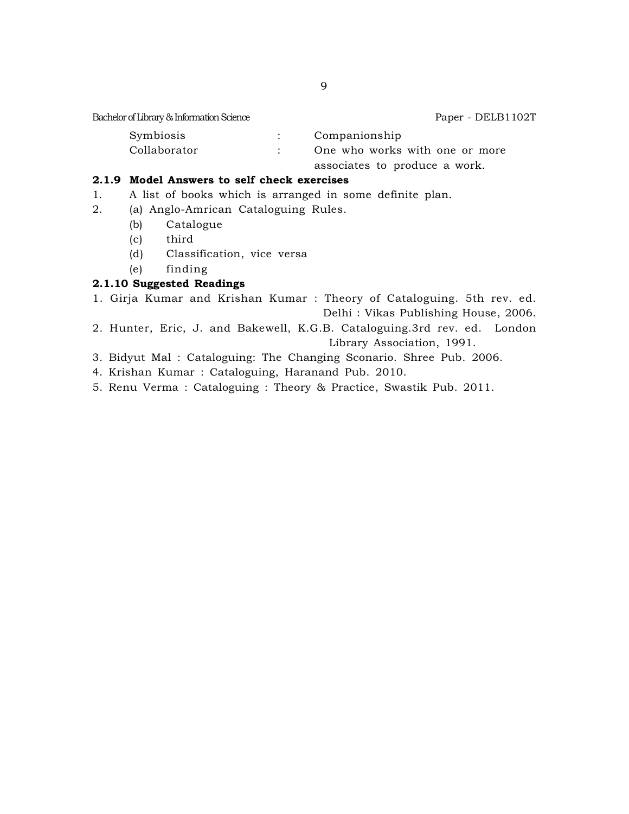| Symbiosis    | Companionship                  |
|--------------|--------------------------------|
| Collaborator | One who works with one or more |
|              | associates to produce a work.  |

# **2.1.9 Model Answers to self check exercises**

- 1. A list of books which is arranged in some definite plan.
- 2. (a) Anglo-Amrican Cataloguing Rules.
	- (b) Catalogue
	- (c) third
	- (d) Classification, vice versa
	- (e) finding

# **2.1.10 Suggested Readings**

- 1. Girja Kumar and Krishan Kumar : Theory of Cataloguing. 5th rev. ed. Delhi : Vikas Publishing House, 2006.
- 2. Hunter, Eric, J. and Bakewell, K.G.B. Cataloguing.3rd rev. ed. London Library Association, 1991.
- 3. Bidyut Mal : Cataloguing: The Changing Sconario. Shree Pub. 2006.
- 4. Krishan Kumar : Cataloguing, Haranand Pub. 2010.
- 5. Renu Verma : Cataloguing : Theory & Practice, Swastik Pub. 2011.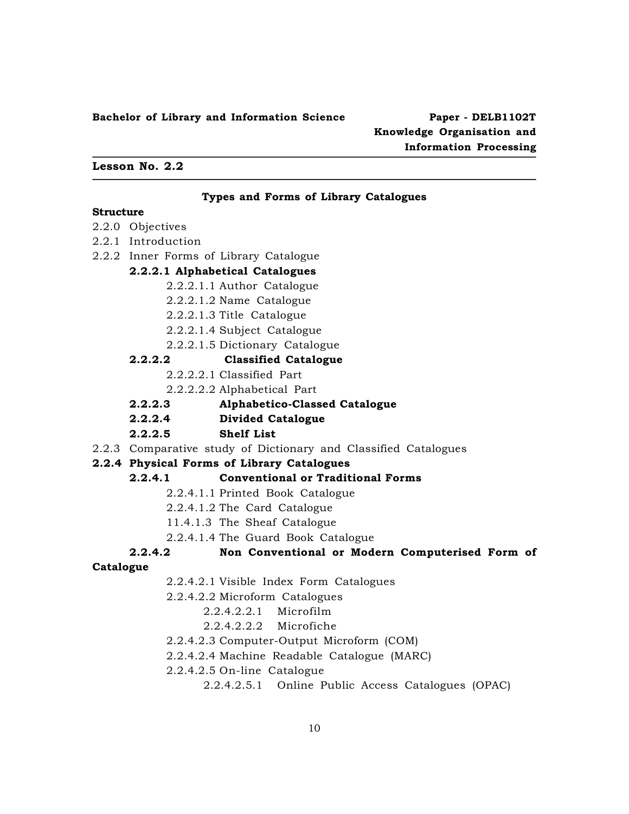# **Knowledge Organisation and Information Processing**

#### **Lesson No. 2.2**

#### **Types and Forms of Library Catalogues**

#### **Structure**

- 2.2.0 Objectives
- 2.2.1 Introduction
- 2.2.2 Inner Forms of Library Catalogue

# **2.2.2.1 Alphabetical Catalogues**

- 2.2.2.1.1 Author Catalogue
- 2.2.2.1.2 Name Catalogue
- 2.2.2.1.3 Title Catalogue
- 2.2.2.1.4 Subject Catalogue
- 2.2.2.1.5 Dictionary Catalogue

#### **2.2.2.2 Classified Catalogue**

- 2.2.2.2.1 Classified Part
- 2.2.2.2.2 Alphabetical Part
- **2.2.2.3 Alphabetico-Classed Catalogue**
- **2.2.2.4 Divided Catalogue**

#### **2.2.2.5 Shelf List**

2.2.3 Comparative study of Dictionary and Classified Catalogues

# **2.2.4 Physical Forms of Library Catalogues**

# **2.2.4.1 Conventional or Traditional Forms**

- 2.2.4.1.1 Printed Book Catalogue
- 2.2.4.1.2 The Card Catalogue
- 11.4.1.3 The Sheaf Catalogue
- 2.2.4.1.4 The Guard Book Catalogue

# **2.2.4.2 Non Conventional or Modern Computerised Form of**

#### **Catalogue**

- 2.2.4.2.1 Visible Index Form Catalogues
- 2.2.4.2.2 Microform Catalogues
	- 2.2.4.2.2.1 Microfilm
	- 2.2.4.2.2.2 Microfiche
- 2.2.4.2.3 Computer-Output Microform (COM)
- 2.2.4.2.4 Machine Readable Catalogue (MARC)
- 2.2.4.2.5 On-line Catalogue

2.2.4.2.5.1 Online Public Access Catalogues (OPAC)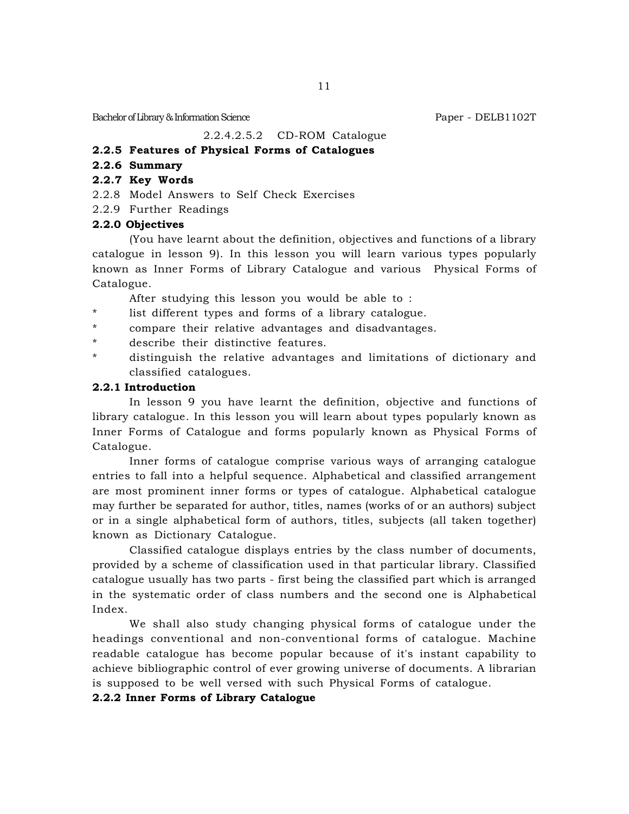# 2.2.4.2.5.2 CD-ROM Catalogue

# **2.2.5 Features of Physical Forms of Catalogues**

# **2.2.6 Summary**

# **2.2.7 Key Words**

- 2.2.8 Model Answers to Self Check Exercises
- 2.2.9 Further Readings

# **2.2.0 Objectives**

(You have learnt about the definition, objectives and functions of a library catalogue in lesson 9). In this lesson you will learn various types popularly known as Inner Forms of Library Catalogue and various Physical Forms of Catalogue.

After studying this lesson you would be able to :

- \* list different types and forms of a library catalogue.
- \* compare their relative advantages and disadvantages.
- \* describe their distinctive features.
- \* distinguish the relative advantages and limitations of dictionary and classified catalogues.

# **2.2.1 Introduction**

In lesson 9 you have learnt the definition, objective and functions of library catalogue. In this lesson you will learn about types popularly known as Inner Forms of Catalogue and forms popularly known as Physical Forms of Catalogue.

Inner forms of catalogue comprise various ways of arranging catalogue entries to fall into a helpful sequence. Alphabetical and classified arrangement are most prominent inner forms or types of catalogue. Alphabetical catalogue may further be separated for author, titles, names (works of or an authors) subject or in a single alphabetical form of authors, titles, subjects (all taken together) known as Dictionary Catalogue.

Classified catalogue displays entries by the class number of documents, provided by a scheme of classification used in that particular library. Classified catalogue usually has two parts - first being the classified part which is arranged in the systematic order of class numbers and the second one is Alphabetical Index.

We shall also study changing physical forms of catalogue under the headings conventional and non-conventional forms of catalogue. Machine readable catalogue has become popular because of it's instant capability to achieve bibliographic control of ever growing universe of documents. A librarian is supposed to be well versed with such Physical Forms of catalogue.

#### **2.2.2 Inner Forms of Library Catalogue**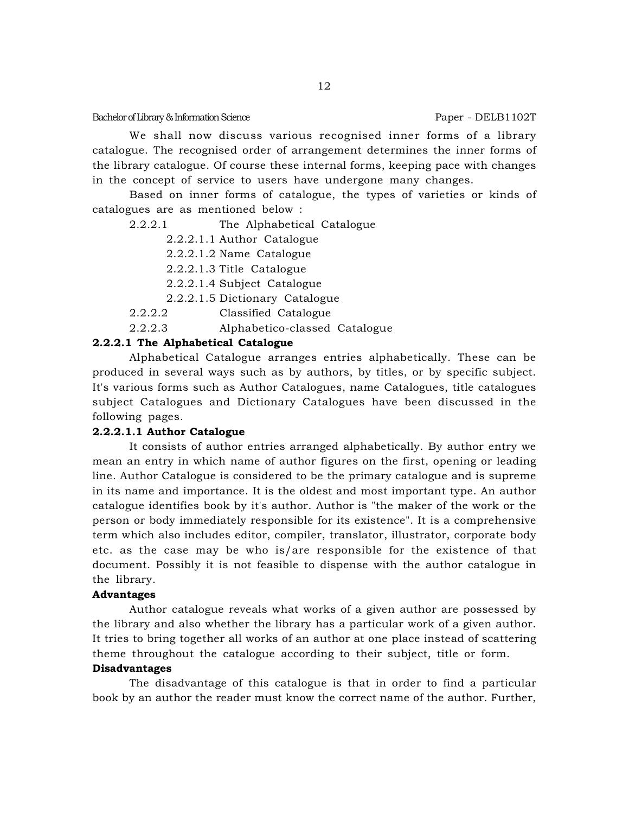We shall now discuss various recognised inner forms of a library catalogue. The recognised order of arrangement determines the inner forms of the library catalogue. Of course these internal forms, keeping pace with changes in the concept of service to users have undergone many changes.

Based on inner forms of catalogue, the types of varieties or kinds of catalogues are as mentioned below :

2.2.2.1 The Alphabetical Catalogue

2.2.2.1.1 Author Catalogue

2.2.2.1.2 Name Catalogue

2.2.2.1.3 Title Catalogue

2.2.2.1.4 Subject Catalogue

2.2.2.1.5 Dictionary Catalogue

2.2.2.2 Classified Catalogue

2.2.2.3 Alphabetico-classed Catalogue

# **2.2.2.1 The Alphabetical Catalogue**

Alphabetical Catalogue arranges entries alphabetically. These can be produced in several ways such as by authors, by titles, or by specific subject. It's various forms such as Author Catalogues, name Catalogues, title catalogues subject Catalogues and Dictionary Catalogues have been discussed in the following pages.

#### **2.2.2.1.1 Author Catalogue**

It consists of author entries arranged alphabetically. By author entry we mean an entry in which name of author figures on the first, opening or leading line. Author Catalogue is considered to be the primary catalogue and is supreme in its name and importance. It is the oldest and most important type. An author catalogue identifies book by it's author. Author is "the maker of the work or the person or body immediately responsible for its existence". It is a comprehensive term which also includes editor, compiler, translator, illustrator, corporate body etc. as the case may be who is/are responsible for the existence of that document. Possibly it is not feasible to dispense with the author catalogue in the library.

#### **Advantages**

Author catalogue reveals what works of a given author are possessed by the library and also whether the library has a particular work of a given author. It tries to bring together all works of an author at one place instead of scattering theme throughout the catalogue according to their subject, title or form.

#### **Disadvantages**

The disadvantage of this catalogue is that in order to find a particular book by an author the reader must know the correct name of the author. Further,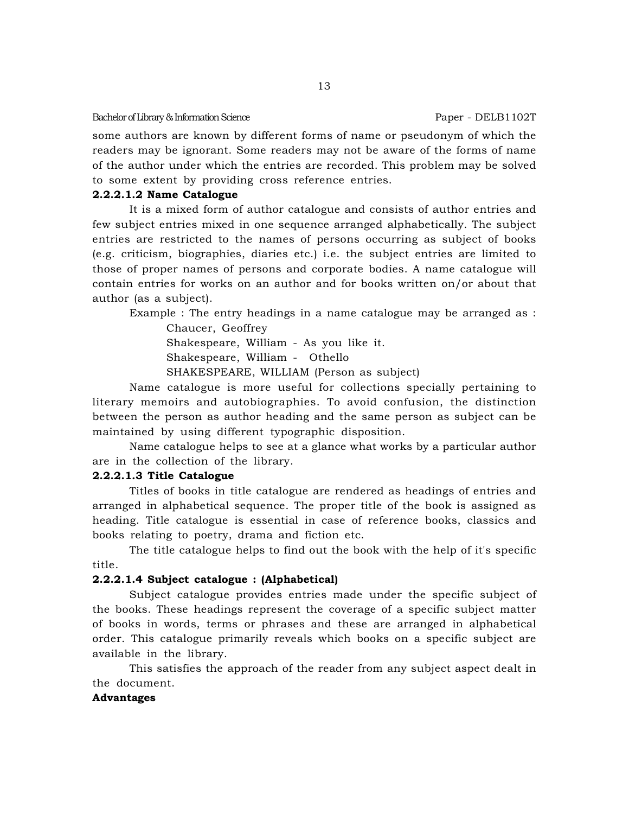some authors are known by different forms of name or pseudonym of which the readers may be ignorant. Some readers may not be aware of the forms of name of the author under which the entries are recorded. This problem may be solved to some extent by providing cross reference entries.

# **2.2.2.1.2 Name Catalogue**

It is a mixed form of author catalogue and consists of author entries and few subject entries mixed in one sequence arranged alphabetically. The subject entries are restricted to the names of persons occurring as subject of books (e.g. criticism, biographies, diaries etc.) i.e. the subject entries are limited to those of proper names of persons and corporate bodies. A name catalogue will contain entries for works on an author and for books written on/or about that author (as a subject).

Example : The entry headings in a name catalogue may be arranged as :

Chaucer, Geoffrey Shakespeare, William - As you like it. Shakespeare, William - Othello SHAKESPEARE, WILLIAM (Person as subject)

Name catalogue is more useful for collections specially pertaining to

literary memoirs and autobiographies. To avoid confusion, the distinction between the person as author heading and the same person as subject can be maintained by using different typographic disposition.

Name catalogue helps to see at a glance what works by a particular author are in the collection of the library.

# **2.2.2.1.3 Title Catalogue**

Titles of books in title catalogue are rendered as headings of entries and arranged in alphabetical sequence. The proper title of the book is assigned as heading. Title catalogue is essential in case of reference books, classics and books relating to poetry, drama and fiction etc.

The title catalogue helps to find out the book with the help of it's specific title.

# **2.2.2.1.4 Subject catalogue : (Alphabetical)**

Subject catalogue provides entries made under the specific subject of the books. These headings represent the coverage of a specific subject matter of books in words, terms or phrases and these are arranged in alphabetical order. This catalogue primarily reveals which books on a specific subject are available in the library.

This satisfies the approach of the reader from any subject aspect dealt in the document.

# **Advantages**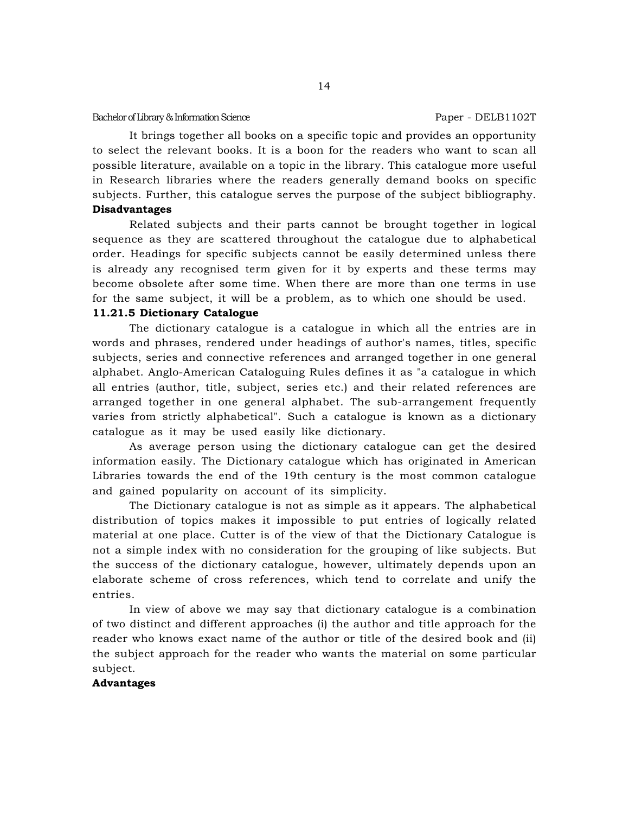It brings together all books on a specific topic and provides an opportunity to select the relevant books. It is a boon for the readers who want to scan all possible literature, available on a topic in the library. This catalogue more useful in Research libraries where the readers generally demand books on specific subjects. Further, this catalogue serves the purpose of the subject bibliography. **Disadvantages**

# Related subjects and their parts cannot be brought together in logical sequence as they are scattered throughout the catalogue due to alphabetical order. Headings for specific subjects cannot be easily determined unless there is already any recognised term given for it by experts and these terms may become obsolete after some time. When there are more than one terms in use for the same subject, it will be a problem, as to which one should be used.

#### **11.21.5 Dictionary Catalogue**

The dictionary catalogue is a catalogue in which all the entries are in words and phrases, rendered under headings of author's names, titles, specific subjects, series and connective references and arranged together in one general alphabet. Anglo-American Cataloguing Rules defines it as "a catalogue in which all entries (author, title, subject, series etc.) and their related references are arranged together in one general alphabet. The sub-arrangement frequently varies from strictly alphabetical". Such a catalogue is known as a dictionary catalogue as it may be used easily like dictionary.

As average person using the dictionary catalogue can get the desired information easily. The Dictionary catalogue which has originated in American Libraries towards the end of the 19th century is the most common catalogue and gained popularity on account of its simplicity.

The Dictionary catalogue is not as simple as it appears. The alphabetical distribution of topics makes it impossible to put entries of logically related material at one place. Cutter is of the view of that the Dictionary Catalogue is not a simple index with no consideration for the grouping of like subjects. But the success of the dictionary catalogue, however, ultimately depends upon an elaborate scheme of cross references, which tend to correlate and unify the entries.

In view of above we may say that dictionary catalogue is a combination of two distinct and different approaches (i) the author and title approach for the reader who knows exact name of the author or title of the desired book and (ii) the subject approach for the reader who wants the material on some particular subject.

#### **Advantages**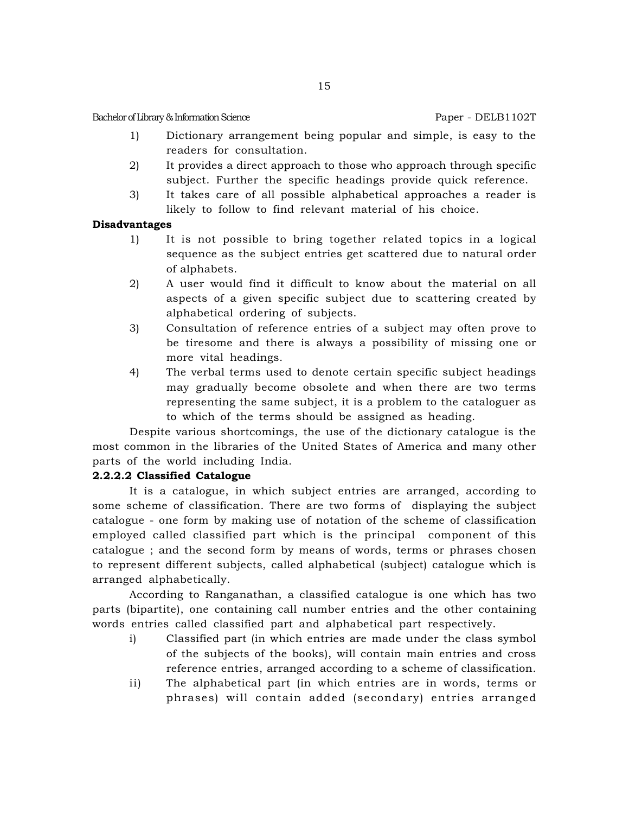- 1) Dictionary arrangement being popular and simple, is easy to the readers for consultation.
- 2) It provides a direct approach to those who approach through specific subject. Further the specific headings provide quick reference.
- 3) It takes care of all possible alphabetical approaches a reader is likely to follow to find relevant material of his choice.

# **Disadvantages**

- 1) It is not possible to bring together related topics in a logical sequence as the subject entries get scattered due to natural order of alphabets.
- 2) A user would find it difficult to know about the material on all aspects of a given specific subject due to scattering created by alphabetical ordering of subjects.
- 3) Consultation of reference entries of a subject may often prove to be tiresome and there is always a possibility of missing one or more vital headings.
- 4) The verbal terms used to denote certain specific subject headings may gradually become obsolete and when there are two terms representing the same subject, it is a problem to the cataloguer as to which of the terms should be assigned as heading.

Despite various shortcomings, the use of the dictionary catalogue is the most common in the libraries of the United States of America and many other parts of the world including India.

# **2.2.2.2 Classified Catalogue**

It is a catalogue, in which subject entries are arranged, according to some scheme of classification. There are two forms of displaying the subject catalogue - one form by making use of notation of the scheme of classification employed called classified part which is the principal component of this catalogue ; and the second form by means of words, terms or phrases chosen to represent different subjects, called alphabetical (subject) catalogue which is arranged alphabetically.

According to Ranganathan, a classified catalogue is one which has two parts (bipartite), one containing call number entries and the other containing words entries called classified part and alphabetical part respectively.

- i) Classified part (in which entries are made under the class symbol of the subjects of the books), will contain main entries and cross reference entries, arranged according to a scheme of classification.
- ii) The alphabetical part (in which entries are in words, terms or phrases) will contain added (secondary) entries arranged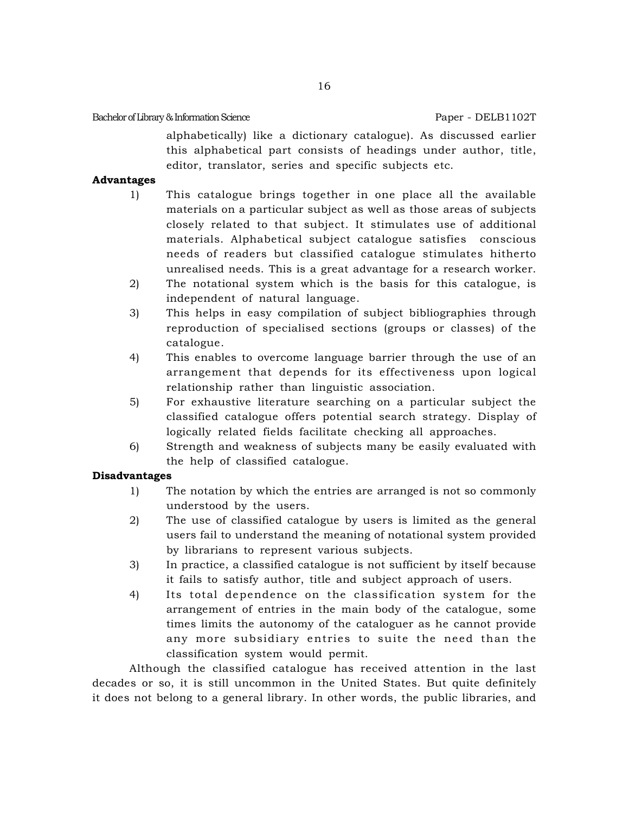alphabetically) like a dictionary catalogue). As discussed earlier this alphabetical part consists of headings under author, title, editor, translator, series and specific subjects etc.

# **Advantages**

- 1) This catalogue brings together in one place all the available materials on a particular subject as well as those areas of subjects closely related to that subject. It stimulates use of additional materials. Alphabetical subject catalogue satisfies conscious needs of readers but classified catalogue stimulates hitherto unrealised needs. This is a great advantage for a research worker.
- 2) The notational system which is the basis for this catalogue, is independent of natural language.
- 3) This helps in easy compilation of subject bibliographies through reproduction of specialised sections (groups or classes) of the catalogue.
- 4) This enables to overcome language barrier through the use of an arrangement that depends for its effectiveness upon logical relationship rather than linguistic association.
- 5) For exhaustive literature searching on a particular subject the classified catalogue offers potential search strategy. Display of logically related fields facilitate checking all approaches.
- 6) Strength and weakness of subjects many be easily evaluated with the help of classified catalogue.

# **Disadvantages**

- 1) The notation by which the entries are arranged is not so commonly understood by the users.
- 2) The use of classified catalogue by users is limited as the general users fail to understand the meaning of notational system provided by librarians to represent various subjects.
- 3) In practice, a classified catalogue is not sufficient by itself because it fails to satisfy author, title and subject approach of users.
- 4) Its total dependence on the classification system for the arrangement of entries in the main body of the catalogue, some times limits the autonomy of the cataloguer as he cannot provide any more subsidiary entries to suite the need than the classification system would permit.

Although the classified catalogue has received attention in the last decades or so, it is still uncommon in the United States. But quite definitely it does not belong to a general library. In other words, the public libraries, and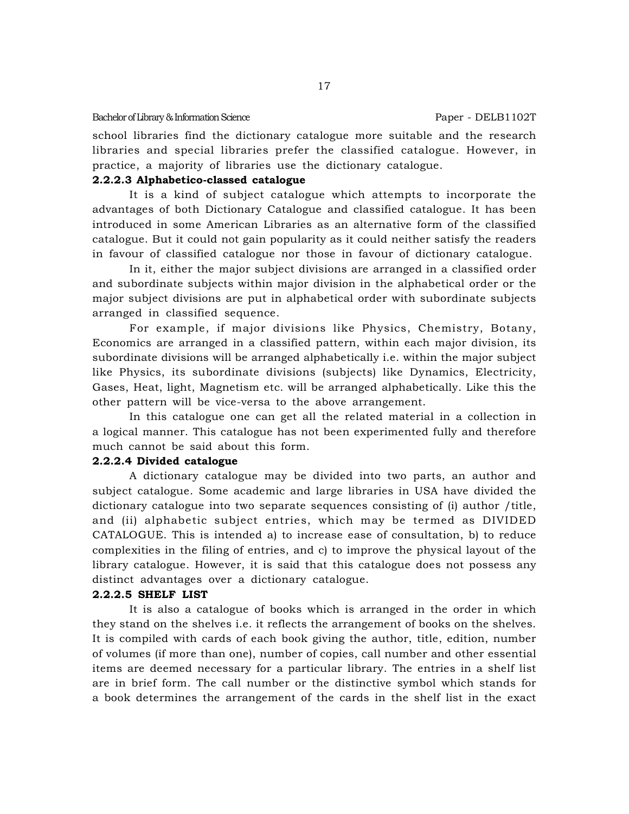school libraries find the dictionary catalogue more suitable and the research libraries and special libraries prefer the classified catalogue. However, in practice, a majority of libraries use the dictionary catalogue.

#### **2.2.2.3 Alphabetico-classed catalogue**

It is a kind of subject catalogue which attempts to incorporate the advantages of both Dictionary Catalogue and classified catalogue. It has been introduced in some American Libraries as an alternative form of the classified catalogue. But it could not gain popularity as it could neither satisfy the readers in favour of classified catalogue nor those in favour of dictionary catalogue.

In it, either the major subject divisions are arranged in a classified order and subordinate subjects within major division in the alphabetical order or the major subject divisions are put in alphabetical order with subordinate subjects arranged in classified sequence.

For example, if major divisions like Physics, Chemistry, Botany, Economics are arranged in a classified pattern, within each major division, its subordinate divisions will be arranged alphabetically i.e. within the major subject like Physics, its subordinate divisions (subjects) like Dynamics, Electricity, Gases, Heat, light, Magnetism etc. will be arranged alphabetically. Like this the other pattern will be vice-versa to the above arrangement.

In this catalogue one can get all the related material in a collection in a logical manner. This catalogue has not been experimented fully and therefore much cannot be said about this form.

#### **2.2.2.4 Divided catalogue**

A dictionary catalogue may be divided into two parts, an author and subject catalogue. Some academic and large libraries in USA have divided the dictionary catalogue into two separate sequences consisting of (i) author /title, and (ii) alphabetic subject entries, which may be termed as DIVIDED CATALOGUE. This is intended a) to increase ease of consultation, b) to reduce complexities in the filing of entries, and c) to improve the physical layout of the library catalogue. However, it is said that this catalogue does not possess any distinct advantages over a dictionary catalogue.

#### **2.2.2.5 SHELF LIST**

It is also a catalogue of books which is arranged in the order in which they stand on the shelves i.e. it reflects the arrangement of books on the shelves. It is compiled with cards of each book giving the author, title, edition, number of volumes (if more than one), number of copies, call number and other essential items are deemed necessary for a particular library. The entries in a shelf list are in brief form. The call number or the distinctive symbol which stands for a book determines the arrangement of the cards in the shelf list in the exact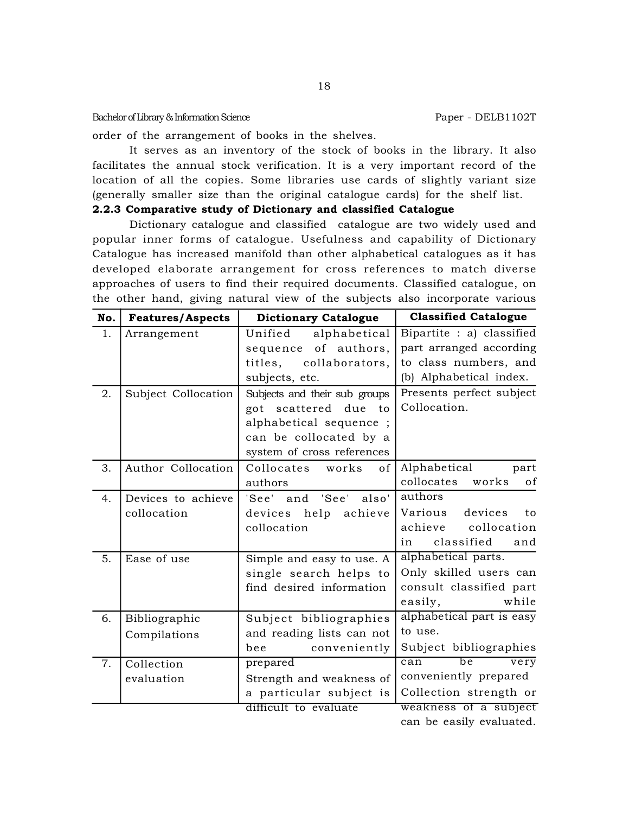order of the arrangement of books in the shelves.

It serves as an inventory of the stock of books in the library. It also facilitates the annual stock verification. It is a very important record of the location of all the copies. Some libraries use cards of slightly variant size (generally smaller size than the original catalogue cards) for the shelf list.

# **2.2.3 Comparative study of Dictionary and classified Catalogue**

Dictionary catalogue and classified catalogue are two widely used and popular inner forms of catalogue. Usefulness and capability of Dictionary Catalogue has increased manifold than other alphabetical catalogues as it has developed elaborate arrangement for cross references to match diverse approaches of users to find their required documents. Classified catalogue, on the other hand, giving natural view of the subjects also incorporate various

| No. | <b>Features/Aspects</b> | <b>Dictionary Catalogue</b>   | <b>Classified Catalogue</b>    |
|-----|-------------------------|-------------------------------|--------------------------------|
| 1.  | Arrangement             | alphabetical<br>Unified       | Bipartite : a) classified      |
|     |                         | sequence of authors,          | part arranged according        |
|     |                         | titles,<br>collaborators,     | to class numbers, and          |
|     |                         | subjects, etc.                | (b) Alphabetical index.        |
| 2.  | Subject Collocation     | Subjects and their sub groups | Presents perfect subject       |
|     |                         | got scattered due to          | Collocation.                   |
|     |                         | alphabetical sequence;        |                                |
|     |                         | can be collocated by a        |                                |
|     |                         | system of cross references    |                                |
| 3.  | Author Collocation      | Collocates<br>works<br>οf     | Alphabetical<br>part           |
|     |                         | authors                       | collocates<br>works<br>of      |
| 4.  | Devices to achieve      | 'See' and 'See'<br>also'      | authors                        |
|     | collocation             | devices help achieve          | devices<br>Various<br>to       |
|     |                         | collocation                   | achieve<br>collocation         |
|     |                         |                               | classified<br>and<br>in        |
| 5.  | Ease of use             | Simple and easy to use. A     | alphabetical parts.            |
|     |                         | single search helps to        | Only skilled users can         |
|     |                         | find desired information      | consult classified part        |
|     |                         |                               | while<br>easily,               |
| 6.  | Bibliographic           | Subject bibliographies        | alphabetical part is easy      |
|     | Compilations            | and reading lists can not     | to use.                        |
|     |                         | conveniently<br>bee           | Subject bibliographies         |
| 7.  | Collection              | prepared                      | can<br>be<br>$\overline{very}$ |
|     | evaluation              | Strength and weakness of      | conveniently prepared          |
|     |                         | a particular subject is       | Collection strength or         |
|     |                         | difficult to evaluate         | weakness of a subject          |
|     |                         |                               | can be easily evaluated.       |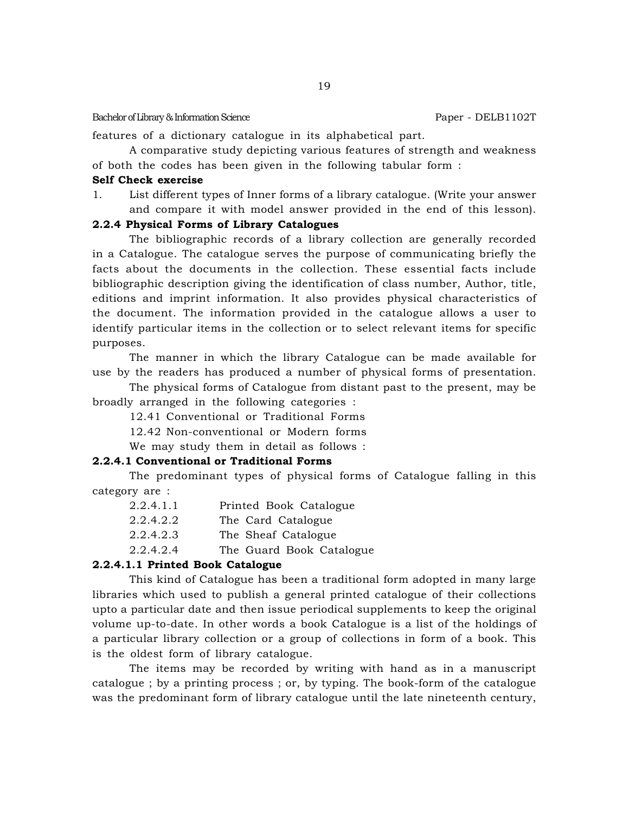features of a dictionary catalogue in its alphabetical part.

A comparative study depicting various features of strength and weakness of both the codes has been given in the following tabular form :

#### **Self Check exercise**

1. List different types of Inner forms of a library catalogue. (Write your answer and compare it with model answer provided in the end of this lesson).

#### **2.2.4 Physical Forms of Library Catalogues**

The bibliographic records of a library collection are generally recorded in a Catalogue. The catalogue serves the purpose of communicating briefly the facts about the documents in the collection. These essential facts include bibliographic description giving the identification of class number, Author, title, editions and imprint information. It also provides physical characteristics of the document. The information provided in the catalogue allows a user to identify particular items in the collection or to select relevant items for specific purposes.

The manner in which the library Catalogue can be made available for use by the readers has produced a number of physical forms of presentation.

The physical forms of Catalogue from distant past to the present, may be broadly arranged in the following categories :

12.41 Conventional or Traditional Forms

12.42 Non-conventional or Modern forms

We may study them in detail as follows :

#### **2.2.4.1 Conventional or Traditional Forms**

The predominant types of physical forms of Catalogue falling in this category are :

| 2.2.4.1.1 | Printed Book Catalogue   |
|-----------|--------------------------|
| 2.2.4.2.2 | The Card Catalogue       |
| 2.2.4.2.3 | The Sheaf Catalogue      |
| 2.2.4.2.4 | The Guard Book Catalogue |
|           |                          |

## **2.2.4.1.1 Printed Book Catalogue**

This kind of Catalogue has been a traditional form adopted in many large libraries which used to publish a general printed catalogue of their collections upto a particular date and then issue periodical supplements to keep the original volume up-to-date. In other words a book Catalogue is a list of the holdings of a particular library collection or a group of collections in form of a book. This is the oldest form of library catalogue.

The items may be recorded by writing with hand as in a manuscript catalogue ; by a printing process ; or, by typing. The book-form of the catalogue was the predominant form of library catalogue until the late nineteenth century,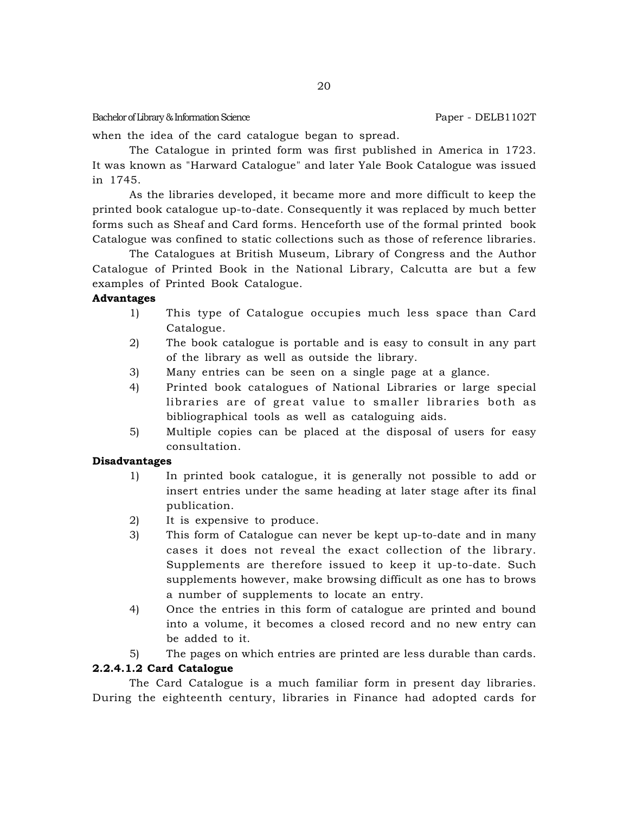when the idea of the card catalogue began to spread.

The Catalogue in printed form was first published in America in 1723. It was known as "Harward Catalogue" and later Yale Book Catalogue was issued in 1745.

As the libraries developed, it became more and more difficult to keep the printed book catalogue up-to-date. Consequently it was replaced by much better forms such as Sheaf and Card forms. Henceforth use of the formal printed book Catalogue was confined to static collections such as those of reference libraries.

The Catalogues at British Museum, Library of Congress and the Author Catalogue of Printed Book in the National Library, Calcutta are but a few examples of Printed Book Catalogue.

# **Advantages**

- 1) This type of Catalogue occupies much less space than Card Catalogue.
- 2) The book catalogue is portable and is easy to consult in any part of the library as well as outside the library.
- 3) Many entries can be seen on a single page at a glance.
- 4) Printed book catalogues of National Libraries or large special libraries are of great value to smaller libraries both as bibliographical tools as well as cataloguing aids.
- 5) Multiple copies can be placed at the disposal of users for easy consultation.

### **Disadvantages**

- 1) In printed book catalogue, it is generally not possible to add or insert entries under the same heading at later stage after its final publication.
- 2) It is expensive to produce.
- 3) This form of Catalogue can never be kept up-to-date and in many cases it does not reveal the exact collection of the library. Supplements are therefore issued to keep it up-to-date. Such supplements however, make browsing difficult as one has to brows a number of supplements to locate an entry.
- 4) Once the entries in this form of catalogue are printed and bound into a volume, it becomes a closed record and no new entry can be added to it.
- 5) The pages on which entries are printed are less durable than cards.

# **2.2.4.1.2 Card Catalogue**

The Card Catalogue is a much familiar form in present day libraries. During the eighteenth century, libraries in Finance had adopted cards for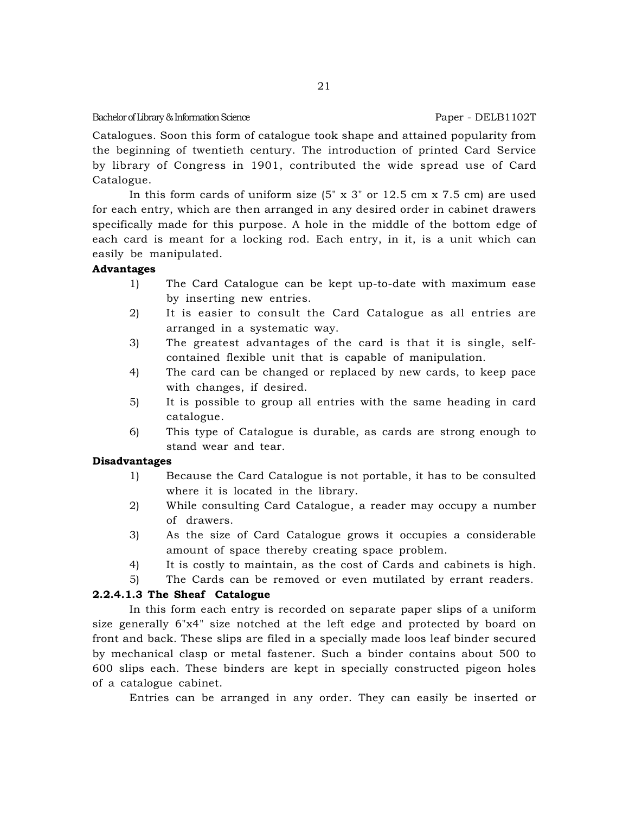Catalogues. Soon this form of catalogue took shape and attained popularity from the beginning of twentieth century. The introduction of printed Card Service by library of Congress in 1901, contributed the wide spread use of Card Catalogue.

In this form cards of uniform size  $(5'' \times 3''$  or  $12.5 \text{ cm} \times 7.5 \text{ cm})$  are used for each entry, which are then arranged in any desired order in cabinet drawers specifically made for this purpose. A hole in the middle of the bottom edge of each card is meant for a locking rod. Each entry, in it, is a unit which can easily be manipulated.

# **Advantages**

- 1) The Card Catalogue can be kept up-to-date with maximum ease by inserting new entries.
- 2) It is easier to consult the Card Catalogue as all entries are arranged in a systematic way.
- 3) The greatest advantages of the card is that it is single, selfcontained flexible unit that is capable of manipulation.
- 4) The card can be changed or replaced by new cards, to keep pace with changes, if desired.
- 5) It is possible to group all entries with the same heading in card catalogue.
- 6) This type of Catalogue is durable, as cards are strong enough to stand wear and tear.

### **Disadvantages**

- 1) Because the Card Catalogue is not portable, it has to be consulted where it is located in the library.
- 2) While consulting Card Catalogue, a reader may occupy a number of drawers.
- 3) As the size of Card Catalogue grows it occupies a considerable amount of space thereby creating space problem.
- 4) It is costly to maintain, as the cost of Cards and cabinets is high.
- 5) The Cards can be removed or even mutilated by errant readers.

# **2.2.4.1.3 The Sheaf Catalogue**

In this form each entry is recorded on separate paper slips of a uniform size generally 6"x4" size notched at the left edge and protected by board on front and back. These slips are filed in a specially made loos leaf binder secured by mechanical clasp or metal fastener. Such a binder contains about 500 to 600 slips each. These binders are kept in specially constructed pigeon holes of a catalogue cabinet.

Entries can be arranged in any order. They can easily be inserted or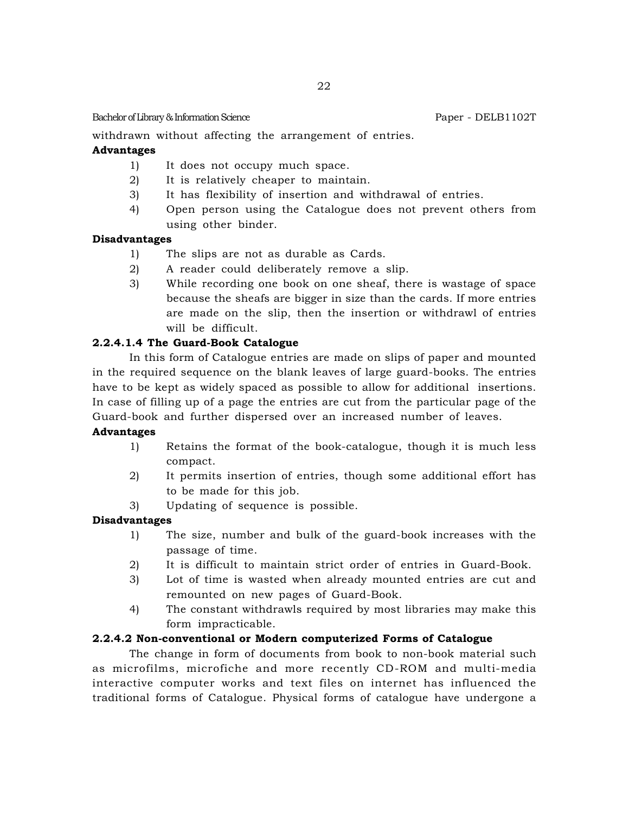withdrawn without affecting the arrangement of entries.

# **Advantages**

- 1) It does not occupy much space.
- 2) It is relatively cheaper to maintain.
- 3) It has flexibility of insertion and withdrawal of entries.
- 4) Open person using the Catalogue does not prevent others from using other binder.

# **Disadvantages**

- 1) The slips are not as durable as Cards.
- 2) A reader could deliberately remove a slip.
- 3) While recording one book on one sheaf, there is wastage of space because the sheafs are bigger in size than the cards. If more entries are made on the slip, then the insertion or withdrawl of entries will be difficult.

# **2.2.4.1.4 The Guard-Book Catalogue**

In this form of Catalogue entries are made on slips of paper and mounted in the required sequence on the blank leaves of large guard-books. The entries have to be kept as widely spaced as possible to allow for additional insertions. In case of filling up of a page the entries are cut from the particular page of the Guard-book and further dispersed over an increased number of leaves.

# **Advantages**

- 1) Retains the format of the book-catalogue, though it is much less compact.
- 2) It permits insertion of entries, though some additional effort has to be made for this job.
- 3) Updating of sequence is possible.

# **Disadvantages**

- 1) The size, number and bulk of the guard-book increases with the passage of time.
- 2) It is difficult to maintain strict order of entries in Guard-Book.
- 3) Lot of time is wasted when already mounted entries are cut and remounted on new pages of Guard-Book.
- 4) The constant withdrawls required by most libraries may make this form impracticable.

# **2.2.4.2 Non-conventional or Modern computerized Forms of Catalogue**

The change in form of documents from book to non-book material such as microfilms, microfiche and more recently CD-ROM and multi-media interactive computer works and text files on internet has influenced the traditional forms of Catalogue. Physical forms of catalogue have undergone a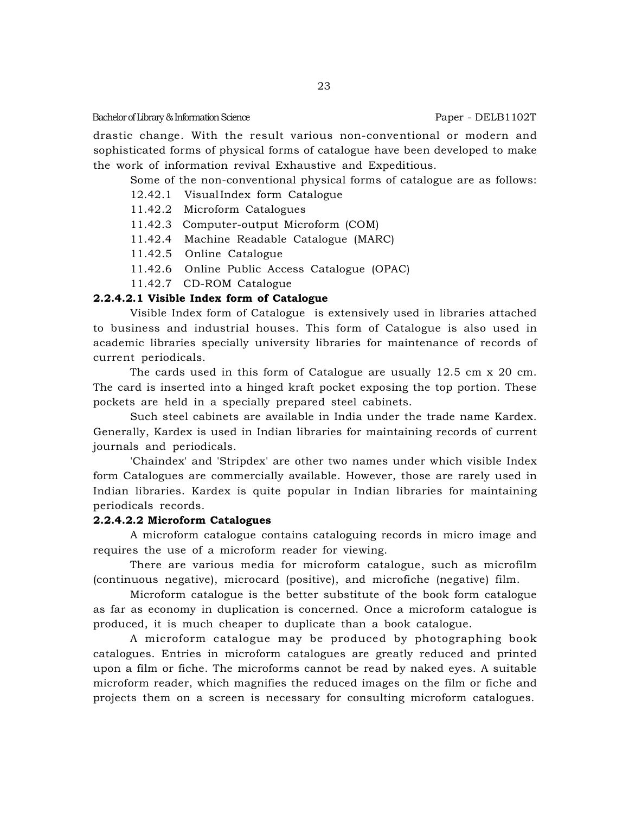drastic change. With the result various non-conventional or modern and sophisticated forms of physical forms of catalogue have been developed to make the work of information revival Exhaustive and Expeditious.

Some of the non-conventional physical forms of catalogue are as follows:

- 12.42.1 VisualIndex form Catalogue
- 11.42.2 Microform Catalogues
- 11.42.3 Computer-output Microform (COM)
- 11.42.4 Machine Readable Catalogue (MARC)
- 11.42.5 Online Catalogue
- 11.42.6 Online Public Access Catalogue (OPAC)
- 11.42.7 CD-ROM Catalogue

# **2.2.4.2.1 Visible Index form of Catalogue**

Visible Index form of Catalogue is extensively used in libraries attached to business and industrial houses. This form of Catalogue is also used in academic libraries specially university libraries for maintenance of records of current periodicals.

The cards used in this form of Catalogue are usually 12.5 cm x 20 cm. The card is inserted into a hinged kraft pocket exposing the top portion. These pockets are held in a specially prepared steel cabinets.

Such steel cabinets are available in India under the trade name Kardex. Generally, Kardex is used in Indian libraries for maintaining records of current journals and periodicals.

'Chaindex' and 'Stripdex' are other two names under which visible Index form Catalogues are commercially available. However, those are rarely used in Indian libraries. Kardex is quite popular in Indian libraries for maintaining periodicals records.

# **2.2.4.2.2 Microform Catalogues**

A microform catalogue contains cataloguing records in micro image and requires the use of a microform reader for viewing.

There are various media for microform catalogue, such as microfilm (continuous negative), microcard (positive), and microfiche (negative) film.

Microform catalogue is the better substitute of the book form catalogue as far as economy in duplication is concerned. Once a microform catalogue is produced, it is much cheaper to duplicate than a book catalogue.

A microform catalogue may be produced by photographing book catalogues. Entries in microform catalogues are greatly reduced and printed upon a film or fiche. The microforms cannot be read by naked eyes. A suitable microform reader, which magnifies the reduced images on the film or fiche and projects them on a screen is necessary for consulting microform catalogues.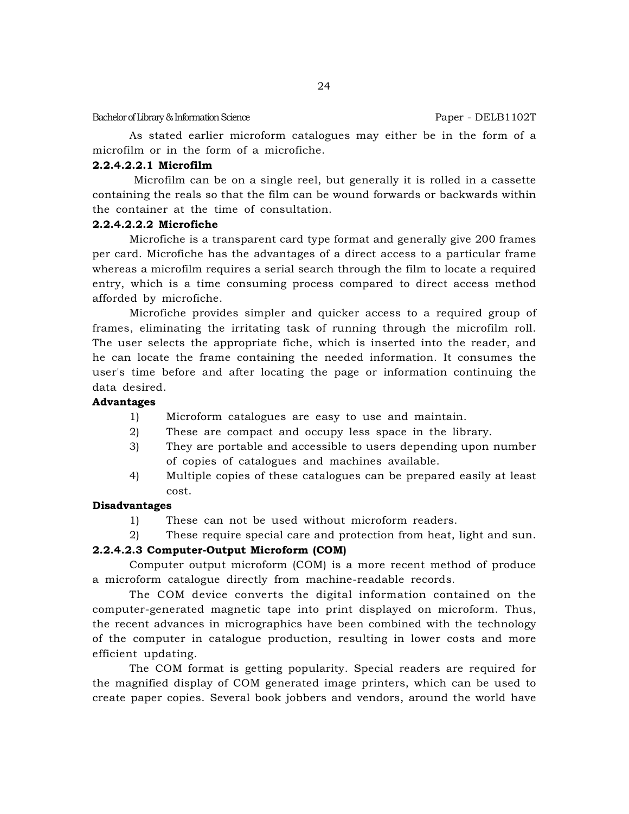As stated earlier microform catalogues may either be in the form of a microfilm or in the form of a microfiche.

# **2.2.4.2.2.1 Microfilm**

 Microfilm can be on a single reel, but generally it is rolled in a cassette containing the reals so that the film can be wound forwards or backwards within the container at the time of consultation.

# **2.2.4.2.2.2 Microfiche**

Microfiche is a transparent card type format and generally give 200 frames per card. Microfiche has the advantages of a direct access to a particular frame whereas a microfilm requires a serial search through the film to locate a required entry, which is a time consuming process compared to direct access method afforded by microfiche.

Microfiche provides simpler and quicker access to a required group of frames, eliminating the irritating task of running through the microfilm roll. The user selects the appropriate fiche, which is inserted into the reader, and he can locate the frame containing the needed information. It consumes the user's time before and after locating the page or information continuing the data desired.

# **Advantages**

- 1) Microform catalogues are easy to use and maintain.
- 2) These are compact and occupy less space in the library.
- 3) They are portable and accessible to users depending upon number of copies of catalogues and machines available.
- 4) Multiple copies of these catalogues can be prepared easily at least cost.

# **Disadvantages**

- 1) These can not be used without microform readers.
- 2) These require special care and protection from heat, light and sun.

# **2.2.4.2.3 Computer-Output Microform (COM)**

Computer output microform (COM) is a more recent method of produce a microform catalogue directly from machine-readable records.

The COM device converts the digital information contained on the computer-generated magnetic tape into print displayed on microform. Thus, the recent advances in micrographics have been combined with the technology of the computer in catalogue production, resulting in lower costs and more efficient updating.

The COM format is getting popularity. Special readers are required for the magnified display of COM generated image printers, which can be used to create paper copies. Several book jobbers and vendors, around the world have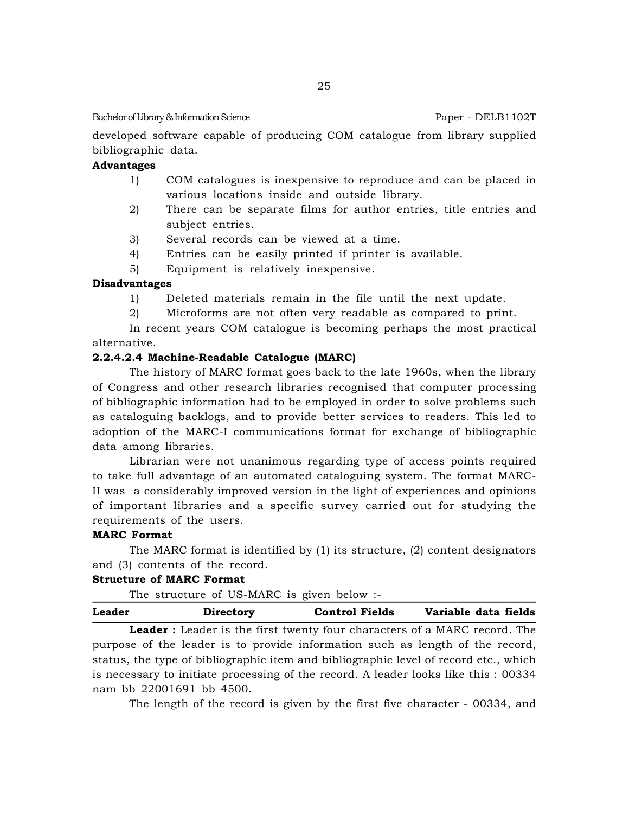developed software capable of producing COM catalogue from library supplied bibliographic data.

# **Advantages**

- 1) COM catalogues is inexpensive to reproduce and can be placed in various locations inside and outside library.
- 2) There can be separate films for author entries, title entries and subject entries.
- 3) Several records can be viewed at a time.
- 4) Entries can be easily printed if printer is available.
- 5) Equipment is relatively inexpensive.

# **Disadvantages**

- 1) Deleted materials remain in the file until the next update.
- 2) Microforms are not often very readable as compared to print.

In recent years COM catalogue is becoming perhaps the most practical alternative.

#### **2.2.4.2.4 Machine-Readable Catalogue (MARC)**

The history of MARC format goes back to the late 1960s, when the library of Congress and other research libraries recognised that computer processing of bibliographic information had to be employed in order to solve problems such as cataloguing backlogs, and to provide better services to readers. This led to adoption of the MARC-I communications format for exchange of bibliographic data among libraries.

Librarian were not unanimous regarding type of access points required to take full advantage of an automated cataloguing system. The format MARC-II was a considerably improved version in the light of experiences and opinions of important libraries and a specific survey carried out for studying the requirements of the users.

#### **MARC Format**

The MARC format is identified by  $(1)$  its structure,  $(2)$  content designators and (3) contents of the record.

#### **Structure of MARC Format**

The structure of US-MARC is given below :-

| Leader | Directory | <b>Control Fields</b> | Variable data fields |  |
|--------|-----------|-----------------------|----------------------|--|
|        |           |                       |                      |  |

**Leader :** Leader is the first twenty four characters of a MARC record. The purpose of the leader is to provide information such as length of the record, status, the type of bibliographic item and bibliographic level of record etc., which is necessary to initiate processing of the record. A leader looks like this : 00334 nam bb 22001691 bb 4500.

The length of the record is given by the first five character - 00334, and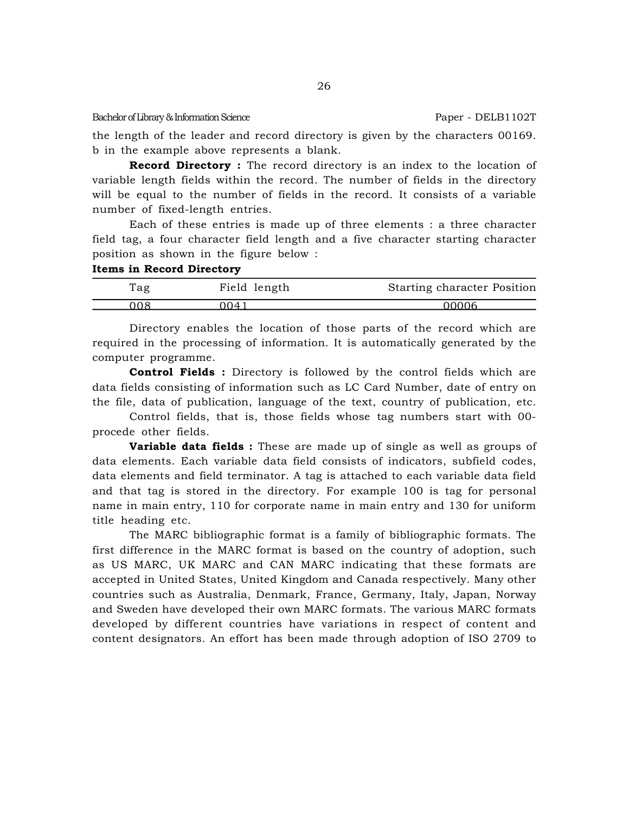the length of the leader and record directory is given by the characters 00169. b in the example above represents a blank.

26

**Record Directory :** The record directory is an index to the location of variable length fields within the record. The number of fields in the directory will be equal to the number of fields in the record. It consists of a variable number of fixed-length entries.

Each of these entries is made up of three elements : a three character field tag, a four character field length and a five character starting character position as shown in the figure below :

# **Items in Record Directory**

| l`ag | Field length | Starting character Position |
|------|--------------|-----------------------------|
| ገበՋ  | ገበ41         | በበበበ6                       |

Directory enables the location of those parts of the record which are required in the processing of information. It is automatically generated by the computer programme.

**Control Fields :** Directory is followed by the control fields which are data fields consisting of information such as LC Card Number, date of entry on the file, data of publication, language of the text, country of publication, etc.

Control fields, that is, those fields whose tag numbers start with 00 procede other fields.

**Variable data fields :** These are made up of single as well as groups of data elements. Each variable data field consists of indicators, subfield codes, data elements and field terminator. A tag is attached to each variable data field and that tag is stored in the directory. For example 100 is tag for personal name in main entry, 110 for corporate name in main entry and 130 for uniform title heading etc.

The MARC bibliographic format is a family of bibliographic formats. The first difference in the MARC format is based on the country of adoption, such as US MARC, UK MARC and CAN MARC indicating that these formats are accepted in United States, United Kingdom and Canada respectively. Many other countries such as Australia, Denmark, France, Germany, Italy, Japan, Norway and Sweden have developed their own MARC formats. The various MARC formats developed by different countries have variations in respect of content and content designators. An effort has been made through adoption of ISO 2709 to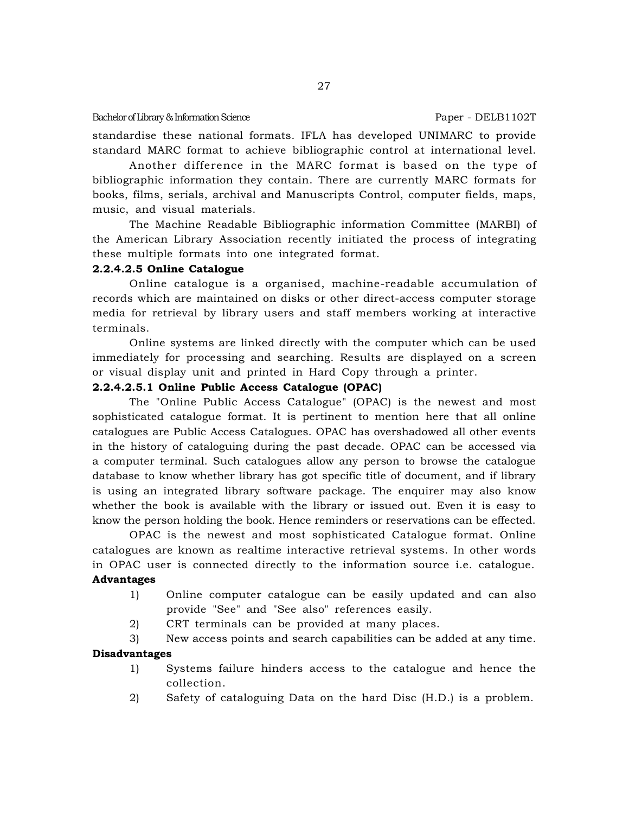standardise these national formats. IFLA has developed UNIMARC to provide standard MARC format to achieve bibliographic control at international level.

Another difference in the MARC format is based on the type of bibliographic information they contain. There are currently MARC formats for books, films, serials, archival and Manuscripts Control, computer fields, maps, music, and visual materials.

The Machine Readable Bibliographic information Committee (MARBI) of the American Library Association recently initiated the process of integrating these multiple formats into one integrated format.

# **2.2.4.2.5 Online Catalogue**

Online catalogue is a organised, machine-readable accumulation of records which are maintained on disks or other direct-access computer storage media for retrieval by library users and staff members working at interactive terminals.

Online systems are linked directly with the computer which can be used immediately for processing and searching. Results are displayed on a screen or visual display unit and printed in Hard Copy through a printer.

# **2.2.4.2.5.1 Online Public Access Catalogue (OPAC)**

The "Online Public Access Catalogue" (OPAC) is the newest and most sophisticated catalogue format. It is pertinent to mention here that all online catalogues are Public Access Catalogues. OPAC has overshadowed all other events in the history of cataloguing during the past decade. OPAC can be accessed via a computer terminal. Such catalogues allow any person to browse the catalogue database to know whether library has got specific title of document, and if library is using an integrated library software package. The enquirer may also know whether the book is available with the library or issued out. Even it is easy to know the person holding the book. Hence reminders or reservations can be effected.

OPAC is the newest and most sophisticated Catalogue format. Online catalogues are known as realtime interactive retrieval systems. In other words in OPAC user is connected directly to the information source i.e. catalogue. **Advantages**

- 1) Online computer catalogue can be easily updated and can also provide "See" and "See also" references easily.
- 2) CRT terminals can be provided at many places.
- 3) New access points and search capabilities can be added at any time.

# **Disadvantages**

- 1) Systems failure hinders access to the catalogue and hence the collection.
- 2) Safety of cataloguing Data on the hard Disc (H.D.) is a problem.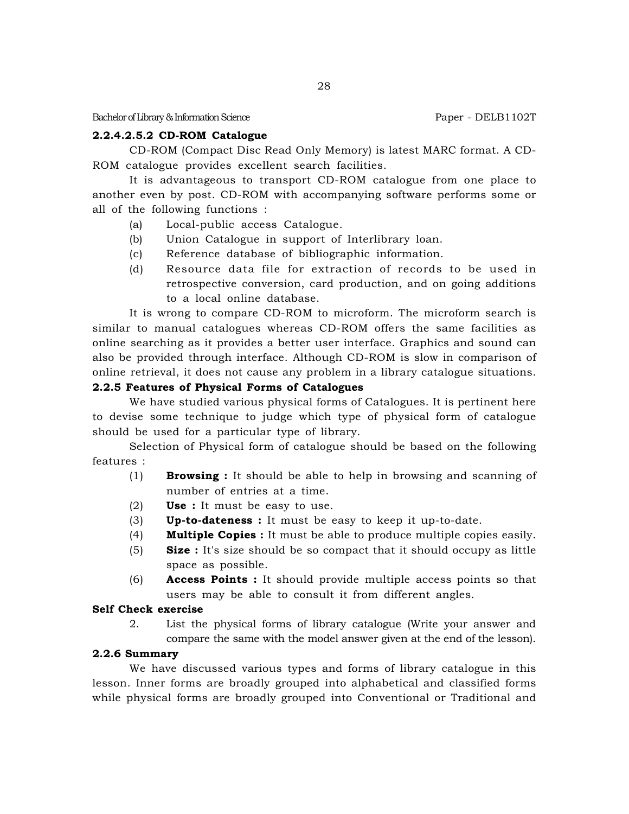#### **2.2.4.2.5.2 CD-ROM Catalogue**

CD-ROM (Compact Disc Read Only Memory) is latest MARC format. A CD-ROM catalogue provides excellent search facilities.

It is advantageous to transport CD-ROM catalogue from one place to another even by post. CD-ROM with accompanying software performs some or all of the following functions :

- (a) Local-public access Catalogue.
- (b) Union Catalogue in support of Interlibrary loan.
- (c) Reference database of bibliographic information.
- (d) Resource data file for extraction of records to be used in retrospective conversion, card production, and on going additions to a local online database.

It is wrong to compare CD-ROM to microform. The microform search is similar to manual catalogues whereas CD-ROM offers the same facilities as online searching as it provides a better user interface. Graphics and sound can also be provided through interface. Although CD-ROM is slow in comparison of online retrieval, it does not cause any problem in a library catalogue situations.

# **2.2.5 Features of Physical Forms of Catalogues**

We have studied various physical forms of Catalogues. It is pertinent here to devise some technique to judge which type of physical form of catalogue should be used for a particular type of library.

Selection of Physical form of catalogue should be based on the following features :

- (1) **Browsing :** It should be able to help in browsing and scanning of number of entries at a time.
- (2) **Use :** It must be easy to use.
- (3) **Up-to-dateness :** It must be easy to keep it up-to-date.
- (4) **Multiple Copies :** It must be able to produce multiple copies easily.
- (5) **Size :** It's size should be so compact that it should occupy as little space as possible.
- (6) **Access Points :** It should provide multiple access points so that users may be able to consult it from different angles.

# **Self Check exercise**

2. List the physical forms of library catalogue (Write your answer and compare the same with the model answer given at the end of the lesson).

#### **2.2.6 Summary**

We have discussed various types and forms of library catalogue in this lesson. Inner forms are broadly grouped into alphabetical and classified forms while physical forms are broadly grouped into Conventional or Traditional and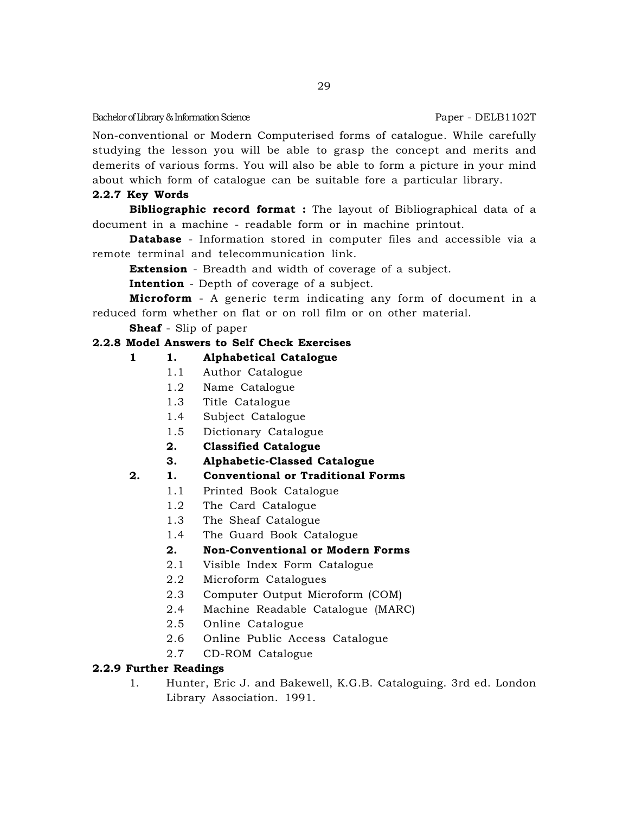Non-conventional or Modern Computerised forms of catalogue. While carefully studying the lesson you will be able to grasp the concept and merits and demerits of various forms. You will also be able to form a picture in your mind about which form of catalogue can be suitable fore a particular library.

# **2.2.7 Key Words**

**Bibliographic record format :** The layout of Bibliographical data of a document in a machine - readable form or in machine printout.

**Database** - Information stored in computer files and accessible via a remote terminal and telecommunication link.

**Extension** - Breadth and width of coverage of a subject.

**Intention** - Depth of coverage of a subject.

**Microform** - A generic term indicating any form of document in a reduced form whether on flat or on roll film or on other material.

**Sheaf** - Slip of paper

# **2.2.8 Model Answers to Self Check Exercises**

# **1 1. Alphabetical Catalogue**

- 1.1 Author Catalogue
- 1.2 Name Catalogue
- 1.3 Title Catalogue
- 1.4 Subject Catalogue
- 1.5 Dictionary Catalogue
- **2. Classified Catalogue**
- **3. Alphabetic-Classed Catalogue**

# **2. 1. Conventional or Traditional Forms**

- 1.1 Printed Book Catalogue
- 1.2 The Card Catalogue
- 1.3 The Sheaf Catalogue
- 1.4 The Guard Book Catalogue

# **2. Non-Conventional or Modern Forms**

- 2.1 Visible Index Form Catalogue
- 2.2 Microform Catalogues
- 2.3 Computer Output Microform (COM)
- 2.4 Machine Readable Catalogue (MARC)
- 2.5 Online Catalogue
- 2.6 Online Public Access Catalogue
- 2.7 CD-ROM Catalogue

# **2.2.9 Further Readings**

1. Hunter, Eric J. and Bakewell, K.G.B. Cataloguing. 3rd ed. London Library Association. 1991.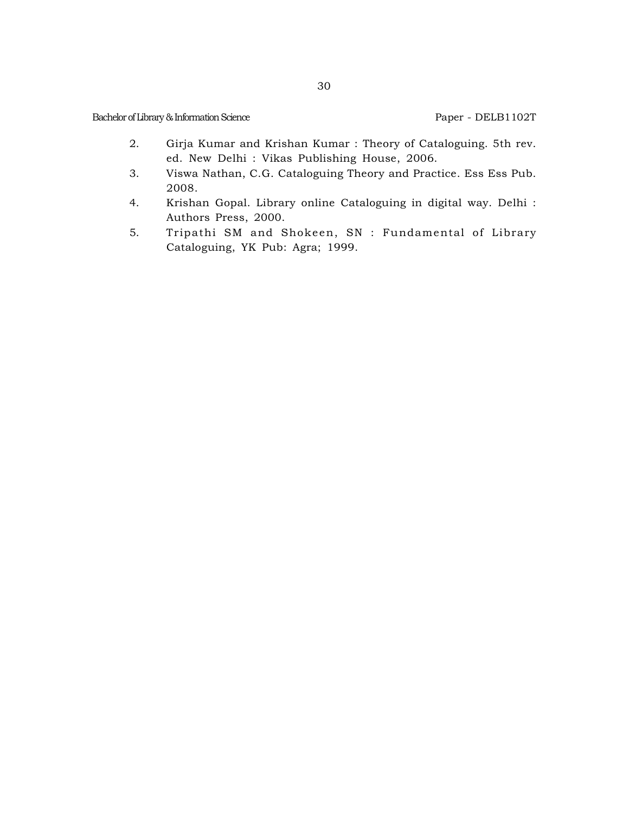- 2. Girja Kumar and Krishan Kumar : Theory of Cataloguing. 5th rev. ed. New Delhi : Vikas Publishing House, 2006.
- 3. Viswa Nathan, C.G. Cataloguing Theory and Practice. Ess Ess Pub. 2008.
- 4. Krishan Gopal. Library online Cataloguing in digital way. Delhi : Authors Press, 2000.
- 5. Tripathi SM and Shokeen, SN : Fundamental of Library Cataloguing, YK Pub: Agra; 1999.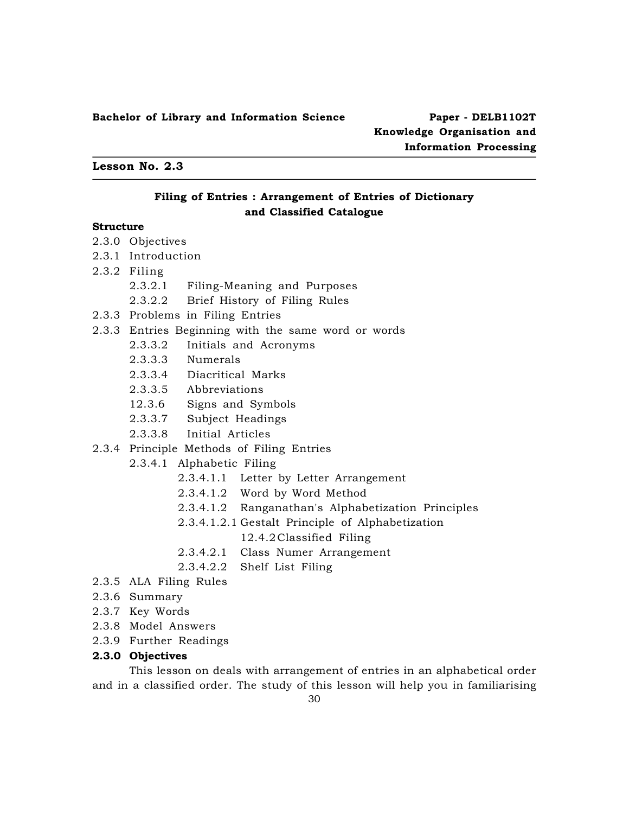**Lesson No. 2.3**

# **Filing of Entries : Arrangement of Entries of Dictionary and Classified Catalogue**

# **Structure**

- 2.3.0 Objectives
- 2.3.1 Introduction
- 2.3.2 Filing
	- 2.3.2.1 Filing-Meaning and Purposes
	- 2.3.2.2 Brief History of Filing Rules
- 2.3.3 Problems in Filing Entries
- 2.3.3 Entries Beginning with the same word or words
	- 2.3.3.2 Initials and Acronyms
	- 2.3.3.3 Numerals
	- 2.3.3.4 Diacritical Marks
	- 2.3.3.5 Abbreviations
	- 12.3.6 Signs and Symbols
	- 2.3.3.7 Subject Headings
	- 2.3.3.8 Initial Articles
- 2.3.4 Principle Methods of Filing Entries
	- 2.3.4.1 Alphabetic Filing
		- 2.3.4.1.1 Letter by Letter Arrangement
		- 2.3.4.1.2 Word by Word Method
		- 2.3.4.1.2 Ranganathan's Alphabetization Principles
		- 2.3.4.1.2.1 Gestalt Principle of Alphabetization 12.4.2Classified Filing
		- 2.3.4.2.1 Class Numer Arrangement
		- 2.3.4.2.2 Shelf List Filing
- 2.3.5 ALA Filing Rules
- 2.3.6 Summary
- 2.3.7 Key Words
- 2.3.8 Model Answers
- 2.3.9 Further Readings

#### **2.3.0 Objectives**

This lesson on deals with arrangement of entries in an alphabetical order and in a classified order. The study of this lesson will help you in familiarising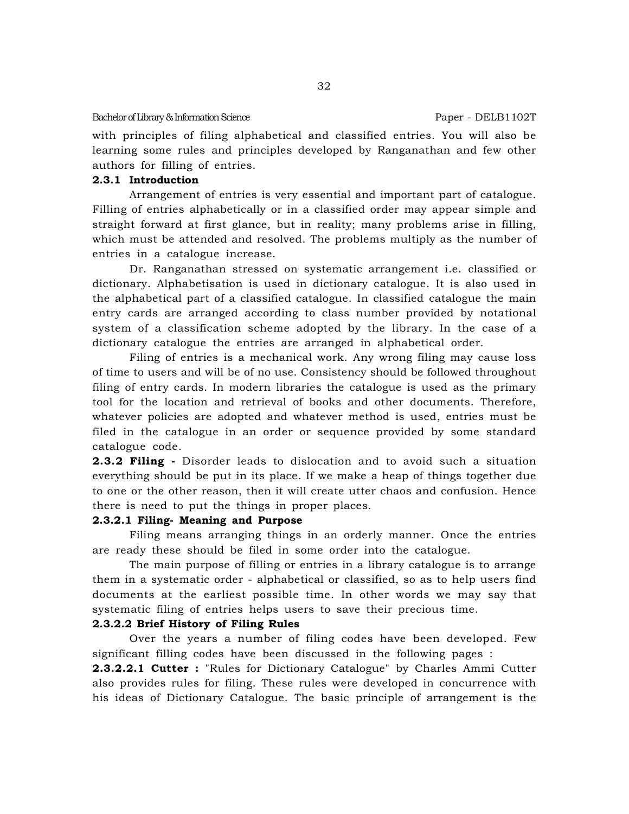with principles of filing alphabetical and classified entries. You will also be learning some rules and principles developed by Ranganathan and few other authors for filling of entries.

#### **2.3.1 Introduction**

Arrangement of entries is very essential and important part of catalogue. Filling of entries alphabetically or in a classified order may appear simple and straight forward at first glance, but in reality; many problems arise in filling, which must be attended and resolved. The problems multiply as the number of entries in a catalogue increase.

Dr. Ranganathan stressed on systematic arrangement i.e. classified or dictionary. Alphabetisation is used in dictionary catalogue. It is also used in the alphabetical part of a classified catalogue. In classified catalogue the main entry cards are arranged according to class number provided by notational system of a classification scheme adopted by the library. In the case of a dictionary catalogue the entries are arranged in alphabetical order.

Filing of entries is a mechanical work. Any wrong filing may cause loss of time to users and will be of no use. Consistency should be followed throughout filing of entry cards. In modern libraries the catalogue is used as the primary tool for the location and retrieval of books and other documents. Therefore, whatever policies are adopted and whatever method is used, entries must be filed in the catalogue in an order or sequence provided by some standard catalogue code.

**2.3.2 Filing -** Disorder leads to dislocation and to avoid such a situation everything should be put in its place. If we make a heap of things together due to one or the other reason, then it will create utter chaos and confusion. Hence there is need to put the things in proper places.

#### **2.3.2.1 Filing- Meaning and Purpose**

Filing means arranging things in an orderly manner. Once the entries are ready these should be filed in some order into the catalogue.

The main purpose of filling or entries in a library catalogue is to arrange them in a systematic order - alphabetical or classified, so as to help users find documents at the earliest possible time. In other words we may say that systematic filing of entries helps users to save their precious time.

# **2.3.2.2 Brief History of Filing Rules**

Over the years a number of filing codes have been developed. Few significant filling codes have been discussed in the following pages :

**2.3.2.2.1 Cutter :** "Rules for Dictionary Catalogue" by Charles Ammi Cutter also provides rules for filing. These rules were developed in concurrence with his ideas of Dictionary Catalogue. The basic principle of arrangement is the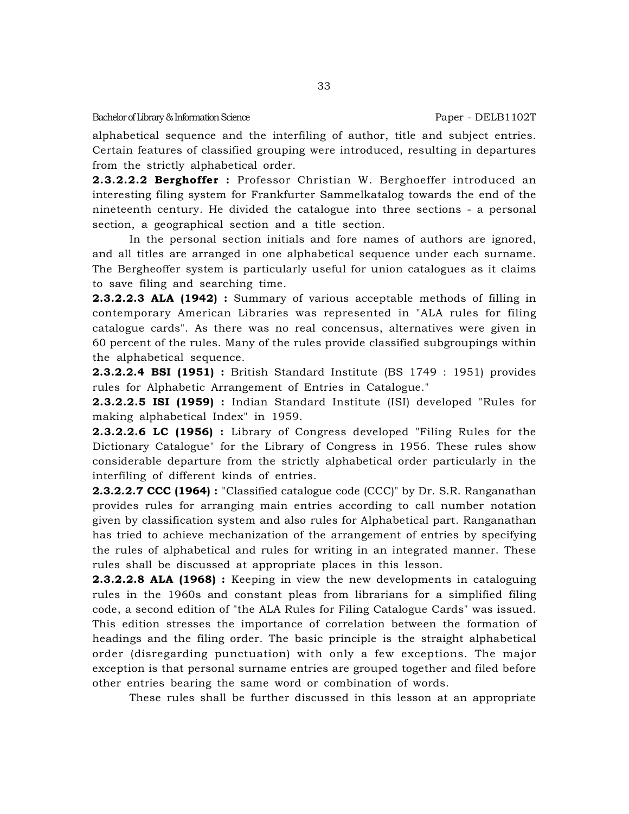alphabetical sequence and the interfiling of author, title and subject entries. Certain features of classified grouping were introduced, resulting in departures from the strictly alphabetical order.

**2.3.2.2.2 Berghoffer :** Professor Christian W. Berghoeffer introduced an interesting filing system for Frankfurter Sammelkatalog towards the end of the nineteenth century. He divided the catalogue into three sections - a personal section, a geographical section and a title section.

In the personal section initials and fore names of authors are ignored, and all titles are arranged in one alphabetical sequence under each surname. The Bergheoffer system is particularly useful for union catalogues as it claims to save filing and searching time.

**2.3.2.2.3 ALA (1942) :** Summary of various acceptable methods of filling in contemporary American Libraries was represented in "ALA rules for filing catalogue cards". As there was no real concensus, alternatives were given in 60 percent of the rules. Many of the rules provide classified subgroupings within the alphabetical sequence.

**2.3.2.2.4 BSI (1951) :** British Standard Institute (BS 1749 : 1951) provides rules for Alphabetic Arrangement of Entries in Catalogue."

**2.3.2.2.5 ISI (1959) :** Indian Standard Institute (ISI) developed "Rules for making alphabetical Index" in 1959.

**2.3.2.2.6 LC (1956) :** Library of Congress developed "Filing Rules for the Dictionary Catalogue" for the Library of Congress in 1956. These rules show considerable departure from the strictly alphabetical order particularly in the interfiling of different kinds of entries.

**2.3.2.2.7 CCC (1964) :** "Classified catalogue code (CCC)" by Dr. S.R. Ranganathan provides rules for arranging main entries according to call number notation given by classification system and also rules for Alphabetical part. Ranganathan has tried to achieve mechanization of the arrangement of entries by specifying the rules of alphabetical and rules for writing in an integrated manner. These rules shall be discussed at appropriate places in this lesson.

**2.3.2.2.8 ALA (1968) :** Keeping in view the new developments in cataloguing rules in the 1960s and constant pleas from librarians for a simplified filing code, a second edition of "the ALA Rules for Filing Catalogue Cards" was issued. This edition stresses the importance of correlation between the formation of headings and the filing order. The basic principle is the straight alphabetical order (disregarding punctuation) with only a few exceptions. The major exception is that personal surname entries are grouped together and filed before other entries bearing the same word or combination of words.

These rules shall be further discussed in this lesson at an appropriate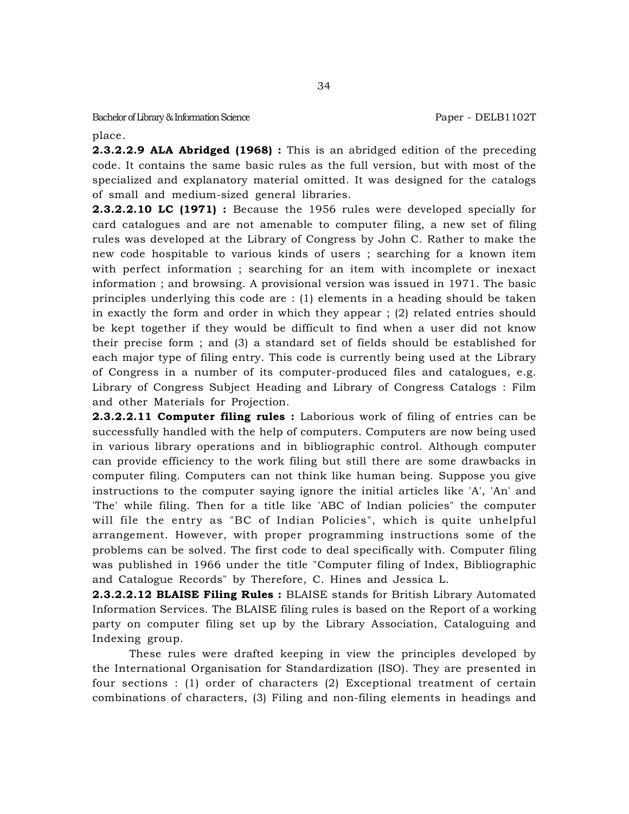34

place.

**2.3.2.2.9 ALA Abridged (1968) :** This is an abridged edition of the preceding code. It contains the same basic rules as the full version, but with most of the specialized and explanatory material omitted. It was designed for the catalogs of small and medium-sized general libraries.

**2.3.2.2.10 LC (1971) :** Because the 1956 rules were developed specially for card catalogues and are not amenable to computer filing, a new set of filing rules was developed at the Library of Congress by John C. Rather to make the new code hospitable to various kinds of users ; searching for a known item with perfect information ; searching for an item with incomplete or inexact information ; and browsing. A provisional version was issued in 1971. The basic principles underlying this code are : (1) elements in a heading should be taken in exactly the form and order in which they appear ; (2) related entries should be kept together if they would be difficult to find when a user did not know their precise form ; and (3) a standard set of fields should be established for each major type of filing entry. This code is currently being used at the Library of Congress in a number of its computer-produced files and catalogues, e.g. Library of Congress Subject Heading and Library of Congress Catalogs : Film and other Materials for Projection.

**2.3.2.2.11 Computer filing rules :** Laborious work of filing of entries can be successfully handled with the help of computers. Computers are now being used in various library operations and in bibliographic control. Although computer can provide efficiency to the work filing but still there are some drawbacks in computer filing. Computers can not think like human being. Suppose you give instructions to the computer saying ignore the initial articles like 'A', 'An' and 'The' while filing. Then for a title like 'ABC of Indian policies" the computer will file the entry as "BC of Indian Policies", which is quite unhelpful arrangement. However, with proper programming instructions some of the problems can be solved. The first code to deal specifically with. Computer filing was published in 1966 under the title "Computer filing of Index, Bibliographic and Catalogue Records" by Therefore, C. Hines and Jessica L.

**2.3.2.2.12 BLAISE Filing Rules :** BLAISE stands for British Library Automated Information Services. The BLAISE filing rules is based on the Report of a working party on computer filing set up by the Library Association, Cataloguing and Indexing group.

These rules were drafted keeping in view the principles developed by the International Organisation for Standardization (ISO). They are presented in four sections : (1) order of characters (2) Exceptional treatment of certain combinations of characters, (3) Filing and non-filing elements in headings and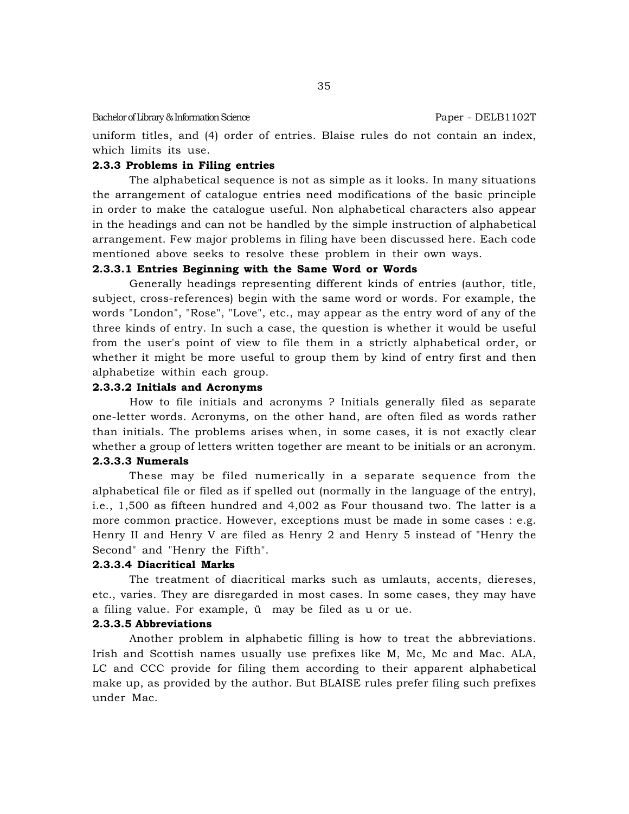uniform titles, and (4) order of entries. Blaise rules do not contain an index, which limits its use.

# **2.3.3 Problems in Filing entries**

The alphabetical sequence is not as simple as it looks. In many situations the arrangement of catalogue entries need modifications of the basic principle in order to make the catalogue useful. Non alphabetical characters also appear in the headings and can not be handled by the simple instruction of alphabetical arrangement. Few major problems in filing have been discussed here. Each code mentioned above seeks to resolve these problem in their own ways.

#### **2.3.3.1 Entries Beginning with the Same Word or Words**

Generally headings representing different kinds of entries (author, title, subject, cross-references) begin with the same word or words. For example, the words "London", "Rose", "Love", etc., may appear as the entry word of any of the three kinds of entry. In such a case, the question is whether it would be useful from the user's point of view to file them in a strictly alphabetical order, or whether it might be more useful to group them by kind of entry first and then alphabetize within each group.

#### **2.3.3.2 Initials and Acronyms**

How to file initials and acronyms ? Initials generally filed as separate one-letter words. Acronyms, on the other hand, are often filed as words rather than initials. The problems arises when, in some cases, it is not exactly clear whether a group of letters written together are meant to be initials or an acronym.

# **2.3.3.3 Numerals**

These may be filed numerically in a separate sequence from the alphabetical file or filed as if spelled out (normally in the language of the entry), i.e., 1,500 as fifteen hundred and 4,002 as Four thousand two. The latter is a more common practice. However, exceptions must be made in some cases : e.g. Henry II and Henry V are filed as Henry 2 and Henry 5 instead of "Henry the Second" and "Henry the Fifth".

#### **2.3.3.4 Diacritical Marks**

The treatment of diacritical marks such as umlauts, accents, diereses, etc., varies. They are disregarded in most cases. In some cases, they may have a filing value. For example, ü may be filed as u or ue.

#### **2.3.3.5 Abbreviations**

Another problem in alphabetic filling is how to treat the abbreviations. Irish and Scottish names usually use prefixes like M, Mc, Mc and Mac. ALA, LC and CCC provide for filing them according to their apparent alphabetical make up, as provided by the author. But BLAISE rules prefer filing such prefixes under Mac.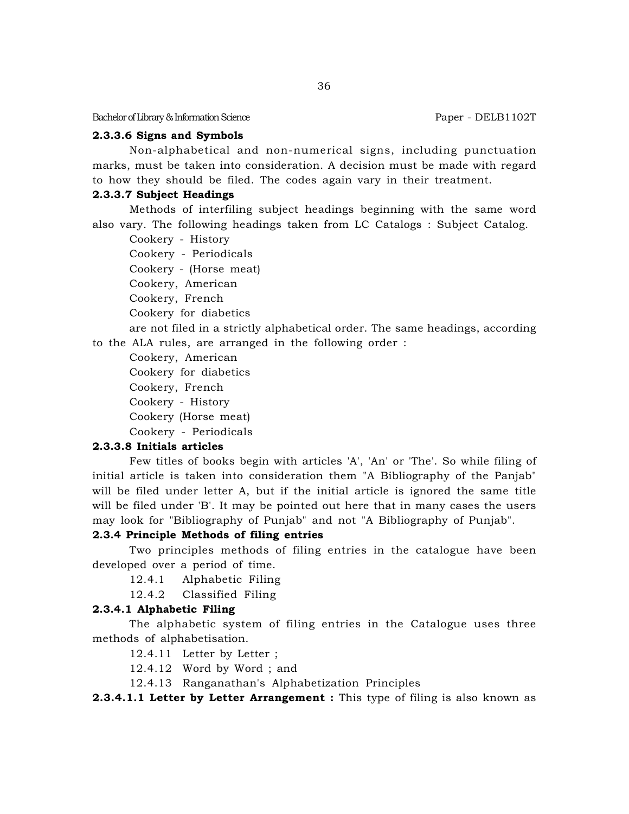#### **2.3.3.6 Signs and Symbols**

Non-alphabetical and non-numerical signs, including punctuation marks, must be taken into consideration. A decision must be made with regard to how they should be filed. The codes again vary in their treatment.

#### **2.3.3.7 Subject Headings**

Methods of interfiling subject headings beginning with the same word also vary. The following headings taken from LC Catalogs : Subject Catalog.

Cookery - History

Cookery - Periodicals

Cookery - (Horse meat)

Cookery, American

Cookery, French

Cookery for diabetics

are not filed in a strictly alphabetical order. The same headings, according to the ALA rules, are arranged in the following order :

Cookery, American

Cookery for diabetics

Cookery, French

Cookery - History

Cookery (Horse meat)

Cookery - Periodicals

## **2.3.3.8 Initials articles**

Few titles of books begin with articles 'A', 'An' or 'The'. So while filing of initial article is taken into consideration them "A Bibliography of the Panjab" will be filed under letter A, but if the initial article is ignored the same title will be filed under 'B'. It may be pointed out here that in many cases the users may look for "Bibliography of Punjab" and not "A Bibliography of Punjab".

### **2.3.4 Principle Methods of filing entries**

Two principles methods of filing entries in the catalogue have been developed over a period of time.

12.4.1 Alphabetic Filing

12.4.2 Classified Filing

## **2.3.4.1 Alphabetic Filing**

The alphabetic system of filing entries in the Catalogue uses three methods of alphabetisation.

12.4.11 Letter by Letter ;

12.4.12 Word by Word ; and

12.4.13 Ranganathan's Alphabetization Principles

**2.3.4.1.1 Letter by Letter Arrangement :** This type of filing is also known as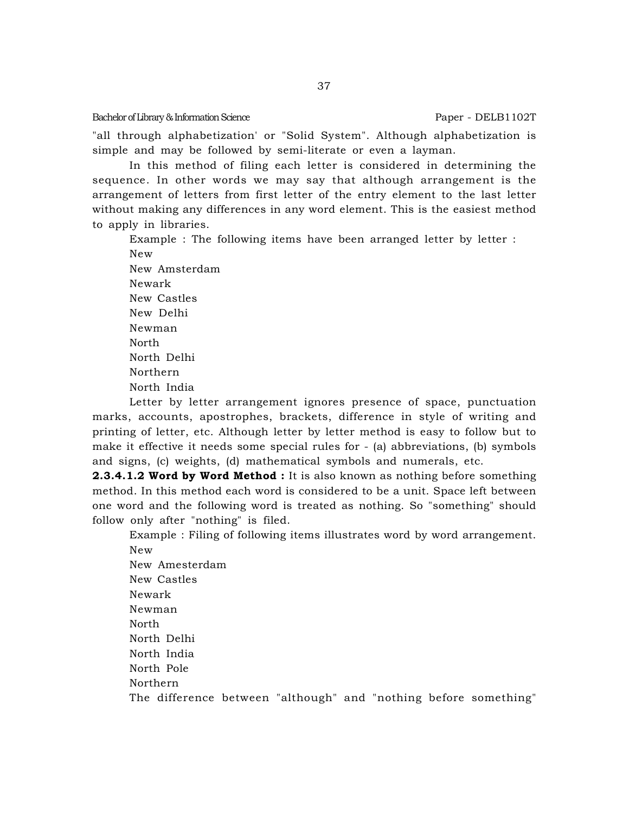"all through alphabetization' or "Solid System". Although alphabetization is simple and may be followed by semi-literate or even a layman.

In this method of filing each letter is considered in determining the sequence. In other words we may say that although arrangement is the arrangement of letters from first letter of the entry element to the last letter without making any differences in any word element. This is the easiest method to apply in libraries.

Example : The following items have been arranged letter by letter : New

New Amsterdam Newark New Castles New Delhi Newman North North Delhi Northern North India

Letter by letter arrangement ignores presence of space, punctuation marks, accounts, apostrophes, brackets, difference in style of writing and printing of letter, etc. Although letter by letter method is easy to follow but to make it effective it needs some special rules for - (a) abbreviations, (b) symbols and signs, (c) weights, (d) mathematical symbols and numerals, etc.

**2.3.4.1.2 Word by Word Method :** It is also known as nothing before something method. In this method each word is considered to be a unit. Space left between one word and the following word is treated as nothing. So "something" should follow only after "nothing" is filed.

Example : Filing of following items illustrates word by word arrangement. New

New Amesterdam New Castles Newark Newman North North Delhi North India North Pole Northern The difference between "although" and "nothing before something"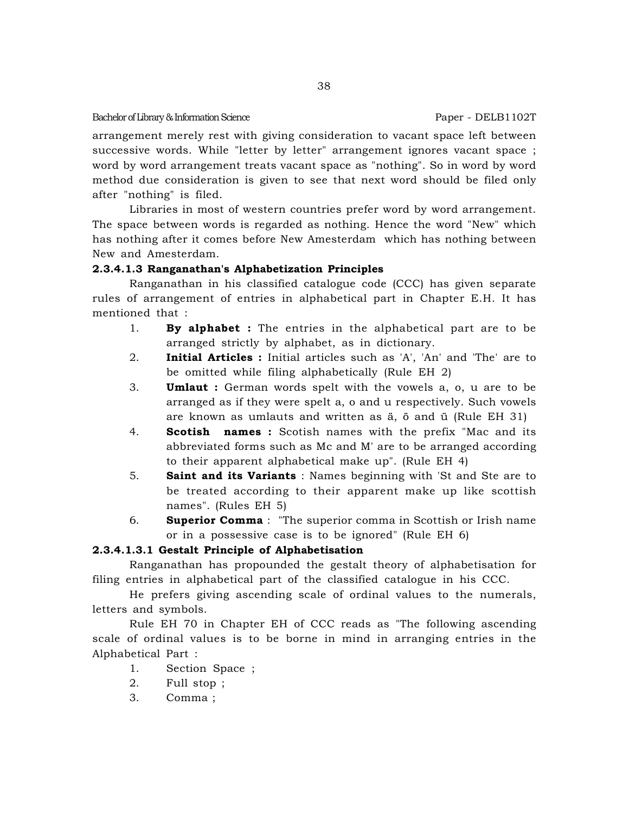arrangement merely rest with giving consideration to vacant space left between successive words. While "letter by letter" arrangement ignores vacant space ; word by word arrangement treats vacant space as "nothing". So in word by word method due consideration is given to see that next word should be filed only after "nothing" is filed.

Libraries in most of western countries prefer word by word arrangement. The space between words is regarded as nothing. Hence the word "New" which has nothing after it comes before New Amesterdam which has nothing between New and Amesterdam.

#### **2.3.4.1.3 Ranganathan's Alphabetization Principles**

Ranganathan in his classified catalogue code (CCC) has given separate rules of arrangement of entries in alphabetical part in Chapter E.H. It has mentioned that :

- 1. **By alphabet :** The entries in the alphabetical part are to be arranged strictly by alphabet, as in dictionary.
- 2. **Initial Articles :** Initial articles such as 'A', 'An' and 'The' are to be omitted while filing alphabetically (Rule EH 2)
- 3. **Umlaut :** German words spelt with the vowels a, o, u are to be arranged as if they were spelt a, o and u respectively. Such vowels are known as umlauts and written as ä, ö and ü (Rule EH 31)
- 4. **Scotish names :** Scotish names with the prefix "Mac and its abbreviated forms such as Mc and M' are to be arranged according to their apparent alphabetical make up". (Rule EH 4)
- 5. **Saint and its Variants** : Names beginning with 'St and Ste are to be treated according to their apparent make up like scottish names". (Rules EH 5)
- 6. **Superior Comma** : "The superior comma in Scottish or Irish name or in a possessive case is to be ignored" (Rule EH 6)

### **2.3.4.1.3.1 Gestalt Principle of Alphabetisation**

Ranganathan has propounded the gestalt theory of alphabetisation for filing entries in alphabetical part of the classified catalogue in his CCC.

He prefers giving ascending scale of ordinal values to the numerals, letters and symbols.

Rule EH 70 in Chapter EH of CCC reads as "The following ascending scale of ordinal values is to be borne in mind in arranging entries in the Alphabetical Part :

- 1. Section Space ;
- 2. Full stop ;
- 3. Comma ;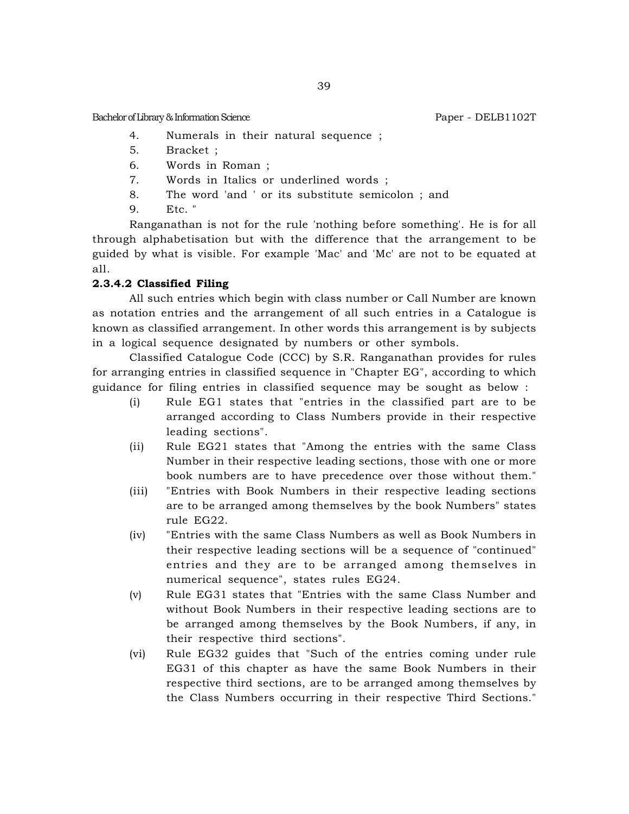- 4. Numerals in their natural sequence ;
- 5. Bracket ;
- 6. Words in Roman ;
- 7. Words in Italics or underlined words ;
- 8. The word 'and ' or its substitute semicolon ; and
- 9. Etc. "

Ranganathan is not for the rule 'nothing before something'. He is for all through alphabetisation but with the difference that the arrangement to be guided by what is visible. For example 'Mac' and 'Mc' are not to be equated at all.

## **2.3.4.2 Classified Filing**

All such entries which begin with class number or Call Number are known as notation entries and the arrangement of all such entries in a Catalogue is known as classified arrangement. In other words this arrangement is by subjects in a logical sequence designated by numbers or other symbols.

Classified Catalogue Code (CCC) by S.R. Ranganathan provides for rules for arranging entries in classified sequence in "Chapter EG", according to which guidance for filing entries in classified sequence may be sought as below :

- (i) Rule EG1 states that "entries in the classified part are to be arranged according to Class Numbers provide in their respective leading sections".
- (ii) Rule EG21 states that "Among the entries with the same Class Number in their respective leading sections, those with one or more book numbers are to have precedence over those without them."
- (iii) "Entries with Book Numbers in their respective leading sections are to be arranged among themselves by the book Numbers" states rule EG22.
- (iv) "Entries with the same Class Numbers as well as Book Numbers in their respective leading sections will be a sequence of "continued" entries and they are to be arranged among themselves in numerical sequence", states rules EG24.
- (v) Rule EG31 states that "Entries with the same Class Number and without Book Numbers in their respective leading sections are to be arranged among themselves by the Book Numbers, if any, in their respective third sections".
- (vi) Rule EG32 guides that "Such of the entries coming under rule EG31 of this chapter as have the same Book Numbers in their respective third sections, are to be arranged among themselves by the Class Numbers occurring in their respective Third Sections."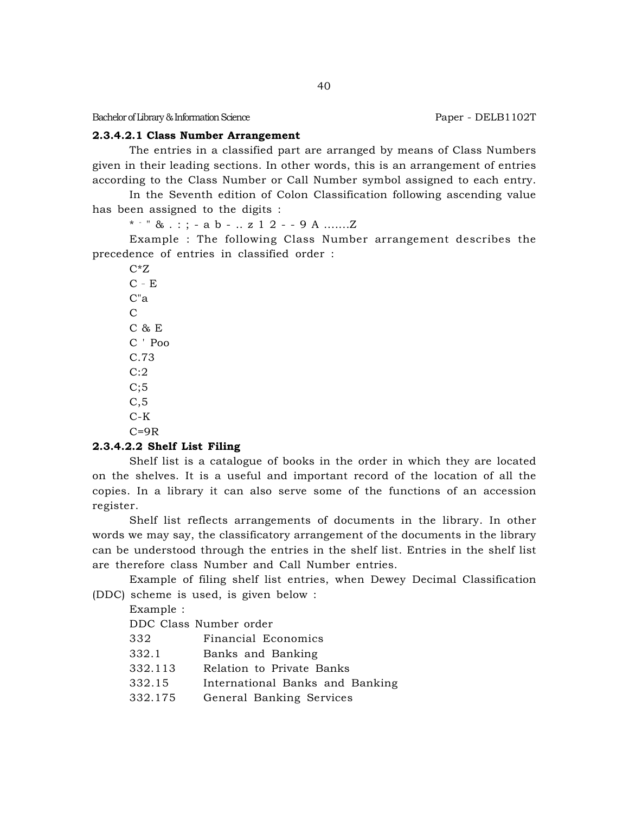#### **2.3.4.2.1 Class Number Arrangement**

The entries in a classified part are arranged by means of Class Numbers given in their leading sections. In other words, this is an arrangement of entries according to the Class Number or Call Number symbol assigned to each entry.

In the Seventh edition of Colon Classification following ascending value has been assigned to the digits :

\* - " & . : ; - a b - .. z 1 2 - - 9 A .......Z

Example : The following Class Number arrangement describes the precedence of entries in classified order :

 $C^*Z$  $C - E$ C"a  $\mathcal{C}$ C & E C ' Poo C.73  $C:2$  $C;5$ C,5 C-K  $C=9R$ 

#### **2.3.4.2.2 Shelf List Filing**

Shelf list is a catalogue of books in the order in which they are located on the shelves. It is a useful and important record of the location of all the copies. In a library it can also serve some of the functions of an accession register.

Shelf list reflects arrangements of documents in the library. In other words we may say, the classificatory arrangement of the documents in the library can be understood through the entries in the shelf list. Entries in the shelf list are therefore class Number and Call Number entries.

Example of filing shelf list entries, when Dewey Decimal Classification (DDC) scheme is used, is given below :

Example :

DDC Class Number order

| Financial Economics | 332 |  |  |  |
|---------------------|-----|--|--|--|
|---------------------|-----|--|--|--|

- 332.1 Banks and Banking
- 332.113 Relation to Private Banks
- 332.15 International Banks and Banking
- 332.175 General Banking Services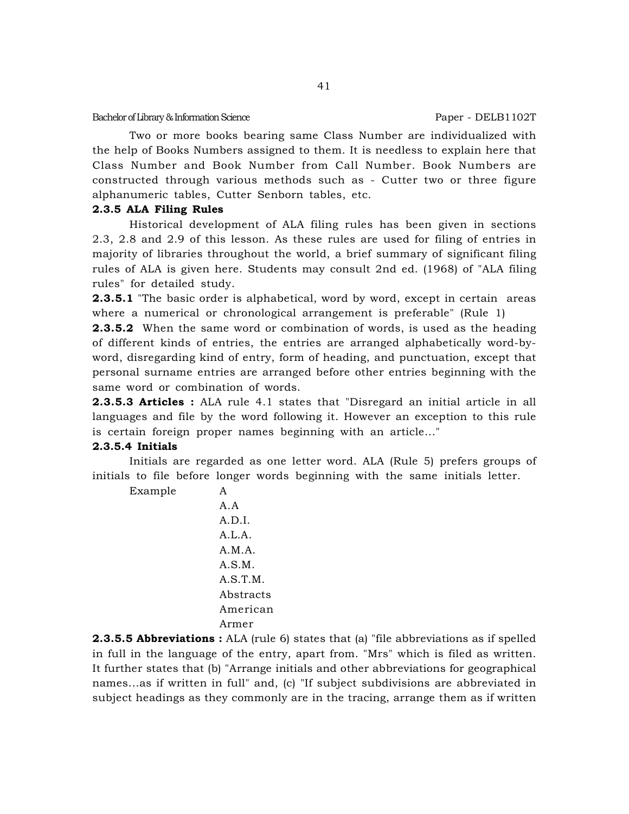Two or more books bearing same Class Number are individualized with the help of Books Numbers assigned to them. It is needless to explain here that Class Number and Book Number from Call Number. Book Numbers are constructed through various methods such as - Cutter two or three figure alphanumeric tables, Cutter Senborn tables, etc.

### **2.3.5 ALA Filing Rules**

Historical development of ALA filing rules has been given in sections 2.3, 2.8 and 2.9 of this lesson. As these rules are used for filing of entries in majority of libraries throughout the world, a brief summary of significant filing rules of ALA is given here. Students may consult 2nd ed. (1968) of "ALA filing rules" for detailed study.

**2.3.5.1** "The basic order is alphabetical, word by word, except in certain areas where a numerical or chronological arrangement is preferable" (Rule 1)

**2.3.5.2** When the same word or combination of words, is used as the heading of different kinds of entries, the entries are arranged alphabetically word-byword, disregarding kind of entry, form of heading, and punctuation, except that personal surname entries are arranged before other entries beginning with the same word or combination of words.

**2.3.5.3 Articles :** ALA rule 4.1 states that "Disregard an initial article in all languages and file by the word following it. However an exception to this rule is certain foreign proper names beginning with an article..."

## **2.3.5.4 Initials**

Initials are regarded as one letter word. ALA (Rule 5) prefers groups of initials to file before longer words beginning with the same initials letter.

Example A A.A A.D.I. A.L.A. A.M.A. A.S.M. A.S.T.M. Abstracts American Armer

**2.3.5.5 Abbreviations :** ALA (rule 6) states that (a) "file abbreviations as if spelled in full in the language of the entry, apart from. "Mrs" which is filed as written. It further states that (b) "Arrange initials and other abbreviations for geographical names...as if written in full" and, (c) "If subject subdivisions are abbreviated in subject headings as they commonly are in the tracing, arrange them as if written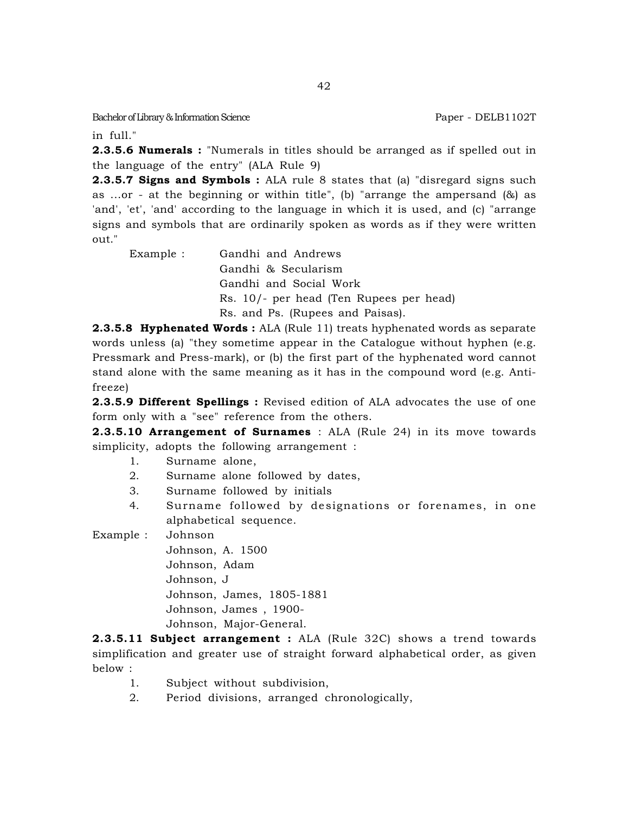in full."

**2.3.5.6 Numerals :** "Numerals in titles should be arranged as if spelled out in the language of the entry" (ALA Rule 9)

**2.3.5.7 Signs and Symbols :** ALA rule 8 states that (a) "disregard signs such as ...or - at the beginning or within title", (b) "arrange the ampersand  $(8)$  as 'and', 'et', 'and' according to the language in which it is used, and (c) "arrange signs and symbols that are ordinarily spoken as words as if they were written out."

Example : Gandhi and Andrews Gandhi & Secularism Gandhi and Social Work Rs. 10/- per head (Ten Rupees per head) Rs. and Ps. (Rupees and Paisas).

**2.3.5.8 Hyphenated Words :** ALA (Rule 11) treats hyphenated words as separate words unless (a) "they sometime appear in the Catalogue without hyphen (e.g. Pressmark and Press-mark), or (b) the first part of the hyphenated word cannot stand alone with the same meaning as it has in the compound word (e.g. Antifreeze)

**2.3.5.9 Different Spellings :** Revised edition of ALA advocates the use of one form only with a "see" reference from the others.

**2.3.5.10 Arrangement of Surnames** : ALA (Rule 24) in its move towards simplicity, adopts the following arrangement :

- 1. Surname alone,
- 2. Surname alone followed by dates,
- 3. Surname followed by initials
- 4. Surname followed by designations or forenames, in one alphabetical sequence.

Example : Johnson

Johnson, A. 1500 Johnson, Adam Johnson, J Johnson, James, 1805-1881 Johnson, James , 1900- Johnson, Major-General.

**2.3.5.11 Subject arrangement :** ALA (Rule 32C) shows a trend towards simplification and greater use of straight forward alphabetical order, as given below :

- 1. Subject without subdivision,
- 2. Period divisions, arranged chronologically,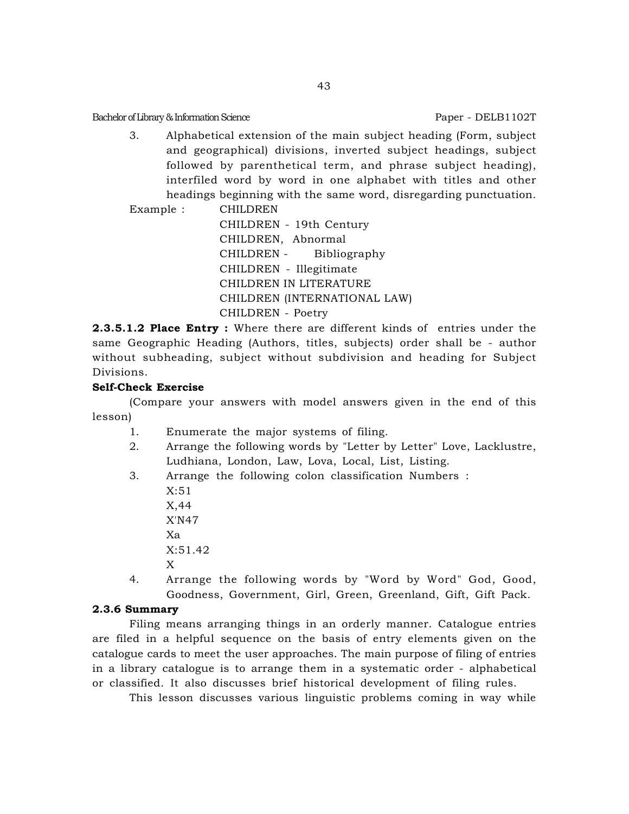3. Alphabetical extension of the main subject heading (Form, subject and geographical) divisions, inverted subject headings, subject followed by parenthetical term, and phrase subject heading), interfiled word by word in one alphabet with titles and other headings beginning with the same word, disregarding punctuation.

Example : CHILDREN CHILDREN - 19th Century CHILDREN, Abnormal CHILDREN - Bibliography CHILDREN - Illegitimate CHILDREN IN LITERATURE CHILDREN (INTERNATIONAL LAW) CHILDREN - Poetry

**2.3.5.1.2 Place Entry :** Where there are different kinds of entries under the same Geographic Heading (Authors, titles, subjects) order shall be - author without subheading, subject without subdivision and heading for Subject Divisions.

### **Self-Check Exercise**

(Compare your answers with model answers given in the end of this lesson)

- 1. Enumerate the major systems of filing.
- 2. Arrange the following words by "Letter by Letter" Love, Lacklustre, Ludhiana, London, Law, Lova, Local, List, Listing.
- 3. Arrange the following colon classification Numbers : X:51 X,44 X'N47 Xa X:51.42 X 4. Arrange the following words by "Word by Word" God, Good, Goodness, Government, Girl, Green, Greenland, Gift, Gift Pack.

#### **2.3.6 Summary**

Filing means arranging things in an orderly manner. Catalogue entries are filed in a helpful sequence on the basis of entry elements given on the catalogue cards to meet the user approaches. The main purpose of filing of entries in a library catalogue is to arrange them in a systematic order - alphabetical or classified. It also discusses brief historical development of filing rules.

This lesson discusses various linguistic problems coming in way while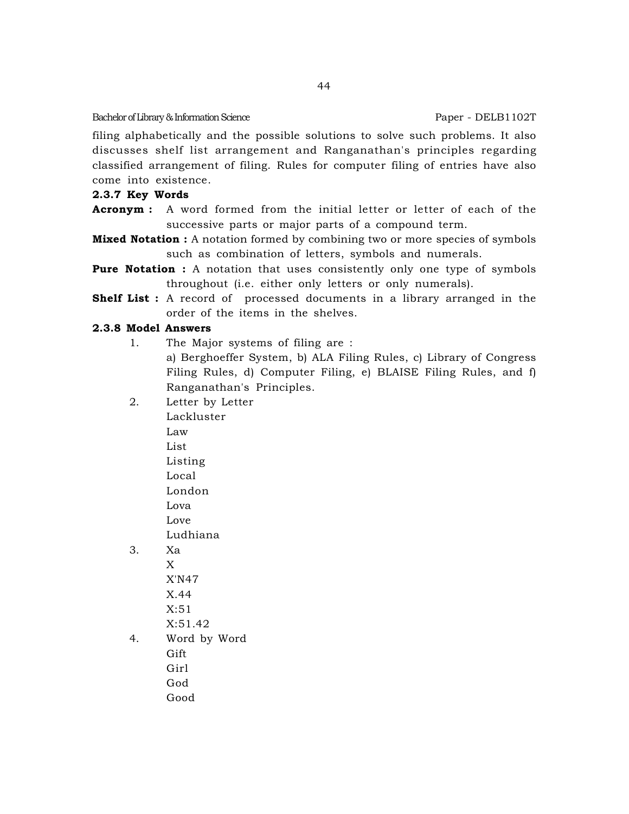filing alphabetically and the possible solutions to solve such problems. It also discusses shelf list arrangement and Ranganathan's principles regarding classified arrangement of filing. Rules for computer filing of entries have also come into existence.

## **2.3.7 Key Words**

- **Acronym :** A word formed from the initial letter or letter of each of the successive parts or major parts of a compound term.
- **Mixed Notation :** A notation formed by combining two or more species of symbols such as combination of letters, symbols and numerals.
- **Pure Notation :** A notation that uses consistently only one type of symbols throughout (i.e. either only letters or only numerals).
- **Shelf List :** A record of processed documents in a library arranged in the order of the items in the shelves.

# **2.3.8 Model Answers**

- 1. The Major systems of filing are : a) Berghoeffer System, b) ALA Filing Rules, c) Library of Congress Filing Rules, d) Computer Filing, e) BLAISE Filing Rules, and f) Ranganathan's Principles.
- 2. Letter by Letter

Lackluster Law List Listing Local London Lova Love Ludhiana 3. Xa X X'N47 X.44 X:51 X:51.42

4. Word by Word Gift Girl God Good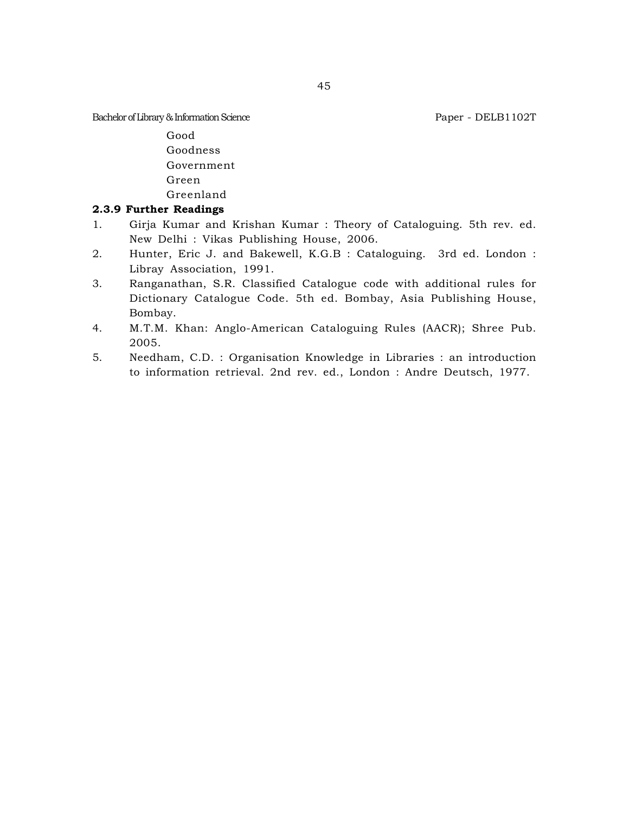Good Goodness Government Green Greenland

## **2.3.9 Further Readings**

- 1. Girja Kumar and Krishan Kumar : Theory of Cataloguing. 5th rev. ed. New Delhi : Vikas Publishing House, 2006.
- 2. Hunter, Eric J. and Bakewell, K.G.B : Cataloguing. 3rd ed. London : Libray Association, 1991.
- 3. Ranganathan, S.R. Classified Catalogue code with additional rules for Dictionary Catalogue Code. 5th ed. Bombay, Asia Publishing House, Bombay.
- 4. M.T.M. Khan: Anglo-American Cataloguing Rules (AACR); Shree Pub. 2005.
- 5. Needham, C.D. : Organisation Knowledge in Libraries : an introduction to information retrieval. 2nd rev. ed., London : Andre Deutsch, 1977.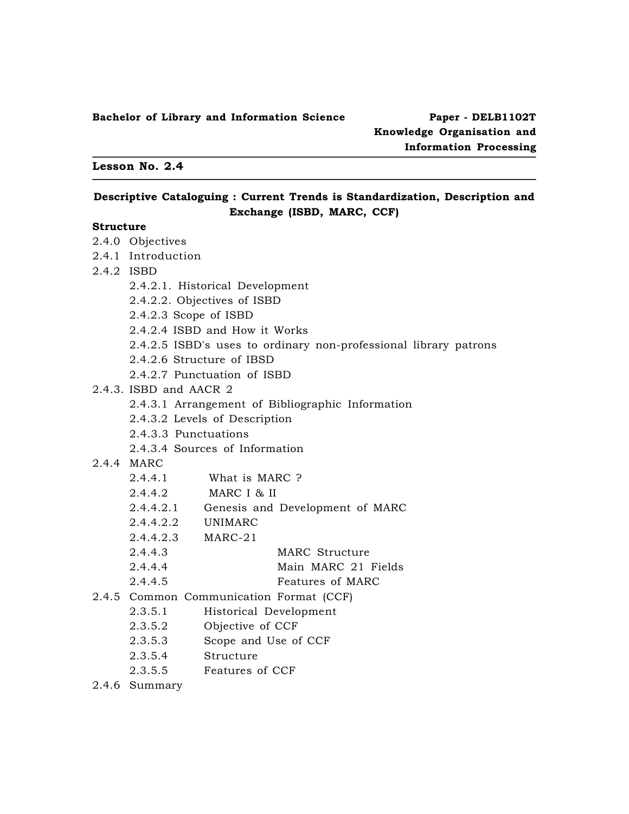### **Lesson No. 2.4**

## **Descriptive Cataloguing : Current Trends is Standardization, Description and Exchange (ISBD, MARC, CCF)**

### **Structure**

|            | 2.4.0 Objectives                                                 |                                                  |  |  |  |
|------------|------------------------------------------------------------------|--------------------------------------------------|--|--|--|
|            | 2.4.1 Introduction                                               |                                                  |  |  |  |
| 2.4.2 ISBD |                                                                  |                                                  |  |  |  |
|            |                                                                  | 2.4.2.1. Historical Development                  |  |  |  |
|            |                                                                  | 2.4.2.2. Objectives of ISBD                      |  |  |  |
|            | $2.4.2.3$ Scope of ISBD                                          |                                                  |  |  |  |
|            |                                                                  | 2.4.2.4 ISBD and How it Works                    |  |  |  |
|            | 2.4.2.5 ISBD's uses to ordinary non-professional library patrons |                                                  |  |  |  |
|            | 2.4.2.6 Structure of IBSD                                        |                                                  |  |  |  |
|            | 2.4.2.7 Punctuation of ISBD                                      |                                                  |  |  |  |
|            | 2.4.3. ISBD and AACR 2                                           |                                                  |  |  |  |
|            |                                                                  | 2.4.3.1 Arrangement of Bibliographic Information |  |  |  |
|            |                                                                  | 2.4.3.2 Levels of Description                    |  |  |  |
|            | 2.4.3.3 Punctuations                                             |                                                  |  |  |  |
|            |                                                                  | 2.4.3.4 Sources of Information                   |  |  |  |
|            | 2.4.4 MARC                                                       |                                                  |  |  |  |
|            | 2.4.4.1                                                          | What is MARC ?                                   |  |  |  |
|            |                                                                  | 2.4.4.2 MARC I & II                              |  |  |  |
|            |                                                                  | 2.4.4.2.1 Genesis and Development of MARC        |  |  |  |
|            | 2.4.4.2.2 UNIMARC                                                |                                                  |  |  |  |
|            | 2.4.4.2.3 MARC-21                                                |                                                  |  |  |  |
|            | 2.4.4.3                                                          | MARC Structure                                   |  |  |  |
|            | 2.4.4.4                                                          | Main MARC 21 Fields                              |  |  |  |
|            | 2.4.4.5                                                          | Features of MARC                                 |  |  |  |
|            | 2.4.5 Common Communication Format (CCF)                          |                                                  |  |  |  |
|            | 2.3.5.1                                                          | Historical Development                           |  |  |  |
|            | 2.3.5.2                                                          | Objective of CCF                                 |  |  |  |
|            | 2.3.5.3                                                          | Scope and Use of CCF                             |  |  |  |
|            | 2.3.5.4                                                          | Structure                                        |  |  |  |
|            |                                                                  | 2.3.5.5 Features of CCF                          |  |  |  |
|            | 2.4.6 Summary                                                    |                                                  |  |  |  |
|            |                                                                  |                                                  |  |  |  |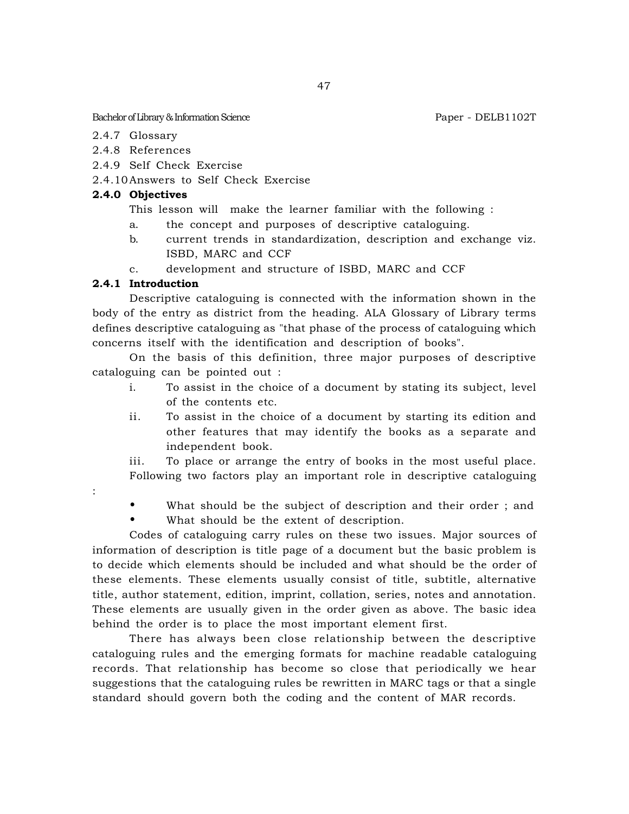- 2.4.7 Glossary
- 2.4.8 References
- 2.4.9 Self Check Exercise
- 2.4.10Answers to Self Check Exercise

### **2.4.0 Objectives**

- This lesson will make the learner familiar with the following :
- a. the concept and purposes of descriptive cataloguing.
- b. current trends in standardization, description and exchange viz. ISBD, MARC and CCF
- c. development and structure of ISBD, MARC and CCF

## **2.4.1 Introduction**

Descriptive cataloguing is connected with the information shown in the body of the entry as district from the heading. ALA Glossary of Library terms defines descriptive cataloguing as "that phase of the process of cataloguing which concerns itself with the identification and description of books".

On the basis of this definition, three major purposes of descriptive cataloguing can be pointed out :

- i. To assist in the choice of a document by stating its subject, level of the contents etc.
- ii. To assist in the choice of a document by starting its edition and other features that may identify the books as a separate and independent book.

iii. To place or arrange the entry of books in the most useful place. Following two factors play an important role in descriptive cataloguing

:

• What should be the subject of description and their order ; and

What should be the extent of description.

Codes of cataloguing carry rules on these two issues. Major sources of information of description is title page of a document but the basic problem is to decide which elements should be included and what should be the order of these elements. These elements usually consist of title, subtitle, alternative title, author statement, edition, imprint, collation, series, notes and annotation. These elements are usually given in the order given as above. The basic idea behind the order is to place the most important element first.

There has always been close relationship between the descriptive cataloguing rules and the emerging formats for machine readable cataloguing records. That relationship has become so close that periodically we hear suggestions that the cataloguing rules be rewritten in MARC tags or that a single standard should govern both the coding and the content of MAR records.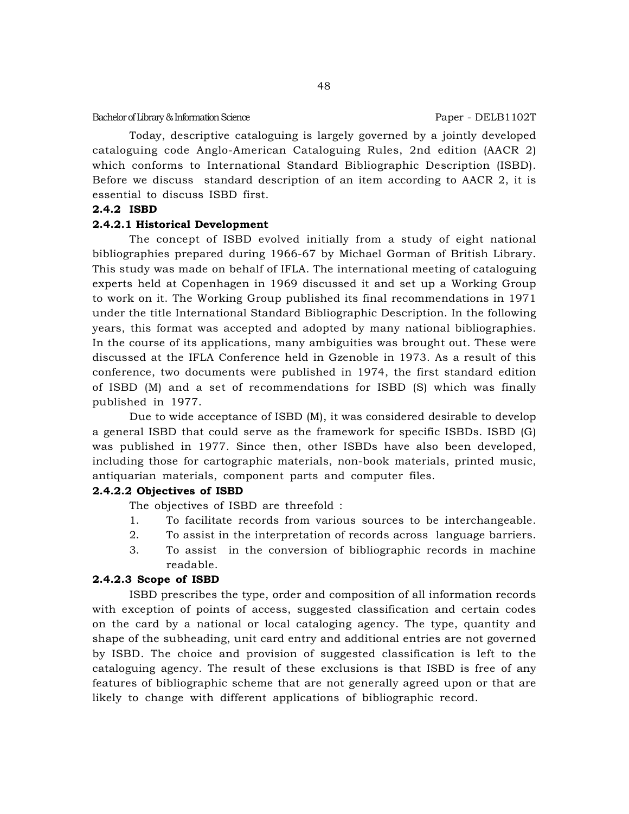Today, descriptive cataloguing is largely governed by a jointly developed cataloguing code Anglo-American Cataloguing Rules, 2nd edition (AACR 2) which conforms to International Standard Bibliographic Description (ISBD). Before we discuss standard description of an item according to AACR 2, it is essential to discuss ISBD first.

### **2.4.2 ISBD**

### **2.4.2.1 Historical Development**

The concept of ISBD evolved initially from a study of eight national bibliographies prepared during 1966-67 by Michael Gorman of British Library. This study was made on behalf of IFLA. The international meeting of cataloguing experts held at Copenhagen in 1969 discussed it and set up a Working Group to work on it. The Working Group published its final recommendations in 1971 under the title International Standard Bibliographic Description. In the following years, this format was accepted and adopted by many national bibliographies. In the course of its applications, many ambiguities was brought out. These were discussed at the IFLA Conference held in Gzenoble in 1973. As a result of this conference, two documents were published in 1974, the first standard edition of ISBD (M) and a set of recommendations for ISBD (S) which was finally published in 1977.

Due to wide acceptance of ISBD (M), it was considered desirable to develop a general ISBD that could serve as the framework for specific ISBDs. ISBD (G) was published in 1977. Since then, other ISBDs have also been developed, including those for cartographic materials, non-book materials, printed music, antiquarian materials, component parts and computer files.

#### **2.4.2.2 Objectives of ISBD**

The objectives of ISBD are threefold :

- 1. To facilitate records from various sources to be interchangeable.
- 2. To assist in the interpretation of records across language barriers.
- 3. To assist in the conversion of bibliographic records in machine readable.

#### **2.4.2.3 Scope of ISBD**

ISBD prescribes the type, order and composition of all information records with exception of points of access, suggested classification and certain codes on the card by a national or local cataloging agency. The type, quantity and shape of the subheading, unit card entry and additional entries are not governed by ISBD. The choice and provision of suggested classification is left to the cataloguing agency. The result of these exclusions is that ISBD is free of any features of bibliographic scheme that are not generally agreed upon or that are likely to change with different applications of bibliographic record.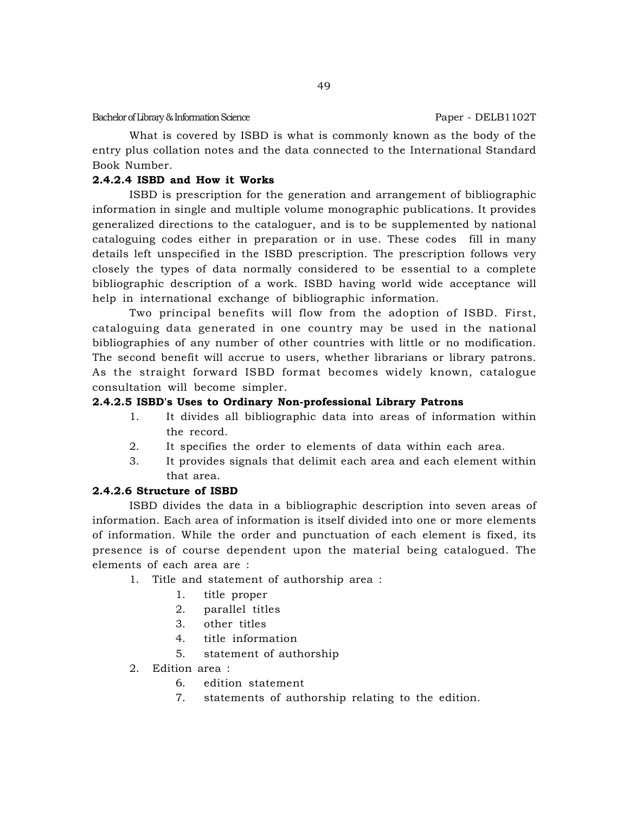What is covered by ISBD is what is commonly known as the body of the entry plus collation notes and the data connected to the International Standard Book Number.

# **2.4.2.4 ISBD and How it Works**

ISBD is prescription for the generation and arrangement of bibliographic information in single and multiple volume monographic publications. It provides generalized directions to the cataloguer, and is to be supplemented by national cataloguing codes either in preparation or in use. These codes fill in many details left unspecified in the ISBD prescription. The prescription follows very closely the types of data normally considered to be essential to a complete bibliographic description of a work. ISBD having world wide acceptance will help in international exchange of bibliographic information.

Two principal benefits will flow from the adoption of ISBD. First, cataloguing data generated in one country may be used in the national bibliographies of any number of other countries with little or no modification. The second benefit will accrue to users, whether librarians or library patrons. As the straight forward ISBD format becomes widely known, catalogue consultation will become simpler.

# **2.4.2.5 ISBD's Uses to Ordinary Non-professional Library Patrons**

- 1. It divides all bibliographic data into areas of information within the record.
- 2. It specifies the order to elements of data within each area.
- 3. It provides signals that delimit each area and each element within that area.

# **2.4.2.6 Structure of ISBD**

ISBD divides the data in a bibliographic description into seven areas of information. Each area of information is itself divided into one or more elements of information. While the order and punctuation of each element is fixed, its presence is of course dependent upon the material being catalogued. The elements of each area are :

- 1. Title and statement of authorship area :
	- 1. title proper
	- 2. parallel titles
	- 3. other titles
	- 4. title information
	- 5. statement of authorship
- 2. Edition area :
	- 6. edition statement
	- 7. statements of authorship relating to the edition.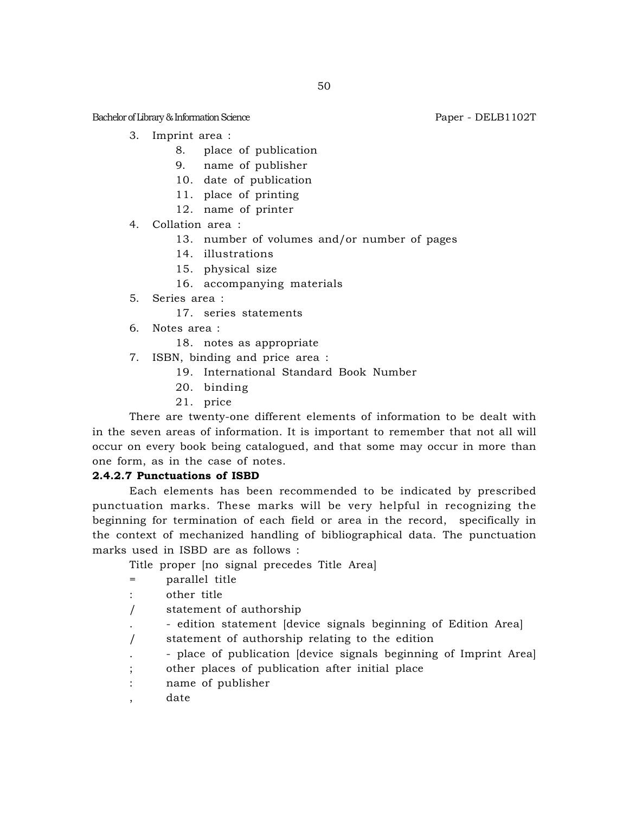Bachelor of Library & Information Science **Paper - DELB1102T** Paper - DELB1102T

- 3. Imprint area :
	- 8. place of publication
	- 9. name of publisher
	- 10. date of publication
	- 11. place of printing
	- 12. name of printer
- 4. Collation area :
	- 13. number of volumes and/or number of pages
	- 14. illustrations
	- 15. physical size
	- 16. accompanying materials
- 5. Series area :
	- 17. series statements
- 6. Notes area :
	- 18. notes as appropriate
- 7. ISBN, binding and price area :
	- 19. International Standard Book Number
	- 20. binding
	- 21. price

There are twenty-one different elements of information to be dealt with in the seven areas of information. It is important to remember that not all will occur on every book being catalogued, and that some may occur in more than one form, as in the case of notes.

## **2.4.2.7 Punctuations of ISBD**

Each elements has been recommended to be indicated by prescribed punctuation marks. These marks will be very helpful in recognizing the beginning for termination of each field or area in the record, specifically in the context of mechanized handling of bibliographical data. The punctuation marks used in ISBD are as follows :

Title proper [no signal precedes Title Area]

- = parallel title
- : other title
- / statement of authorship
- . edition statement [device signals beginning of Edition Area]
- / statement of authorship relating to the edition
- . place of publication [device signals beginning of Imprint Area]
- ; other places of publication after initial place
- : name of publisher
- , date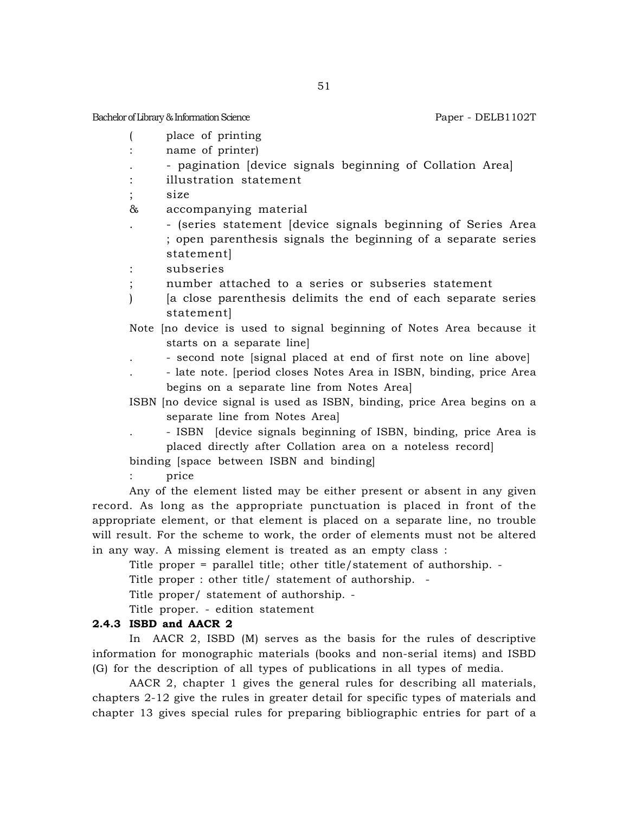Bachelor of Library & Information Science **Paper - DELB1102T** Paper - DELB1102T

- ( place of printing
- : name of printer)
- . pagination [device signals beginning of Collation Area]
- : illustration statement
- size

& accompanying material

. - (series statement [device signals beginning of Series Area ; open parenthesis signals the beginning of a separate series statement]

: subseries

- ; number attached to a series or subseries statement
- ) [a close parenthesis delimits the end of each separate series statement]
- Note [no device is used to signal beginning of Notes Area because it starts on a separate line]
	- . second note [signal placed at end of first note on line above]
	- . late note. [period closes Notes Area in ISBN, binding, price Area begins on a separate line from Notes Area]

ISBN [no device signal is used as ISBN, binding, price Area begins on a separate line from Notes Area]

. - ISBN [device signals beginning of ISBN, binding, price Area is placed directly after Collation area on a noteless record]

binding [space between ISBN and binding]

: price

Any of the element listed may be either present or absent in any given record. As long as the appropriate punctuation is placed in front of the appropriate element, or that element is placed on a separate line, no trouble will result. For the scheme to work, the order of elements must not be altered in any way. A missing element is treated as an empty class :

Title proper = parallel title; other title/statement of authorship. -

Title proper : other title/ statement of authorship. -

Title proper/ statement of authorship. -

Title proper. - edition statement

### **2.4.3 ISBD and AACR 2**

In AACR 2, ISBD (M) serves as the basis for the rules of descriptive information for monographic materials (books and non-serial items) and ISBD (G) for the description of all types of publications in all types of media.

AACR 2, chapter 1 gives the general rules for describing all materials, chapters 2-12 give the rules in greater detail for specific types of materials and chapter 13 gives special rules for preparing bibliographic entries for part of a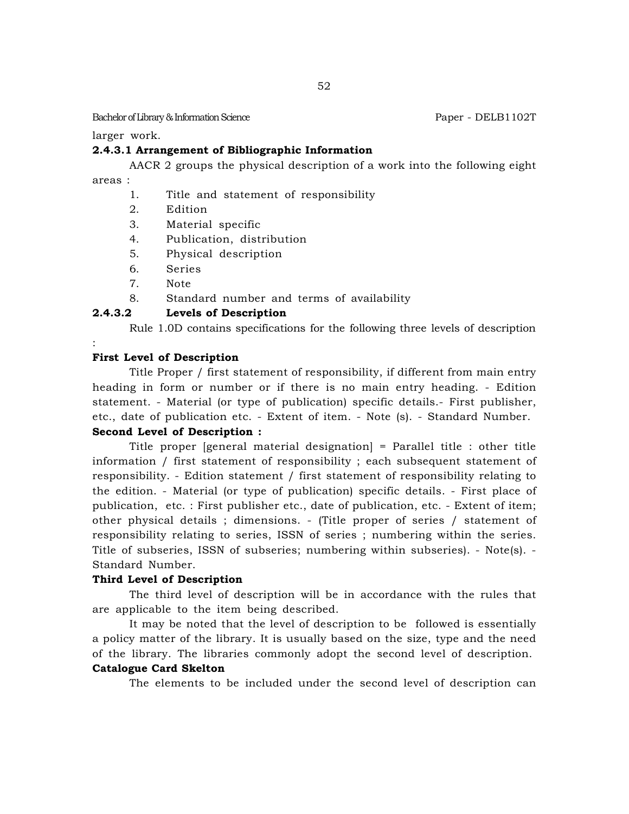larger work.

## **2.4.3.1 Arrangement of Bibliographic Information**

AACR 2 groups the physical description of a work into the following eight

areas :

:

- 1. Title and statement of responsibility
- 2. Edition
- 3. Material specific
- 4. Publication, distribution
- 5. Physical description
- 6. Series
- 7. Note
- 8. Standard number and terms of availability

## **2.4.3.2 Levels of Description**

Rule 1.0D contains specifications for the following three levels of description

#### **First Level of Description**

Title Proper / first statement of responsibility, if different from main entry heading in form or number or if there is no main entry heading. - Edition statement. - Material (or type of publication) specific details.- First publisher, etc., date of publication etc. - Extent of item. - Note (s). - Standard Number.

### **Second Level of Description :**

Title proper [general material designation] = Parallel title : other title information / first statement of responsibility ; each subsequent statement of responsibility. - Edition statement / first statement of responsibility relating to the edition. - Material (or type of publication) specific details. - First place of publication, etc. : First publisher etc., date of publication, etc. - Extent of item; other physical details ; dimensions. - (Title proper of series / statement of responsibility relating to series, ISSN of series ; numbering within the series. Title of subseries, ISSN of subseries; numbering within subseries). - Note(s). - Standard Number.

#### **Third Level of Description**

The third level of description will be in accordance with the rules that are applicable to the item being described.

It may be noted that the level of description to be followed is essentially a policy matter of the library. It is usually based on the size, type and the need of the library. The libraries commonly adopt the second level of description.

## **Catalogue Card Skelton**

The elements to be included under the second level of description can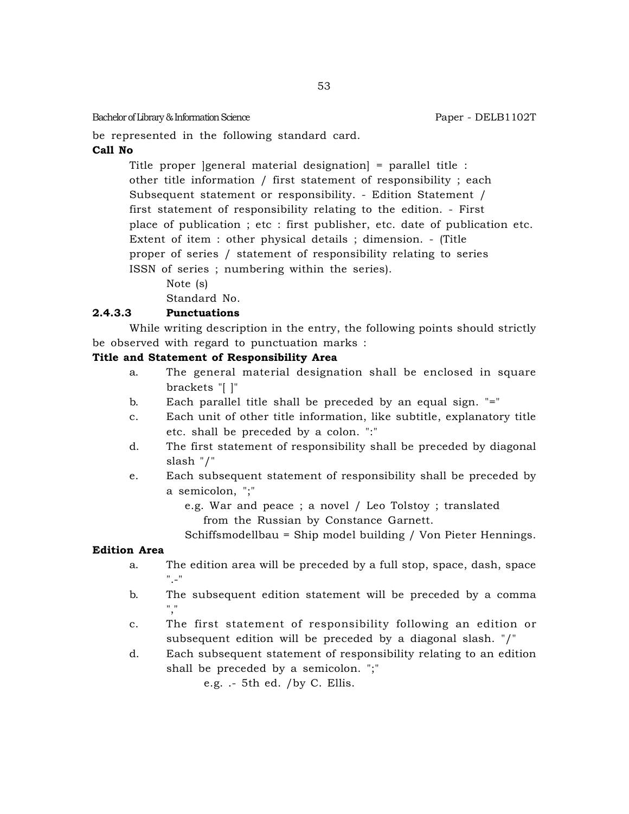be represented in the following standard card.

## **Call No**

Title proper ]general material designation] = parallel title : other title information / first statement of responsibility ; each Subsequent statement or responsibility. - Edition Statement / first statement of responsibility relating to the edition. - First place of publication ; etc : first publisher, etc. date of publication etc. Extent of item : other physical details ; dimension. - (Title proper of series / statement of responsibility relating to series ISSN of series ; numbering within the series).

Note (s)

Standard No.

## **2.4.3.3 Punctuations**

While writing description in the entry, the following points should strictly be observed with regard to punctuation marks :

## **Title and Statement of Responsibility Area**

- a. The general material designation shall be enclosed in square brackets "[ ]"
- b. Each parallel title shall be preceded by an equal sign. "="
- c. Each unit of other title information, like subtitle, explanatory title etc. shall be preceded by a colon. ":"
- d. The first statement of responsibility shall be preceded by diagonal slash "/"
- e. Each subsequent statement of responsibility shall be preceded by a semicolon, ";"

e.g. War and peace ; a novel / Leo Tolstoy ; translated from the Russian by Constance Garnett.

Schiffsmodellbau = Ship model building / Von Pieter Hennings.

## **Edition Area**

- a. The edition area will be preceded by a full stop, space, dash, space  $\overline{\phantom{a}}$  .
- b. The subsequent edition statement will be preceded by a comma ","
- c. The first statement of responsibility following an edition or subsequent edition will be preceded by a diagonal slash. "/"
- d. Each subsequent statement of responsibility relating to an edition shall be preceded by a semicolon. ";"

e.g. .- 5th ed. /by C. Ellis.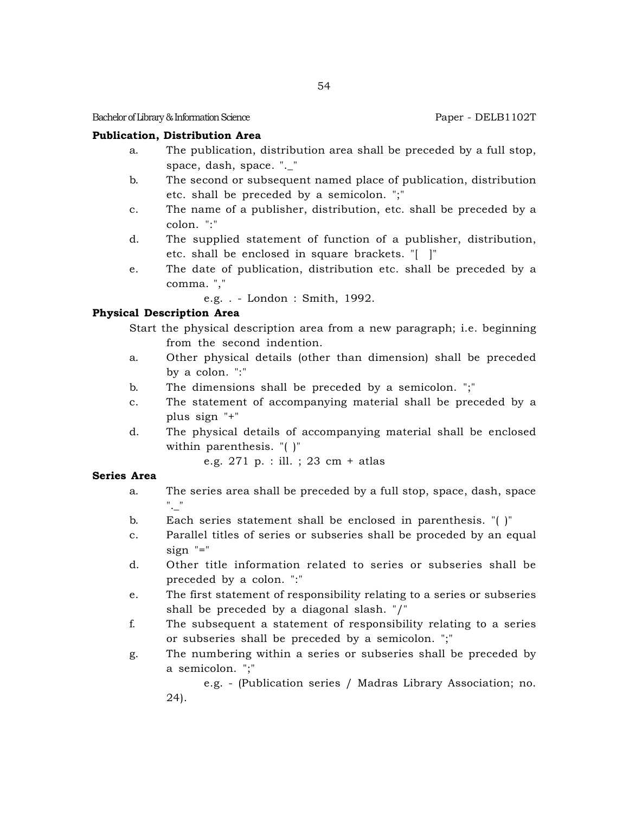Bachelor of Library & Information Science **Paper - DELB1102T** Paper - DELB1102T

## **Publication, Distribution Area**

- a. The publication, distribution area shall be preceded by a full stop, space, dash, space. ". "
- b. The second or subsequent named place of publication, distribution etc. shall be preceded by a semicolon. ";"
- c. The name of a publisher, distribution, etc. shall be preceded by a colon. ":"
- d. The supplied statement of function of a publisher, distribution, etc. shall be enclosed in square brackets. "[ ]"
- e. The date of publication, distribution etc. shall be preceded by a comma. ","

e.g. . - London : Smith, 1992.

## **Physical Description Area**

Start the physical description area from a new paragraph; i.e. beginning from the second indention.

- a. Other physical details (other than dimension) shall be preceded by a colon. ":"
- b. The dimensions shall be preceded by a semicolon. ";"
- c. The statement of accompanying material shall be preceded by a plus sign "+"
- d. The physical details of accompanying material shall be enclosed within parenthesis. "( )"

e.g. 271 p. : ill. ; 23 cm + atlas

## **Series Area**

- a. The series area shall be preceded by a full stop, space, dash, space ".\_"
- b. Each series statement shall be enclosed in parenthesis. "( )"
- c. Parallel titles of series or subseries shall be proceded by an equal sign "="
- d. Other title information related to series or subseries shall be preceded by a colon. ":"
- e. The first statement of responsibility relating to a series or subseries shall be preceded by a diagonal slash. "/"
- f. The subsequent a statement of responsibility relating to a series or subseries shall be preceded by a semicolon. ";"
- g. The numbering within a series or subseries shall be preceded by a semicolon. ";"

e.g. - (Publication series / Madras Library Association; no. 24).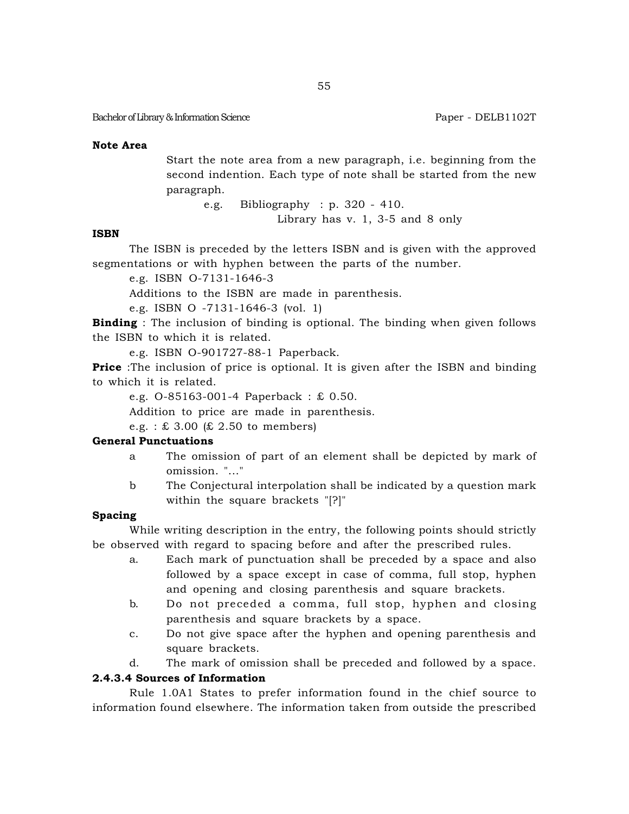#### **Note Area**

Start the note area from a new paragraph, i.e. beginning from the second indention. Each type of note shall be started from the new paragraph.

> e.g. Bibliography : p. 320 - 410. Library has v. 1, 3-5 and 8 only

#### **ISBN**

The ISBN is preceded by the letters ISBN and is given with the approved segmentations or with hyphen between the parts of the number.

e.g. ISBN O-7131-1646-3

Additions to the ISBN are made in parenthesis.

e.g. ISBN O -7131-1646-3 (vol. 1)

**Binding** : The inclusion of binding is optional. The binding when given follows the ISBN to which it is related.

e.g. ISBN O-901727-88-1 Paperback.

**Price** :The inclusion of price is optional. It is given after the ISBN and binding to which it is related.

e.g. O-85163-001-4 Paperback : £ 0.50.

Addition to price are made in parenthesis.

e.g. :  $\pounds$  3.00 ( $\pounds$  2.50 to members)

## **General Punctuations**

- a The omission of part of an element shall be depicted by mark of omission. "..."
- b The Conjectural interpolation shall be indicated by a question mark within the square brackets "[?]"

### **Spacing**

While writing description in the entry, the following points should strictly be observed with regard to spacing before and after the prescribed rules.

- a. Each mark of punctuation shall be preceded by a space and also followed by a space except in case of comma, full stop, hyphen and opening and closing parenthesis and square brackets.
- b. Do not preceded a comma, full stop, hyphen and closing parenthesis and square brackets by a space.
- c. Do not give space after the hyphen and opening parenthesis and square brackets.
- d. The mark of omission shall be preceded and followed by a space.

## **2.4.3.4 Sources of Information**

Rule 1.0A1 States to prefer information found in the chief source to information found elsewhere. The information taken from outside the prescribed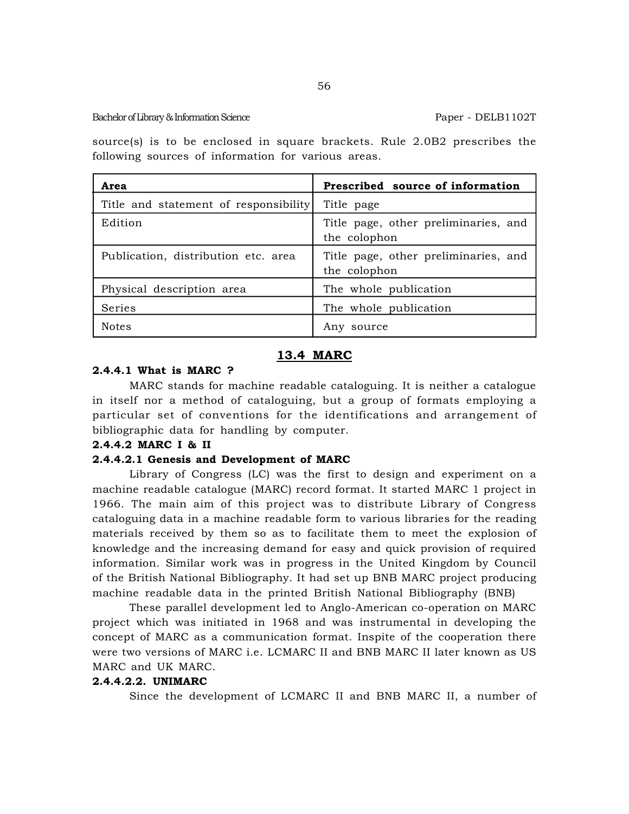source(s) is to be enclosed in square brackets. Rule 2.0B2 prescribes the following sources of information for various areas.

| Area                                  | Prescribed source of information                     |
|---------------------------------------|------------------------------------------------------|
| Title and statement of responsibility | Title page                                           |
| Edition                               | Title page, other preliminaries, and<br>the colophon |
| Publication, distribution etc. area   | Title page, other preliminaries, and<br>the colophon |
| Physical description area             | The whole publication                                |
| Series                                | The whole publication                                |
| <b>Notes</b>                          | source<br>Anv                                        |

## **13.4 MARC**

## **2.4.4.1 What is MARC ?**

MARC stands for machine readable cataloguing. It is neither a catalogue in itself nor a method of cataloguing, but a group of formats employing a particular set of conventions for the identifications and arrangement of bibliographic data for handling by computer.

#### **2.4.4.2 MARC I & II**

#### **2.4.4.2.1 Genesis and Development of MARC**

Library of Congress (LC) was the first to design and experiment on a machine readable catalogue (MARC) record format. It started MARC 1 project in 1966. The main aim of this project was to distribute Library of Congress cataloguing data in a machine readable form to various libraries for the reading materials received by them so as to facilitate them to meet the explosion of knowledge and the increasing demand for easy and quick provision of required information. Similar work was in progress in the United Kingdom by Council of the British National Bibliography. It had set up BNB MARC project producing machine readable data in the printed British National Bibliography (BNB)

These parallel development led to Anglo-American co-operation on MARC project which was initiated in 1968 and was instrumental in developing the concept of MARC as a communication format. Inspite of the cooperation there were two versions of MARC i.e. LCMARC II and BNB MARC II later known as US MARC and UK MARC.

#### **2.4.4.2.2. UNIMARC**

Since the development of LCMARC II and BNB MARC II, a number of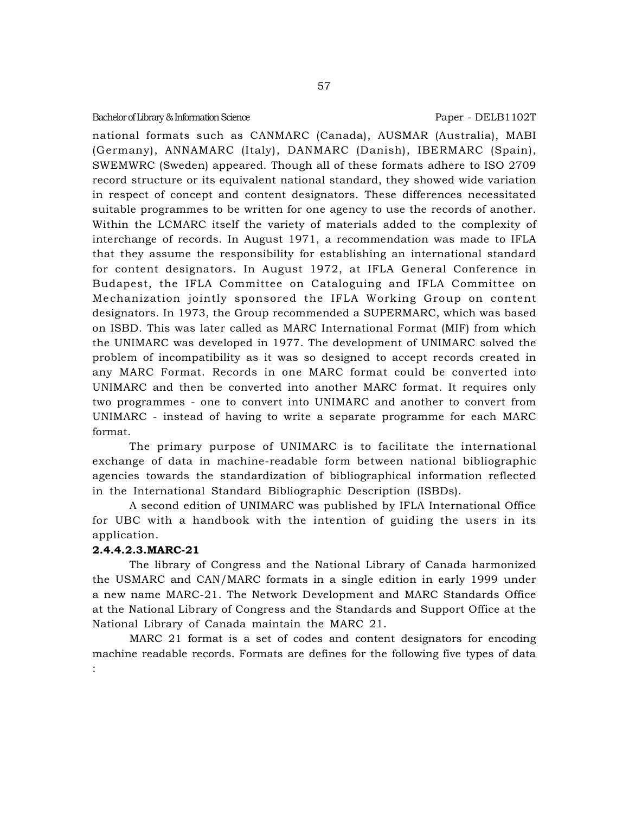national formats such as CANMARC (Canada), AUSMAR (Australia), MABI (Germany), ANNAMARC (Italy), DANMARC (Danish), IBERMARC (Spain), SWEMWRC (Sweden) appeared. Though all of these formats adhere to ISO 2709 record structure or its equivalent national standard, they showed wide variation in respect of concept and content designators. These differences necessitated suitable programmes to be written for one agency to use the records of another. Within the LCMARC itself the variety of materials added to the complexity of interchange of records. In August 1971, a recommendation was made to IFLA that they assume the responsibility for establishing an international standard for content designators. In August 1972, at IFLA General Conference in Budapest, the IFLA Committee on Cataloguing and IFLA Committee on Mechanization jointly sponsored the IFLA Working Group on content designators. In 1973, the Group recommended a SUPERMARC, which was based on ISBD. This was later called as MARC International Format (MIF) from which the UNIMARC was developed in 1977. The development of UNIMARC solved the problem of incompatibility as it was so designed to accept records created in any MARC Format. Records in one MARC format could be converted into UNIMARC and then be converted into another MARC format. It requires only two programmes - one to convert into UNIMARC and another to convert from UNIMARC - instead of having to write a separate programme for each MARC format.

The primary purpose of UNIMARC is to facilitate the international exchange of data in machine-readable form between national bibliographic agencies towards the standardization of bibliographical information reflected in the International Standard Bibliographic Description (ISBDs).

A second edition of UNIMARC was published by IFLA International Office for UBC with a handbook with the intention of guiding the users in its application.

## **2.4.4.2.3.MARC-21**

The library of Congress and the National Library of Canada harmonized the USMARC and CAN/MARC formats in a single edition in early 1999 under a new name MARC-21. The Network Development and MARC Standards Office at the National Library of Congress and the Standards and Support Office at the National Library of Canada maintain the MARC 21.

MARC 21 format is a set of codes and content designators for encoding machine readable records. Formats are defines for the following five types of data :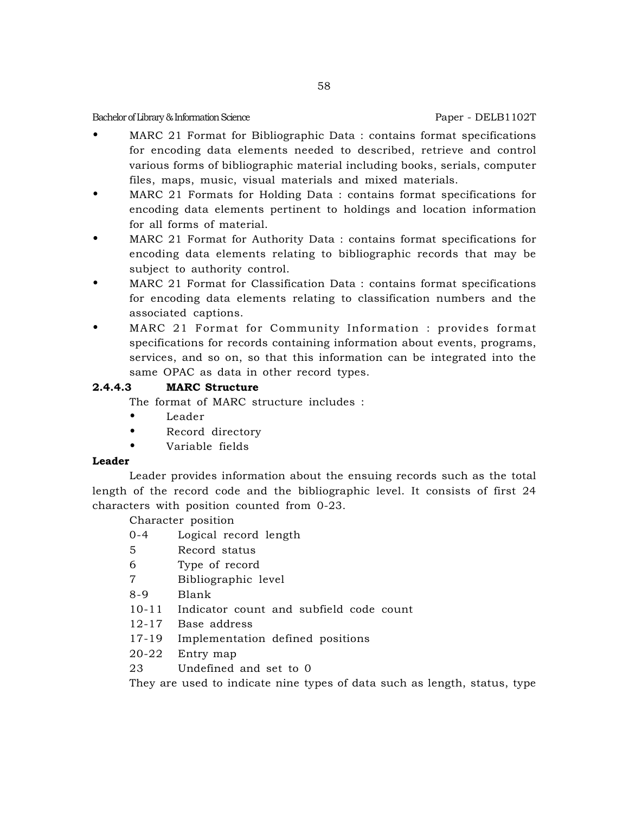- MARC 21 Format for Bibliographic Data : contains format specifications for encoding data elements needed to described, retrieve and control various forms of bibliographic material including books, serials, computer files, maps, music, visual materials and mixed materials.
- MARC 21 Formats for Holding Data : contains format specifications for encoding data elements pertinent to holdings and location information for all forms of material.
- MARC 21 Format for Authority Data : contains format specifications for encoding data elements relating to bibliographic records that may be subject to authority control.
- MARC 21 Format for Classification Data : contains format specifications for encoding data elements relating to classification numbers and the associated captions.
- MARC 21 Format for Community Information : provides format specifications for records containing information about events, programs, services, and so on, so that this information can be integrated into the same OPAC as data in other record types.

# **2.4.4.3 MARC Structure**

The format of MARC structure includes :

- Leader
- Record directory
- Variable fields

## **Leader**

Leader provides information about the ensuing records such as the total length of the record code and the bibliographic level. It consists of first 24 characters with position counted from 0-23.

Character position

- 0-4 Logical record length
- 5 Record status
- 6 Type of record
- 7 Bibliographic level
- 8-9 Blank
- 10-11 Indicator count and subfield code count
- 12-17 Base address
- 17-19 Implementation defined positions
- 20-22 Entry map
- 23 Undefined and set to 0

They are used to indicate nine types of data such as length, status, type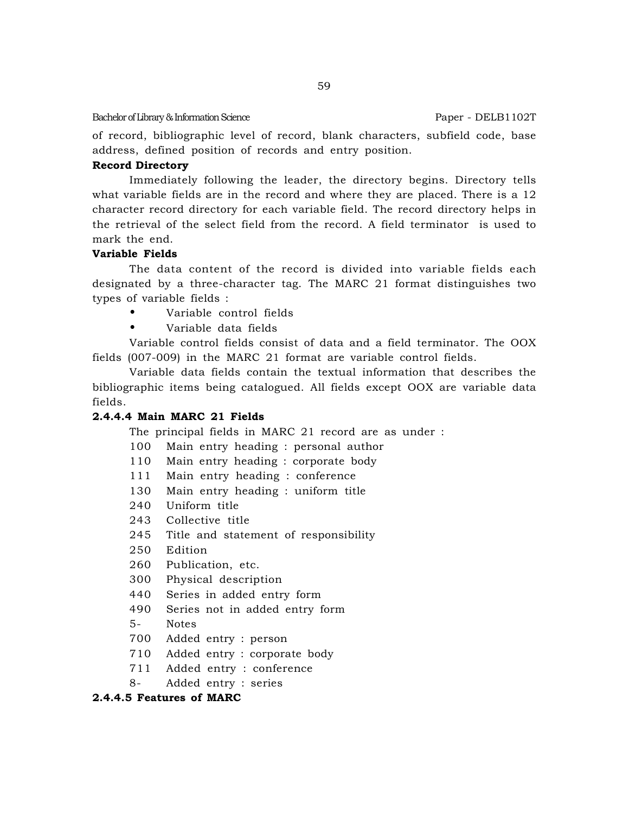of record, bibliographic level of record, blank characters, subfield code, base address, defined position of records and entry position.

### **Record Directory**

Immediately following the leader, the directory begins. Directory tells what variable fields are in the record and where they are placed. There is a 12 character record directory for each variable field. The record directory helps in the retrieval of the select field from the record. A field terminator is used to mark the end.

## **Variable Fields**

The data content of the record is divided into variable fields each designated by a three-character tag. The MARC 21 format distinguishes two types of variable fields :

- Variable control fields
- Variable data fields

Variable control fields consist of data and a field terminator. The OOX fields (007-009) in the MARC 21 format are variable control fields.

Variable data fields contain the textual information that describes the bibliographic items being catalogued. All fields except OOX are variable data fields.

## **2.4.4.4 Main MARC 21 Fields**

The principal fields in MARC 21 record are as under :

- 100 Main entry heading : personal author
- 110 Main entry heading : corporate body
- 111 Main entry heading : conference
- 130 Main entry heading : uniform title
- 240 Uniform title
- 243 Collective title
- 245 Title and statement of responsibility
- 250 Edition
- 260 Publication, etc.
- 300 Physical description
- 440 Series in added entry form
- 490 Series not in added entry form
- 5- Notes
- 700 Added entry : person
- 710 Added entry : corporate body
- 711 Added entry : conference
- 8- Added entry : series

#### **2.4.4.5 Features of MARC**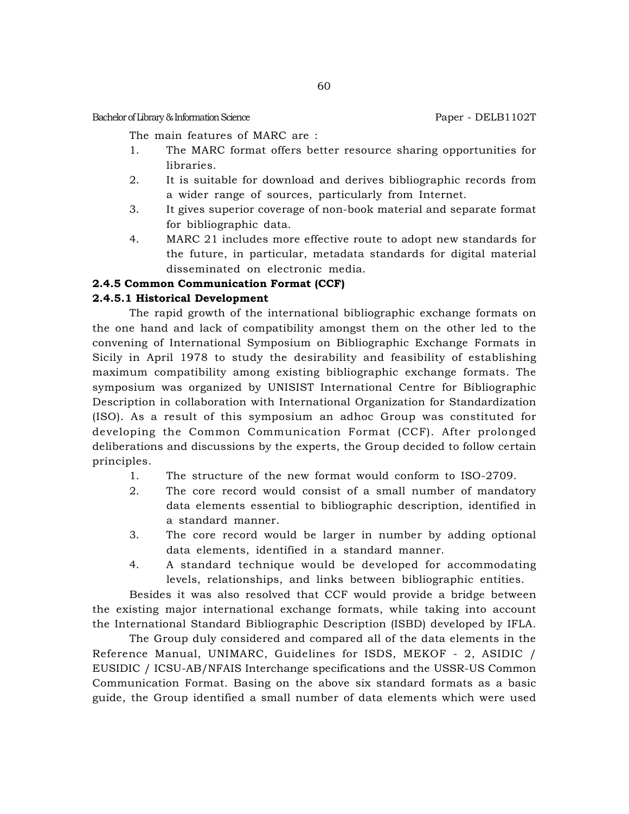The main features of MARC are :

- 1. The MARC format offers better resource sharing opportunities for libraries.
- 2. It is suitable for download and derives bibliographic records from a wider range of sources, particularly from Internet.
- 3. It gives superior coverage of non-book material and separate format for bibliographic data.
- 4. MARC 21 includes more effective route to adopt new standards for the future, in particular, metadata standards for digital material disseminated on electronic media.

## **2.4.5 Common Communication Format (CCF)**

## **2.4.5.1 Historical Development**

The rapid growth of the international bibliographic exchange formats on the one hand and lack of compatibility amongst them on the other led to the convening of International Symposium on Bibliographic Exchange Formats in Sicily in April 1978 to study the desirability and feasibility of establishing maximum compatibility among existing bibliographic exchange formats. The symposium was organized by UNISIST International Centre for Bibliographic Description in collaboration with International Organization for Standardization (ISO). As a result of this symposium an adhoc Group was constituted for developing the Common Communication Format (CCF). After prolonged deliberations and discussions by the experts, the Group decided to follow certain principles.

- 1. The structure of the new format would conform to ISO-2709.
- 2. The core record would consist of a small number of mandatory data elements essential to bibliographic description, identified in a standard manner.
- 3. The core record would be larger in number by adding optional data elements, identified in a standard manner.
- 4. A standard technique would be developed for accommodating levels, relationships, and links between bibliographic entities.

Besides it was also resolved that CCF would provide a bridge between the existing major international exchange formats, while taking into account the International Standard Bibliographic Description (ISBD) developed by IFLA.

The Group duly considered and compared all of the data elements in the Reference Manual, UNIMARC, Guidelines for ISDS, MEKOF - 2, ASIDIC / EUSIDIC / ICSU-AB/NFAIS Interchange specifications and the USSR-US Common Communication Format. Basing on the above six standard formats as a basic guide, the Group identified a small number of data elements which were used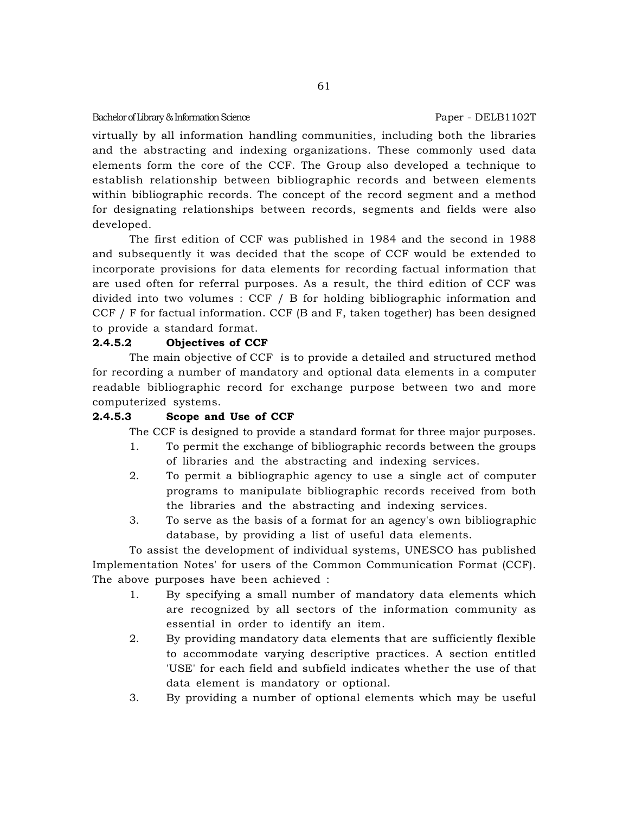virtually by all information handling communities, including both the libraries and the abstracting and indexing organizations. These commonly used data elements form the core of the CCF. The Group also developed a technique to establish relationship between bibliographic records and between elements within bibliographic records. The concept of the record segment and a method for designating relationships between records, segments and fields were also developed.

The first edition of CCF was published in 1984 and the second in 1988 and subsequently it was decided that the scope of CCF would be extended to incorporate provisions for data elements for recording factual information that are used often for referral purposes. As a result, the third edition of CCF was divided into two volumes : CCF / B for holding bibliographic information and CCF  $/$  F for factual information. CCF (B and F, taken together) has been designed to provide a standard format.

## **2.4.5.2 Objectives of CCF**

The main objective of CCF is to provide a detailed and structured method for recording a number of mandatory and optional data elements in a computer readable bibliographic record for exchange purpose between two and more computerized systems.

## **2.4.5.3 Scope and Use of CCF**

The CCF is designed to provide a standard format for three major purposes.

- 1. To permit the exchange of bibliographic records between the groups of libraries and the abstracting and indexing services.
- 2. To permit a bibliographic agency to use a single act of computer programs to manipulate bibliographic records received from both the libraries and the abstracting and indexing services.
- 3. To serve as the basis of a format for an agency's own bibliographic database, by providing a list of useful data elements.

To assist the development of individual systems, UNESCO has published Implementation Notes' for users of the Common Communication Format (CCF). The above purposes have been achieved :

- 1. By specifying a small number of mandatory data elements which are recognized by all sectors of the information community as essential in order to identify an item.
- 2. By providing mandatory data elements that are sufficiently flexible to accommodate varying descriptive practices. A section entitled 'USE' for each field and subfield indicates whether the use of that data element is mandatory or optional.
- 3. By providing a number of optional elements which may be useful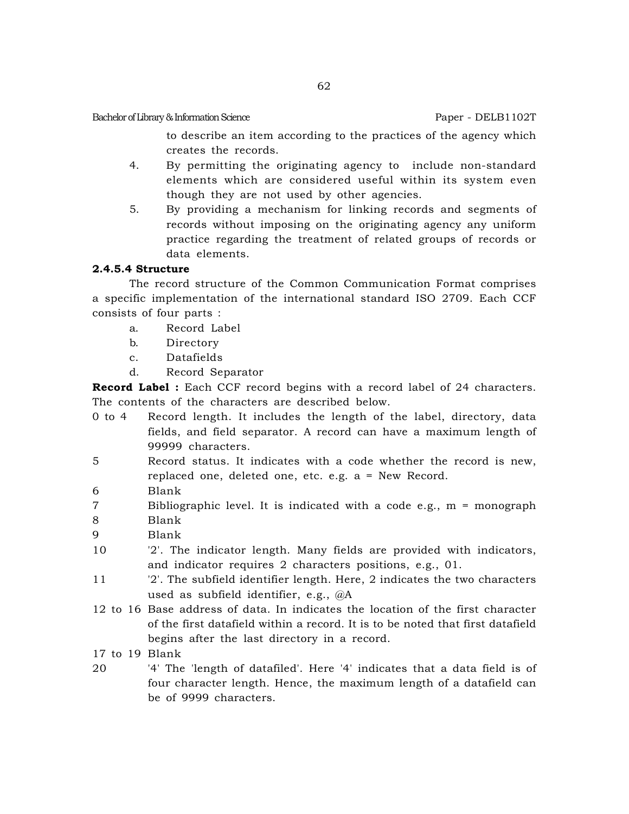to describe an item according to the practices of the agency which creates the records.

- 4. By permitting the originating agency to include non-standard elements which are considered useful within its system even though they are not used by other agencies.
- 5. By providing a mechanism for linking records and segments of records without imposing on the originating agency any uniform practice regarding the treatment of related groups of records or data elements.

## **2.4.5.4 Structure**

The record structure of the Common Communication Format comprises a specific implementation of the international standard ISO 2709. Each CCF consists of four parts :

- a. Record Label
- b. Directory
- c. Datafields
- d. Record Separator

**Record Label :** Each CCF record begins with a record label of 24 characters. The contents of the characters are described below.

- 0 to 4 Record length. It includes the length of the label, directory, data fields, and field separator. A record can have a maximum length of 99999 characters.
- 5 Record status. It indicates with a code whether the record is new, replaced one, deleted one, etc. e.g. a = New Record.
- 6 Blank
- 7 Bibliographic level. It is indicated with a code e.g., m = monograph
- 8 Blank
- 9 Blank
- 10 '2'. The indicator length. Many fields are provided with indicators, and indicator requires 2 characters positions, e.g., 01.
- 11 '2'. The subfield identifier length. Here, 2 indicates the two characters used as subfield identifier, e.g., @A
- 12 to 16 Base address of data. In indicates the location of the first character of the first datafield within a record. It is to be noted that first datafield begins after the last directory in a record.
- 17 to 19 Blank
- 20 '4' The 'length of datafiled'. Here '4' indicates that a data field is of four character length. Hence, the maximum length of a datafield can be of 9999 characters.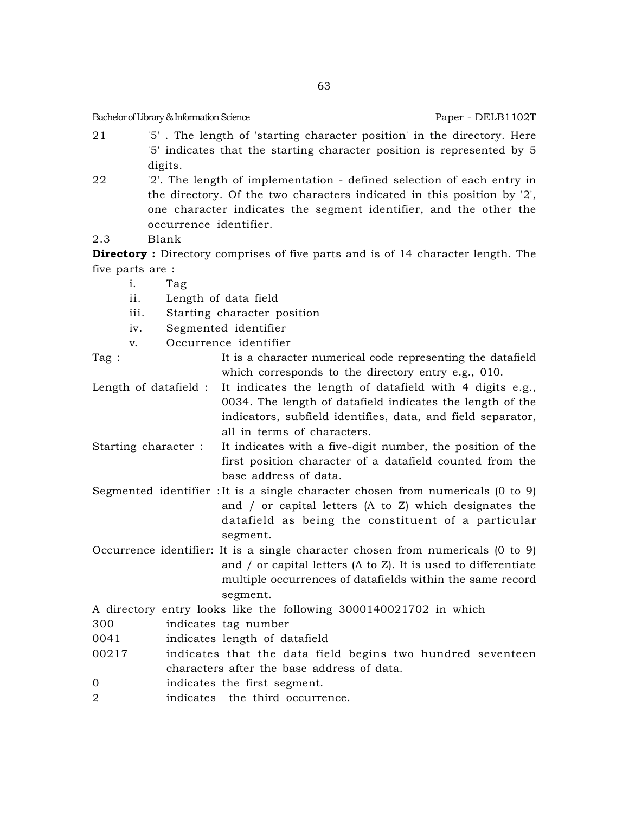- 21 '5' . The length of 'starting character position' in the directory. Here '5' indicates that the starting character position is represented by 5 digits.
- 22 '2'. The length of implementation defined selection of each entry in the directory. Of the two characters indicated in this position by '2', one character indicates the segment identifier, and the other the occurrence identifier.
- 2.3 Blank

**Directory :** Directory comprises of five parts and is of 14 character length. The five parts are :

- i. Tag
- ii. Length of data field
- iii. Starting character position
- iv. Segmented identifier
- v. Occurrence identifier
- Tag : It is a character numerical code representing the datafield which corresponds to the directory entry e.g., 010.
- Length of datafield : It indicates the length of datafield with 4 digits e.g., 0034. The length of datafield indicates the length of the indicators, subfield identifies, data, and field separator, all in terms of characters.
- Starting character : It indicates with a five-digit number, the position of the first position character of a datafield counted from the base address of data.
- Segmented identifier :It is a single character chosen from numericals (0 to 9) and / or capital letters (A to Z) which designates the datafield as being the constituent of a particular segment.
- Occurrence identifier: It is a single character chosen from numericals (0 to 9) and / or capital letters (A to Z). It is used to differentiate multiple occurrences of datafields within the same record segment.
- A directory entry looks like the following 3000140021702 in which
- 300 indicates tag number
- 0041 indicates length of datafield
- 00217 indicates that the data field begins two hundred seventeen characters after the base address of data.
- 0 indicates the first segment.
- 2 indicates the third occurrence.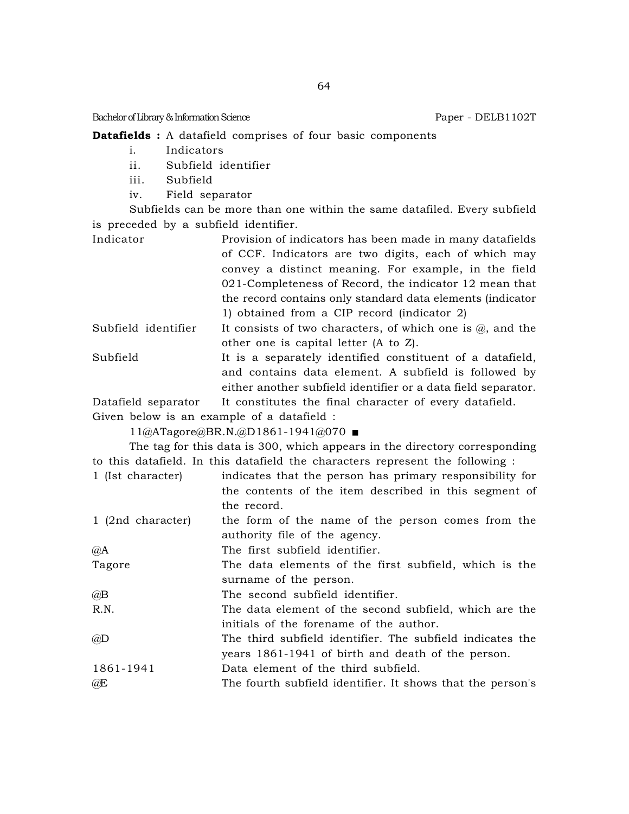### **Datafields :** A datafield comprises of four basic components

- i. Indicators
- ii. Subfield identifier
- iii. Subfield
- iv. Field separator

Subfields can be more than one within the same datafiled. Every subfield is preceded by a subfield identifier.

Indicator Provision of indicators has been made in many datafields of CCF. Indicators are two digits, each of which may convey a distinct meaning. For example, in the field 021-Completeness of Record, the indicator 12 mean that the record contains only standard data elements (indicator 1) obtained from a CIP record (indicator 2)

- Subfield identifier It consists of two characters, of which one is  $(a)$ , and the other one is capital letter (A to Z).
- Subfield It is a separately identified constituent of a datafield, and contains data element. A subfield is followed by either another subfield identifier or a data field separator.

Datafield separator It constitutes the final character of every datafield.

Given below is an example of a datafield :

11@ATagore@BR.N.@D1861-1941@070

The tag for this data is 300, which appears in the directory corresponding to this datafield. In this datafield the characters represent the following :

1 (Ist character) indicates that the person has primary responsibility for the contents of the item described in this segment of the record.

1 (2nd character) the form of the name of the person comes from the authority file of the agency.

@A The first subfield identifier.

Tagore The data elements of the first subfield, which is the surname of the person.

@B The second subfield identifier.

- R.N. The data element of the second subfield, which are the initials of the forename of the author.
- @D The third subfield identifier. The subfield indicates the years 1861-1941 of birth and death of the person.
- 1861-1941 Data element of the third subfield.

@E The fourth subfield identifier. It shows that the person's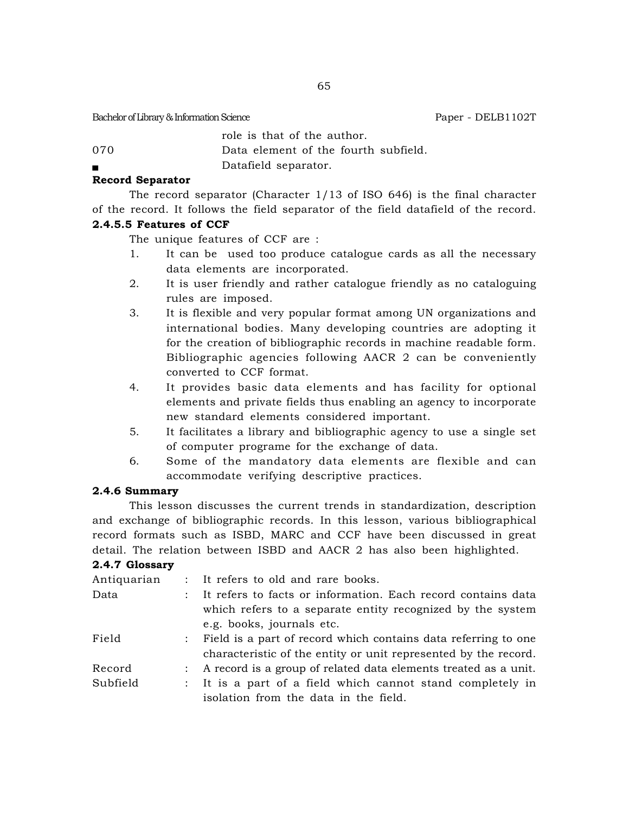role is that of the author.

070 Data element of the fourth subfield.

Datafield separator.

## **Record Separator**

The record separator (Character  $1/13$  of ISO 646) is the final character of the record. It follows the field separator of the field datafield of the record.

## **2.4.5.5 Features of CCF**

The unique features of CCF are :

- 1. It can be used too produce catalogue cards as all the necessary data elements are incorporated.
- 2. It is user friendly and rather catalogue friendly as no cataloguing rules are imposed.
- 3. It is flexible and very popular format among UN organizations and international bodies. Many developing countries are adopting it for the creation of bibliographic records in machine readable form. Bibliographic agencies following AACR 2 can be conveniently converted to CCF format.
- 4. It provides basic data elements and has facility for optional elements and private fields thus enabling an agency to incorporate new standard elements considered important.
- 5. It facilitates a library and bibliographic agency to use a single set of computer programe for the exchange of data.
- 6. Some of the mandatory data elements are flexible and can accommodate verifying descriptive practices.

## **2.4.6 Summary**

This lesson discusses the current trends in standardization, description and exchange of bibliographic records. In this lesson, various bibliographical record formats such as ISBD, MARC and CCF have been discussed in great detail. The relation between ISBD and AACR 2 has also been highlighted.

## **2.4.7 Glossary**

| Antiquarian |               | : It refers to old and rare books.                               |
|-------------|---------------|------------------------------------------------------------------|
| Data        | $\mathcal{L}$ | It refers to facts or information. Each record contains data     |
|             |               | which refers to a separate entity recognized by the system       |
|             |               | e.g. books, journals etc.                                        |
| Field       |               | : Field is a part of record which contains data referring to one |
|             |               | characteristic of the entity or unit represented by the record.  |
| Record      | $\mathcal{L}$ | A record is a group of related data elements treated as a unit.  |
| Subfield    |               | : It is a part of a field which cannot stand completely in       |
|             |               | isolation from the data in the field.                            |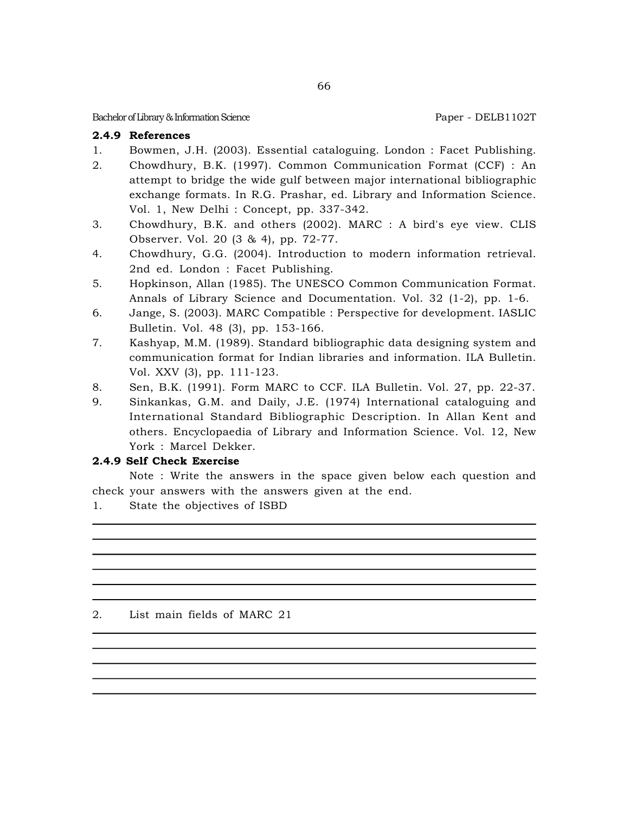## **2.4.9 References**

- 1. Bowmen, J.H. (2003). Essential cataloguing. London : Facet Publishing.
- 2. Chowdhury, B.K. (1997). Common Communication Format (CCF) : An attempt to bridge the wide gulf between major international bibliographic exchange formats. In R.G. Prashar, ed. Library and Information Science. Vol. 1, New Delhi : Concept, pp. 337-342.
- 3. Chowdhury, B.K. and others (2002). MARC : A bird's eye view. CLIS Observer. Vol. 20 (3 & 4), pp. 72-77.
- 4. Chowdhury, G.G. (2004). Introduction to modern information retrieval. 2nd ed. London : Facet Publishing.
- 5. Hopkinson, Allan (1985). The UNESCO Common Communication Format. Annals of Library Science and Documentation. Vol. 32 (1-2), pp. 1-6.
- 6. Jange, S. (2003). MARC Compatible : Perspective for development. IASLIC Bulletin. Vol. 48 (3), pp. 153-166.
- 7. Kashyap, M.M. (1989). Standard bibliographic data designing system and communication format for Indian libraries and information. ILA Bulletin. Vol. XXV (3), pp. 111-123.
- 8. Sen, B.K. (1991). Form MARC to CCF. ILA Bulletin. Vol. 27, pp. 22-37.
- 9. Sinkankas, G.M. and Daily, J.E. (1974) International cataloguing and International Standard Bibliographic Description. In Allan Kent and others. Encyclopaedia of Library and Information Science. Vol. 12, New York : Marcel Dekker.

# **2.4.9 Self Check Exercise**

Note : Write the answers in the space given below each question and check your answers with the answers given at the end.

1. State the objectives of ISBD

## 2. List main fields of MARC 21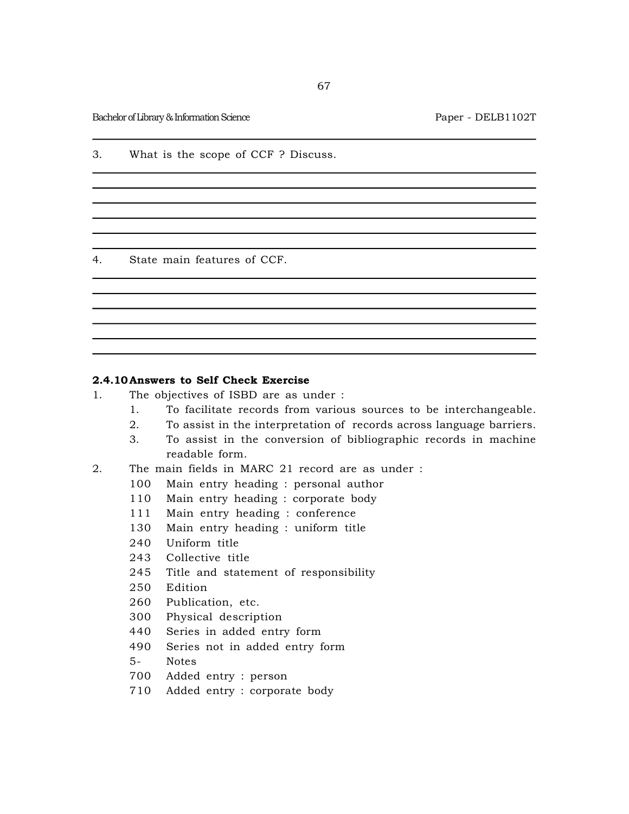3. What is the scope of CCF ? Discuss.

4. State main features of CCF.

## **2.4.10 Answers to Self Check Exercise**

- 1. The objectives of ISBD are as under :
	- 1. To facilitate records from various sources to be interchangeable.
	- 2. To assist in the interpretation of records across language barriers.
	- 3. To assist in the conversion of bibliographic records in machine readable form.
- 2. The main fields in MARC 21 record are as under :
	- 100 Main entry heading : personal author
	- 110 Main entry heading : corporate body
	- 111 Main entry heading : conference
	- 130 Main entry heading : uniform title
	- 240 Uniform title
	- 243 Collective title
	- 245 Title and statement of responsibility
	- 250 Edition
	- 260 Publication, etc.
	- 300 Physical description
	- 440 Series in added entry form
	- 490 Series not in added entry form
	- 5- Notes
	- 700 Added entry : person
	- 710 Added entry : corporate body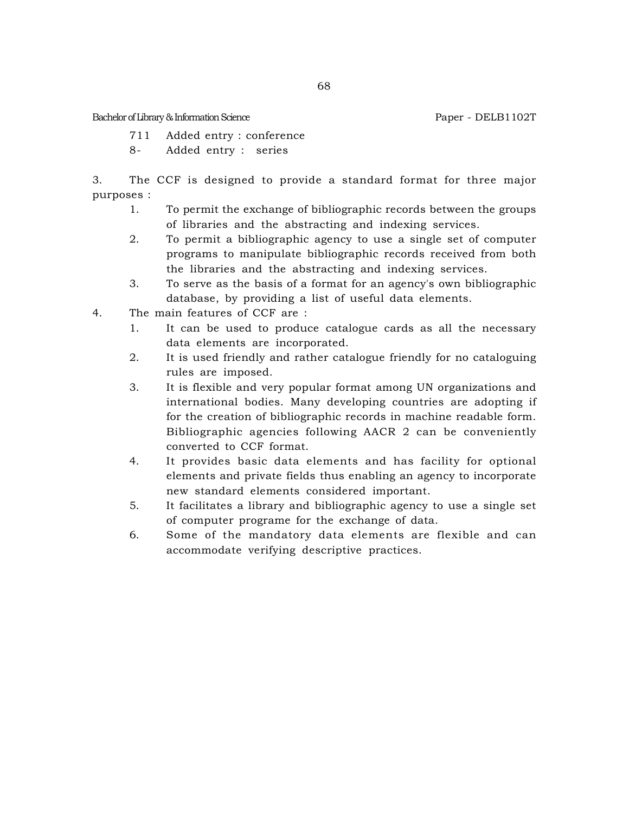- 711 Added entry : conference
- 8- Added entry : series

3. The CCF is designed to provide a standard format for three major purposes :

- 1. To permit the exchange of bibliographic records between the groups of libraries and the abstracting and indexing services.
- 2. To permit a bibliographic agency to use a single set of computer programs to manipulate bibliographic records received from both the libraries and the abstracting and indexing services.
- 3. To serve as the basis of a format for an agency's own bibliographic database, by providing a list of useful data elements.
- 4. The main features of CCF are :
	- 1. It can be used to produce catalogue cards as all the necessary data elements are incorporated.
	- 2. It is used friendly and rather catalogue friendly for no cataloguing rules are imposed.
	- 3. It is flexible and very popular format among UN organizations and international bodies. Many developing countries are adopting if for the creation of bibliographic records in machine readable form. Bibliographic agencies following AACR 2 can be conveniently converted to CCF format.
	- 4. It provides basic data elements and has facility for optional elements and private fields thus enabling an agency to incorporate new standard elements considered important.
	- 5. It facilitates a library and bibliographic agency to use a single set of computer programe for the exchange of data.
	- 6. Some of the mandatory data elements are flexible and can accommodate verifying descriptive practices.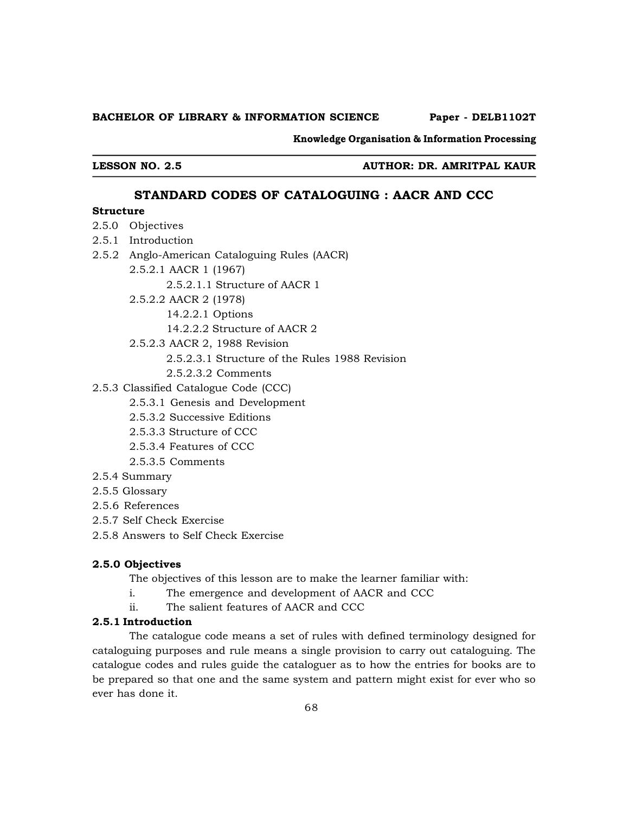#### **BACHELOR OF LIBRARY & INFORMATION SCIENCE Paper - DELB1102T**

**Knowledge Organisation & Information Processing**

**LESSON NO. 2.5 AUTHOR: DR. AMRITPAL KAUR**

### **STANDARD CODES OF CATALOGUING : AACR AND CCC**

## **Structure**

- 2.5.0 Objectives
- 2.5.1 Introduction
- 2.5.2 Anglo-American Cataloguing Rules (AACR)
	- 2.5.2.1 AACR 1 (1967)

2.5.2.1.1 Structure of AACR 1

- 2.5.2.2 AACR 2 (1978)
	- 14.2.2.1 Options
	- 14.2.2.2 Structure of AACR 2
- 2.5.2.3 AACR 2, 1988 Revision
	- 2.5.2.3.1 Structure of the Rules 1988 Revision
	- 2.5.2.3.2 Comments
- 2.5.3 Classified Catalogue Code (CCC)
	- 2.5.3.1 Genesis and Development
	- 2.5.3.2 Successive Editions
	- 2.5.3.3 Structure of CCC
	- 2.5.3.4 Features of CCC
	- 2.5.3.5 Comments
- 2.5.4 Summary
- 2.5.5 Glossary
- 2.5.6 References
- 2.5.7 Self Check Exercise
- 2.5.8 Answers to Self Check Exercise

#### **2.5.0 Objectives**

The objectives of this lesson are to make the learner familiar with:

- i. The emergence and development of AACR and CCC
- ii. The salient features of AACR and CCC

### **2.5.1 Introduction**

The catalogue code means a set of rules with defined terminology designed for cataloguing purposes and rule means a single provision to carry out cataloguing. The catalogue codes and rules guide the cataloguer as to how the entries for books are to be prepared so that one and the same system and pattern might exist for ever who so ever has done it.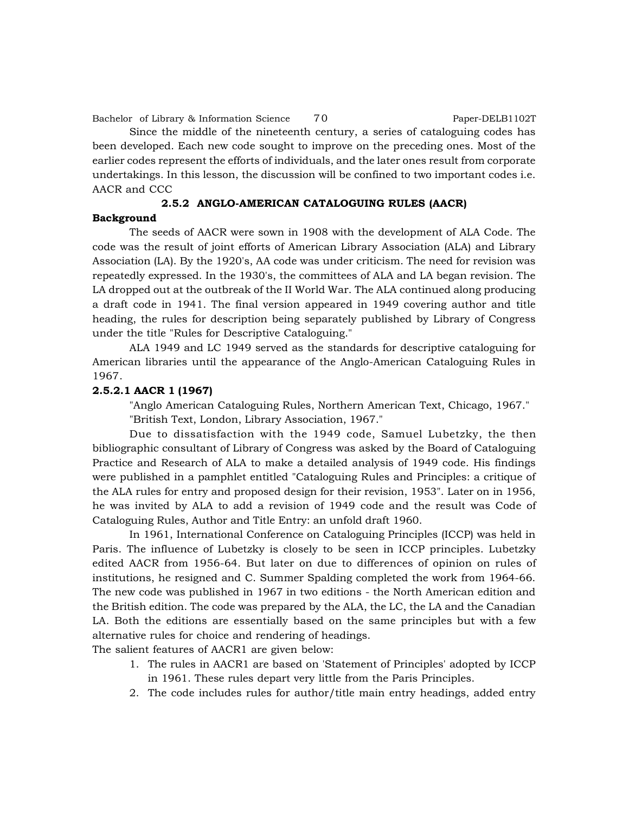Since the middle of the nineteenth century, a series of cataloguing codes has been developed. Each new code sought to improve on the preceding ones. Most of the earlier codes represent the efforts of individuals, and the later ones result from corporate undertakings. In this lesson, the discussion will be confined to two important codes i.e. AACR and CCC

# **2.5.2 ANGLO-AMERICAN CATALOGUING RULES (AACR)**

#### **Background**

The seeds of AACR were sown in 1908 with the development of ALA Code. The code was the result of joint efforts of American Library Association (ALA) and Library Association (LA). By the 1920's, AA code was under criticism. The need for revision was repeatedly expressed. In the 1930's, the committees of ALA and LA began revision. The LA dropped out at the outbreak of the II World War. The ALA continued along producing a draft code in 1941. The final version appeared in 1949 covering author and title heading, the rules for description being separately published by Library of Congress under the title "Rules for Descriptive Cataloguing."

ALA 1949 and LC 1949 served as the standards for descriptive cataloguing for American libraries until the appearance of the Anglo-American Cataloguing Rules in 1967.

### **2.5.2.1 AACR 1 (1967)**

"Anglo American Cataloguing Rules, Northern American Text, Chicago, 1967." "British Text, London, Library Association, 1967."

Due to dissatisfaction with the 1949 code, Samuel Lubetzky, the then bibliographic consultant of Library of Congress was asked by the Board of Cataloguing Practice and Research of ALA to make a detailed analysis of 1949 code. His findings were published in a pamphlet entitled "Cataloguing Rules and Principles: a critique of the ALA rules for entry and proposed design for their revision, 1953". Later on in 1956, he was invited by ALA to add a revision of 1949 code and the result was Code of Cataloguing Rules, Author and Title Entry: an unfold draft 1960.

In 1961, International Conference on Cataloguing Principles (ICCP) was held in Paris. The influence of Lubetzky is closely to be seen in ICCP principles. Lubetzky edited AACR from 1956-64. But later on due to differences of opinion on rules of institutions, he resigned and C. Summer Spalding completed the work from 1964-66. The new code was published in 1967 in two editions - the North American edition and the British edition. The code was prepared by the ALA, the LC, the LA and the Canadian LA. Both the editions are essentially based on the same principles but with a few alternative rules for choice and rendering of headings.

The salient features of AACR1 are given below:

- 1. The rules in AACR1 are based on 'Statement of Principles' adopted by ICCP in 1961. These rules depart very little from the Paris Principles.
- 2. The code includes rules for author/title main entry headings, added entry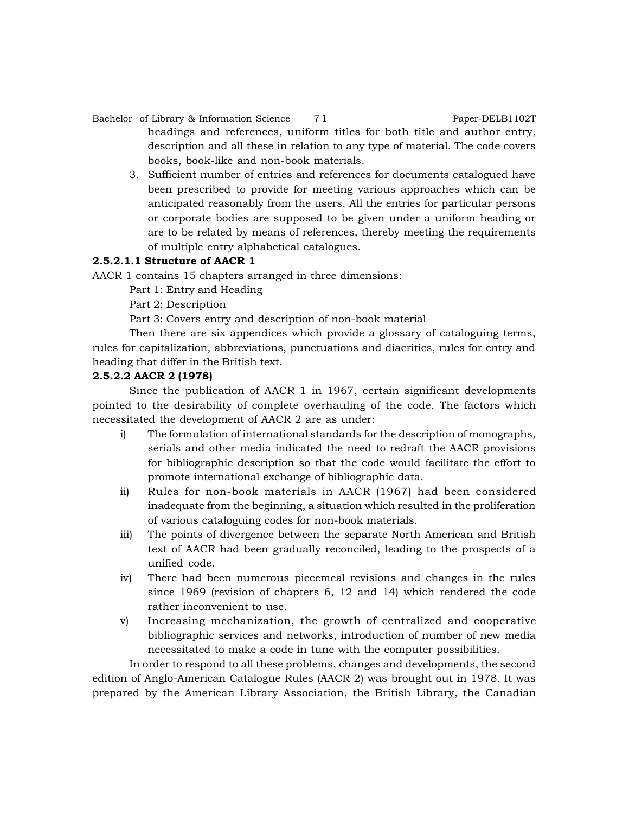## Bachelor of Library & Information Science 71 Paper-DELB1102T headings and references, uniform titles for both title and author entry, description and all these in relation to any type of material. The code covers books, book-like and non-book materials.

3. Sufficient number of entries and references for documents catalogued have been prescribed to provide for meeting various approaches which can be anticipated reasonably from the users. All the entries for particular persons or corporate bodies are supposed to be given under a uniform heading or are to be related by means of references, thereby meeting the requirements of multiple entry alphabetical catalogues.

## **2.5.2.1.1 Structure of AACR 1**

AACR 1 contains 15 chapters arranged in three dimensions:

Part 1: Entry and Heading

Part 2: Description

Part 3: Covers entry and description of non-book material

Then there are six appendices which provide a glossary of cataloguing terms, rules for capitalization, abbreviations, punctuations and diacritics, rules for entry and heading that differ in the British text.

## **2.5.2.2 AACR 2 (1978)**

Since the publication of AACR 1 in 1967, certain significant developments pointed to the desirability of complete overhauling of the code. The factors which necessitated the development of AACR 2 are as under:

- i) The formulation of international standards for the description of monographs, serials and other media indicated the need to redraft the AACR provisions for bibliographic description so that the code would facilitate the effort to promote international exchange of bibliographic data.
- ii) Rules for non-book materials in AACR (1967) had been considered inadequate from the beginning, a situation which resulted in the proliferation of various cataloguing codes for non-book materials.
- iii) The points of divergence between the separate North American and British text of AACR had been gradually reconciled, leading to the prospects of a unified code.
- iv) There had been numerous piecemeal revisions and changes in the rules since 1969 (revision of chapters 6, 12 and 14) which rendered the code rather inconvenient to use.
- v) Increasing mechanization, the growth of centralized and cooperative bibliographic services and networks, introduction of number of new media necessitated to make a code in tune with the computer possibilities.

In order to respond to all these problems, changes and developments, the second edition of Anglo-American Catalogue Rules (AACR 2) was brought out in 1978. It was prepared by the American Library Association, the British Library, the Canadian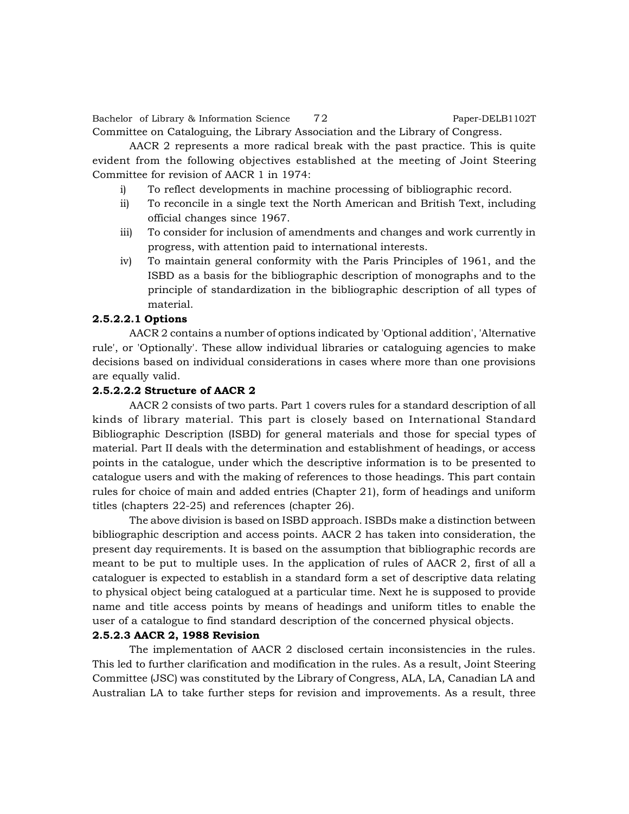Bachelor of Library & Information Science 72 Paper-DELB1102T Committee on Cataloguing, the Library Association and the Library of Congress.

AACR 2 represents a more radical break with the past practice. This is quite evident from the following objectives established at the meeting of Joint Steering Committee for revision of AACR 1 in 1974:

- i) To reflect developments in machine processing of bibliographic record.
- ii) To reconcile in a single text the North American and British Text, including official changes since 1967.
- iii) To consider for inclusion of amendments and changes and work currently in progress, with attention paid to international interests.
- iv) To maintain general conformity with the Paris Principles of 1961, and the ISBD as a basis for the bibliographic description of monographs and to the principle of standardization in the bibliographic description of all types of material.

#### **2.5.2.2.1 Options**

AACR 2 contains a number of options indicated by 'Optional addition', 'Alternative rule', or 'Optionally'. These allow individual libraries or cataloguing agencies to make decisions based on individual considerations in cases where more than one provisions are equally valid.

#### **2.5.2.2.2 Structure of AACR 2**

AACR 2 consists of two parts. Part 1 covers rules for a standard description of all kinds of library material. This part is closely based on International Standard Bibliographic Description (ISBD) for general materials and those for special types of material. Part II deals with the determination and establishment of headings, or access points in the catalogue, under which the descriptive information is to be presented to catalogue users and with the making of references to those headings. This part contain rules for choice of main and added entries (Chapter 21), form of headings and uniform titles (chapters 22-25) and references (chapter 26).

The above division is based on ISBD approach. ISBDs make a distinction between bibliographic description and access points. AACR 2 has taken into consideration, the present day requirements. It is based on the assumption that bibliographic records are meant to be put to multiple uses. In the application of rules of AACR 2, first of all a cataloguer is expected to establish in a standard form a set of descriptive data relating to physical object being catalogued at a particular time. Next he is supposed to provide name and title access points by means of headings and uniform titles to enable the user of a catalogue to find standard description of the concerned physical objects.

#### **2.5.2.3 AACR 2, 1988 Revision**

The implementation of AACR 2 disclosed certain inconsistencies in the rules. This led to further clarification and modification in the rules. As a result, Joint Steering Committee (JSC) was constituted by the Library of Congress, ALA, LA, Canadian LA and Australian LA to take further steps for revision and improvements. As a result, three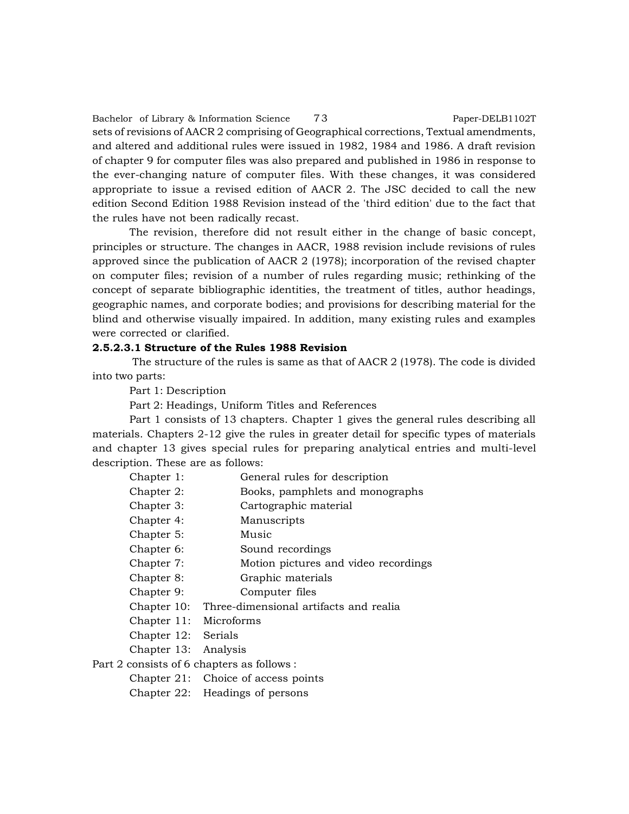Bachelor of Library & Information Science 73 Paper-DELB1102T sets of revisions of AACR 2 comprising of Geographical corrections, Textual amendments, and altered and additional rules were issued in 1982, 1984 and 1986. A draft revision of chapter 9 for computer files was also prepared and published in 1986 in response to the ever-changing nature of computer files. With these changes, it was considered appropriate to issue a revised edition of AACR 2. The JSC decided to call the new edition Second Edition 1988 Revision instead of the 'third edition' due to the fact that the rules have not been radically recast.

The revision, therefore did not result either in the change of basic concept, principles or structure. The changes in AACR, 1988 revision include revisions of rules approved since the publication of AACR 2 (1978); incorporation of the revised chapter on computer files; revision of a number of rules regarding music; rethinking of the concept of separate bibliographic identities, the treatment of titles, author headings, geographic names, and corporate bodies; and provisions for describing material for the blind and otherwise visually impaired. In addition, many existing rules and examples were corrected or clarified.

#### **2.5.2.3.1 Structure of the Rules 1988 Revision**

 The structure of the rules is same as that of AACR 2 (1978). The code is divided into two parts:

Part 1: Description

Part 2: Headings, Uniform Titles and References

Part 1 consists of 13 chapters. Chapter 1 gives the general rules describing all materials. Chapters 2-12 give the rules in greater detail for specific types of materials and chapter 13 gives special rules for preparing analytical entries and multi-level description. These are as follows:

- Chapter 1: General rules for description
- Chapter 2: Books, pamphlets and monographs
- Chapter 3: Cartographic material
- Chapter 4: Manuscripts
- Chapter 5: Music
- Chapter 6: Sound recordings
- Chapter 7: Motion pictures and video recordings
- Chapter 8: Graphic materials
- Chapter 9: Computer files
- Chapter 10: Three-dimensional artifacts and realia
- Chapter 11: Microforms
- Chapter 12: Serials
- Chapter 13: Analysis

Part 2 consists of 6 chapters as follows :

- Chapter 21: Choice of access points
- Chapter 22: Headings of persons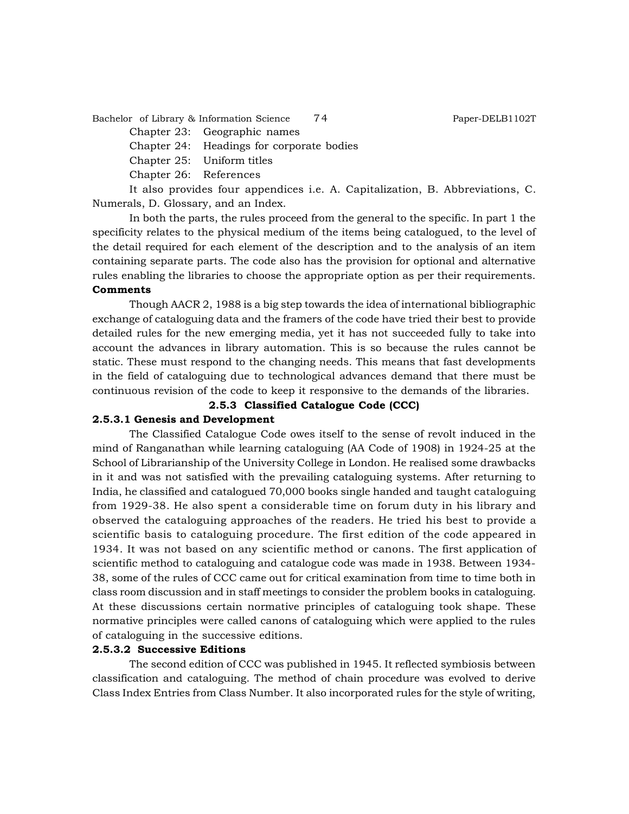Bachelor of Library & Information Science 74 Paper-DELB1102T

Chapter 23: Geographic names

Chapter 24: Headings for corporate bodies

- Chapter 25: Uniform titles
- Chapter 26: References

It also provides four appendices i.e. A. Capitalization, B. Abbreviations, C. Numerals, D. Glossary, and an Index.

In both the parts, the rules proceed from the general to the specific. In part 1 the specificity relates to the physical medium of the items being catalogued, to the level of the detail required for each element of the description and to the analysis of an item containing separate parts. The code also has the provision for optional and alternative rules enabling the libraries to choose the appropriate option as per their requirements.

## **Comments**

Though AACR 2, 1988 is a big step towards the idea of international bibliographic exchange of cataloguing data and the framers of the code have tried their best to provide detailed rules for the new emerging media, yet it has not succeeded fully to take into account the advances in library automation. This is so because the rules cannot be static. These must respond to the changing needs. This means that fast developments in the field of cataloguing due to technological advances demand that there must be continuous revision of the code to keep it responsive to the demands of the libraries.

#### **2.5.3 Classified Catalogue Code (CCC)**

#### **2.5.3.1 Genesis and Development**

The Classified Catalogue Code owes itself to the sense of revolt induced in the mind of Ranganathan while learning cataloguing (AA Code of 1908) in 1924-25 at the School of Librarianship of the University College in London. He realised some drawbacks in it and was not satisfied with the prevailing cataloguing systems. After returning to India, he classified and catalogued 70,000 books single handed and taught cataloguing from 1929-38. He also spent a considerable time on forum duty in his library and observed the cataloguing approaches of the readers. He tried his best to provide a scientific basis to cataloguing procedure. The first edition of the code appeared in 1934. It was not based on any scientific method or canons. The first application of scientific method to cataloguing and catalogue code was made in 1938. Between 1934- 38, some of the rules of CCC came out for critical examination from time to time both in class room discussion and in staff meetings to consider the problem books in cataloguing. At these discussions certain normative principles of cataloguing took shape. These normative principles were called canons of cataloguing which were applied to the rules of cataloguing in the successive editions.

# **2.5.3.2 Successive Editions**

The second edition of CCC was published in 1945. It reflected symbiosis between classification and cataloguing. The method of chain procedure was evolved to derive Class Index Entries from Class Number. It also incorporated rules for the style of writing,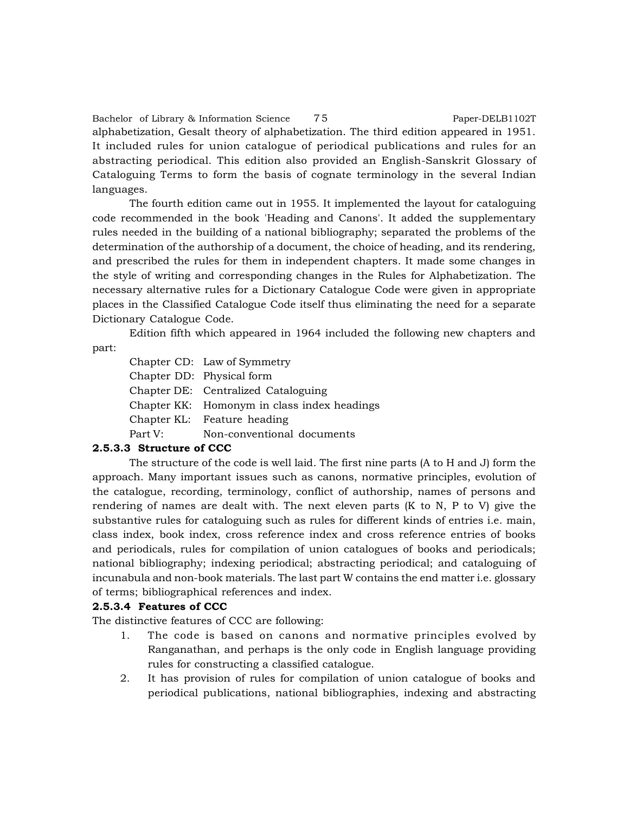Bachelor of Library & Information Science 75 Paper-DELB1102T alphabetization, Gesalt theory of alphabetization. The third edition appeared in 1951. It included rules for union catalogue of periodical publications and rules for an abstracting periodical. This edition also provided an English-Sanskrit Glossary of Cataloguing Terms to form the basis of cognate terminology in the several Indian languages.

The fourth edition came out in 1955. It implemented the layout for cataloguing code recommended in the book 'Heading and Canons'. It added the supplementary rules needed in the building of a national bibliography; separated the problems of the determination of the authorship of a document, the choice of heading, and its rendering, and prescribed the rules for them in independent chapters. It made some changes in the style of writing and corresponding changes in the Rules for Alphabetization. The necessary alternative rules for a Dictionary Catalogue Code were given in appropriate places in the Classified Catalogue Code itself thus eliminating the need for a separate Dictionary Catalogue Code.

Edition fifth which appeared in 1964 included the following new chapters and

part:

Chapter CD: Law of Symmetry Chapter DD: Physical form Chapter DE: Centralized Cataloguing Chapter KK: Homonym in class index headings Chapter KL: Feature heading Part V: Non-conventional documents

# **2.5.3.3 Structure of CCC**

The structure of the code is well laid. The first nine parts (A to H and J) form the approach. Many important issues such as canons, normative principles, evolution of the catalogue, recording, terminology, conflict of authorship, names of persons and rendering of names are dealt with. The next eleven parts (K to N, P to V) give the substantive rules for cataloguing such as rules for different kinds of entries i.e. main, class index, book index, cross reference index and cross reference entries of books and periodicals, rules for compilation of union catalogues of books and periodicals; national bibliography; indexing periodical; abstracting periodical; and cataloguing of incunabula and non-book materials. The last part W contains the end matter i.e. glossary of terms; bibliographical references and index.

# **2.5.3.4 Features of CCC**

The distinctive features of CCC are following:

- 1. The code is based on canons and normative principles evolved by Ranganathan, and perhaps is the only code in English language providing rules for constructing a classified catalogue.
- 2. It has provision of rules for compilation of union catalogue of books and periodical publications, national bibliographies, indexing and abstracting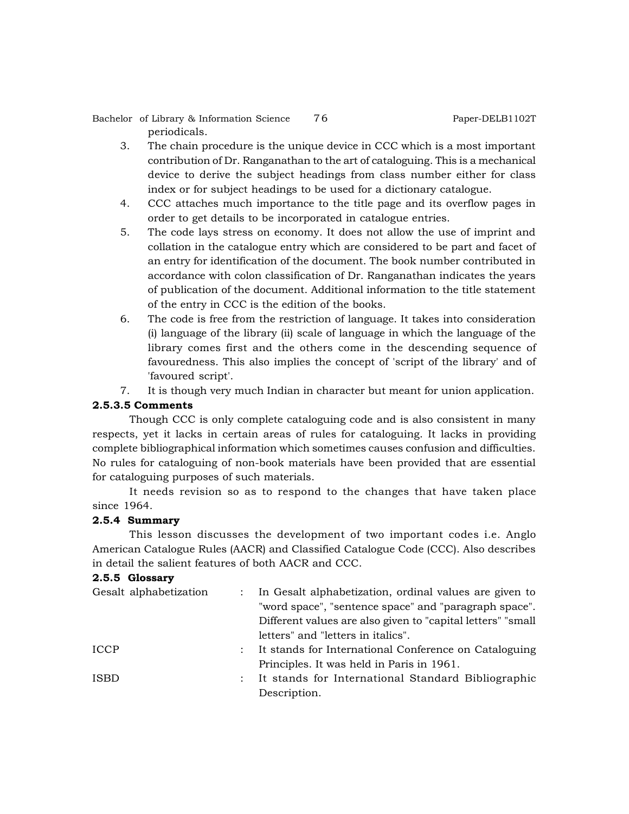Bachelor of Library & Information Science 76 Paper-DELB1102T periodicals.

- 3. The chain procedure is the unique device in CCC which is a most important contribution of Dr. Ranganathan to the art of cataloguing. This is a mechanical device to derive the subject headings from class number either for class index or for subject headings to be used for a dictionary catalogue.
- 4. CCC attaches much importance to the title page and its overflow pages in order to get details to be incorporated in catalogue entries.
- 5. The code lays stress on economy. It does not allow the use of imprint and collation in the catalogue entry which are considered to be part and facet of an entry for identification of the document. The book number contributed in accordance with colon classification of Dr. Ranganathan indicates the years of publication of the document. Additional information to the title statement of the entry in CCC is the edition of the books.
- 6. The code is free from the restriction of language. It takes into consideration (i) language of the library (ii) scale of language in which the language of the library comes first and the others come in the descending sequence of favouredness. This also implies the concept of 'script of the library' and of 'favoured script'.
- 7. It is though very much Indian in character but meant for union application.

# **2.5.3.5 Comments**

Though CCC is only complete cataloguing code and is also consistent in many respects, yet it lacks in certain areas of rules for cataloguing. It lacks in providing complete bibliographical information which sometimes causes confusion and difficulties. No rules for cataloguing of non-book materials have been provided that are essential for cataloguing purposes of such materials.

It needs revision so as to respond to the changes that have taken place since 1964.

#### **2.5.4 Summary**

This lesson discusses the development of two important codes i.e. Anglo American Catalogue Rules (AACR) and Classified Catalogue Code (CCC). Also describes in detail the salient features of both AACR and CCC.

## **2.5.5 Glossary**

| Gesalt alphabetization |  | In Gesalt alphabetization, ordinal values are given to      |
|------------------------|--|-------------------------------------------------------------|
|                        |  | "word space", "sentence space" and "paragraph space".       |
|                        |  | Different values are also given to "capital letters" "small |
|                        |  | letters" and "letters in italics".                          |
| <b>ICCP</b>            |  | It stands for International Conference on Cataloguing       |
|                        |  | Principles. It was held in Paris in 1961.                   |
| <b>ISBD</b>            |  | It stands for International Standard Bibliographic          |
|                        |  | Description.                                                |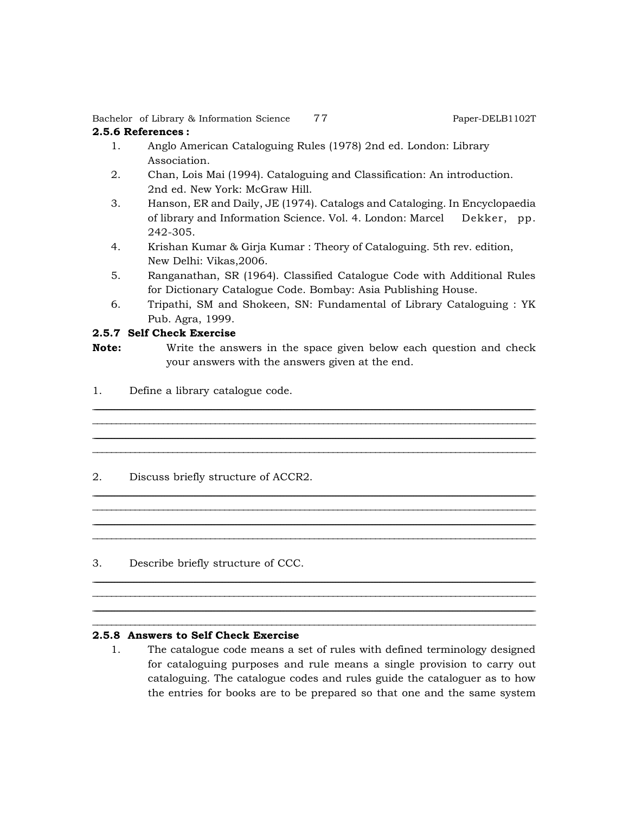Bachelor of Library & Information Science 77 Paper-DELB1102T

# **2.5.6 References :**

- 1. Anglo American Cataloguing Rules (1978) 2nd ed. London: Library Association.
- 2. Chan, Lois Mai (1994). Cataloguing and Classification: An introduction. 2nd ed. New York: McGraw Hill.
- 3. Hanson, ER and Daily, JE (1974). Catalogs and Cataloging. In Encyclopaedia of library and Information Science. Vol. 4. London: Marcel Dekker, pp. 242-305.
- 4. Krishan Kumar & Girja Kumar : Theory of Cataloguing. 5th rev. edition, New Delhi: Vikas,2006.
- 5. Ranganathan, SR (1964). Classified Catalogue Code with Additional Rules for Dictionary Catalogue Code. Bombay: Asia Publishing House.
- 6. Tripathi, SM and Shokeen, SN: Fundamental of Library Cataloguing : YK Pub. Agra, 1999.

# **2.5.7 Self Check Exercise**

**Note:** Write the answers in the space given below each question and check your answers with the answers given at the end.

<u> 1989 - Johann Harry Harry Harry Harry Harry Harry Harry Harry Harry Harry Harry Harry Harry Harry Harry Harry</u> \_\_\_\_\_\_\_\_\_\_\_\_\_\_\_\_\_\_\_\_\_\_\_\_\_\_\_\_\_\_\_\_\_\_\_\_\_\_\_\_\_\_\_\_\_\_\_\_\_\_\_\_\_\_\_\_\_\_\_\_\_\_\_\_\_\_\_\_\_\_\_\_\_\_\_\_\_\_\_\_\_\_\_\_\_\_\_\_\_\_\_\_\_\_ <u> 1989 - Johann Barn, amerikan bernama di sebagai bernama di sebagai bernama di sebagai bernama di sebagai bern</u>  $\ldots \ldots \ldots \ldots \ldots \ldots$ 

<u> 1989 - Johann Harry Harry Harry Harry Harry Harry Harry Harry Harry Harry Harry Harry Harry Harry Harry Harry</u> \_\_\_\_\_\_\_\_\_\_\_\_\_\_\_\_\_\_\_\_\_\_\_\_\_\_\_\_\_\_\_\_\_\_\_\_\_\_\_\_\_\_\_\_\_\_\_\_\_\_\_\_\_\_\_\_\_\_\_\_\_\_\_\_\_\_\_\_\_\_\_\_\_\_\_\_\_\_\_\_\_\_\_\_\_\_\_\_\_\_\_\_\_\_ <u> 1989 - Johann Barn, amerikan bernama di sebagai bernama di sebagai bernama di sebagai bernama di sebagai bern</u>  $\ldots \ldots \ldots \ldots \ldots \ldots$ 

<u> 1989 - Johann Harry Harry Harry Harry Harry Harry Harry Harry Harry Harry Harry Harry Harry Harry Harry Harry</u> \_\_\_\_\_\_\_\_\_\_\_\_\_\_\_\_\_\_\_\_\_\_\_\_\_\_\_\_\_\_\_\_\_\_\_\_\_\_\_\_\_\_\_\_\_\_\_\_\_\_\_\_\_\_\_\_\_\_\_\_\_\_\_\_\_\_\_\_\_\_\_\_\_\_\_\_\_\_\_\_\_\_\_\_\_\_\_\_\_\_\_\_\_\_ <u> 1989 - Johann Harry Harry Harry Harry Harry Harry Harry Harry Harry Harry Harry Harry Harry Harry Harry Harry</u>  $\ldots \ldots \ldots \ldots \ldots \ldots$ 

1. Define a library catalogue code.

# 2. Discuss briefly structure of ACCR2.

3. Describe briefly structure of CCC.

#### **2.5.8 Answers to Self Check Exercise**

1. The catalogue code means a set of rules with defined terminology designed for cataloguing purposes and rule means a single provision to carry out cataloguing. The catalogue codes and rules guide the cataloguer as to how the entries for books are to be prepared so that one and the same system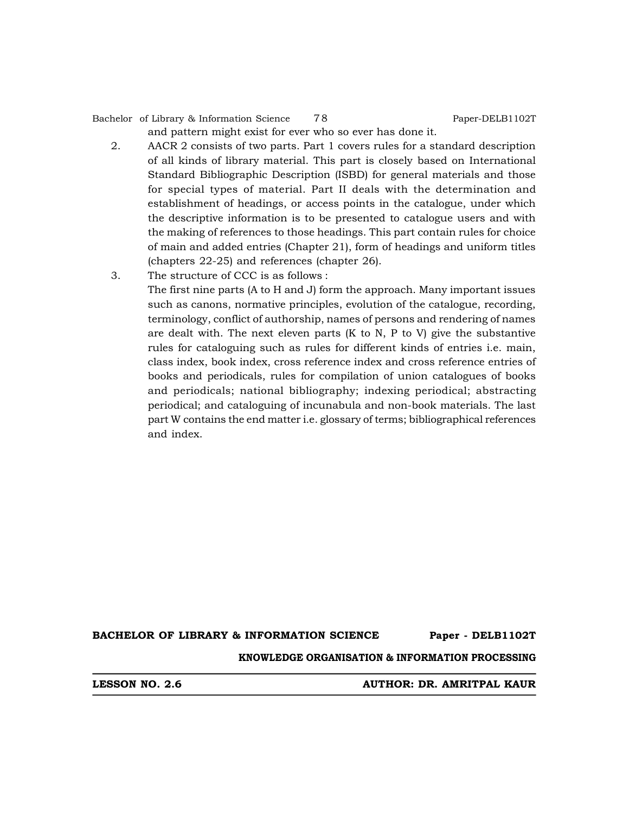Bachelor of Library & Information Science 78 Paper-DELB1102T

and pattern might exist for ever who so ever has done it.

- 2. AACR 2 consists of two parts. Part 1 covers rules for a standard description of all kinds of library material. This part is closely based on International Standard Bibliographic Description (ISBD) for general materials and those for special types of material. Part II deals with the determination and establishment of headings, or access points in the catalogue, under which the descriptive information is to be presented to catalogue users and with the making of references to those headings. This part contain rules for choice of main and added entries (Chapter 21), form of headings and uniform titles (chapters 22-25) and references (chapter 26).
- 3. The structure of CCC is as follows :

The first nine parts (A to H and J) form the approach. Many important issues such as canons, normative principles, evolution of the catalogue, recording, terminology, conflict of authorship, names of persons and rendering of names are dealt with. The next eleven parts  $(K$  to  $N$ ,  $P$  to  $V$ ) give the substantive rules for cataloguing such as rules for different kinds of entries i.e. main, class index, book index, cross reference index and cross reference entries of books and periodicals, rules for compilation of union catalogues of books and periodicals; national bibliography; indexing periodical; abstracting periodical; and cataloguing of incunabula and non-book materials. The last part W contains the end matter i.e. glossary of terms; bibliographical references and index.

**BACHELOR OF LIBRARY & INFORMATION SCIENCE Paper - DELB1102T**

**KNOWLEDGE ORGANISATION & INFORMATION PROCESSING**

**LESSON NO. 2.6 AUTHOR: DR. AMRITPAL KAUR**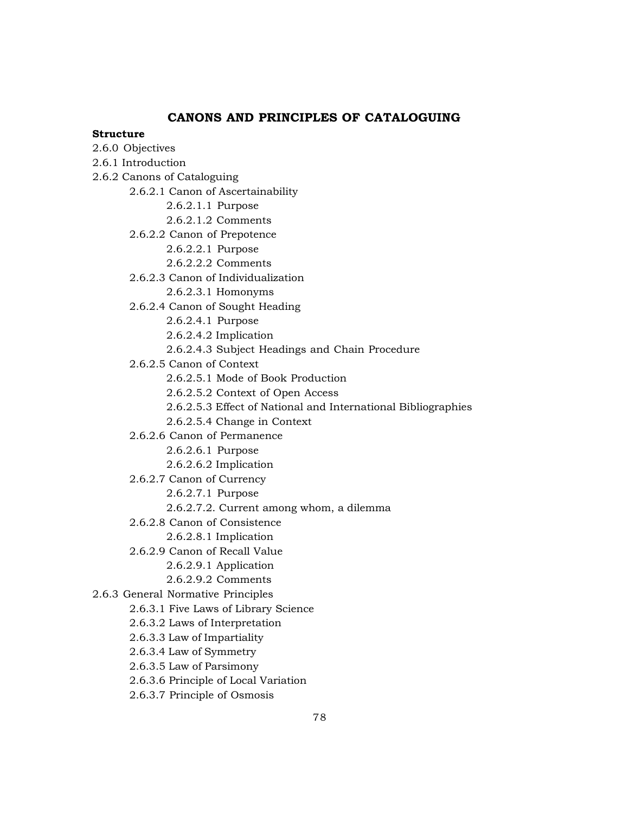# **CANONS AND PRINCIPLES OF CATALOGUING**

#### **Structure**

- 2.6.0 Objectives
- 2.6.1 Introduction
- 2.6.2 Canons of Cataloguing
	- 2.6.2.1 Canon of Ascertainability
		- 2.6.2.1.1 Purpose
		- 2.6.2.1.2 Comments
	- 2.6.2.2 Canon of Prepotence
		- 2.6.2.2.1 Purpose
		- 2.6.2.2.2 Comments
	- 2.6.2.3 Canon of Individualization
		- 2.6.2.3.1 Homonyms
	- 2.6.2.4 Canon of Sought Heading
		- 2.6.2.4.1 Purpose
		- 2.6.2.4.2 Implication
		- 2.6.2.4.3 Subject Headings and Chain Procedure
	- 2.6.2.5 Canon of Context
		- 2.6.2.5.1 Mode of Book Production
		- 2.6.2.5.2 Context of Open Access
		- 2.6.2.5.3 Effect of National and International Bibliographies
		- 2.6.2.5.4 Change in Context
	- 2.6.2.6 Canon of Permanence
		- 2.6.2.6.1 Purpose
		- 2.6.2.6.2 Implication
	- 2.6.2.7 Canon of Currency
		- 2.6.2.7.1 Purpose
		- 2.6.2.7.2. Current among whom, a dilemma
	- 2.6.2.8 Canon of Consistence
		- 2.6.2.8.1 Implication
	- 2.6.2.9 Canon of Recall Value
		- 2.6.2.9.1 Application
		- 2.6.2.9.2 Comments
- 2.6.3 General Normative Principles
	- 2.6.3.1 Five Laws of Library Science
		- 2.6.3.2 Laws of Interpretation
		- 2.6.3.3 Law of Impartiality
		- 2.6.3.4 Law of Symmetry
		- 2.6.3.5 Law of Parsimony
		- 2.6.3.6 Principle of Local Variation
		- 2.6.3.7 Principle of Osmosis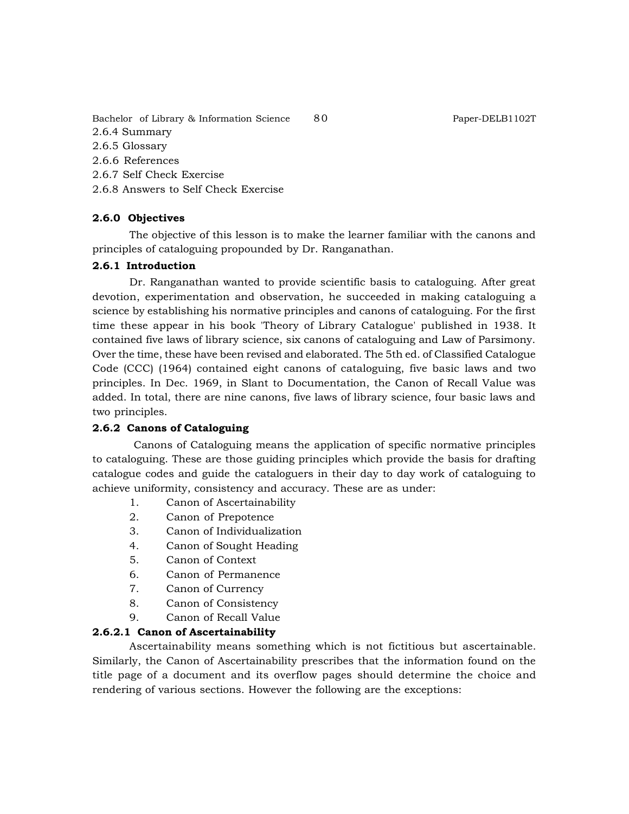Bachelor of Library & Information Science 80 Paper-DELB1102T

2.6.4 Summary

2.6.5 Glossary

2.6.6 References

2.6.7 Self Check Exercise

2.6.8 Answers to Self Check Exercise

## **2.6.0 Objectives**

The objective of this lesson is to make the learner familiar with the canons and principles of cataloguing propounded by Dr. Ranganathan.

#### **2.6.1 Introduction**

Dr. Ranganathan wanted to provide scientific basis to cataloguing. After great devotion, experimentation and observation, he succeeded in making cataloguing a science by establishing his normative principles and canons of cataloguing. For the first time these appear in his book 'Theory of Library Catalogue' published in 1938. It contained five laws of library science, six canons of cataloguing and Law of Parsimony. Over the time, these have been revised and elaborated. The 5th ed. of Classified Catalogue Code (CCC) (1964) contained eight canons of cataloguing, five basic laws and two principles. In Dec. 1969, in Slant to Documentation, the Canon of Recall Value was added. In total, there are nine canons, five laws of library science, four basic laws and two principles.

#### **2.6.2 Canons of Cataloguing**

 Canons of Cataloguing means the application of specific normative principles to cataloguing. These are those guiding principles which provide the basis for drafting catalogue codes and guide the cataloguers in their day to day work of cataloguing to achieve uniformity, consistency and accuracy. These are as under:

- 1. Canon of Ascertainability
- 2. Canon of Prepotence
- 3. Canon of Individualization
- 4. Canon of Sought Heading
- 5. Canon of Context
- 6. Canon of Permanence
- 7. Canon of Currency
- 8. Canon of Consistency
- 9. Canon of Recall Value

#### **2.6.2.1 Canon of Ascertainability**

Ascertainability means something which is not fictitious but ascertainable. Similarly, the Canon of Ascertainability prescribes that the information found on the title page of a document and its overflow pages should determine the choice and rendering of various sections. However the following are the exceptions: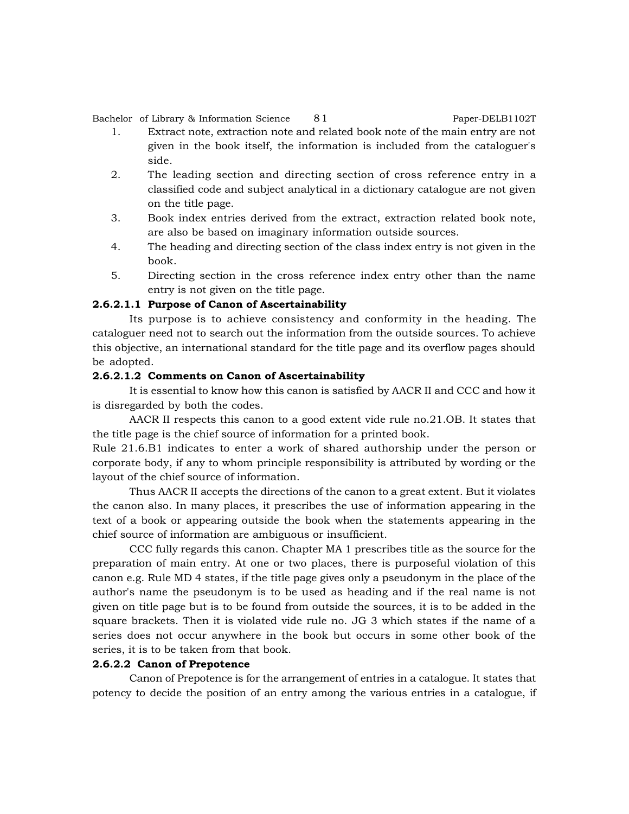Bachelor of Library & Information Science 81 Paper-DELB1102T

- 1. Extract note, extraction note and related book note of the main entry are not given in the book itself, the information is included from the cataloguer's side.
- 2. The leading section and directing section of cross reference entry in a classified code and subject analytical in a dictionary catalogue are not given on the title page.
- 3. Book index entries derived from the extract, extraction related book note, are also be based on imaginary information outside sources.
- 4. The heading and directing section of the class index entry is not given in the book.
- 5. Directing section in the cross reference index entry other than the name entry is not given on the title page.

#### **2.6.2.1.1 Purpose of Canon of Ascertainability**

Its purpose is to achieve consistency and conformity in the heading. The cataloguer need not to search out the information from the outside sources. To achieve this objective, an international standard for the title page and its overflow pages should be adopted.

#### **2.6.2.1.2 Comments on Canon of Ascertainability**

It is essential to know how this canon is satisfied by AACR II and CCC and how it is disregarded by both the codes.

AACR II respects this canon to a good extent vide rule no.21.OB. It states that the title page is the chief source of information for a printed book.

Rule 21.6.B1 indicates to enter a work of shared authorship under the person or corporate body, if any to whom principle responsibility is attributed by wording or the layout of the chief source of information.

Thus AACR II accepts the directions of the canon to a great extent. But it violates the canon also. In many places, it prescribes the use of information appearing in the text of a book or appearing outside the book when the statements appearing in the chief source of information are ambiguous or insufficient.

CCC fully regards this canon. Chapter MA 1 prescribes title as the source for the preparation of main entry. At one or two places, there is purposeful violation of this canon e.g. Rule MD 4 states, if the title page gives only a pseudonym in the place of the author's name the pseudonym is to be used as heading and if the real name is not given on title page but is to be found from outside the sources, it is to be added in the square brackets. Then it is violated vide rule no. JG 3 which states if the name of a series does not occur anywhere in the book but occurs in some other book of the series, it is to be taken from that book.

#### **2.6.2.2 Canon of Prepotence**

Canon of Prepotence is for the arrangement of entries in a catalogue. It states that potency to decide the position of an entry among the various entries in a catalogue, if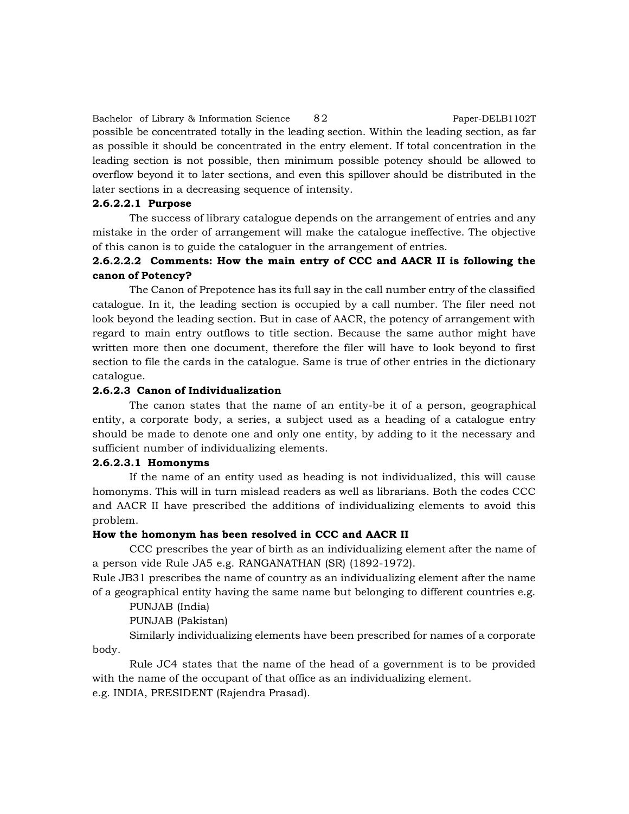Bachelor of Library & Information Science 82 Paper-DELB1102T possible be concentrated totally in the leading section. Within the leading section, as far as possible it should be concentrated in the entry element. If total concentration in the leading section is not possible, then minimum possible potency should be allowed to overflow beyond it to later sections, and even this spillover should be distributed in the later sections in a decreasing sequence of intensity.

# **2.6.2.2.1 Purpose**

The success of library catalogue depends on the arrangement of entries and any mistake in the order of arrangement will make the catalogue ineffective. The objective of this canon is to guide the cataloguer in the arrangement of entries.

# **2.6.2.2.2 Comments: How the main entry of CCC and AACR II is following the canon of Potency?**

The Canon of Prepotence has its full say in the call number entry of the classified catalogue. In it, the leading section is occupied by a call number. The filer need not look beyond the leading section. But in case of AACR, the potency of arrangement with regard to main entry outflows to title section. Because the same author might have written more then one document, therefore the filer will have to look beyond to first section to file the cards in the catalogue. Same is true of other entries in the dictionary catalogue.

# **2.6.2.3 Canon of Individualization**

The canon states that the name of an entity-be it of a person, geographical entity, a corporate body, a series, a subject used as a heading of a catalogue entry should be made to denote one and only one entity, by adding to it the necessary and sufficient number of individualizing elements.

#### **2.6.2.3.1 Homonyms**

If the name of an entity used as heading is not individualized, this will cause homonyms. This will in turn mislead readers as well as librarians. Both the codes CCC and AACR II have prescribed the additions of individualizing elements to avoid this problem.

#### **How the homonym has been resolved in CCC and AACR II**

CCC prescribes the year of birth as an individualizing element after the name of a person vide Rule JA5 e.g. RANGANATHAN (SR) (1892-1972).

Rule JB31 prescribes the name of country as an individualizing element after the name of a geographical entity having the same name but belonging to different countries e.g.

PUNJAB (India)

PUNJAB (Pakistan)

Similarly individualizing elements have been prescribed for names of a corporate body.

Rule JC4 states that the name of the head of a government is to be provided with the name of the occupant of that office as an individualizing element.

e.g. INDIA, PRESIDENT (Rajendra Prasad).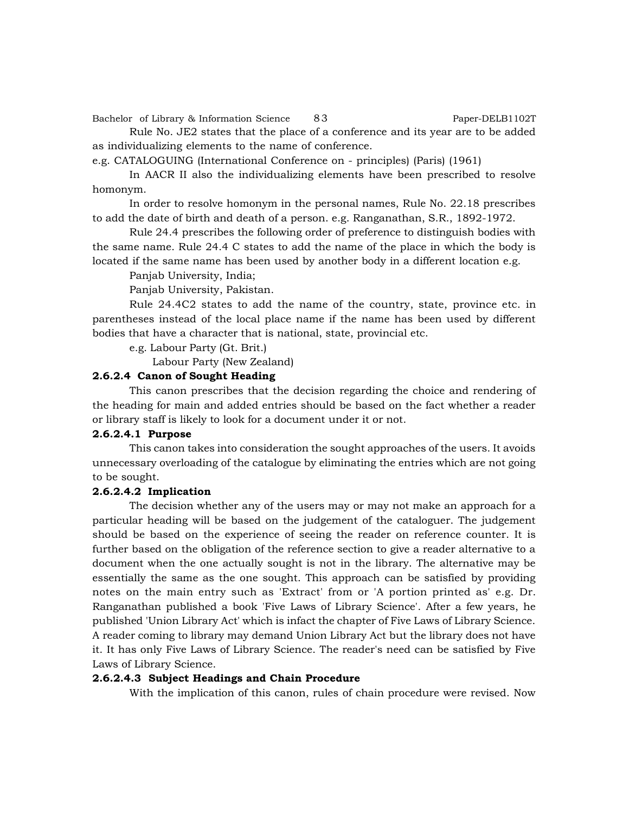Bachelor of Library & Information Science 83 Paper-DELB1102T

Rule No. JE2 states that the place of a conference and its year are to be added as individualizing elements to the name of conference.

e.g. CATALOGUING (International Conference on - principles) (Paris) (1961)

In AACR II also the individualizing elements have been prescribed to resolve homonym.

In order to resolve homonym in the personal names, Rule No. 22.18 prescribes to add the date of birth and death of a person. e.g. Ranganathan, S.R., 1892-1972.

Rule 24.4 prescribes the following order of preference to distinguish bodies with the same name. Rule 24.4 C states to add the name of the place in which the body is located if the same name has been used by another body in a different location e.g.

Panjab University, India;

Panjab University, Pakistan.

Rule 24.4C2 states to add the name of the country, state, province etc. in parentheses instead of the local place name if the name has been used by different bodies that have a character that is national, state, provincial etc.

e.g. Labour Party (Gt. Brit.)

Labour Party (New Zealand)

#### **2.6.2.4 Canon of Sought Heading**

This canon prescribes that the decision regarding the choice and rendering of the heading for main and added entries should be based on the fact whether a reader or library staff is likely to look for a document under it or not.

#### **2.6.2.4.1 Purpose**

This canon takes into consideration the sought approaches of the users. It avoids unnecessary overloading of the catalogue by eliminating the entries which are not going to be sought.

# **2.6.2.4.2 Implication**

The decision whether any of the users may or may not make an approach for a particular heading will be based on the judgement of the cataloguer. The judgement should be based on the experience of seeing the reader on reference counter. It is further based on the obligation of the reference section to give a reader alternative to a document when the one actually sought is not in the library. The alternative may be essentially the same as the one sought. This approach can be satisfied by providing notes on the main entry such as 'Extract' from or 'A portion printed as' e.g. Dr. Ranganathan published a book 'Five Laws of Library Science'. After a few years, he published 'Union Library Act' which is infact the chapter of Five Laws of Library Science. A reader coming to library may demand Union Library Act but the library does not have it. It has only Five Laws of Library Science. The reader's need can be satisfied by Five Laws of Library Science.

#### **2.6.2.4.3 Subject Headings and Chain Procedure**

With the implication of this canon, rules of chain procedure were revised. Now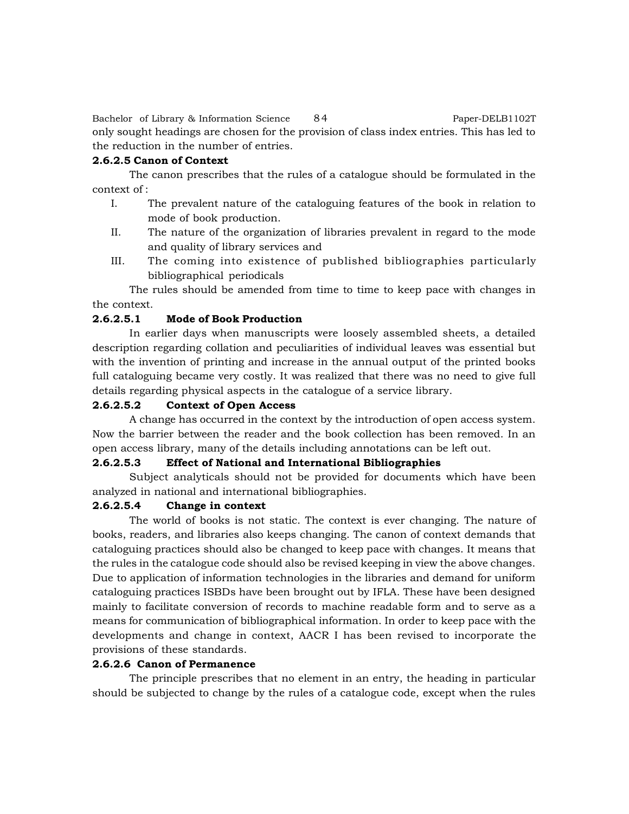Bachelor of Library & Information Science 84 Paper-DELB1102T only sought headings are chosen for the provision of class index entries. This has led to the reduction in the number of entries.

#### **2.6.2.5 Canon of Context**

The canon prescribes that the rules of a catalogue should be formulated in the context of :

- I. The prevalent nature of the cataloguing features of the book in relation to mode of book production.
- II. The nature of the organization of libraries prevalent in regard to the mode and quality of library services and
- III. The coming into existence of published bibliographies particularly bibliographical periodicals

The rules should be amended from time to time to keep pace with changes in the context.

#### **2.6.2.5.1 Mode of Book Production**

In earlier days when manuscripts were loosely assembled sheets, a detailed description regarding collation and peculiarities of individual leaves was essential but with the invention of printing and increase in the annual output of the printed books full cataloguing became very costly. It was realized that there was no need to give full details regarding physical aspects in the catalogue of a service library.

# **2.6.2.5.2 Context of Open Access**

A change has occurred in the context by the introduction of open access system. Now the barrier between the reader and the book collection has been removed. In an open access library, many of the details including annotations can be left out.

#### **2.6.2.5.3 Effect of National and International Bibliographies**

Subject analyticals should not be provided for documents which have been analyzed in national and international bibliographies.

# **2.6.2.5.4 Change in context**

The world of books is not static. The context is ever changing. The nature of books, readers, and libraries also keeps changing. The canon of context demands that cataloguing practices should also be changed to keep pace with changes. It means that the rules in the catalogue code should also be revised keeping in view the above changes. Due to application of information technologies in the libraries and demand for uniform cataloguing practices ISBDs have been brought out by IFLA. These have been designed mainly to facilitate conversion of records to machine readable form and to serve as a means for communication of bibliographical information. In order to keep pace with the developments and change in context, AACR I has been revised to incorporate the provisions of these standards.

## **2.6.2.6 Canon of Permanence**

The principle prescribes that no element in an entry, the heading in particular should be subjected to change by the rules of a catalogue code, except when the rules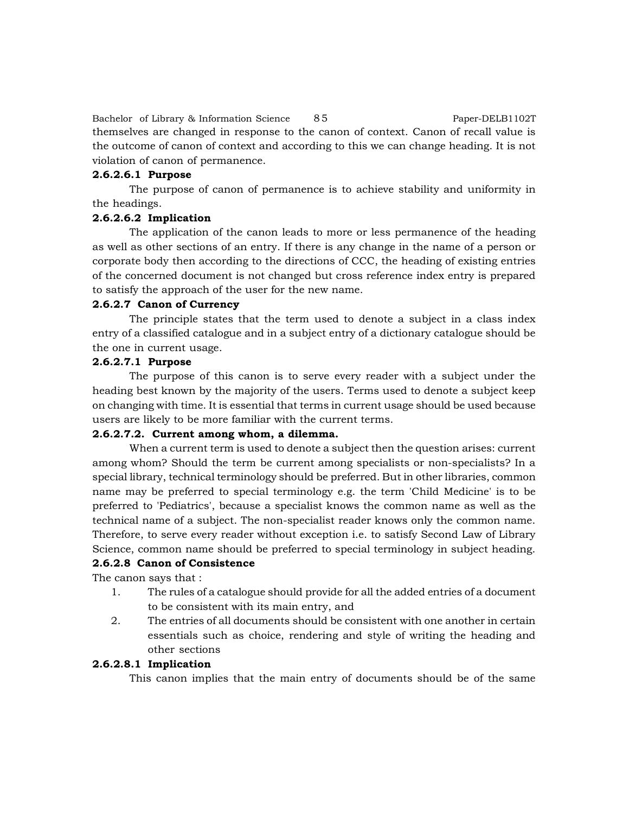Bachelor of Library & Information Science 85 Paper-DELB1102T themselves are changed in response to the canon of context. Canon of recall value is the outcome of canon of context and according to this we can change heading. It is not violation of canon of permanence.

# **2.6.2.6.1 Purpose**

The purpose of canon of permanence is to achieve stability and uniformity in the headings.

# **2.6.2.6.2 Implication**

The application of the canon leads to more or less permanence of the heading as well as other sections of an entry. If there is any change in the name of a person or corporate body then according to the directions of CCC, the heading of existing entries of the concerned document is not changed but cross reference index entry is prepared to satisfy the approach of the user for the new name.

#### **2.6.2.7 Canon of Currency**

The principle states that the term used to denote a subject in a class index entry of a classified catalogue and in a subject entry of a dictionary catalogue should be the one in current usage.

# **2.6.2.7.1 Purpose**

The purpose of this canon is to serve every reader with a subject under the heading best known by the majority of the users. Terms used to denote a subject keep on changing with time. It is essential that terms in current usage should be used because users are likely to be more familiar with the current terms.

#### **2.6.2.7.2. Current among whom, a dilemma.**

When a current term is used to denote a subject then the question arises: current among whom? Should the term be current among specialists or non-specialists? In a special library, technical terminology should be preferred. But in other libraries, common name may be preferred to special terminology e.g. the term 'Child Medicine' is to be preferred to 'Pediatrics', because a specialist knows the common name as well as the technical name of a subject. The non-specialist reader knows only the common name. Therefore, to serve every reader without exception i.e. to satisfy Second Law of Library Science, common name should be preferred to special terminology in subject heading.

#### **2.6.2.8 Canon of Consistence**

The canon says that :

- 1. The rules of a catalogue should provide for all the added entries of a document to be consistent with its main entry, and
- 2. The entries of all documents should be consistent with one another in certain essentials such as choice, rendering and style of writing the heading and other sections

#### **2.6.2.8.1 Implication**

This canon implies that the main entry of documents should be of the same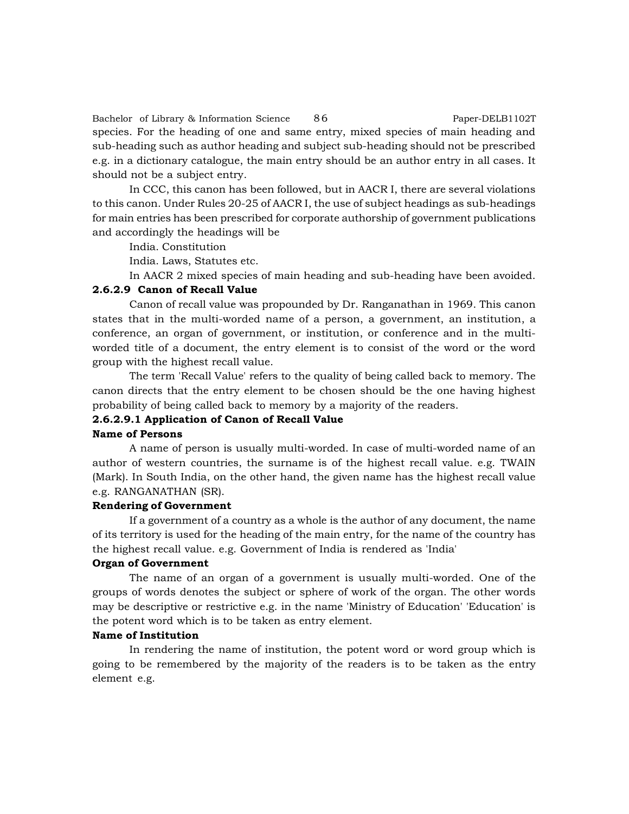Bachelor of Library & Information Science 86 Paper-DELB1102T species. For the heading of one and same entry, mixed species of main heading and sub-heading such as author heading and subject sub-heading should not be prescribed e.g. in a dictionary catalogue, the main entry should be an author entry in all cases. It should not be a subject entry.

In CCC, this canon has been followed, but in AACR I, there are several violations to this canon. Under Rules 20-25 of AACR I, the use of subject headings as sub-headings for main entries has been prescribed for corporate authorship of government publications and accordingly the headings will be

India. Constitution

India. Laws, Statutes etc.

In AACR 2 mixed species of main heading and sub-heading have been avoided.

#### **2.6.2.9 Canon of Recall Value**

Canon of recall value was propounded by Dr. Ranganathan in 1969. This canon states that in the multi-worded name of a person, a government, an institution, a conference, an organ of government, or institution, or conference and in the multiworded title of a document, the entry element is to consist of the word or the word group with the highest recall value.

The term 'Recall Value' refers to the quality of being called back to memory. The canon directs that the entry element to be chosen should be the one having highest probability of being called back to memory by a majority of the readers.

# **2.6.2.9.1 Application of Canon of Recall Value**

#### **Name of Persons**

A name of person is usually multi-worded. In case of multi-worded name of an author of western countries, the surname is of the highest recall value. e.g. TWAIN (Mark). In South India, on the other hand, the given name has the highest recall value e.g. RANGANATHAN (SR).

#### **Rendering of Government**

If a government of a country as a whole is the author of any document, the name of its territory is used for the heading of the main entry, for the name of the country has the highest recall value. e.g. Government of India is rendered as 'India'

#### **Organ of Government**

The name of an organ of a government is usually multi-worded. One of the groups of words denotes the subject or sphere of work of the organ. The other words may be descriptive or restrictive e.g. in the name 'Ministry of Education' 'Education' is the potent word which is to be taken as entry element.

#### **Name of Institution**

In rendering the name of institution, the potent word or word group which is going to be remembered by the majority of the readers is to be taken as the entry element e.g.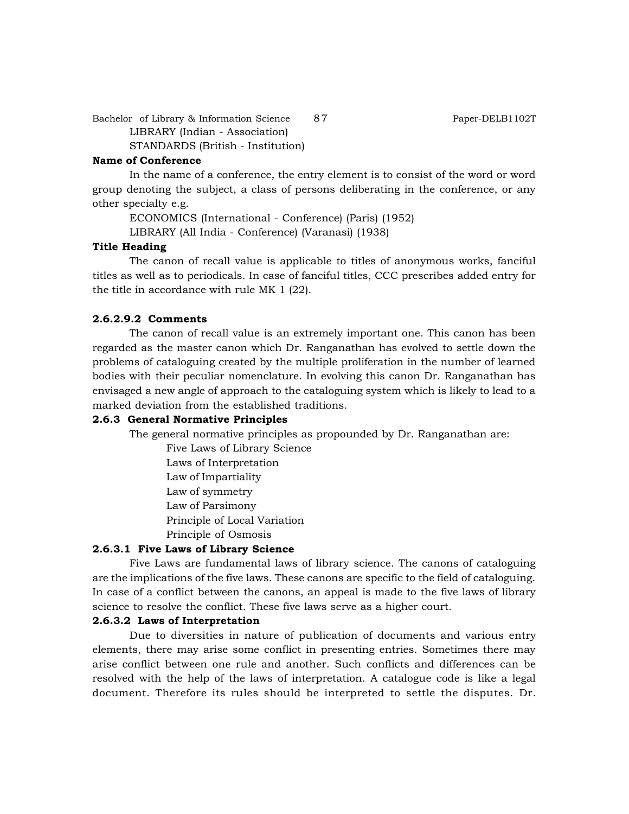Bachelor of Library & Information Science 87 Paper-DELB1102T LIBRARY (Indian - Association) STANDARDS (British - Institution)

#### **Name of Conference**

In the name of a conference, the entry element is to consist of the word or word group denoting the subject, a class of persons deliberating in the conference, or any other specialty e.g.

ECONOMICS (International - Conference) (Paris) (1952)

LIBRARY (All India - Conference) (Varanasi) (1938)

#### **Title Heading**

The canon of recall value is applicable to titles of anonymous works, fanciful titles as well as to periodicals. In case of fanciful titles, CCC prescribes added entry for the title in accordance with rule MK 1 (22).

#### **2.6.2.9.2 Comments**

The canon of recall value is an extremely important one. This canon has been regarded as the master canon which Dr. Ranganathan has evolved to settle down the problems of cataloguing created by the multiple proliferation in the number of learned bodies with their peculiar nomenclature. In evolving this canon Dr. Ranganathan has envisaged a new angle of approach to the cataloguing system which is likely to lead to a marked deviation from the established traditions.

# **2.6.3 General Normative Principles**

The general normative principles as propounded by Dr. Ranganathan are:

Five Laws of Library Science

Laws of Interpretation

Law of Impartiality

Law of symmetry

Law of Parsimony

Principle of Local Variation

Principle of Osmosis

## **2.6.3.1 Five Laws of Library Science**

Five Laws are fundamental laws of library science. The canons of cataloguing are the implications of the five laws. These canons are specific to the field of cataloguing. In case of a conflict between the canons, an appeal is made to the five laws of library science to resolve the conflict. These five laws serve as a higher court.

#### **2.6.3.2 Laws of Interpretation**

Due to diversities in nature of publication of documents and various entry elements, there may arise some conflict in presenting entries. Sometimes there may arise conflict between one rule and another. Such conflicts and differences can be resolved with the help of the laws of interpretation. A catalogue code is like a legal document. Therefore its rules should be interpreted to settle the disputes. Dr.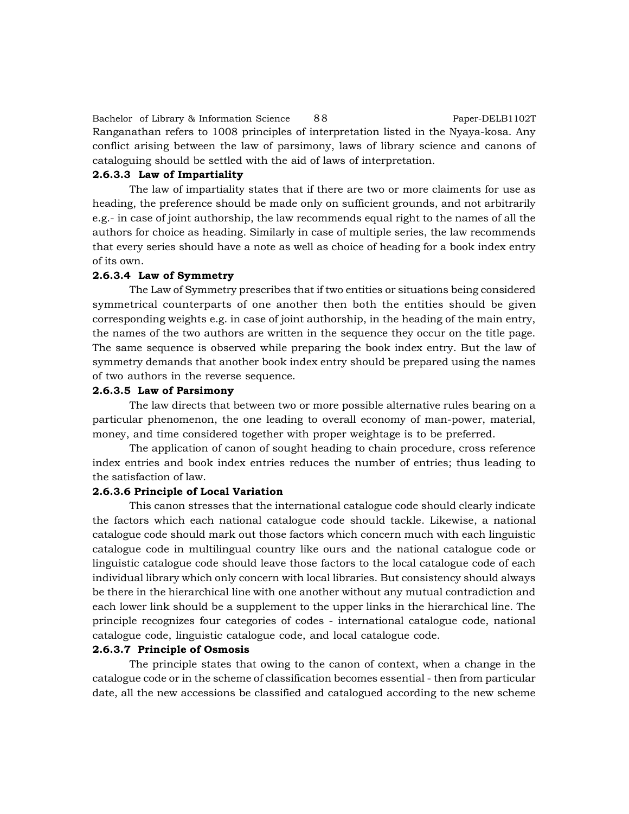Bachelor of Library & Information Science 88 Paper-DELB1102T Ranganathan refers to 1008 principles of interpretation listed in the Nyaya-kosa. Any conflict arising between the law of parsimony, laws of library science and canons of cataloguing should be settled with the aid of laws of interpretation.

#### **2.6.3.3 Law of Impartiality**

The law of impartiality states that if there are two or more claiments for use as heading, the preference should be made only on sufficient grounds, and not arbitrarily e.g.- in case of joint authorship, the law recommends equal right to the names of all the authors for choice as heading. Similarly in case of multiple series, the law recommends that every series should have a note as well as choice of heading for a book index entry of its own.

# **2.6.3.4 Law of Symmetry**

The Law of Symmetry prescribes that if two entities or situations being considered symmetrical counterparts of one another then both the entities should be given corresponding weights e.g. in case of joint authorship, in the heading of the main entry, the names of the two authors are written in the sequence they occur on the title page. The same sequence is observed while preparing the book index entry. But the law of symmetry demands that another book index entry should be prepared using the names of two authors in the reverse sequence.

#### **2.6.3.5 Law of Parsimony**

The law directs that between two or more possible alternative rules bearing on a particular phenomenon, the one leading to overall economy of man-power, material, money, and time considered together with proper weightage is to be preferred.

The application of canon of sought heading to chain procedure, cross reference index entries and book index entries reduces the number of entries; thus leading to the satisfaction of law.

# **2.6.3.6 Principle of Local Variation**

This canon stresses that the international catalogue code should clearly indicate the factors which each national catalogue code should tackle. Likewise, a national catalogue code should mark out those factors which concern much with each linguistic catalogue code in multilingual country like ours and the national catalogue code or linguistic catalogue code should leave those factors to the local catalogue code of each individual library which only concern with local libraries. But consistency should always be there in the hierarchical line with one another without any mutual contradiction and each lower link should be a supplement to the upper links in the hierarchical line. The principle recognizes four categories of codes - international catalogue code, national catalogue code, linguistic catalogue code, and local catalogue code.

#### **2.6.3.7 Principle of Osmosis**

The principle states that owing to the canon of context, when a change in the catalogue code or in the scheme of classification becomes essential - then from particular date, all the new accessions be classified and catalogued according to the new scheme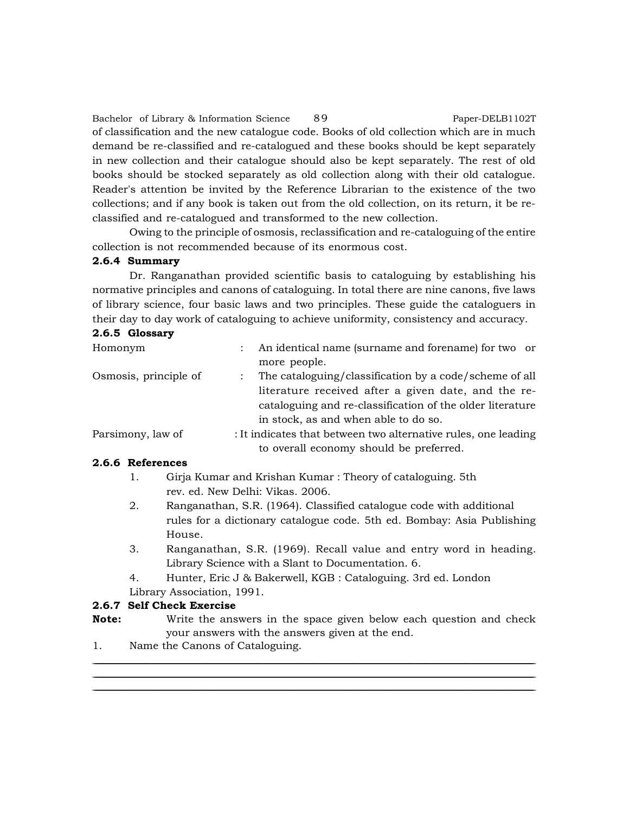Bachelor of Library & Information Science 89 Paper-DELB1102T of classification and the new catalogue code. Books of old collection which are in much demand be re-classified and re-catalogued and these books should be kept separately in new collection and their catalogue should also be kept separately. The rest of old books should be stocked separately as old collection along with their old catalogue. Reader's attention be invited by the Reference Librarian to the existence of the two collections; and if any book is taken out from the old collection, on its return, it be reclassified and re-catalogued and transformed to the new collection.

Owing to the principle of osmosis, reclassification and re-cataloguing of the entire collection is not recommended because of its enormous cost.

# **2.6.4 Summary**

Dr. Ranganathan provided scientific basis to cataloguing by establishing his normative principles and canons of cataloguing. In total there are nine canons, five laws of library science, four basic laws and two principles. These guide the cataloguers in their day to day work of cataloguing to achieve uniformity, consistency and accuracy.

# **2.6.5 Glossary**

| Homonym               | An identical name (surname and forename) for two or            |
|-----------------------|----------------------------------------------------------------|
|                       | more people.                                                   |
| Osmosis, principle of | The cataloguing/classification by a code/scheme of all         |
|                       | literature received after a given date, and the re-            |
|                       | cataloguing and re-classification of the older literature      |
|                       | in stock, as and when able to do so.                           |
| Parsimony, law of     | : It indicates that between two alternative rules, one leading |
|                       | to overall economy should be preferred.                        |

#### **2.6.6 References**

- 1. Girja Kumar and Krishan Kumar : Theory of cataloguing. 5th rev. ed. New Delhi: Vikas. 2006.
- 2. Ranganathan, S.R. (1964). Classified catalogue code with additional rules for a dictionary catalogue code. 5th ed. Bombay: Asia Publishing House.
- 3. Ranganathan, S.R. (1969). Recall value and entry word in heading. Library Science with a Slant to Documentation. 6.
- 4. Hunter, Eric J & Bakerwell, KGB : Cataloguing. 3rd ed. London
- Library Association, 1991.

# **2.6.7 Self Check Exercise**

**Note:** Write the answers in the space given below each question and check your answers with the answers given at the end.

<u> 1989 - Johann Harry Harry Harry Harry Harry Harry Harry Harry Harry Harry Harry Harry Harry Harry Harry Harry</u> <u> 1989 - Johann Barn, amerikan bernama di sebagai bernama di sebagai bernama di sebagai bernama di sebagai bern</u> <u> 1989 - Johann Barn, amerikan bernama di sebagai bernama di sebagai bernama di sebagai bernama di sebagai bern</u>

1. Name the Canons of Cataloguing.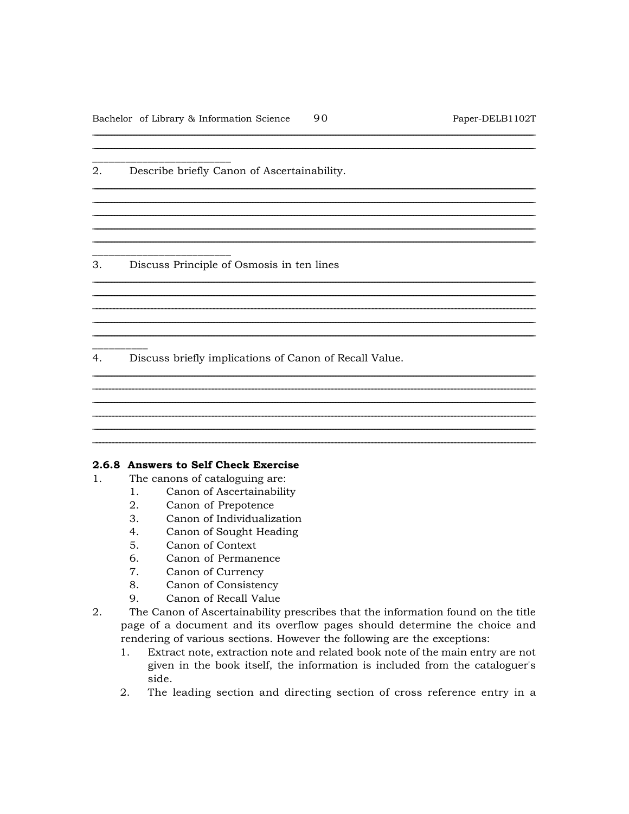2. Describe briefly Canon of Ascertainability.

3. Discuss Principle of Osmosis in ten lines

 $4.$ Discuss briefly implications of Canon of Recall Value.

#### 2.6.8 Answers to Self Check Exercise

- The canons of cataloguing are:  $1$ 
	- Canon of Ascertainability  $1.$
	- $2.$ Canon of Prepotence
	- Canon of Individualization 3.
	- 4. Canon of Sought Heading
	- $5<sub>1</sub>$ Canon of Context
	- 6. Canon of Permanence
	- 7. Canon of Currency
	- 8. Canon of Consistency
	- 9. Canon of Recall Value
- 2. The Canon of Ascertainability prescribes that the information found on the title page of a document and its overflow pages should determine the choice and rendering of various sections. However the following are the exceptions:
	- Extract note, extraction note and related book note of the main entry are not  $1.$ given in the book itself, the information is included from the cataloguer's side.

2. The leading section and directing section of cross reference entry in a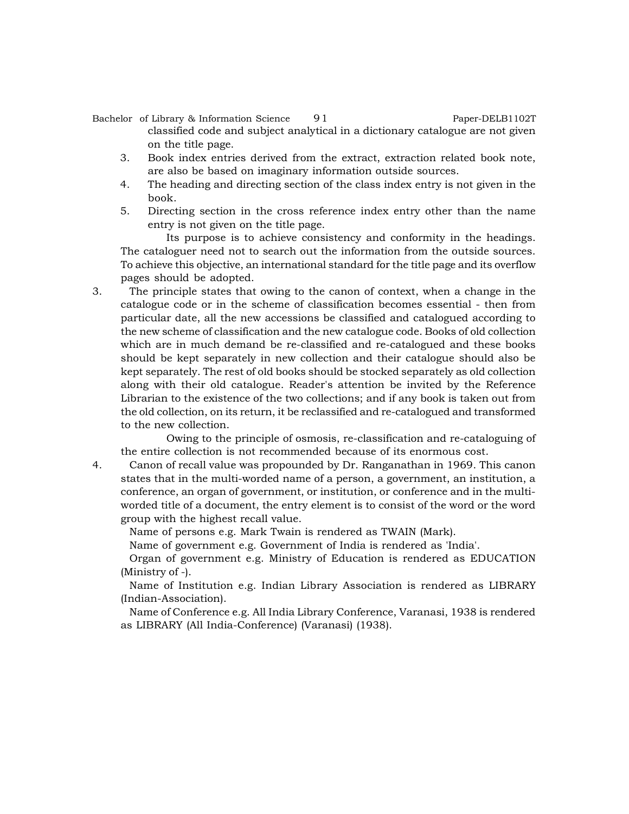## Bachelor of Library & Information Science 91 Paper-DELB1102T classified code and subject analytical in a dictionary catalogue are not given on the title page.

- 3. Book index entries derived from the extract, extraction related book note, are also be based on imaginary information outside sources.
- 4. The heading and directing section of the class index entry is not given in the book.
- 5. Directing section in the cross reference index entry other than the name entry is not given on the title page.

Its purpose is to achieve consistency and conformity in the headings. The cataloguer need not to search out the information from the outside sources. To achieve this objective, an international standard for the title page and its overflow pages should be adopted.

3. The principle states that owing to the canon of context, when a change in the catalogue code or in the scheme of classification becomes essential - then from particular date, all the new accessions be classified and catalogued according to the new scheme of classification and the new catalogue code. Books of old collection which are in much demand be re-classified and re-catalogued and these books should be kept separately in new collection and their catalogue should also be kept separately. The rest of old books should be stocked separately as old collection along with their old catalogue. Reader's attention be invited by the Reference Librarian to the existence of the two collections; and if any book is taken out from the old collection, on its return, it be reclassified and re-catalogued and transformed to the new collection.

Owing to the principle of osmosis, re-classification and re-cataloguing of the entire collection is not recommended because of its enormous cost.

4. Canon of recall value was propounded by Dr. Ranganathan in 1969. This canon states that in the multi-worded name of a person, a government, an institution, a conference, an organ of government, or institution, or conference and in the multiworded title of a document, the entry element is to consist of the word or the word group with the highest recall value.

Name of persons e.g. Mark Twain is rendered as TWAIN (Mark).

Name of government e.g. Government of India is rendered as 'India'.

Organ of government e.g. Ministry of Education is rendered as EDUCATION (Ministry of -).

Name of Institution e.g. Indian Library Association is rendered as LIBRARY (Indian-Association).

Name of Conference e.g. All India Library Conference, Varanasi, 1938 is rendered as LIBRARY (All India-Conference) (Varanasi) (1938).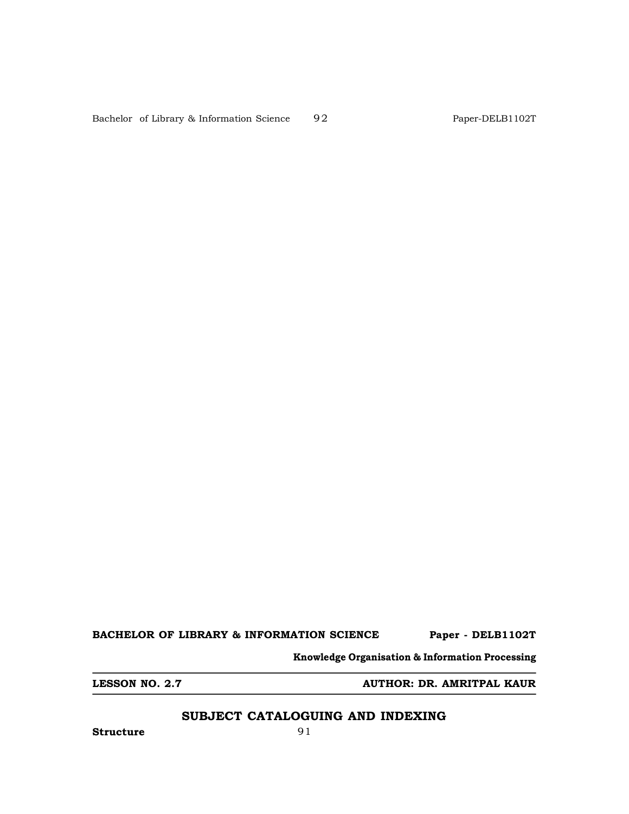Bachelor of Library & Information Science 92 Paper-DELB1102T

**BACHELOR OF LIBRARY & INFORMATION SCIENCE Paper - DELB1102T**

**Knowledge Organisation & Information Processing**

**LESSON NO. 2.7 AUTHOR: DR. AMRITPAL KAUR**

# **SUBJECT CATALOGUING AND INDEXING**

**Structure** 91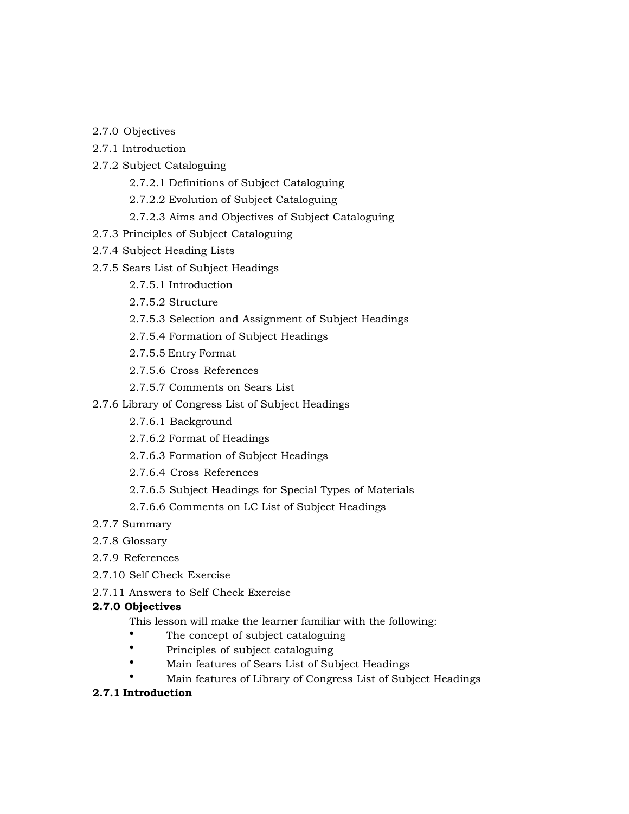- 2.7.0 Objectives
- 2.7.1 Introduction
- 2.7.2 Subject Cataloguing
	- 2.7.2.1 Definitions of Subject Cataloguing
	- 2.7.2.2 Evolution of Subject Cataloguing
	- 2.7.2.3 Aims and Objectives of Subject Cataloguing
- 2.7.3 Principles of Subject Cataloguing
- 2.7.4 Subject Heading Lists
- 2.7.5 Sears List of Subject Headings
	- 2.7.5.1 Introduction
	- 2.7.5.2 Structure
	- 2.7.5.3 Selection and Assignment of Subject Headings
	- 2.7.5.4 Formation of Subject Headings
	- 2.7.5.5 Entry Format
	- 2.7.5.6 Cross References
	- 2.7.5.7 Comments on Sears List
- 2.7.6 Library of Congress List of Subject Headings
	- 2.7.6.1 Background
	- 2.7.6.2 Format of Headings
	- 2.7.6.3 Formation of Subject Headings
	- 2.7.6.4 Cross References
	- 2.7.6.5 Subject Headings for Special Types of Materials
	- 2.7.6.6 Comments on LC List of Subject Headings
- 2.7.7 Summary
- 2.7.8 Glossary
- 2.7.9 References
- 2.7.10 Self Check Exercise
- 2.7.11 Answers to Self Check Exercise

#### **2.7.0 Objectives**

- This lesson will make the learner familiar with the following:
	- The concept of subject cataloguing
- Principles of subject cataloguing
- Main features of Sears List of Subject Headings
- Main features of Library of Congress List of Subject Headings

# **2.7.1 Introduction**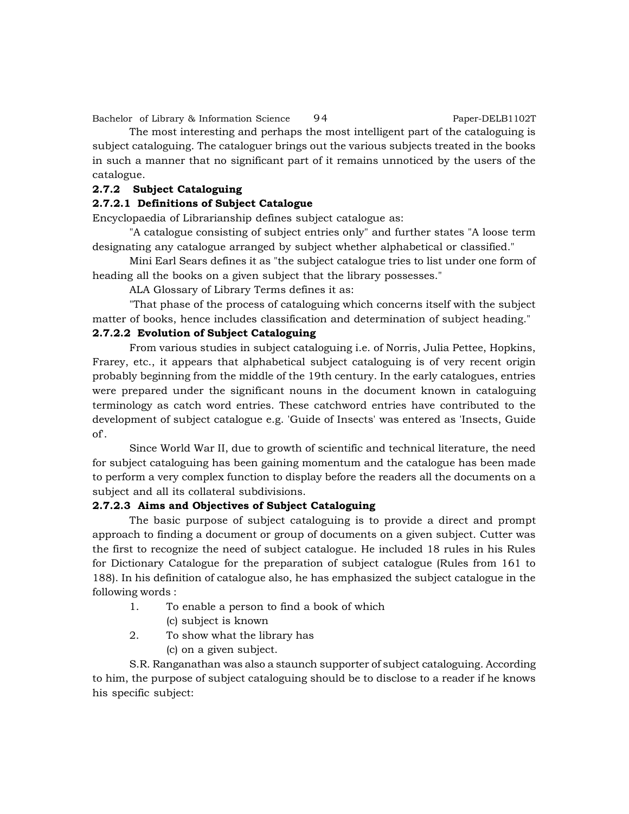Bachelor of Library & Information Science 94 Paper-DELB1102T

The most interesting and perhaps the most intelligent part of the cataloguing is subject cataloguing. The cataloguer brings out the various subjects treated in the books in such a manner that no significant part of it remains unnoticed by the users of the catalogue.

# **2.7.2 Subject Cataloguing**

# **2.7.2.1 Definitions of Subject Catalogue**

Encyclopaedia of Librarianship defines subject catalogue as:

"A catalogue consisting of subject entries only" and further states "A loose term designating any catalogue arranged by subject whether alphabetical or classified."

Mini Earl Sears defines it as "the subject catalogue tries to list under one form of heading all the books on a given subject that the library possesses."

ALA Glossary of Library Terms defines it as:

"That phase of the process of cataloguing which concerns itself with the subject matter of books, hence includes classification and determination of subject heading."

# **2.7.2.2 Evolution of Subject Cataloguing**

From various studies in subject cataloguing i.e. of Norris, Julia Pettee, Hopkins, Frarey, etc., it appears that alphabetical subject cataloguing is of very recent origin probably beginning from the middle of the 19th century. In the early catalogues, entries were prepared under the significant nouns in the document known in cataloguing terminology as catch word entries. These catchword entries have contributed to the development of subject catalogue e.g. 'Guide of Insects' was entered as 'Insects, Guide of'.

Since World War II, due to growth of scientific and technical literature, the need for subject cataloguing has been gaining momentum and the catalogue has been made to perform a very complex function to display before the readers all the documents on a subject and all its collateral subdivisions.

# **2.7.2.3 Aims and Objectives of Subject Cataloguing**

The basic purpose of subject cataloguing is to provide a direct and prompt approach to finding a document or group of documents on a given subject. Cutter was the first to recognize the need of subject catalogue. He included 18 rules in his Rules for Dictionary Catalogue for the preparation of subject catalogue (Rules from 161 to 188). In his definition of catalogue also, he has emphasized the subject catalogue in the following words :

- 1. To enable a person to find a book of which
	- (c) subject is known
- 2. To show what the library has
	- (c) on a given subject.

S.R. Ranganathan was also a staunch supporter of subject cataloguing. According to him, the purpose of subject cataloguing should be to disclose to a reader if he knows his specific subject: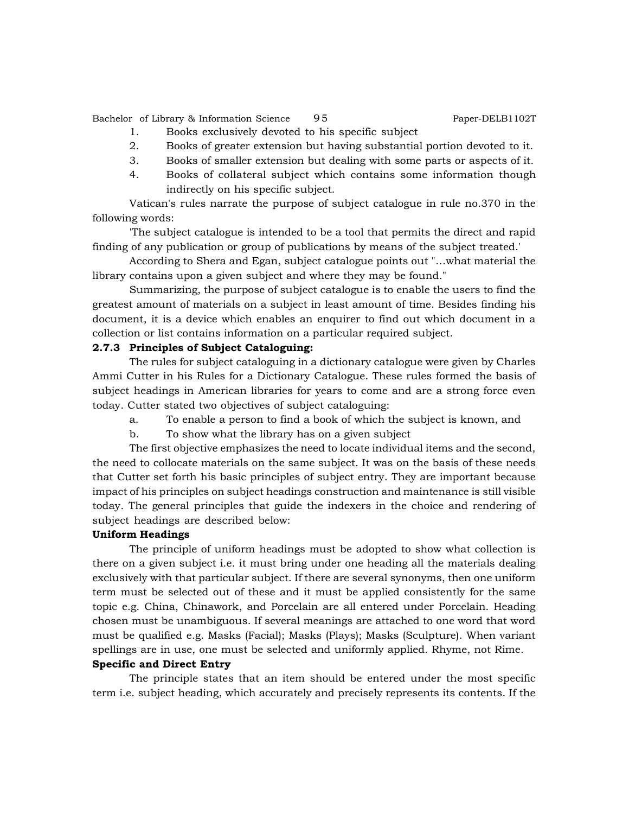Bachelor of Library & Information Science 95 Paper-DELB1102T

- 1. Books exclusively devoted to his specific subject
- 2. Books of greater extension but having substantial portion devoted to it.
- 3. Books of smaller extension but dealing with some parts or aspects of it.
- 4. Books of collateral subject which contains some information though indirectly on his specific subject.

Vatican's rules narrate the purpose of subject catalogue in rule no.370 in the following words:

'The subject catalogue is intended to be a tool that permits the direct and rapid finding of any publication or group of publications by means of the subject treated.'

According to Shera and Egan, subject catalogue points out "…what material the library contains upon a given subject and where they may be found."

Summarizing, the purpose of subject catalogue is to enable the users to find the greatest amount of materials on a subject in least amount of time. Besides finding his document, it is a device which enables an enquirer to find out which document in a collection or list contains information on a particular required subject.

#### **2.7.3 Principles of Subject Cataloguing:**

The rules for subject cataloguing in a dictionary catalogue were given by Charles Ammi Cutter in his Rules for a Dictionary Catalogue. These rules formed the basis of subject headings in American libraries for years to come and are a strong force even today. Cutter stated two objectives of subject cataloguing:

a. To enable a person to find a book of which the subject is known, and

b. To show what the library has on a given subject

The first objective emphasizes the need to locate individual items and the second, the need to collocate materials on the same subject. It was on the basis of these needs that Cutter set forth his basic principles of subject entry. They are important because impact of his principles on subject headings construction and maintenance is still visible today. The general principles that guide the indexers in the choice and rendering of subject headings are described below:

#### **Uniform Headings**

The principle of uniform headings must be adopted to show what collection is there on a given subject i.e. it must bring under one heading all the materials dealing exclusively with that particular subject. If there are several synonyms, then one uniform term must be selected out of these and it must be applied consistently for the same topic e.g. China, Chinawork, and Porcelain are all entered under Porcelain. Heading chosen must be unambiguous. If several meanings are attached to one word that word must be qualified e.g. Masks (Facial); Masks (Plays); Masks (Sculpture). When variant spellings are in use, one must be selected and uniformly applied. Rhyme, not Rime.

#### **Specific and Direct Entry**

The principle states that an item should be entered under the most specific term i.e. subject heading, which accurately and precisely represents its contents. If the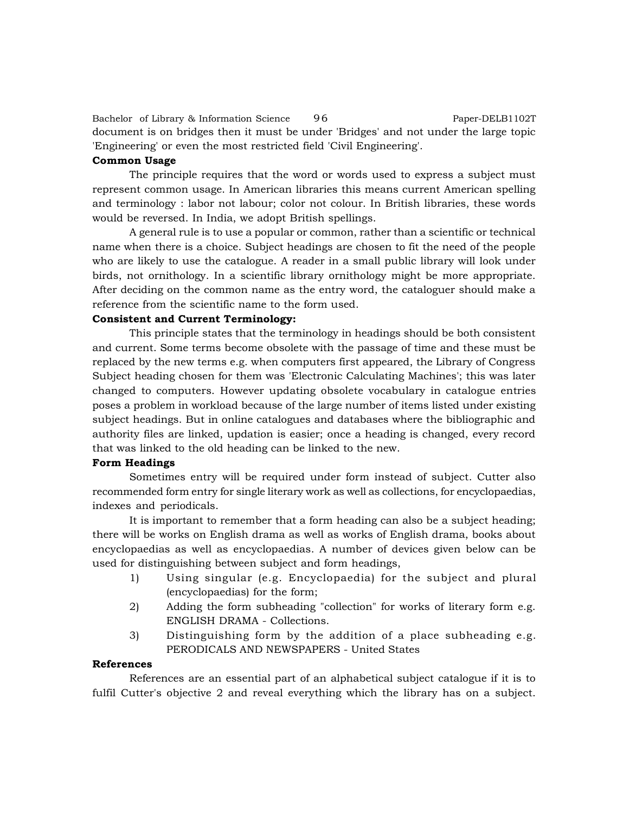Bachelor of Library & Information Science 96 Paper-DELB1102T document is on bridges then it must be under 'Bridges' and not under the large topic 'Engineering' or even the most restricted field 'Civil Engineering'.

#### **Common Usage**

The principle requires that the word or words used to express a subject must represent common usage. In American libraries this means current American spelling and terminology : labor not labour; color not colour. In British libraries, these words would be reversed. In India, we adopt British spellings.

A general rule is to use a popular or common, rather than a scientific or technical name when there is a choice. Subject headings are chosen to fit the need of the people who are likely to use the catalogue. A reader in a small public library will look under birds, not ornithology. In a scientific library ornithology might be more appropriate. After deciding on the common name as the entry word, the cataloguer should make a reference from the scientific name to the form used.

#### **Consistent and Current Terminology:**

This principle states that the terminology in headings should be both consistent and current. Some terms become obsolete with the passage of time and these must be replaced by the new terms e.g. when computers first appeared, the Library of Congress Subject heading chosen for them was 'Electronic Calculating Machines'; this was later changed to computers. However updating obsolete vocabulary in catalogue entries poses a problem in workload because of the large number of items listed under existing subject headings. But in online catalogues and databases where the bibliographic and authority files are linked, updation is easier; once a heading is changed, every record that was linked to the old heading can be linked to the new.

#### **Form Headings**

Sometimes entry will be required under form instead of subject. Cutter also recommended form entry for single literary work as well as collections, for encyclopaedias, indexes and periodicals.

It is important to remember that a form heading can also be a subject heading; there will be works on English drama as well as works of English drama, books about encyclopaedias as well as encyclopaedias. A number of devices given below can be used for distinguishing between subject and form headings,

- 1) Using singular (e.g. Encyclopaedia) for the subject and plural (encyclopaedias) for the form;
- 2) Adding the form subheading "collection" for works of literary form e.g. ENGLISH DRAMA - Collections.
- 3) Distinguishing form by the addition of a place subheading e.g. PERODICALS AND NEWSPAPERS - United States

#### **References**

References are an essential part of an alphabetical subject catalogue if it is to fulfil Cutter's objective 2 and reveal everything which the library has on a subject.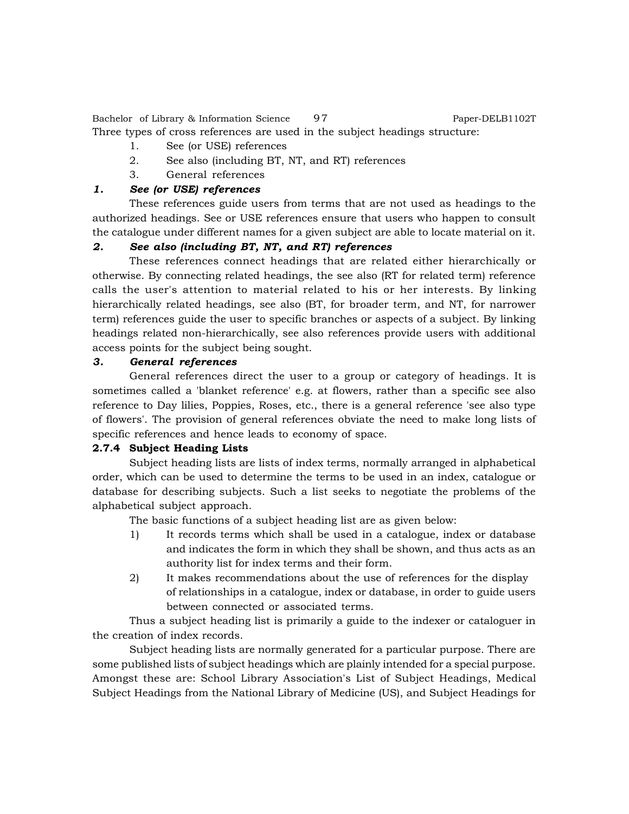Bachelor of Library & Information Science 97 Paper-DELB1102T Three types of cross references are used in the subject headings structure:

- 1. See (or USE) references
- 2. See also (including BT, NT, and RT) references
- 3. General references

# *1. See (or USE) references*

These references guide users from terms that are not used as headings to the authorized headings. See or USE references ensure that users who happen to consult the catalogue under different names for a given subject are able to locate material on it.

# *2. See also (including BT, NT, and RT) references*

These references connect headings that are related either hierarchically or otherwise. By connecting related headings, the see also (RT for related term) reference calls the user's attention to material related to his or her interests. By linking hierarchically related headings, see also (BT, for broader term, and NT, for narrower term) references guide the user to specific branches or aspects of a subject. By linking headings related non-hierarchically, see also references provide users with additional access points for the subject being sought.

# *3. General references*

General references direct the user to a group or category of headings. It is sometimes called a 'blanket reference' e.g. at flowers, rather than a specific see also reference to Day lilies, Poppies, Roses, etc., there is a general reference 'see also type of flowers'. The provision of general references obviate the need to make long lists of specific references and hence leads to economy of space.

#### **2.7.4 Subject Heading Lists**

Subject heading lists are lists of index terms, normally arranged in alphabetical order, which can be used to determine the terms to be used in an index, catalogue or database for describing subjects. Such a list seeks to negotiate the problems of the alphabetical subject approach.

The basic functions of a subject heading list are as given below:

- 1) It records terms which shall be used in a catalogue, index or database and indicates the form in which they shall be shown, and thus acts as an authority list for index terms and their form.
- 2) It makes recommendations about the use of references for the display of relationships in a catalogue, index or database, in order to guide users between connected or associated terms.

Thus a subject heading list is primarily a guide to the indexer or cataloguer in the creation of index records.

Subject heading lists are normally generated for a particular purpose. There are some published lists of subject headings which are plainly intended for a special purpose. Amongst these are: School Library Association's List of Subject Headings, Medical Subject Headings from the National Library of Medicine (US), and Subject Headings for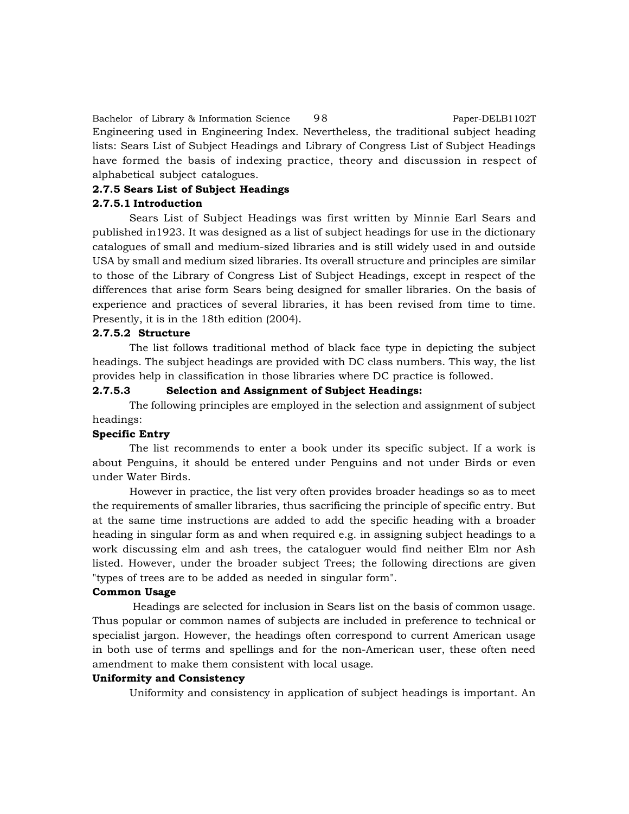Bachelor of Library & Information Science 98 Paper-DELB1102T Engineering used in Engineering Index. Nevertheless, the traditional subject heading lists: Sears List of Subject Headings and Library of Congress List of Subject Headings have formed the basis of indexing practice, theory and discussion in respect of alphabetical subject catalogues.

#### **2.7.5 Sears List of Subject Headings**

#### **2.7.5.1 Introduction**

Sears List of Subject Headings was first written by Minnie Earl Sears and published in1923. It was designed as a list of subject headings for use in the dictionary catalogues of small and medium-sized libraries and is still widely used in and outside USA by small and medium sized libraries. Its overall structure and principles are similar to those of the Library of Congress List of Subject Headings, except in respect of the differences that arise form Sears being designed for smaller libraries. On the basis of experience and practices of several libraries, it has been revised from time to time. Presently, it is in the 18th edition (2004).

#### **2.7.5.2 Structure**

The list follows traditional method of black face type in depicting the subject headings. The subject headings are provided with DC class numbers. This way, the list provides help in classification in those libraries where DC practice is followed.

# **2.7.5.3 Selection and Assignment of Subject Headings:**

The following principles are employed in the selection and assignment of subject headings:

# **Specific Entry**

The list recommends to enter a book under its specific subject. If a work is about Penguins, it should be entered under Penguins and not under Birds or even under Water Birds.

However in practice, the list very often provides broader headings so as to meet the requirements of smaller libraries, thus sacrificing the principle of specific entry. But at the same time instructions are added to add the specific heading with a broader heading in singular form as and when required e.g. in assigning subject headings to a work discussing elm and ash trees, the cataloguer would find neither Elm nor Ash listed. However, under the broader subject Trees; the following directions are given "types of trees are to be added as needed in singular form".

#### **Common Usage**

 Headings are selected for inclusion in Sears list on the basis of common usage. Thus popular or common names of subjects are included in preference to technical or specialist jargon. However, the headings often correspond to current American usage in both use of terms and spellings and for the non-American user, these often need amendment to make them consistent with local usage.

#### **Uniformity and Consistency**

Uniformity and consistency in application of subject headings is important. An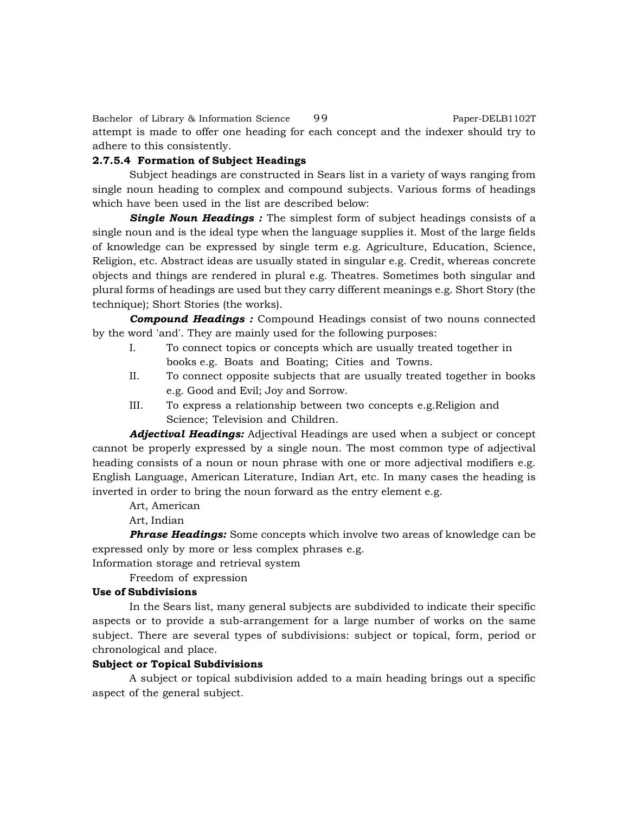Bachelor of Library & Information Science 99 Paper-DELB1102T attempt is made to offer one heading for each concept and the indexer should try to adhere to this consistently.

#### **2.7.5.4 Formation of Subject Headings**

Subject headings are constructed in Sears list in a variety of ways ranging from single noun heading to complex and compound subjects. Various forms of headings which have been used in the list are described below:

**Single Noun Headings**: The simplest form of subject headings consists of a single noun and is the ideal type when the language supplies it. Most of the large fields of knowledge can be expressed by single term e.g. Agriculture, Education, Science, Religion, etc. Abstract ideas are usually stated in singular e.g. Credit, whereas concrete objects and things are rendered in plural e.g. Theatres. Sometimes both singular and plural forms of headings are used but they carry different meanings e.g. Short Story (the technique); Short Stories (the works).

*Compound Headings :* Compound Headings consist of two nouns connected by the word 'and'. They are mainly used for the following purposes:

- I. To connect topics or concepts which are usually treated together in books e.g. Boats and Boating; Cities and Towns.
- II. To connect opposite subjects that are usually treated together in books e.g. Good and Evil; Joy and Sorrow.
- III. To express a relationship between two concepts e.g.Religion and Science; Television and Children.

*Adjectival Headings:* Adjectival Headings are used when a subject or concept cannot be properly expressed by a single noun. The most common type of adjectival heading consists of a noun or noun phrase with one or more adjectival modifiers e.g. English Language, American Literature, Indian Art, etc. In many cases the heading is inverted in order to bring the noun forward as the entry element e.g.

Art, American

Art, Indian

**Phrase Headings:** Some concepts which involve two areas of knowledge can be expressed only by more or less complex phrases e.g.

Information storage and retrieval system

Freedom of expression

#### **Use of Subdivisions**

In the Sears list, many general subjects are subdivided to indicate their specific aspects or to provide a sub-arrangement for a large number of works on the same subject. There are several types of subdivisions: subject or topical, form, period or chronological and place.

#### **Subject or Topical Subdivisions**

A subject or topical subdivision added to a main heading brings out a specific aspect of the general subject.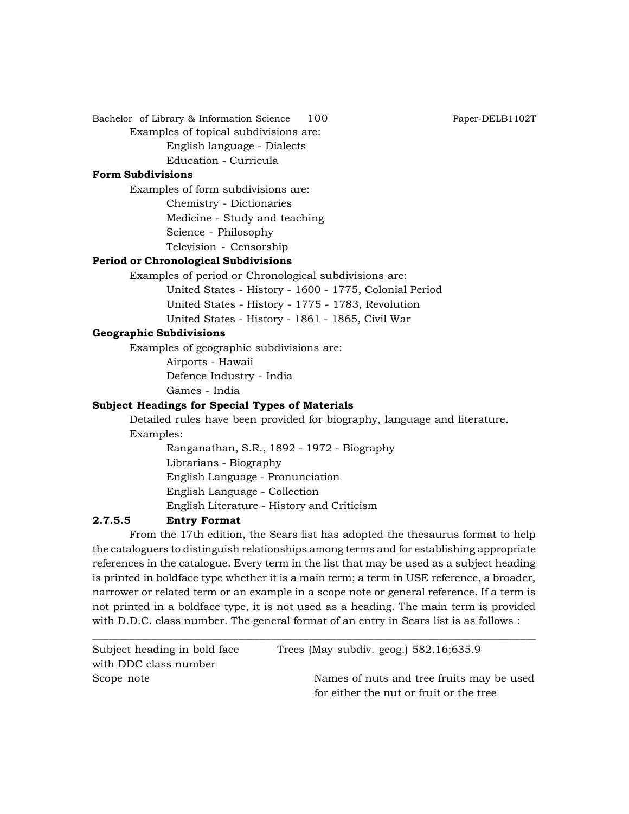Bachelor of Library & Information Science 100 Paper-DELB1102T Examples of topical subdivisions are:

> English language - Dialects Education - Curricula

# **Form Subdivisions**

Examples of form subdivisions are:

Chemistry - Dictionaries Medicine - Study and teaching Science - Philosophy Television - Censorship

#### **Period or Chronological Subdivisions**

Examples of period or Chronological subdivisions are:

United States - History - 1600 - 1775, Colonial Period United States - History - 1775 - 1783, Revolution United States - History - 1861 - 1865, Civil War

#### **Geographic Subdivisions**

Examples of geographic subdivisions are:

Airports - Hawaii Defence Industry - India

Games - India

# **Subject Headings for Special Types of Materials**

Detailed rules have been provided for biography, language and literature. Examples:

> Ranganathan, S.R., 1892 - 1972 - Biography Librarians - Biography English Language - Pronunciation English Language - Collection

English Literature - History and Criticism

# **2.7.5.5 Entry Format**

From the 17th edition, the Sears list has adopted the thesaurus format to help the cataloguers to distinguish relationships among terms and for establishing appropriate references in the catalogue. Every term in the list that may be used as a subject heading is printed in boldface type whether it is a main term; a term in USE reference, a broader, narrower or related term or an example in a scope note or general reference. If a term is not printed in a boldface type, it is not used as a heading. The main term is provided with D.D.C. class number. The general format of an entry in Sears list is as follows :

| Subject heading in bold face | Trees (May subdiv. geog.) $582.16;635.9$  |
|------------------------------|-------------------------------------------|
| with DDC class number        |                                           |
| Scope note                   | Names of nuts and tree fruits may be used |
|                              | for either the nut or fruit or the tree   |

\_\_\_\_\_\_\_\_\_\_\_\_\_\_\_\_\_\_\_\_\_\_\_\_\_\_\_\_\_\_\_\_\_\_\_\_\_\_\_\_\_\_\_\_\_\_\_\_\_\_\_\_\_\_\_\_\_\_\_\_\_\_\_\_\_\_\_\_\_\_\_\_\_\_\_\_\_\_\_\_\_\_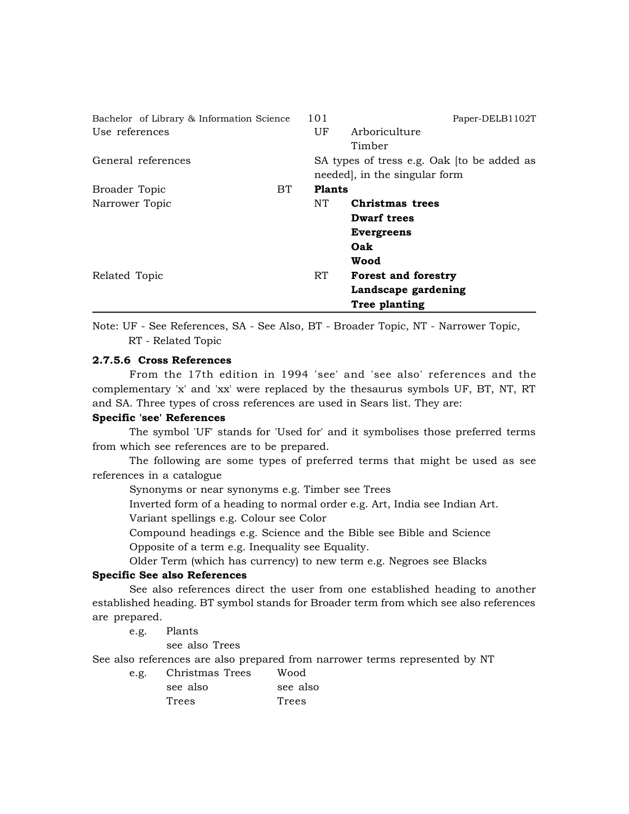| Bachelor of Library & Information Science |     | 101             | Paper-DELB1102T                            |
|-------------------------------------------|-----|-----------------|--------------------------------------------|
| Use references                            |     | UF <sup>.</sup> | Arboriculture                              |
|                                           |     |                 | Timber                                     |
| General references                        |     |                 | SA types of tress e.g. Oak (to be added as |
|                                           |     |                 | needed, in the singular form               |
| Broader Topic                             | BT. | <b>Plants</b>   |                                            |
| Narrower Topic                            |     | NT.             | Christmas trees                            |
|                                           |     |                 | Dwarf trees                                |
|                                           |     |                 | <b>Evergreens</b>                          |
|                                           |     |                 | Oak                                        |
|                                           |     |                 | Wood                                       |
| Related Topic                             |     | RT.             | <b>Forest and forestry</b>                 |
|                                           |     |                 | Landscape gardening                        |
|                                           |     |                 | Tree planting                              |

Note: UF - See References, SA - See Also, BT - Broader Topic, NT - Narrower Topic, RT - Related Topic

#### **2.7.5.6 Cross References**

From the 17th edition in 1994 'see' and 'see also' references and the complementary 'x' and 'xx' were replaced by the thesaurus symbols UF, BT, NT, RT and SA. Three types of cross references are used in Sears list. They are:

# **Specific 'see' References**

The symbol 'UF' stands for 'Used for' and it symbolises those preferred terms from which see references are to be prepared.

The following are some types of preferred terms that might be used as see references in a catalogue

Synonyms or near synonyms e.g. Timber see Trees

Inverted form of a heading to normal order e.g. Art, India see Indian Art.

Variant spellings e.g. Colour see Color

Compound headings e.g. Science and the Bible see Bible and Science Opposite of a term e.g. Inequality see Equality.

Older Term (which has currency) to new term e.g. Negroes see Blacks

#### **Specific See also References**

See also references direct the user from one established heading to another established heading. BT symbol stands for Broader term from which see also references are prepared.

e.g. Plants

see also Trees

See also references are also prepared from narrower terms represented by NT

e.g. Christmas Trees Wood see also see also Trees Trees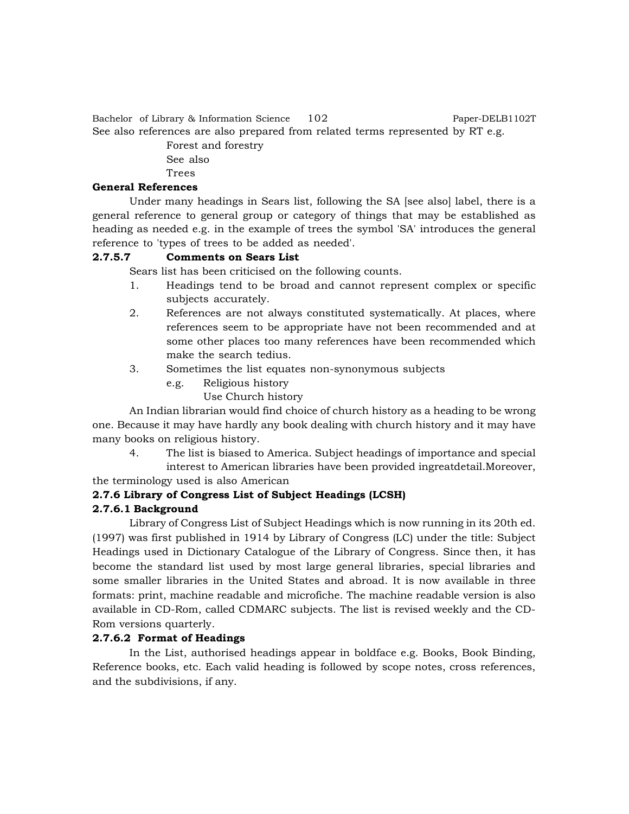Bachelor of Library & Information Science 102 Paper-DELB1102T See also references are also prepared from related terms represented by RT e.g.

Forest and forestry See also

Trees

# **General References**

Under many headings in Sears list, following the SA [see also] label, there is a general reference to general group or category of things that may be established as heading as needed e.g. in the example of trees the symbol 'SA' introduces the general reference to 'types of trees to be added as needed'.

# **2.7.5.7 Comments on Sears List**

Sears list has been criticised on the following counts.

- 1. Headings tend to be broad and cannot represent complex or specific subjects accurately.
- 2. References are not always constituted systematically. At places, where references seem to be appropriate have not been recommended and at some other places too many references have been recommended which make the search tedius.
- 3. Sometimes the list equates non-synonymous subjects
	- e.g. Religious history

# Use Church history

An Indian librarian would find choice of church history as a heading to be wrong one. Because it may have hardly any book dealing with church history and it may have many books on religious history.

4. The list is biased to America. Subject headings of importance and special interest to American libraries have been provided ingreatdetail.Moreover,

the terminology used is also American

# **2.7.6 Library of Congress List of Subject Headings (LCSH)**

# **2.7.6.1 Background**

Library of Congress List of Subject Headings which is now running in its 20th ed. (1997) was first published in 1914 by Library of Congress (LC) under the title: Subject Headings used in Dictionary Catalogue of the Library of Congress. Since then, it has become the standard list used by most large general libraries, special libraries and some smaller libraries in the United States and abroad. It is now available in three formats: print, machine readable and microfiche. The machine readable version is also available in CD-Rom, called CDMARC subjects. The list is revised weekly and the CD-Rom versions quarterly.

# **2.7.6.2 Format of Headings**

In the List, authorised headings appear in boldface e.g. Books, Book Binding, Reference books, etc. Each valid heading is followed by scope notes, cross references, and the subdivisions, if any.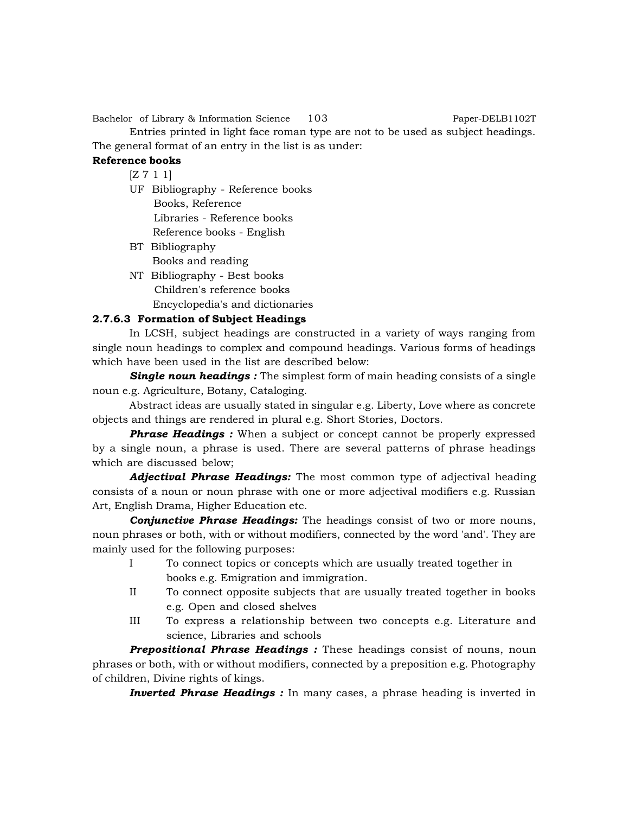Bachelor of Library & Information Science 103 Paper-DELB1102T

Entries printed in light face roman type are not to be used as subject headings. The general format of an entry in the list is as under:

# **Reference books**

 $[Z 7 1 1]$ 

- UF Bibliography Reference books Books, Reference Libraries - Reference books Reference books - English
- BT Bibliography Books and reading
- NT Bibliography Best books Children's reference books Encyclopedia's and dictionaries

# **2.7.6.3 Formation of Subject Headings**

In LCSH, subject headings are constructed in a variety of ways ranging from single noun headings to complex and compound headings. Various forms of headings which have been used in the list are described below:

**Single noun headings :** The simplest form of main heading consists of a single noun e.g. Agriculture, Botany, Cataloging.

Abstract ideas are usually stated in singular e.g. Liberty, Love where as concrete objects and things are rendered in plural e.g. Short Stories, Doctors.

**Phrase Headings :** When a subject or concept cannot be properly expressed by a single noun, a phrase is used. There are several patterns of phrase headings which are discussed below;

*Adjectival Phrase Headings:* The most common type of adjectival heading consists of a noun or noun phrase with one or more adjectival modifiers e.g. Russian Art, English Drama, Higher Education etc.

*Conjunctive Phrase Headings:* The headings consist of two or more nouns, noun phrases or both, with or without modifiers, connected by the word 'and'. They are mainly used for the following purposes:

- I To connect topics or concepts which are usually treated together in books e.g. Emigration and immigration.
- II To connect opposite subjects that are usually treated together in books e.g. Open and closed shelves
- III To express a relationship between two concepts e.g. Literature and science, Libraries and schools

*Prepositional Phrase Headings :* These headings consist of nouns, noun phrases or both, with or without modifiers, connected by a preposition e.g. Photography of children, Divine rights of kings.

*Inverted Phrase Headings :* In many cases, a phrase heading is inverted in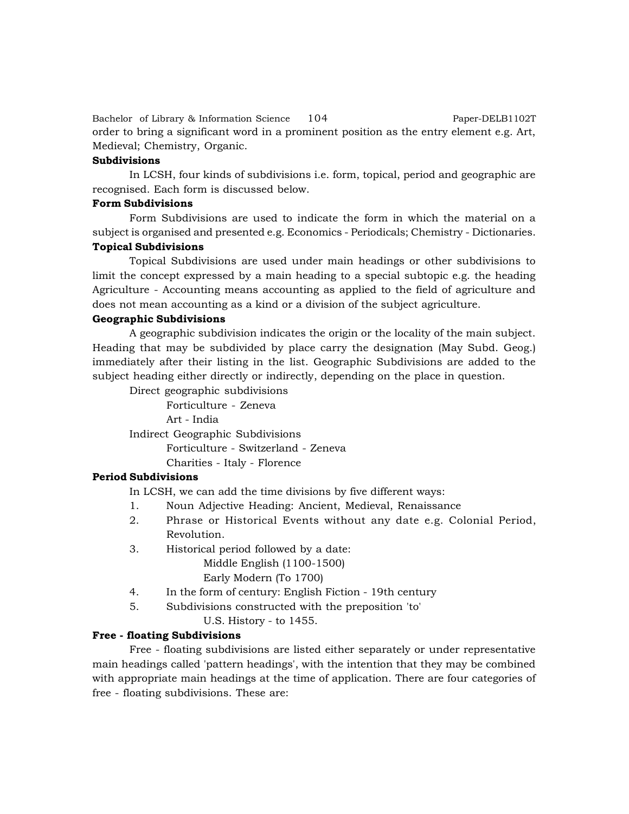Bachelor of Library & Information Science 104 Paper-DELB1102T order to bring a significant word in a prominent position as the entry element e.g. Art, Medieval; Chemistry, Organic.

#### **Subdivisions**

In LCSH, four kinds of subdivisions i.e. form, topical, period and geographic are recognised. Each form is discussed below.

# **Form Subdivisions**

Form Subdivisions are used to indicate the form in which the material on a subject is organised and presented e.g. Economics - Periodicals; Chemistry - Dictionaries. **Topical Subdivisions**

Topical Subdivisions are used under main headings or other subdivisions to limit the concept expressed by a main heading to a special subtopic e.g. the heading Agriculture - Accounting means accounting as applied to the field of agriculture and does not mean accounting as a kind or a division of the subject agriculture.

#### **Geographic Subdivisions**

A geographic subdivision indicates the origin or the locality of the main subject. Heading that may be subdivided by place carry the designation (May Subd. Geog.) immediately after their listing in the list. Geographic Subdivisions are added to the subject heading either directly or indirectly, depending on the place in question.

Direct geographic subdivisions

Forticulture - Zeneva Art - India

Indirect Geographic Subdivisions

Forticulture - Switzerland - Zeneva Charities - Italy - Florence

#### **Period Subdivisions**

In LCSH, we can add the time divisions by five different ways:

- 1. Noun Adjective Heading: Ancient, Medieval, Renaissance
- 2. Phrase or Historical Events without any date e.g. Colonial Period, Revolution.
- 3. Historical period followed by a date: Middle English (1100-1500) Early Modern (To 1700)
- 4. In the form of century: English Fiction 19th century
- 5. Subdivisions constructed with the preposition 'to'

U.S. History - to 1455.

#### **Free - floating Subdivisions**

Free - floating subdivisions are listed either separately or under representative main headings called 'pattern headings', with the intention that they may be combined with appropriate main headings at the time of application. There are four categories of free - floating subdivisions. These are: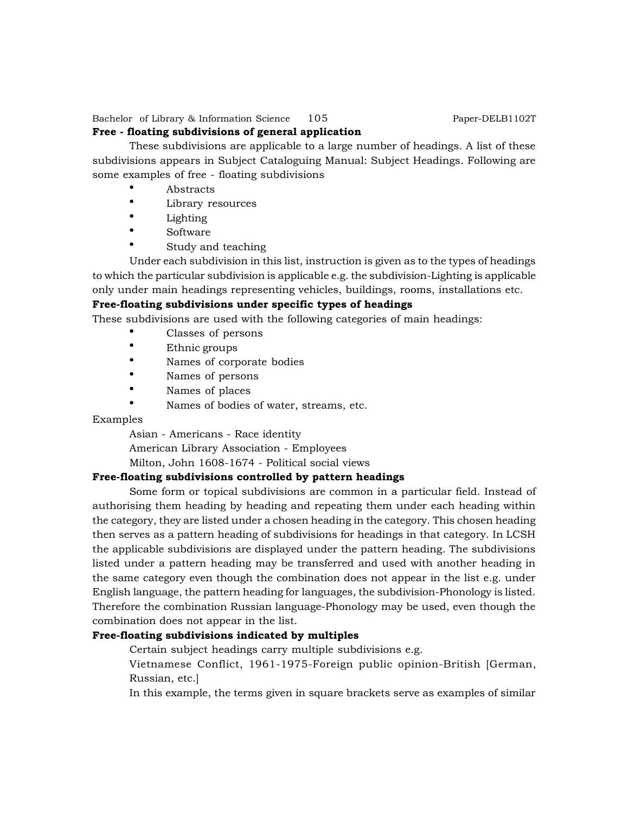Bachelor of Library & Information Science 105 Paper-DELB1102T

# **Free - floating subdivisions of general application**

These subdivisions are applicable to a large number of headings. A list of these subdivisions appears in Subject Cataloguing Manual: Subject Headings. Following are some examples of free - floating subdivisions

- Abstracts
- Library resources
- Lighting
- Software
- Study and teaching

Under each subdivision in this list, instruction is given as to the types of headings to which the particular subdivision is applicable e.g. the subdivision-Lighting is applicable only under main headings representing vehicles, buildings, rooms, installations etc.

# **Free-floating subdivisions under specific types of headings**

These subdivisions are used with the following categories of main headings:

- Classes of persons
- Ethnic groups
- Names of corporate bodies
- Names of persons
- Names of places
- Names of bodies of water, streams, etc.

#### Examples

Asian - Americans - Race identity

American Library Association - Employees

Milton, John 1608-1674 - Political social views

# **Free-floating subdivisions controlled by pattern headings**

Some form or topical subdivisions are common in a particular field. Instead of authorising them heading by heading and repeating them under each heading within the category, they are listed under a chosen heading in the category. This chosen heading then serves as a pattern heading of subdivisions for headings in that category. In LCSH the applicable subdivisions are displayed under the pattern heading. The subdivisions listed under a pattern heading may be transferred and used with another heading in the same category even though the combination does not appear in the list e.g. under English language, the pattern heading for languages, the subdivision-Phonology is listed. Therefore the combination Russian language-Phonology may be used, even though the combination does not appear in the list.

#### **Free-floating subdivisions indicated by multiples**

Certain subject headings carry multiple subdivisions e.g.

Vietnamese Conflict, 1961-1975-Foreign public opinion-British [German, Russian, etc.]

In this example, the terms given in square brackets serve as examples of similar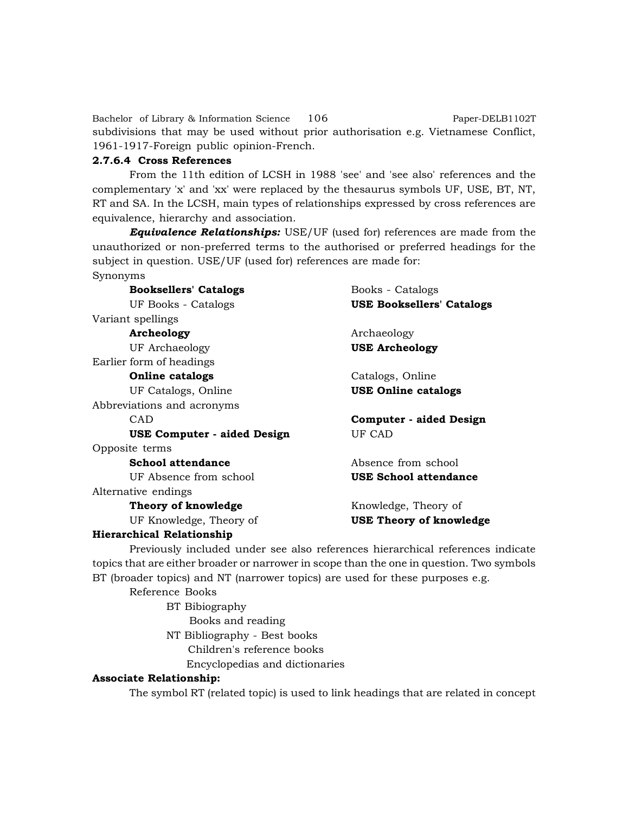Bachelor of Library & Information Science 106 Paper-DELB1102T subdivisions that may be used without prior authorisation e.g. Vietnamese Conflict, 1961-1917-Foreign public opinion-French.

#### **2.7.6.4 Cross References**

From the 11th edition of LCSH in 1988 'see' and 'see also' references and the complementary 'x' and 'xx' were replaced by the thesaurus symbols UF, USE, BT, NT, RT and SA. In the LCSH, main types of relationships expressed by cross references are equivalence, hierarchy and association.

*Equivalence Relationships:* USE/UF (used for) references are made from the unauthorized or non-preferred terms to the authorised or preferred headings for the subject in question. USE/UF (used for) references are made for: Synonyms

| <b>Booksellers' Catalogs</b> | Books - Catalogs                 |
|------------------------------|----------------------------------|
| <b>UF Books - Catalogs</b>   | <b>USE Booksellers' Catalogs</b> |
| Variant spellings            |                                  |
| Archeology                   | Archaeology                      |
| UF Archaeology               | <b>USE Archeology</b>            |
| Earlier form of headings     |                                  |
| <b>Online catalogs</b>       | Catalogs, Online                 |
| UF Catalogs, Online          | <b>USE Online catalogs</b>       |
| Abbreviations and acronyms   |                                  |
| <b>CAD</b>                   | Computer - aided Design          |
|                              |                                  |
| USE Computer - aided Design  | UF CAD                           |
| Opposite terms               |                                  |
| School attendance            | Absence from school              |
| UF Absence from school       | <b>USE School attendance</b>     |
| Alternative endings          |                                  |
| Theory of knowledge          | Knowledge, Theory of             |
| UF Knowledge, Theory of      | <b>USE Theory of knowledge</b>   |

Previously included under see also references hierarchical references indicate

topics that are either broader or narrower in scope than the one in question. Two symbols BT (broader topics) and NT (narrower topics) are used for these purposes e.g.

Reference Books

BT Bibiography Books and reading NT Bibliography - Best books Children's reference books Encyclopedias and dictionaries

#### **Associate Relationship:**

The symbol RT (related topic) is used to link headings that are related in concept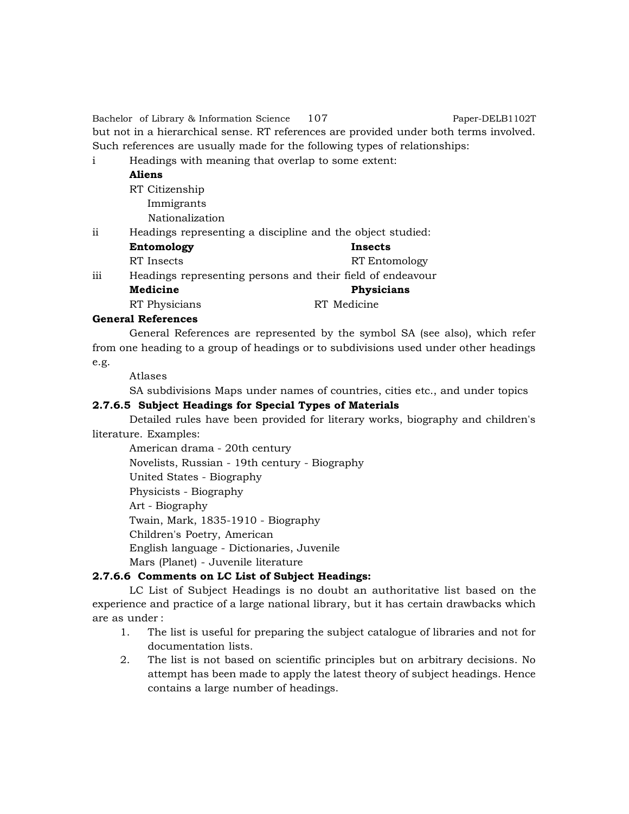Bachelor of Library & Information Science 107 Paper-DELB1102T but not in a hierarchical sense. RT references are provided under both terms involved. Such references are usually made for the following types of relationships:

- i Headings with meaning that overlap to some extent:
	- **Aliens**
		- RT Citizenship Immigrants Nationalization
- ii Headings representing a discipline and the object studied:

| Entomology    | Insects                                                    |
|---------------|------------------------------------------------------------|
| RT Insects    | RT Entomology                                              |
|               |                                                            |
| Medicine      | Physicians                                                 |
| RT Physicians | RT Medicine                                                |
|               | Headings representing persons and their field of endeavour |

# **General References**

General References are represented by the symbol SA (see also), which refer from one heading to a group of headings or to subdivisions used under other headings e.g.

Atlases

SA subdivisions Maps under names of countries, cities etc., and under topics

# **2.7.6.5 Subject Headings for Special Types of Materials**

Detailed rules have been provided for literary works, biography and children's literature. Examples:

American drama - 20th century Novelists, Russian - 19th century - Biography United States - Biography Physicists - Biography Art - Biography Twain, Mark, 1835-1910 - Biography Children's Poetry, American English language - Dictionaries, Juvenile Mars (Planet) - Juvenile literature

# **2.7.6.6 Comments on LC List of Subject Headings:**

LC List of Subject Headings is no doubt an authoritative list based on the experience and practice of a large national library, but it has certain drawbacks which are as under :

- 1. The list is useful for preparing the subject catalogue of libraries and not for documentation lists.
- 2. The list is not based on scientific principles but on arbitrary decisions. No attempt has been made to apply the latest theory of subject headings. Hence contains a large number of headings.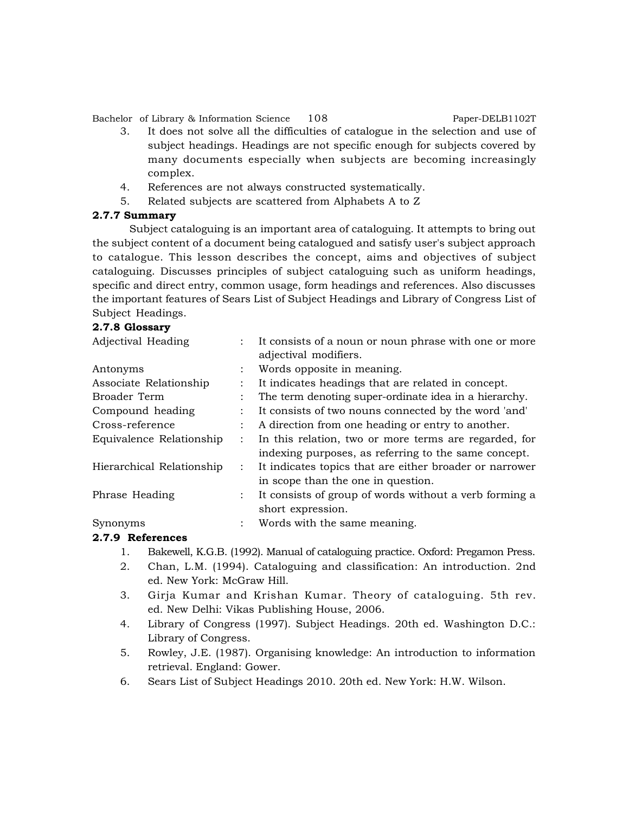Bachelor of Library & Information Science 108 Paper-DELB1102T

- 3. It does not solve all the difficulties of catalogue in the selection and use of subject headings. Headings are not specific enough for subjects covered by many documents especially when subjects are becoming increasingly complex.
- 4. References are not always constructed systematically.
- 5. Related subjects are scattered from Alphabets A to Z

# **2.7.7 Summary**

Subject cataloguing is an important area of cataloguing. It attempts to bring out the subject content of a document being catalogued and satisfy user's subject approach to catalogue. This lesson describes the concept, aims and objectives of subject cataloguing. Discusses principles of subject cataloguing such as uniform headings, specific and direct entry, common usage, form headings and references. Also discusses the important features of Sears List of Subject Headings and Library of Congress List of Subject Headings.

# **2.7.8 Glossary**

| Adjectival Heading        |                      | It consists of a noun or noun phrase with one or more   |  |
|---------------------------|----------------------|---------------------------------------------------------|--|
|                           |                      | adjectival modifiers.                                   |  |
| Antonyms                  |                      | Words opposite in meaning.                              |  |
| Associate Relationship    |                      | It indicates headings that are related in concept.      |  |
| Broader Term              |                      | The term denoting super-ordinate idea in a hierarchy.   |  |
| Compound heading          |                      | It consists of two nouns connected by the word 'and'    |  |
| Cross-reference           |                      | A direction from one heading or entry to another.       |  |
| Equivalence Relationship  |                      | In this relation, two or more terms are regarded, for   |  |
|                           |                      | indexing purposes, as referring to the same concept.    |  |
| Hierarchical Relationship |                      | It indicates topics that are either broader or narrower |  |
|                           |                      | in scope than the one in question.                      |  |
| Phrase Heading            |                      | It consists of group of words without a verb forming a  |  |
|                           |                      | short expression.                                       |  |
| Synonyms                  | $\ddot{\phantom{a}}$ | Words with the same meaning.                            |  |
| 858 B.B.L.                |                      |                                                         |  |

# **2.7.9 References**

- 1. Bakewell, K.G.B. (1992). Manual of cataloguing practice. Oxford: Pregamon Press.
- 2. Chan, L.M. (1994). Cataloguing and classification: An introduction. 2nd ed. New York: McGraw Hill.
- 3. Girja Kumar and Krishan Kumar. Theory of cataloguing. 5th rev. ed. New Delhi: Vikas Publishing House, 2006.
- 4. Library of Congress (1997). Subject Headings. 20th ed. Washington D.C.: Library of Congress.
- 5. Rowley, J.E. (1987). Organising knowledge: An introduction to information retrieval. England: Gower.
- 6. Sears List of Subject Headings 2010. 20th ed. New York: H.W. Wilson.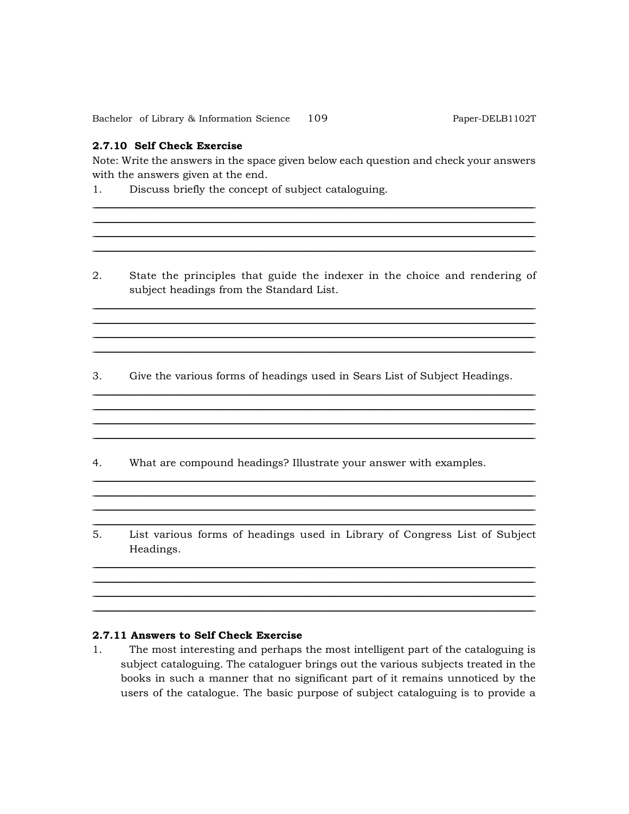109 Bachelor of Library & Information Science

### 2.7.10 Self Check Exercise

Note: Write the answers in the space given below each question and check your answers with the answers given at the end.

- $1.$ Discuss briefly the concept of subject cataloguing.
- $2.$ State the principles that guide the indexer in the choice and rendering of subject headings from the Standard List.

<u> 1989 - Johann Stoff, deutscher Stoffen und der Stoffen und der Stoffen und der Stoffen und der Stoffen und d</u>

Give the various forms of headings used in Sears List of Subject Headings. 3.

- $4.$ What are compound headings? Illustrate your answer with examples.
- 5. List various forms of headings used in Library of Congress List of Subject Headings.

### 2.7.11 Answers to Self Check Exercise

The most interesting and perhaps the most intelligent part of the cataloguing is  $1.$ subject cataloguing. The cataloguer brings out the various subjects treated in the books in such a manner that no significant part of it remains unnoticed by the users of the catalogue. The basic purpose of subject cataloguing is to provide a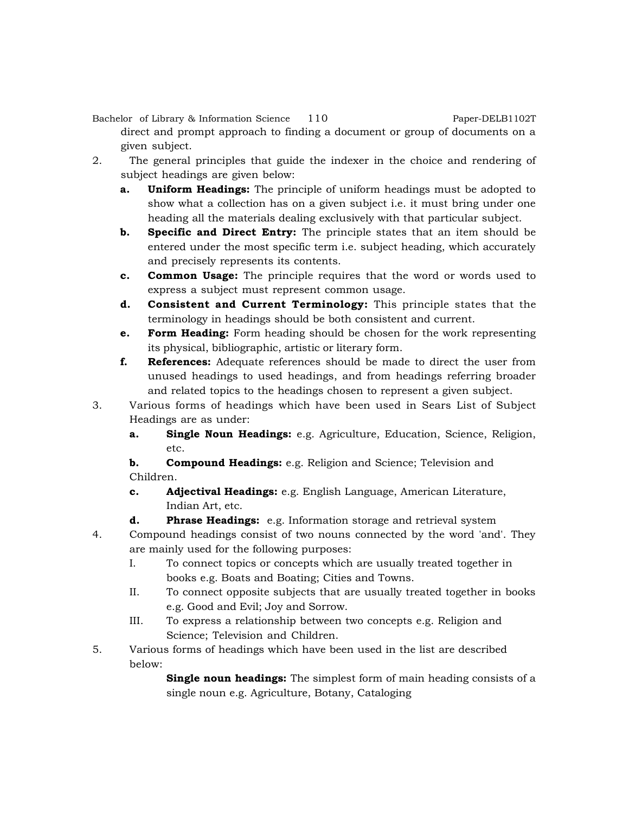Bachelor of Library & Information Science 110 Paper-DELB1102T

direct and prompt approach to finding a document or group of documents on a given subject.

- 2. The general principles that guide the indexer in the choice and rendering of subject headings are given below:
	- **a. Uniform Headings:** The principle of uniform headings must be adopted to show what a collection has on a given subject i.e. it must bring under one heading all the materials dealing exclusively with that particular subject.
	- **b. Specific and Direct Entry:** The principle states that an item should be entered under the most specific term i.e. subject heading, which accurately and precisely represents its contents.
	- **c. Common Usage:** The principle requires that the word or words used to express a subject must represent common usage.
	- **d. Consistent and Current Terminology:** This principle states that the terminology in headings should be both consistent and current.
	- **e. Form Heading:** Form heading should be chosen for the work representing its physical, bibliographic, artistic or literary form.
	- **f. References:** Adequate references should be made to direct the user from unused headings to used headings, and from headings referring broader and related topics to the headings chosen to represent a given subject.
- 3. Various forms of headings which have been used in Sears List of Subject Headings are as under:
	- **a. Single Noun Headings:** e.g. Agriculture, Education, Science, Religion, etc.

**b. Compound Headings:** e.g. Religion and Science; Television and Children.

- **c. Adjectival Headings:** e.g. English Language, American Literature, Indian Art, etc.
- **d. Phrase Headings:** e.g. Information storage and retrieval system
- 4. Compound headings consist of two nouns connected by the word 'and'. They are mainly used for the following purposes:
	- I. To connect topics or concepts which are usually treated together in books e.g. Boats and Boating; Cities and Towns.
	- II. To connect opposite subjects that are usually treated together in books e.g. Good and Evil; Joy and Sorrow.
	- III. To express a relationship between two concepts e.g. Religion and Science; Television and Children.
- 5. Various forms of headings which have been used in the list are described below:

**Single noun headings:** The simplest form of main heading consists of a single noun e.g. Agriculture, Botany, Cataloging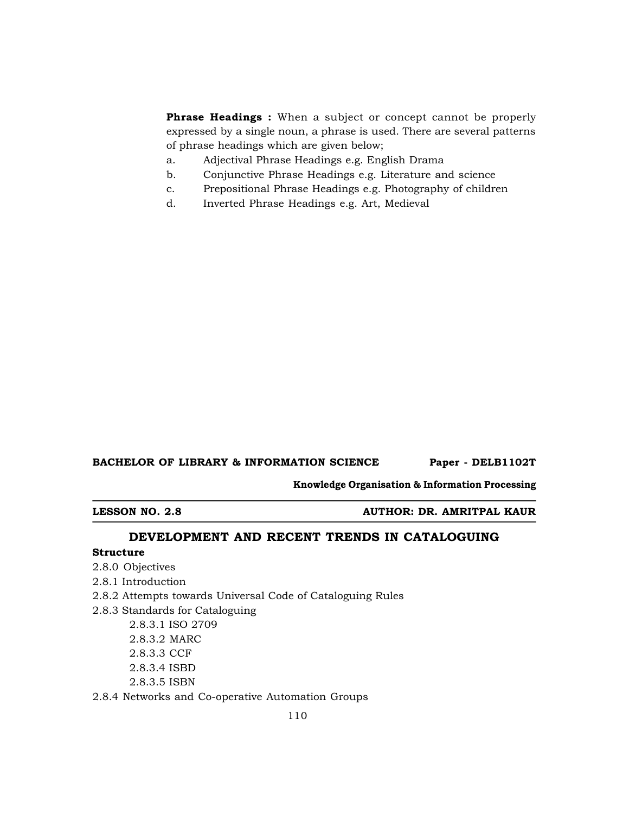**Phrase Headings :** When a subject or concept cannot be properly expressed by a single noun, a phrase is used. There are several patterns of phrase headings which are given below;

- a. Adjectival Phrase Headings e.g. English Drama
- b. Conjunctive Phrase Headings e.g. Literature and science
- c. Prepositional Phrase Headings e.g. Photography of children
- d. Inverted Phrase Headings e.g. Art, Medieval

### BACHELOR OF LIBRARY & INFORMATION SCIENCE Paper - DELB1102T

**Knowledge Organisation & Information Processing**

**LESSON NO. 2.8 AUTHOR: DR. AMRITPAL KAUR**

# **DEVELOPMENT AND RECENT TRENDS IN CATALOGUING**

# **Structure**

- 2.8.0 Objectives
- 2.8.1 Introduction
- 2.8.2 Attempts towards Universal Code of Cataloguing Rules
- 2.8.3 Standards for Cataloguing
	- 2.8.3.1 ISO 2709 2.8.3.2 MARC 2.8.3.3 CCF 2.8.3.4 ISBD 2.8.3.5 ISBN
- 2.8.4 Networks and Co-operative Automation Groups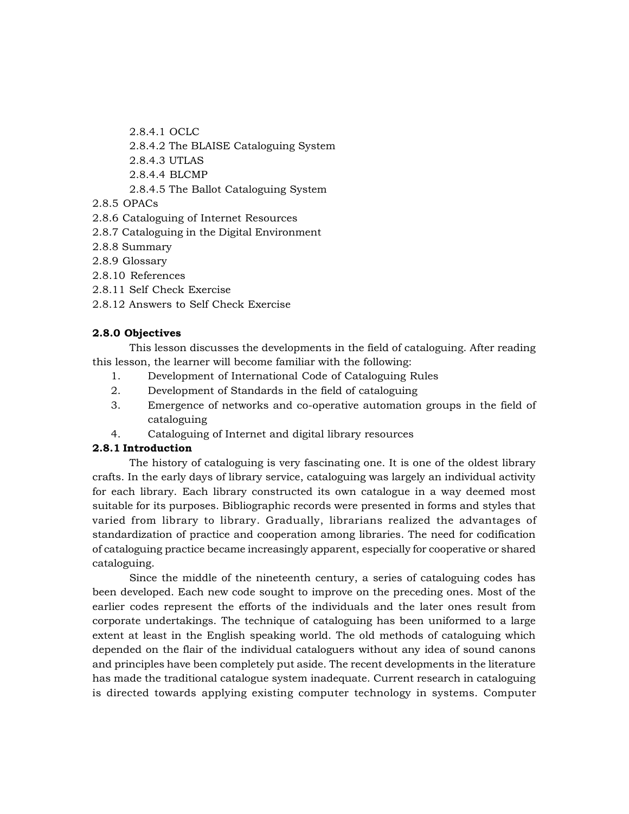2.8.4.1 OCLC

- 2.8.4.2 The BLAISE Cataloguing System
- 2.8.4.3 UTLAS
- 2.8.4.4 BLCMP
- 2.8.4.5 The Ballot Cataloguing System
- 2.8.5 OPACs
- 2.8.6 Cataloguing of Internet Resources
- 2.8.7 Cataloguing in the Digital Environment
- 2.8.8 Summary
- 2.8.9 Glossary
- 2.8.10 References
- 2.8.11 Self Check Exercise
- 2.8.12 Answers to Self Check Exercise

# **2.8.0 Objectives**

This lesson discusses the developments in the field of cataloguing. After reading this lesson, the learner will become familiar with the following:

- 1. Development of International Code of Cataloguing Rules
- 2. Development of Standards in the field of cataloguing
- 3. Emergence of networks and co-operative automation groups in the field of cataloguing
- 4. Cataloguing of Internet and digital library resources

# **2.8.1 Introduction**

The history of cataloguing is very fascinating one. It is one of the oldest library crafts. In the early days of library service, cataloguing was largely an individual activity for each library. Each library constructed its own catalogue in a way deemed most suitable for its purposes. Bibliographic records were presented in forms and styles that varied from library to library. Gradually, librarians realized the advantages of standardization of practice and cooperation among libraries. The need for codification of cataloguing practice became increasingly apparent, especially for cooperative or shared cataloguing.

Since the middle of the nineteenth century, a series of cataloguing codes has been developed. Each new code sought to improve on the preceding ones. Most of the earlier codes represent the efforts of the individuals and the later ones result from corporate undertakings. The technique of cataloguing has been uniformed to a large extent at least in the English speaking world. The old methods of cataloguing which depended on the flair of the individual cataloguers without any idea of sound canons and principles have been completely put aside. The recent developments in the literature has made the traditional catalogue system inadequate. Current research in cataloguing is directed towards applying existing computer technology in systems. Computer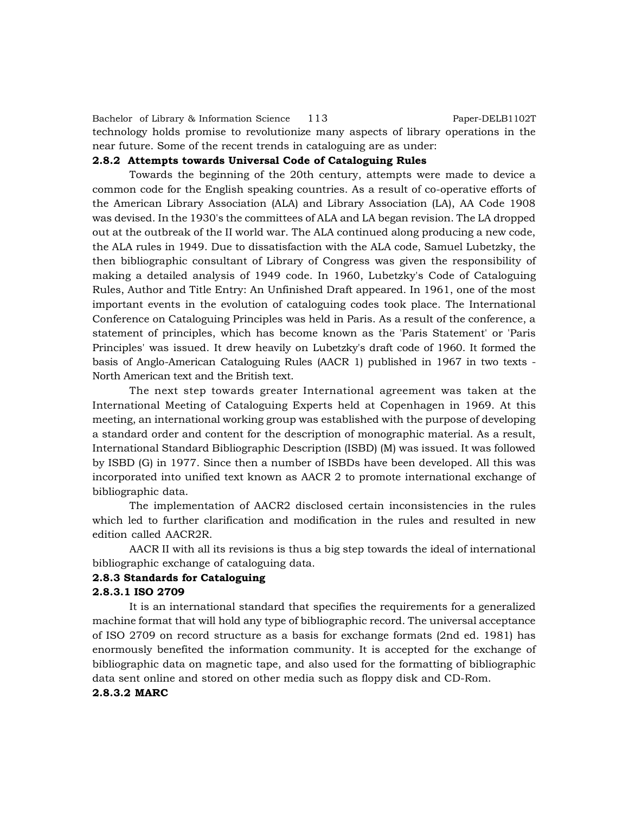Bachelor of Library & Information Science 113 Paper-DELB1102T technology holds promise to revolutionize many aspects of library operations in the near future. Some of the recent trends in cataloguing are as under:

# **2.8.2 Attempts towards Universal Code of Cataloguing Rules**

Towards the beginning of the 20th century, attempts were made to device a common code for the English speaking countries. As a result of co-operative efforts of the American Library Association (ALA) and Library Association (LA), AA Code 1908 was devised. In the 1930's the committees of ALA and LA began revision. The LA dropped out at the outbreak of the II world war. The ALA continued along producing a new code, the ALA rules in 1949. Due to dissatisfaction with the ALA code, Samuel Lubetzky, the then bibliographic consultant of Library of Congress was given the responsibility of making a detailed analysis of 1949 code. In 1960, Lubetzky's Code of Cataloguing Rules, Author and Title Entry: An Unfinished Draft appeared. In 1961, one of the most important events in the evolution of cataloguing codes took place. The International Conference on Cataloguing Principles was held in Paris. As a result of the conference, a statement of principles, which has become known as the 'Paris Statement' or 'Paris Principles' was issued. It drew heavily on Lubetzky's draft code of 1960. It formed the basis of Anglo-American Cataloguing Rules (AACR 1) published in 1967 in two texts - North American text and the British text.

The next step towards greater International agreement was taken at the International Meeting of Cataloguing Experts held at Copenhagen in 1969. At this meeting, an international working group was established with the purpose of developing a standard order and content for the description of monographic material. As a result, International Standard Bibliographic Description (ISBD) (M) was issued. It was followed by ISBD (G) in 1977. Since then a number of ISBDs have been developed. All this was incorporated into unified text known as AACR 2 to promote international exchange of bibliographic data.

The implementation of AACR2 disclosed certain inconsistencies in the rules which led to further clarification and modification in the rules and resulted in new edition called AACR2R.

AACR II with all its revisions is thus a big step towards the ideal of international bibliographic exchange of cataloguing data.

### **2.8.3 Standards for Cataloguing**

### **2.8.3.1 ISO 2709**

It is an international standard that specifies the requirements for a generalized machine format that will hold any type of bibliographic record. The universal acceptance of ISO 2709 on record structure as a basis for exchange formats (2nd ed. 1981) has enormously benefited the information community. It is accepted for the exchange of bibliographic data on magnetic tape, and also used for the formatting of bibliographic data sent online and stored on other media such as floppy disk and CD-Rom.

### **2.8.3.2 MARC**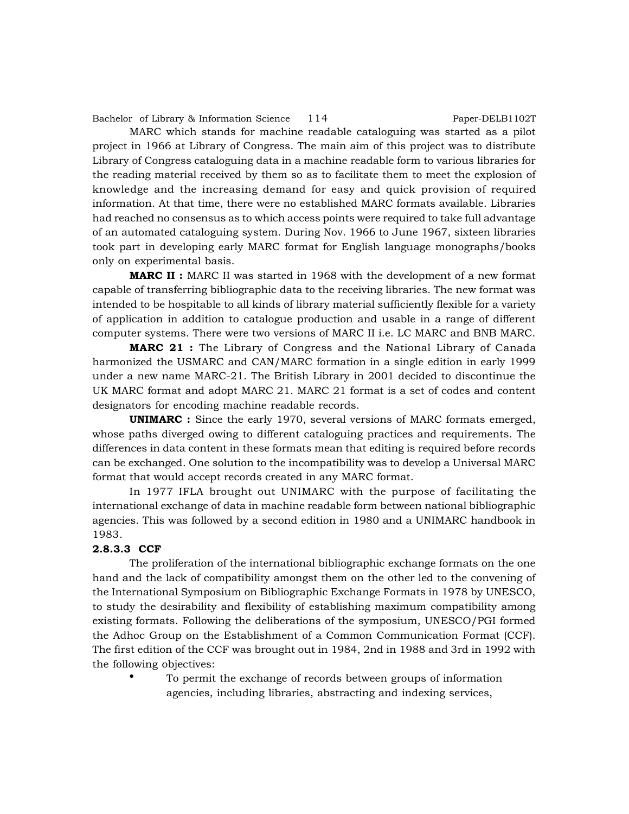Bachelor of Library & Information Science 114 Paper-DELB1102T

MARC which stands for machine readable cataloguing was started as a pilot project in 1966 at Library of Congress. The main aim of this project was to distribute Library of Congress cataloguing data in a machine readable form to various libraries for the reading material received by them so as to facilitate them to meet the explosion of knowledge and the increasing demand for easy and quick provision of required information. At that time, there were no established MARC formats available. Libraries had reached no consensus as to which access points were required to take full advantage of an automated cataloguing system. During Nov. 1966 to June 1967, sixteen libraries took part in developing early MARC format for English language monographs/books only on experimental basis.

**MARC II :** MARC II was started in 1968 with the development of a new format capable of transferring bibliographic data to the receiving libraries. The new format was intended to be hospitable to all kinds of library material sufficiently flexible for a variety of application in addition to catalogue production and usable in a range of different computer systems. There were two versions of MARC II i.e. LC MARC and BNB MARC.

**MARC 21 :** The Library of Congress and the National Library of Canada harmonized the USMARC and CAN/MARC formation in a single edition in early 1999 under a new name MARC-21. The British Library in 2001 decided to discontinue the UK MARC format and adopt MARC 21. MARC 21 format is a set of codes and content designators for encoding machine readable records.

**UNIMARC :** Since the early 1970, several versions of MARC formats emerged, whose paths diverged owing to different cataloguing practices and requirements. The differences in data content in these formats mean that editing is required before records can be exchanged. One solution to the incompatibility was to develop a Universal MARC format that would accept records created in any MARC format.

In 1977 IFLA brought out UNIMARC with the purpose of facilitating the international exchange of data in machine readable form between national bibliographic agencies. This was followed by a second edition in 1980 and a UNIMARC handbook in 1983.

# **2.8.3.3 CCF**

The proliferation of the international bibliographic exchange formats on the one hand and the lack of compatibility amongst them on the other led to the convening of the International Symposium on Bibliographic Exchange Formats in 1978 by UNESCO, to study the desirability and flexibility of establishing maximum compatibility among existing formats. Following the deliberations of the symposium, UNESCO/PGI formed the Adhoc Group on the Establishment of a Common Communication Format (CCF). The first edition of the CCF was brought out in 1984, 2nd in 1988 and 3rd in 1992 with the following objectives:

> To permit the exchange of records between groups of information agencies, including libraries, abstracting and indexing services,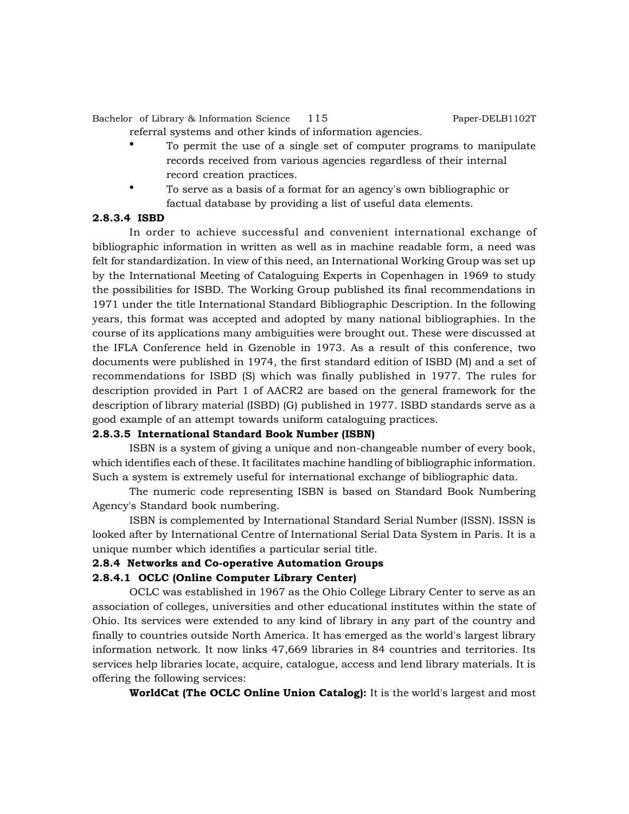Bachelor of Library & Information Science 115 Paper-DELB1102T

- referral systems and other kinds of information agencies.
	- To permit the use of a single set of computer programs to manipulate records received from various agencies regardless of their internal record creation practices.
- To serve as a basis of a format for an agency's own bibliographic or factual database by providing a list of useful data elements.

#### **2.8.3.4 ISBD**

In order to achieve successful and convenient international exchange of bibliographic information in written as well as in machine readable form, a need was felt for standardization. In view of this need, an International Working Group was set up by the International Meeting of Cataloguing Experts in Copenhagen in 1969 to study the possibilities for ISBD. The Working Group published its final recommendations in 1971 under the title International Standard Bibliographic Description. In the following years, this format was accepted and adopted by many national bibliographies. In the course of its applications many ambiguities were brought out. These were discussed at the IFLA Conference held in Gzenoble in 1973. As a result of this conference, two documents were published in 1974, the first standard edition of ISBD (M) and a set of recommendations for ISBD (S) which was finally published in 1977. The rules for description provided in Part 1 of AACR2 are based on the general framework for the description of library material (ISBD) (G) published in 1977. ISBD standards serve as a good example of an attempt towards uniform cataloguing practices.

### **2.8.3.5 International Standard Book Number (ISBN)**

ISBN is a system of giving a unique and non-changeable number of every book, which identifies each of these. It facilitates machine handling of bibliographic information. Such a system is extremely useful for international exchange of bibliographic data.

The numeric code representing ISBN is based on Standard Book Numbering Agency's Standard book numbering.

ISBN is complemented by International Standard Serial Number (ISSN). ISSN is looked after by International Centre of International Serial Data System in Paris. It is a unique number which identifies a particular serial title.

#### **2.8.4 Networks and Co-operative Automation Groups**

### **2.8.4.1 OCLC (Online Computer Library Center)**

OCLC was established in 1967 as the Ohio College Library Center to serve as an association of colleges, universities and other educational institutes within the state of Ohio. Its services were extended to any kind of library in any part of the country and finally to countries outside North America. It has emerged as the world's largest library information network. It now links 47,669 libraries in 84 countries and territories. Its services help libraries locate, acquire, catalogue, access and lend library materials. It is offering the following services:

**WorldCat (The OCLC Online Union Catalog):** It is the world's largest and most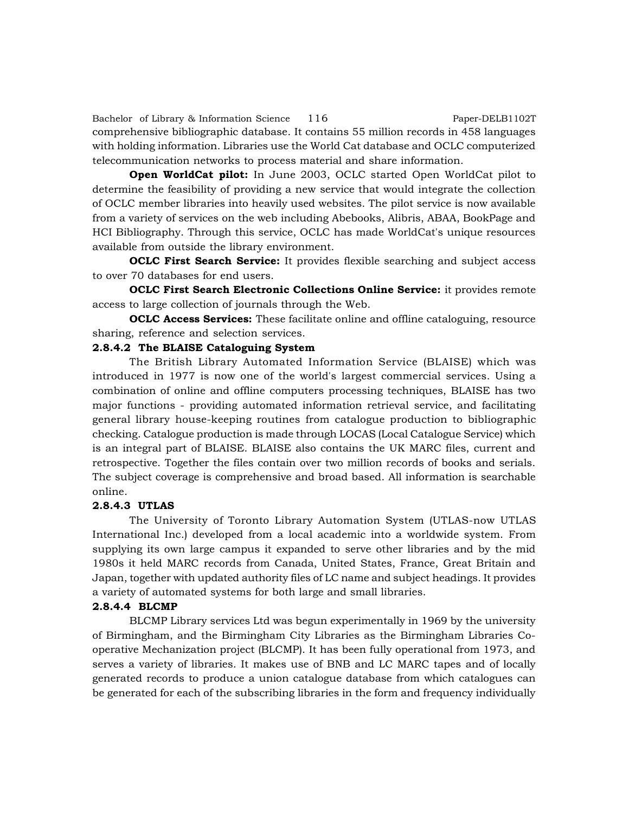Bachelor of Library & Information Science 116 Paper-DELB1102T comprehensive bibliographic database. It contains 55 million records in 458 languages with holding information. Libraries use the World Cat database and OCLC computerized telecommunication networks to process material and share information.

**Open WorldCat pilot:** In June 2003, OCLC started Open WorldCat pilot to determine the feasibility of providing a new service that would integrate the collection of OCLC member libraries into heavily used websites. The pilot service is now available from a variety of services on the web including Abebooks, Alibris, ABAA, BookPage and HCI Bibliography. Through this service, OCLC has made WorldCat's unique resources available from outside the library environment.

**OCLC First Search Service:** It provides flexible searching and subject access to over 70 databases for end users.

**OCLC First Search Electronic Collections Online Service:** it provides remote access to large collection of journals through the Web.

**OCLC Access Services:** These facilitate online and offline cataloguing, resource sharing, reference and selection services.

### **2.8.4.2 The BLAISE Cataloguing System**

The British Library Automated Information Service (BLAISE) which was introduced in 1977 is now one of the world's largest commercial services. Using a combination of online and offline computers processing techniques, BLAISE has two major functions - providing automated information retrieval service, and facilitating general library house-keeping routines from catalogue production to bibliographic checking. Catalogue production is made through LOCAS (Local Catalogue Service) which is an integral part of BLAISE. BLAISE also contains the UK MARC files, current and retrospective. Together the files contain over two million records of books and serials. The subject coverage is comprehensive and broad based. All information is searchable online.

### **2.8.4.3 UTLAS**

The University of Toronto Library Automation System (UTLAS-now UTLAS International Inc.) developed from a local academic into a worldwide system. From supplying its own large campus it expanded to serve other libraries and by the mid 1980s it held MARC records from Canada, United States, France, Great Britain and Japan, together with updated authority files of LC name and subject headings. It provides a variety of automated systems for both large and small libraries.

#### **2.8.4.4 BLCMP**

BLCMP Library services Ltd was begun experimentally in 1969 by the university of Birmingham, and the Birmingham City Libraries as the Birmingham Libraries Cooperative Mechanization project (BLCMP). It has been fully operational from 1973, and serves a variety of libraries. It makes use of BNB and LC MARC tapes and of locally generated records to produce a union catalogue database from which catalogues can be generated for each of the subscribing libraries in the form and frequency individually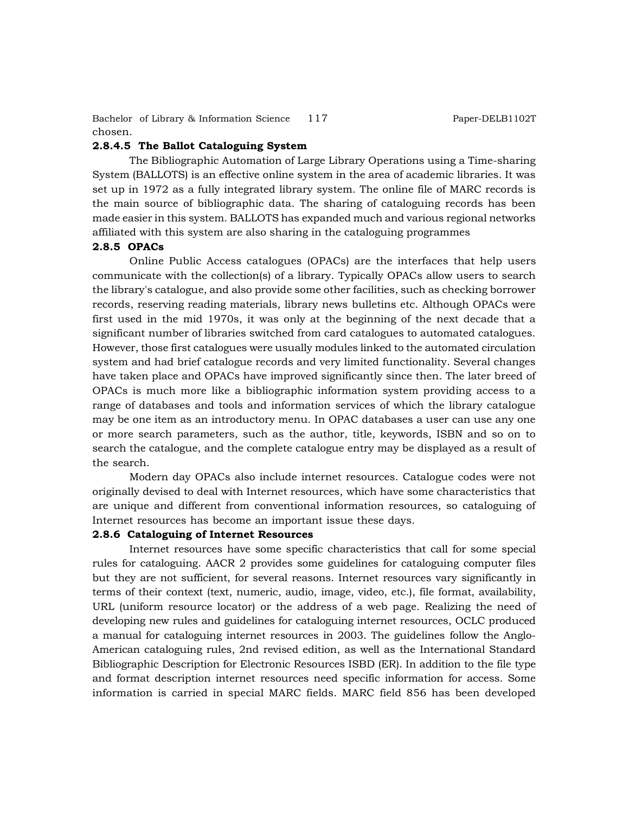Bachelor of Library & Information Science 117 Paper-DELB1102T chosen.

# **2.8.4.5 The Ballot Cataloguing System**

The Bibliographic Automation of Large Library Operations using a Time-sharing System (BALLOTS) is an effective online system in the area of academic libraries. It was set up in 1972 as a fully integrated library system. The online file of MARC records is the main source of bibliographic data. The sharing of cataloguing records has been made easier in this system. BALLOTS has expanded much and various regional networks affiliated with this system are also sharing in the cataloguing programmes

#### **2.8.5 OPACs**

Online Public Access catalogues (OPACs) are the interfaces that help users communicate with the collection(s) of a library. Typically OPACs allow users to search the library's catalogue, and also provide some other facilities, such as checking borrower records, reserving reading materials, library news bulletins etc. Although OPACs were first used in the mid 1970s, it was only at the beginning of the next decade that a significant number of libraries switched from card catalogues to automated catalogues. However, those first catalogues were usually modules linked to the automated circulation system and had brief catalogue records and very limited functionality. Several changes have taken place and OPACs have improved significantly since then. The later breed of OPACs is much more like a bibliographic information system providing access to a range of databases and tools and information services of which the library catalogue may be one item as an introductory menu. In OPAC databases a user can use any one or more search parameters, such as the author, title, keywords, ISBN and so on to search the catalogue, and the complete catalogue entry may be displayed as a result of the search.

Modern day OPACs also include internet resources. Catalogue codes were not originally devised to deal with Internet resources, which have some characteristics that are unique and different from conventional information resources, so cataloguing of Internet resources has become an important issue these days.

#### **2.8.6 Cataloguing of Internet Resources**

Internet resources have some specific characteristics that call for some special rules for cataloguing. AACR 2 provides some guidelines for cataloguing computer files but they are not sufficient, for several reasons. Internet resources vary significantly in terms of their context (text, numeric, audio, image, video, etc.), file format, availability, URL (uniform resource locator) or the address of a web page. Realizing the need of developing new rules and guidelines for cataloguing internet resources, OCLC produced a manual for cataloguing internet resources in 2003. The guidelines follow the Anglo-American cataloguing rules, 2nd revised edition, as well as the International Standard Bibliographic Description for Electronic Resources ISBD (ER). In addition to the file type and format description internet resources need specific information for access. Some information is carried in special MARC fields. MARC field 856 has been developed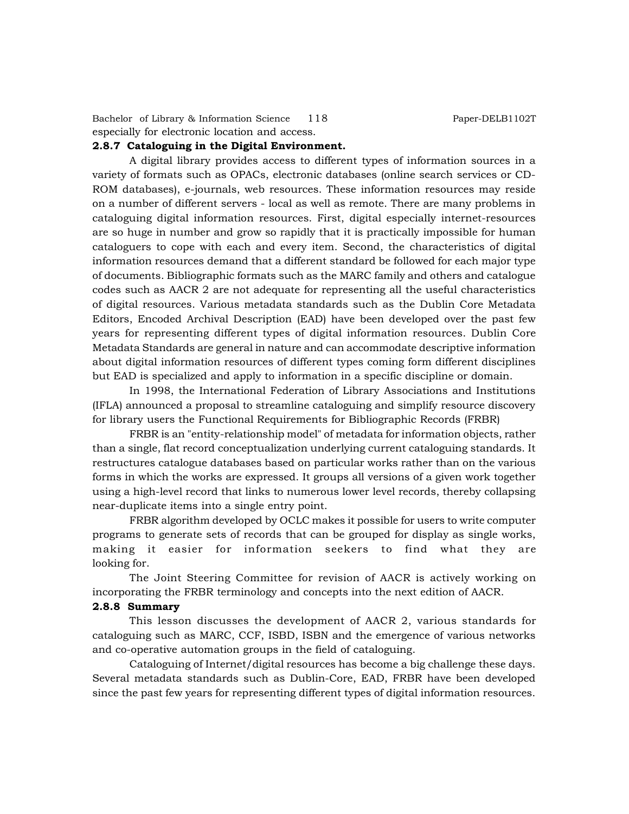Bachelor of Library & Information Science 118 Paper-DELB1102T especially for electronic location and access.

### **2.8.7 Cataloguing in the Digital Environment.**

A digital library provides access to different types of information sources in a variety of formats such as OPACs, electronic databases (online search services or CD-ROM databases), e-journals, web resources. These information resources may reside on a number of different servers - local as well as remote. There are many problems in cataloguing digital information resources. First, digital especially internet-resources are so huge in number and grow so rapidly that it is practically impossible for human cataloguers to cope with each and every item. Second, the characteristics of digital information resources demand that a different standard be followed for each major type of documents. Bibliographic formats such as the MARC family and others and catalogue codes such as AACR 2 are not adequate for representing all the useful characteristics of digital resources. Various metadata standards such as the Dublin Core Metadata Editors, Encoded Archival Description (EAD) have been developed over the past few years for representing different types of digital information resources. Dublin Core Metadata Standards are general in nature and can accommodate descriptive information about digital information resources of different types coming form different disciplines but EAD is specialized and apply to information in a specific discipline or domain.

In 1998, the International Federation of Library Associations and Institutions (IFLA) announced a proposal to streamline cataloguing and simplify resource discovery for library users the Functional Requirements for Bibliographic Records (FRBR)

FRBR is an "entity-relationship model" of metadata for information objects, rather than a single, flat record conceptualization underlying current cataloguing standards. It restructures catalogue databases based on particular works rather than on the various forms in which the works are expressed. It groups all versions of a given work together using a high-level record that links to numerous lower level records, thereby collapsing near-duplicate items into a single entry point.

FRBR algorithm developed by OCLC makes it possible for users to write computer programs to generate sets of records that can be grouped for display as single works, making it easier for information seekers to find what they are looking for.

The Joint Steering Committee for revision of AACR is actively working on incorporating the FRBR terminology and concepts into the next edition of AACR.

# **2.8.8 Summary**

This lesson discusses the development of AACR 2, various standards for cataloguing such as MARC, CCF, ISBD, ISBN and the emergence of various networks and co-operative automation groups in the field of cataloguing.

Cataloguing of Internet/digital resources has become a big challenge these days. Several metadata standards such as Dublin-Core, EAD, FRBR have been developed since the past few years for representing different types of digital information resources.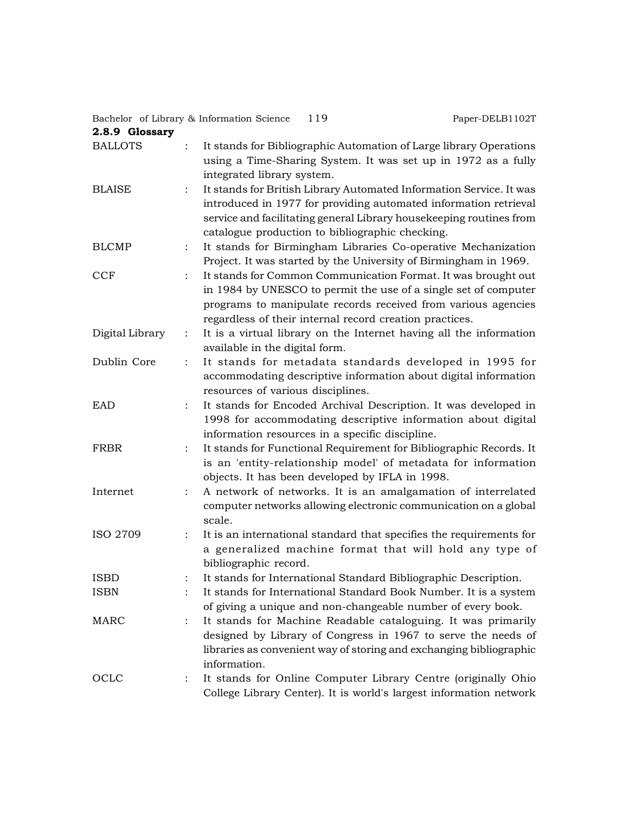Bachelor of Library & Information Science 119 Paper-DELB1102T

| 2.8.9 Glossary  |                                                                                                                                                                                                                                                                   |
|-----------------|-------------------------------------------------------------------------------------------------------------------------------------------------------------------------------------------------------------------------------------------------------------------|
| <b>BALLOTS</b>  | It stands for Bibliographic Automation of Large library Operations<br>using a Time-Sharing System. It was set up in 1972 as a fully<br>integrated library system.                                                                                                 |
| <b>BLAISE</b>   | It stands for British Library Automated Information Service. It was<br>introduced in 1977 for providing automated information retrieval<br>service and facilitating general Library housekeeping routines from<br>catalogue production to bibliographic checking. |
| <b>BLCMP</b>    | It stands for Birmingham Libraries Co-operative Mechanization<br>$\ddot{\cdot}$<br>Project. It was started by the University of Birmingham in 1969.                                                                                                               |
| <b>CCF</b>      | It stands for Common Communication Format. It was brought out<br>in 1984 by UNESCO to permit the use of a single set of computer<br>programs to manipulate records received from various agencies<br>regardless of their internal record creation practices.      |
| Digital Library | It is a virtual library on the Internet having all the information<br>$\ddot{\cdot}$<br>available in the digital form.                                                                                                                                            |
| Dublin Core     | It stands for metadata standards developed in 1995 for<br>accommodating descriptive information about digital information<br>resources of various disciplines.                                                                                                    |
| <b>EAD</b>      | It stands for Encoded Archival Description. It was developed in<br>1998 for accommodating descriptive information about digital<br>information resources in a specific discipline.                                                                                |
| FRBR            | It stands for Functional Requirement for Bibliographic Records. It<br>$\ddot{\cdot}$<br>is an 'entity-relationship model' of metadata for information<br>objects. It has been developed by IFLA in 1998.                                                          |
| Internet        | A network of networks. It is an amalgamation of interrelated<br>$\ddot{\cdot}$<br>computer networks allowing electronic communication on a global<br>scale.                                                                                                       |
| ISO 2709        | It is an international standard that specifies the requirements for<br>a generalized machine format that will hold any type of<br>bibliographic record.                                                                                                           |
| <b>ISBD</b>     | It stands for International Standard Bibliographic Description.                                                                                                                                                                                                   |
| <b>ISBN</b>     | It stands for International Standard Book Number. It is a system<br>of giving a unique and non-changeable number of every book.                                                                                                                                   |
| <b>MARC</b>     | It stands for Machine Readable cataloguing. It was primarily<br>designed by Library of Congress in 1967 to serve the needs of<br>libraries as convenient way of storing and exchanging bibliographic<br>information.                                              |
| OCLC            | It stands for Online Computer Library Centre (originally Ohio<br>$\ddot{\cdot}$<br>College Library Center). It is world's largest information network                                                                                                             |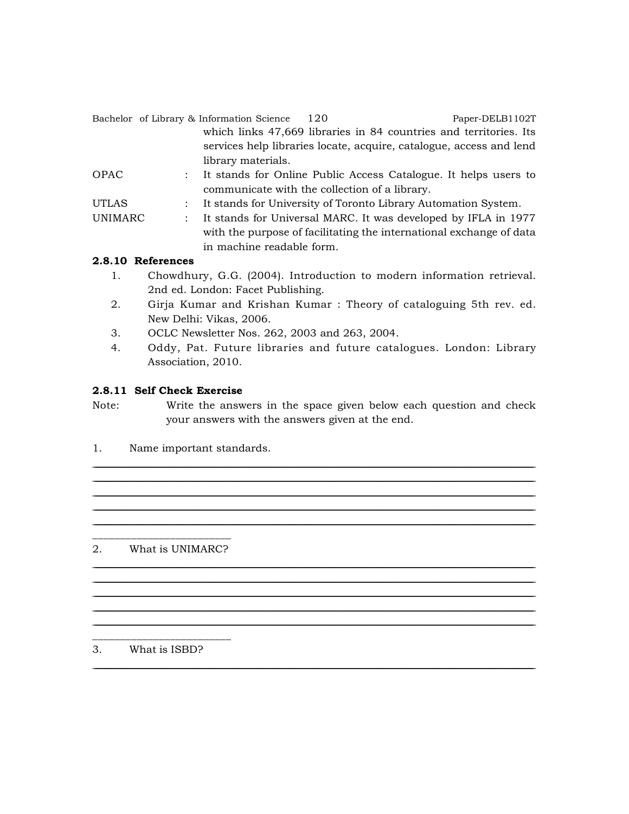|              |  | Bachelor of Library & Information Science     | 120 | Paper-DELB1102T                                                     |
|--------------|--|-----------------------------------------------|-----|---------------------------------------------------------------------|
|              |  |                                               |     | which links 47,669 libraries in 84 countries and territories. Its   |
|              |  |                                               |     | services help libraries locate, acquire, catalogue, access and lend |
|              |  | library materials.                            |     |                                                                     |
| OPAC         |  |                                               |     | It stands for Online Public Access Catalogue. It helps users to     |
|              |  | communicate with the collection of a library. |     |                                                                     |
| <b>UTLAS</b> |  |                                               |     | It stands for University of Toronto Library Automation System.      |
| UNIMARC      |  |                                               |     | It stands for Universal MARC. It was developed by IFLA in 1977      |
|              |  |                                               |     | with the purpose of facilitating the international exchange of data |
|              |  | in machine readable form.                     |     |                                                                     |

# 2.8.10 References

- $1.$ Chowdhury, G.G. (2004). Introduction to modern information retrieval. 2nd ed. London: Facet Publishing.
- $2.$ Girja Kumar and Krishan Kumar: Theory of cataloguing 5th rev. ed. New Delhi: Vikas, 2006.
- OCLC Newsletter Nos. 262, 2003 and 263, 2004. 3.
- Oddy, Pat. Future libraries and future catalogues. London: Library  $4.$ Association, 2010.

# 2.8.11 Self Check Exercise

Note: Write the answers in the space given below each question and check your answers with the answers given at the end.

 $1.$ Name important standards.

#### 2. What is UNIMARC?

 $3.$ What is ISBD?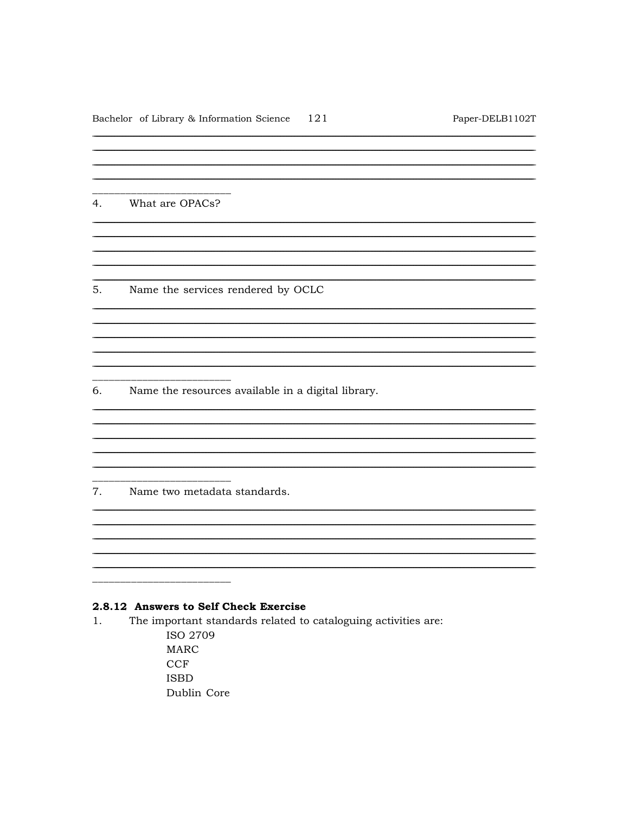<u> 1989 - Johann Stoff, disk foar it ferstjer fan de ferstje fan de ferstjer fan de ferstjer fan de ferstjer fan</u>

What are OPACs?  $4.$ 

5. Name the services rendered by OCLC

6. Name the resources available in a digital library.

7. Name two metadata standards.

# 2.8.12 Answers to Self Check Exercise

 $1.$ The important standards related to cataloguing activities are:

> ISO 2709 **MARC CCF ISBD** Dublin Core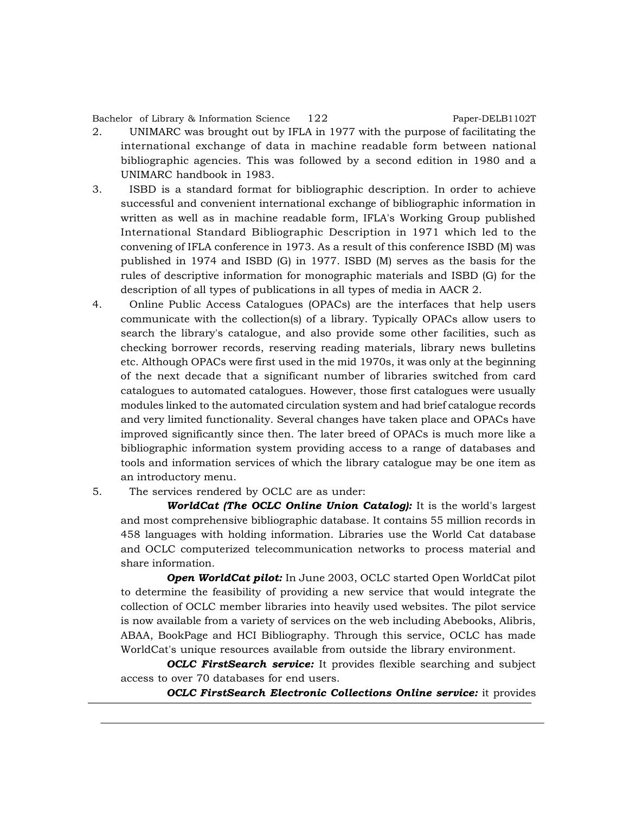Bachelor of Library & Information Science 122 Paper-DELB1102T

- 2. UNIMARC was brought out by IFLA in 1977 with the purpose of facilitating the international exchange of data in machine readable form between national bibliographic agencies. This was followed by a second edition in 1980 and a UNIMARC handbook in 1983.
- 3. ISBD is a standard format for bibliographic description. In order to achieve successful and convenient international exchange of bibliographic information in written as well as in machine readable form, IFLA's Working Group published International Standard Bibliographic Description in 1971 which led to the convening of IFLA conference in 1973. As a result of this conference ISBD (M) was published in 1974 and ISBD (G) in 1977. ISBD (M) serves as the basis for the rules of descriptive information for monographic materials and ISBD (G) for the description of all types of publications in all types of media in AACR 2.
- 4. Online Public Access Catalogues (OPACs) are the interfaces that help users communicate with the collection(s) of a library. Typically OPACs allow users to search the library's catalogue, and also provide some other facilities, such as checking borrower records, reserving reading materials, library news bulletins etc. Although OPACs were first used in the mid 1970s, it was only at the beginning of the next decade that a significant number of libraries switched from card catalogues to automated catalogues. However, those first catalogues were usually modules linked to the automated circulation system and had brief catalogue records and very limited functionality. Several changes have taken place and OPACs have improved significantly since then. The later breed of OPACs is much more like a bibliographic information system providing access to a range of databases and tools and information services of which the library catalogue may be one item as an introductory menu.
- 5. The services rendered by OCLC are as under:

*WorldCat (The OCLC Online Union Catalog):* It is the world's largest and most comprehensive bibliographic database. It contains 55 million records in 458 languages with holding information. Libraries use the World Cat database and OCLC computerized telecommunication networks to process material and share information.

*Open WorldCat pilot:* In June 2003, OCLC started Open WorldCat pilot to determine the feasibility of providing a new service that would integrate the collection of OCLC member libraries into heavily used websites. The pilot service is now available from a variety of services on the web including Abebooks, Alibris, ABAA, BookPage and HCI Bibliography. Through this service, OCLC has made WorldCat's unique resources available from outside the library environment.

*OCLC FirstSearch service:* It provides flexible searching and subject access to over 70 databases for end users.

*OCLC FirstSearch Electronic Collections Online service:* it provides